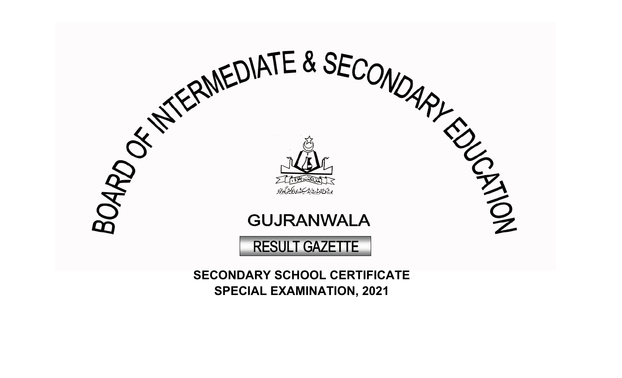

**SPECIAL EXAMINATION, 2021**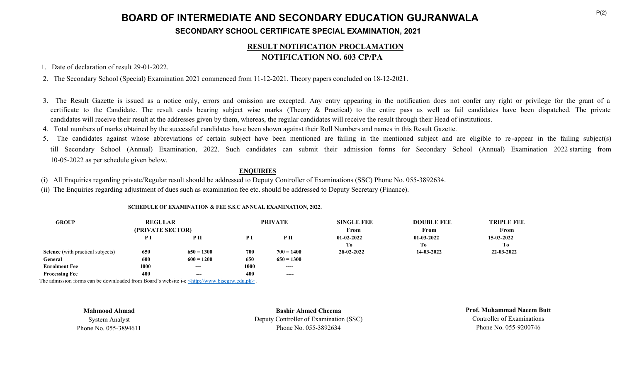# **BOARD OF INTERMEDIATE AND SECONDARY EDUCATION GUJRANWALA SECONDARY SCHOOL CERTIFICATE SPECIAL EXAMINATION, 2021**

## **RESULT NOTIFICATION PROCLAMATION NOTIFICATION NO. 603 CP/PA**

1. Date of declaration of result 29-01-2022.

2. The Secondary School (Special) Examination 2021 commenced from 11-12-2021. Theory papers concluded on 18-12-2021.

- 3. The Result Gazette is issued as a notice only, errors and omission are excepted. Any entry appearing in the notification does not confer any right or privilege for the grant of a certificate to the Candidate. The result cards bearing subject wise marks (Theory & Practical) to the entire pass as well as fail candidates have been dispatched. The private candidates will receive their result at the addresses given by them, whereas, the regular candidates will receive the result through their Head of institutions.
- 4. Total numbers of marks obtained by the successful candidates have been shown against their Roll Numbers and names in this Result Gazette.
- 5. The candidates against whose abbreviations of certain subject have been mentioned are failing in the mentioned subject and are eligible to re -appear in the failing subject(s) till Secondary School (Annual) Examination, 2022. Such candidates can submit their admission forms for Secondary School (Annual) Examination 2022 starting from 10-05-2022 as per schedule given below.

### **ENQUIRIES**

(i) All Enquiries regarding private/Regular result should be addressed to Deputy Controller of Examinations (SSC) Phone No. 055-3892634.

(ii) The Enquiries regarding adjustment of dues such as examination fee etc. should be addressed to Deputy Secretary (Finance).

| <b>GROUP</b>                             | <b>REGULAR</b><br>(PRIVATE SECTOR) |                 | <b>PRIVATE</b> |                 | <b>SINGLE FEE</b><br>From | <b>DOUBLE FEE</b><br>From | <b>TRIPLE FEE</b><br>From |
|------------------------------------------|------------------------------------|-----------------|----------------|-----------------|---------------------------|---------------------------|---------------------------|
|                                          | P I                                | P <sub>II</sub> | P <sub>I</sub> | P <sub>II</sub> | $01-02-2022$              | $01-03-2022$              | 15-03-2022                |
|                                          |                                    |                 |                |                 | Tо                        | Tо                        | To                        |
| <b>Science</b> (with practical subjects) | 650                                | $650 = 1300$    | 700            | $700 = 1400$    | 28-02-2022                | 14-03-2022                | 22-03-2022                |
| General                                  | 600                                | $600 = 1200$    | 650            | $650 = 1300$    |                           |                           |                           |
| <b>Enrolment Fee</b>                     | 1000                               | $- - -$         | 1000           | $- - - -$       |                           |                           |                           |
| <b>Processing Fee</b>                    | 400                                | $---$           | 400            | ----            |                           |                           |                           |

#### **SCHEDULE OF EXAMINATION & FEE S.S.C ANNUAL EXAMINATION, 2022.**

The admission forms can be downloaded from Board's website i-e  $\langle \text{http://www.bisegrw.edu.ph>} \rangle$ .

**Mahmood Ahmad**

System Analyst Phone No. 055-3894611

**Bashir Ahmed Cheema** Deputy Controller of Examination (SSC) Phone No. 055-3892634

**Prof. Muhammad Naeem Butt** Controller of Examinations Phone No. 055-9200746

 $P(2)$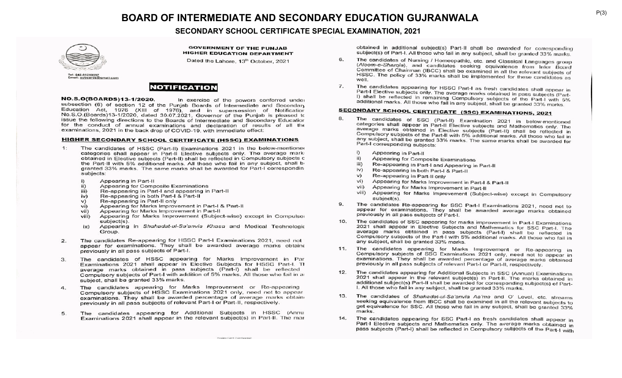### **SECONDARY SCHOOL CERTIFICATE SPECIAL EXAMINATION, 2021**



**GOVERNMENT OF THE PUNJAB HIGHER EDUCATION DEPARTMENT** 

Dated the Lahore, 13th October, 2021



NO.S.O(BOARDS)13-1/2020. In exercise of the powers conferred under subsection (6) of section 12 of the Punjab Boards of Intermediate and Secondary Education Act, 1976 (XIII of 1976), and in supersession of Notification No.S.O.(Boards)13-1/2020, dated 30.07.2021, Governor of the Punjab is pleased to issue the following directions to the Boards of Intermediate and Secondary Education for the conduct of annual examinations and declaration of results of all the examinations, 2021 in the back drop of COVID-19, with immediate effect:

#### **HIGHER SECONDARY SCHOOL CERTIFICATE (HSSC) EXAMINATIONS**

- $1:$ The candidates of HSSC (Part-II) Examinations 2021 in the below-mentioner categories shall appear in Part-II Elective subjects only. The average mark obtained in Elective subjects (Part-II) shall be reflected in Compulsory subjects c the Part-II with 5% additional marks. All those who fail in any subject, shall b granted 33% marks. The same marks shall be awarded for Part-I correspondin subjects:
	- i) Appearing in Part-II
	- Appearing for Composite Examinations  $\overline{11}$
	- iii) Re-appearing in Part-I and appearing in Part-II
	- Re-appearing in both Part-I & Part-II iv)
	- Re-appearing in Part-II only  $V)$
	- Appearing for Marks Improvement in Part-I & Part-II vi)
	- Appearing for Marks Improvement in Part-II vii)
	- Appearing for Marks Improvement (Subject-wise) except in Compulsor viii) subject(s).
	- ix) Appearing in Shahadat-ul-Sa'anvia Khasa and Medical Technologic Group.
- The candidates Re-appearing for HSSC Part-I Examinations 2021, need not  $2.$ appear for examinations. They shall be awarded average marks obtaine previously in all pass subjects of Part-I.
- The candidates of HSSC appearing for Marks Improvement in Par 3. Examinations 2021 shall appear in Elective Subjects for HSSC Part-I. TI average marks obtained in pass subjects (Part-I) shall be reflected Compulsory subjects of Part-I with addition of 5% marks. All those who fail in a subject, shall be granted 33% marks.
- The candidates appearing for Marks Improvement or Re-appearing 4. Compulsory subjects of HSSC Examinations 2021 only, need not to appear examinations. They shall be awarded percentage of average marks obtain previously in all pass subjects of relevant Part-I or Part-II, respectively.
- The candidates appearing for Additional Subjects in HSSC (Annu 5. Examinations 2021 shall appear in the relevant subject(s) in Part-II. The mar

obtained in additional subject(s) Part-II shall be awarded for corresponding subject(s) of Part-I. All those who fail in any subject, shall be granted 33% marks.

- 6. The candidates of Nursing / Homeopathic, etc. and Classical Languages group (Aloom-e-Sharqia), and candidates seeking equivalence from Inter Board Committee of Chairman (IBCC) shall be examined in all the relevant subjects of HSSC. The policy of 33% marks shall be implemented for these candidates as well
- The candidates appearing for HSSC Part-I as fresh candidates shall appear in 7. Part-I Elective subjects only. The average marks obtained in pass subjects (Part-I) shall be reflected in remaining Compulsory subjects of the Part-I with 5% additional marks. All those who fail in any subject, shall be granted 33% marks.

## **SECONDARY SCHOOL CERTIFICATE (SSC) EXAMINATIONS, 2021**

- 8. The candidates of SSC (Part-II) Examination 2021 in below-mentioned categories shall appear in Part-II Elective subjects and Mathematics only. The average marks obtained in Elective subjects and mainematics only. The Compulsory subjects of the Part-II with 5% additional marks. All those who fail in any subject, shall be granted 33% marks. The same marks shall be awarded for Part-I corresponding subjects:
	- $i)$ Appearing in Part-II
	- $\mathbf{ii}$ Appearing for Composite Examinations
	- $iii)$ Re-appearing in Part-I and Appearing in Part-II
	- $iv)$ Re-appearing in both Part-I & Part-II
	- v) Re-appearing in Part-II only
	- vi) Appearing for Marks Improvement in Part-I & Part-II
	- vii) Appearing for Marks Improvement in Part-II
	- Appearing for Marks Improvement (Subject-wise) except in Compulsory Viii) subject(s).
- The candidates Re-appearing for SSC Part-I Examinations 2021, need not to 9. appear for examinations. They shall be awarded average marks obtained previously in all pass subjects of Part-I.
- The candidates of SSC appearing for marks improvement in Part-I Examinations 10. 2021 shall appear in Elective Subjects and Mathematics for SSC Part-I. The average marks obtained in pass subjects (Part-I) shall be reflected in Compulsory subjects of the Part-I with 5% additional marks. All those who fail in any subject, shall be granted 33% marks.
- The candidates appearing for Marks Improvement or Re-appearing in  $11.$ Compulsory subjects of SSC Examinations 2021 only, need not to appear in examinations. They shall be awarded percentage of average marks obtained previously in all pass subjects of relevant Part-I or Part-II, respectively.
- 12. The candidates appearing for Additional Subjects in SSC (Annual) Examinations 2021 shall appear in the relevant subject(s) in Part-II. The marks obtained in additional subject(s) Part-II shall be awarded for corresponding subject(s) of Part-I. All those who fail in any subject, shall be granted 33% marks.
- The candidates of Shahadat-ul-Sa'anvia Aa'ma and O' Level, etc. streams 13. seeking equivalence from IBCC shall be examined in all the relevant subjects to get equivalence for SSC. All those who fail in any subject, shall be granted 33% marks.
- 14. The candidates appearing for SSC Part-I as fresh candidates shall appear in Part-I Elective subjects and Mathematics only. The average marks obtained in pass subjects (Part-I) shall be reflected in Compulsory subjects of the Part-I with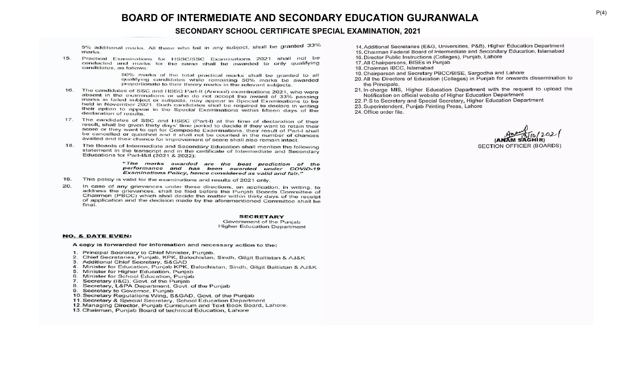### **SECONDARY SCHOOL CERTIFICATE SPECIAL EXAMINATION, 2021**

5% additional marks. All those who fail in any subject, shall be granted 33% *marks*.

15. Practical Examinations for HSSC/SSC Examinations 2021 shall not be conducted and marks for the same shall be awarded to only qualifying candidates, as follows:

> 50% marks of the total practical marks shall be granted to all qualifying candidates while remaining 50% marks be awarded proportionate to their theory marks in the relevant subjects.

- The candidates of SSC and HSSC Part-II (Annual) examinations 2021, who were 16. absent in the examinations or who do not accept the award of 33% passing marks in failed subject or subjects, may appear in Special Examinations to be held in November 2021. Such candidates shall be required to declare in writing their option to appear in the Special Examinations within fifteen days of the declaration of results.
- $17.$ The candidates of SSC and HSSC (Part-I) at the time of declaration of their result, shall be given thirty days' time period to decide if they want to retain their score or they want to opt for Composite Examinations, their result of Part-I shall be cancelled or quashed and it shall not be counted in the number of chances availed and their chance for improvement of score shall also remain intact.
- $18.$ The Boards of Intermediate and Secondary Education shall mention the following statement in the transcript and in the certificate of Intermediate and Secondary Educations for Part-I&II (2021 & 2022):

"The marks awarded are the best prediction of the performance and has been awarded under COVID-19 Examinations Policy, hence considered as valid and fair."

- 19. This policy is valid for the examinations and results of 2021 only.
- In case of any grievances under these directions, an application, in writing, to 20. address the grievances, shall be filed before the Punjab Boards Committee of Chairmen (PBCC) which shall decide the matter within thirty days of the receipt of application and the decision made by the aforementioned Committee shall be final.

#### **SECRETARY**

Government of the Puniab **Higher Education Department** 

#### **NO. & DATE EVEN:**

A copy is forwarded for information and necessary action to the:

- 1. Principal Secretary to Chief Minister, Punjab.
- 2. Chief Secretaries, Punjab, KPK, Balochistan, Sindh, Gilgit Baltistan & AJ&K
- Additional Chief Secretary, S&GAD
- 4. Minister for Education, Punjab KPK, Balochistan, Sindh, Gilgit Baltistan & AJ&K
- 5. Minister for Higher Education, Punjab
- 6. Minister for School Education, Punjab
- Secretary (I&C), Govt. of the Punjab 7.
- 8. Secretary, L&PA Department, Govt. of the Punjab
- 9. Secretary to Governor, Punjab
- 10. Secretary Regulations Wing, S&GAD, Govt. of the Punjab
- 11. Secretary & Special Secretary, School Education Department
- 12. Managing Director, Punjab Curriculum and Text Book Board, Lahore.
- 13. Chairman, Punjab Board of technical Education, Lahore
- 14. Additional Secretaries (E&G, Universities, P&B), Higher Education Department
- 15. Chairman Federal Board of Intermediate and Secondary Education, Islamabad
- 16. Director Public Instructions (Colleges), Punjab, Lahore
- 17. All Chairpersons, BISEs in Punjab
- 18. Chairman IBCC, Islamabad
- 19. Chairperson and Secretary PBCC/BISE, Sargodha and Lahore
- 20. All the Directors of Education (Colleges) in Punjab for onwards dissemination to the Principals.
- 21. In-charge MIS, Higher Education Department with the request to upload the Notification on official website of Higher Education Department
- 22. P.S to Secretary and Special Secretary, Higher Education Department
- 23. Superintendent, Punjab Printing Press, Lahore
- 24. Office order file.

**SECTION OFFICER (BOARDS)**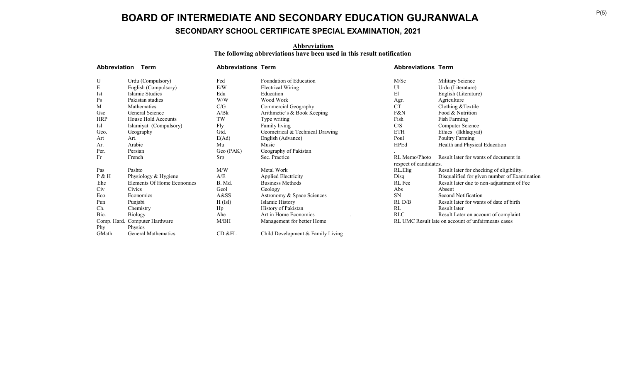# **SECONDARY SCHOOL CERTIFICATE SPECIAL EXAMINATION, 2021**

#### **Abbreviations The following abbreviations have been used in this result notification**

| Abbreviation | Term                          | <b>Abbreviations Term</b> |                                   | <b>Abbreviations Term</b> |                                                    |
|--------------|-------------------------------|---------------------------|-----------------------------------|---------------------------|----------------------------------------------------|
| U            | Urdu (Compulsory)             | Fed                       | Foundation of Education           | M/Sc                      | Military Science                                   |
| ${\bf E}$    | English (Compulsory)          | E/W                       | <b>Electrical Wiring</b>          | Ul                        | Urdu (Literature)                                  |
| Ist          | Islamic Studies               | Edu                       | Education                         | El                        | English (Literature)                               |
| Ps           | Pakistan studies              | W/W                       | Wood Work                         | Agr.                      | Agriculture                                        |
| M            | Mathematics                   | C/G                       | Commercial Geography              | <b>CT</b>                 | Clothing & Textile                                 |
| Gsc          | General Science               | A/Bk                      | Arithmetic's & Book Keeping       | F&N                       | Food & Nutrition                                   |
| <b>HRP</b>   | House Hold Accounts           | TW                        | Type writing                      | Fish                      | Fish Farming                                       |
| Isl          | Islamiyat (Compulsory)        | Fly                       | Family living                     | C/S                       | Computer Science                                   |
| Geo.         | Geography                     | Gtd.                      | Geometrical & Technical Drawing   | <b>ETH</b>                | Ethics (Ikhlaqiyat)                                |
| Art          | Art.                          | E(Ad)                     | English (Advance)                 | Poul                      | Poultry Farming                                    |
| Ar.          | Arabic                        | Mu                        | Music                             | HPEd                      | Health and Physical Education                      |
| Per.         | Persian                       | Geo (PAK)                 | Geography of Pakistan             |                           |                                                    |
| Fr           | French                        | Srp                       | Sec. Practice                     | RL Memo/Photo             | Result later for wants of document in              |
|              |                               |                           |                                   | respect of candidates.    |                                                    |
| Pas          | Pashto                        | M/W                       | Metal Work                        | RL.Elig                   | Result later for checking of eligibility.          |
| $P$ & H      | Physiology & Hygiene          | A/E                       | <b>Applied Electricity</b>        | Disq                      | Disqualified for given number of Examination       |
| Ehe          | Elements Of Home Economics    | B. Md.                    | Business Methods                  | RL Fee                    | Result later due to non-adjustment of Fee          |
| Civ          | Civics                        | Geol                      | Geology                           | Abs                       | Absent                                             |
| Eco.         | Economics                     | A&SS                      | Astronomy & Space Sciences        | <b>SN</b>                 | Second Notification                                |
| Pun          | Punjabi                       | H(Isl)                    | Islamic History                   | Rl. D/B                   | Result later for wants of date of birth            |
| Ch.          | Chemistry                     | Hp                        | History of Pakistan               | RL                        | Result later                                       |
| Bio.         | <b>Biology</b>                | Ahe                       | Art in Home Economics             | <b>RLC</b>                | Result Later on account of complaint               |
|              | Comp. Hard. Computer Hardware | M/BH                      | Management for better Home        |                           | RL UMC Result late on account of unfairmeans cases |
| Phy          | Physics                       |                           |                                   |                           |                                                    |
| GMath        | <b>General Mathematics</b>    | CD &FL                    | Child Development & Family Living |                           |                                                    |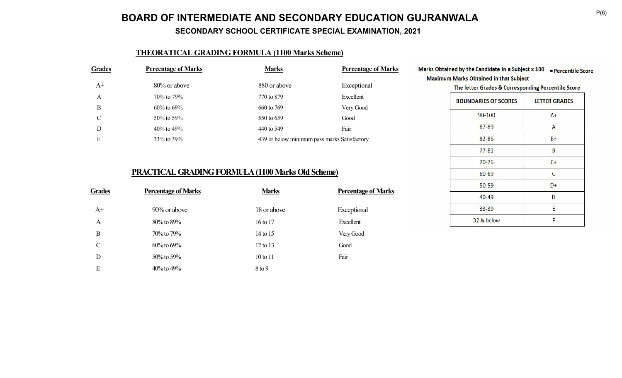**SECONDARY SCHOOL CERTIFICATE SPECIAL EXAMINATION, 2021**

## **THEORATICAL GRADING FORMULA (1100 Marks Scheme)**

| <b>Grades</b> | <b>Percentage of Marks</b> | <b>Marks</b>                                 | <b>Percentage of Marks</b> |
|---------------|----------------------------|----------------------------------------------|----------------------------|
| $A+$          | 80% or above               | 880 or above                                 | Exceptional                |
| A             | 70% to 79%                 | 770 to 879                                   | Excellent                  |
| B             | $60\%$ to $69\%$           | 660 to 769                                   | Very Good                  |
| C             | $50\%$ to $59\%$           | 550 to 659                                   | Good                       |
| D             | $40\%$ to $49\%$           | 440 to 549                                   | Fair                       |
| Е             | 33\% to 39\%               | 439 or below minimum pass marks Satisfactory |                            |
|               |                            |                                              |                            |

## **PRACTICAL GRADING FORMULA (1100 Marks Old Scheme)**

| <b>Grades</b> | <b>Percentage of Marks</b> | <b>Marks</b> | <b>Percentage of Marks</b> |
|---------------|----------------------------|--------------|----------------------------|
| $A+$          | 90% or above               | 18 or above  | Exceptional                |
| A             | 80% to 89%                 | 16 to 17     | Excellent                  |
| B             | 70% to 79%                 | 14 to 15     | Very Good                  |
| $\mathcal{C}$ | $60\%$ to $69\%$           | $12$ to $13$ | Good                       |
| D             | $50\%$ to $59\%$           | $10$ to $11$ | Fair                       |
| E             | $40\%$ to $49\%$           | $8$ to 9     |                            |

| The letter Grades & Corresponding Percentile Score |                      |
|----------------------------------------------------|----------------------|
| <b>BOUNDARIES OF SCORES</b>                        | <b>LETTER GRADES</b> |
| 90-100                                             | $A+$                 |
| $87 - 89$                                          | A                    |
| $82 - 86$                                          | $B+$                 |
| $77 - 81$                                          | B                    |
| 70-76                                              | $C+$                 |
| 60-69                                              | C                    |
| $50 - 59$                                          | D+                   |
| $40 - 49$                                          | D                    |
| 33-39                                              | F                    |
| 32 & below                                         | F                    |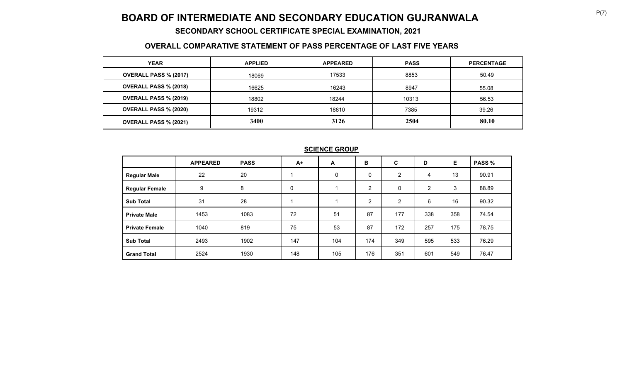### **SECONDARY SCHOOL CERTIFICATE SPECIAL EXAMINATION, 2021**

## **OVERALL COMPARATIVE STATEMENT OF PASS PERCENTAGE OF LAST FIVE YEARS**

| <b>YEAR</b>                  | <b>APPLIED</b> | <b>APPEARED</b> | <b>PASS</b> | <b>PERCENTAGE</b> |
|------------------------------|----------------|-----------------|-------------|-------------------|
| <b>OVERALL PASS % (2017)</b> | 18069          | 17533           | 8853        | 50.49             |
| <b>OVERALL PASS % (2018)</b> | 16625          | 16243           | 8947        | 55.08             |
| <b>OVERALL PASS % (2019)</b> | 18802          | 18244           | 10313       | 56.53             |
| <b>OVERALL PASS % (2020)</b> | 19312          | 18810           | 7385        | 39.26             |
| <b>OVERALL PASS % (2021)</b> | 3400           | 3126            | 2504        | 80.10             |

|                       | <b>APPEARED</b> | <b>PASS</b> | $A+$ | A   | в              | C              | D              | Е.  | <b>PASS %</b> |
|-----------------------|-----------------|-------------|------|-----|----------------|----------------|----------------|-----|---------------|
| <b>Regular Male</b>   | 22              | 20          |      | 0   | 0              | $\overline{2}$ | 4              | 13  | 90.91         |
| <b>Regular Female</b> | 9               | 8           | 0    |     | $\overline{2}$ | 0              | $\overline{2}$ | 3   | 88.89         |
| <b>Sub Total</b>      | 31              | 28          |      |     | $\overline{2}$ | $\overline{2}$ | 6              | 16  | 90.32         |
| <b>Private Male</b>   | 1453            | 1083        | 72   | 51  | 87             | 177            | 338            | 358 | 74.54         |
| <b>Private Female</b> | 1040            | 819         | 75   | 53  | 87             | 172            | 257            | 175 | 78.75         |
| <b>Sub Total</b>      | 2493            | 1902        | 147  | 104 | 174            | 349            | 595            | 533 | 76.29         |
| <b>Grand Total</b>    | 2524            | 1930        | 148  | 105 | 176            | 351            | 601            | 549 | 76.47         |

### **SCIENCE GROUP**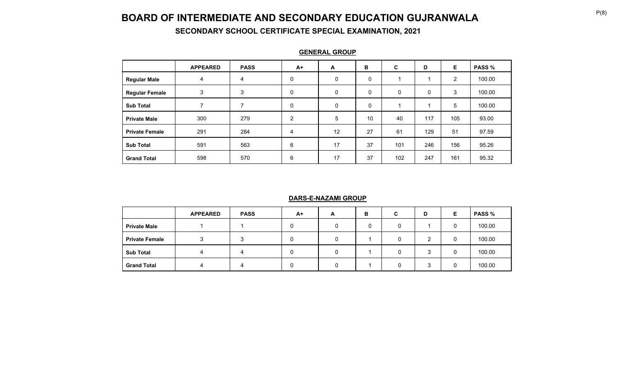**SECONDARY SCHOOL CERTIFICATE SPECIAL EXAMINATION, 2021**

|                       | <b>APPEARED</b> | <b>PASS</b> | $A+$ | A           | в  | C           | D   | E              | <b>PASS %</b> |
|-----------------------|-----------------|-------------|------|-------------|----|-------------|-----|----------------|---------------|
| <b>Regular Male</b>   | 4               | 4           | 0    | 0           | 0  |             |     | $\overline{2}$ | 100.00        |
| <b>Regular Female</b> | 3               | 3           | 0    | $\mathbf 0$ | 0  | $\mathbf 0$ | 0   | 3              | 100.00        |
| <b>Sub Total</b>      | ⇁               | 7           | 0    | $\mathbf 0$ | 0  |             |     | 5              | 100.00        |
| <b>Private Male</b>   | 300             | 279         | 2    | 5           | 10 | 40          | 117 | 105            | 93.00         |
| <b>Private Female</b> | 291             | 284         | 4    | 12          | 27 | 61          | 129 | 51             | 97.59         |
| <b>Sub Total</b>      | 591             | 563         | 6    | 17          | 37 | 101         | 246 | 156            | 95.26         |
| <b>Grand Total</b>    | 598             | 570         | 6    | 17          | 37 | 102         | 247 | 161            | 95.32         |

**GENERAL GROUP**

### **DARS-E-NAZAMI GROUP**

|                       | <b>APPEARED</b> | <b>PASS</b> | A+ | A | в | C | D       | Е | <b>PASS</b> % |
|-----------------------|-----------------|-------------|----|---|---|---|---------|---|---------------|
| <b>Private Male</b>   |                 |             | 0  |   | 0 |   |         | 0 | 100.00        |
| <b>Private Female</b> |                 |             | 0  |   |   |   | ⌒       | 0 | 100.00        |
| <b>Sub Total</b>      |                 |             | 0  |   |   |   | ◠<br>п. | 0 | 100.00        |
| <b>Grand Total</b>    |                 |             | 0  |   |   |   | ົ       | 0 | 100.00        |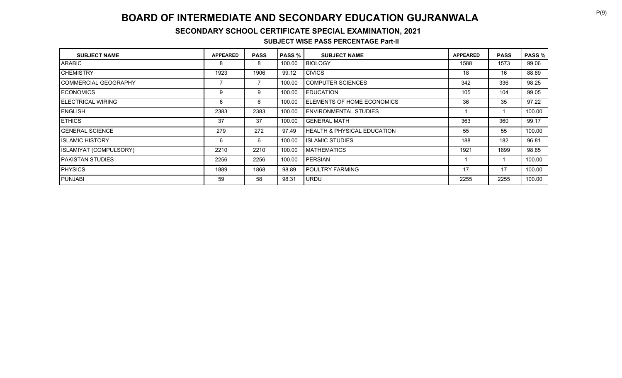### **SECONDARY SCHOOL CERTIFICATE SPECIAL EXAMINATION, 2021**

#### **SUBJECT WISE PASS PERCENTAGE Part-II**

| <b>SUBJECT NAME</b>       | <b>APPEARED</b> | <b>PASS</b> | <b>PASS</b> % | <b>SUBJECT NAME</b>                    | <b>APPEARED</b> | <b>PASS</b> | <b>PASS %</b> |
|---------------------------|-----------------|-------------|---------------|----------------------------------------|-----------------|-------------|---------------|
| <b>ARABIC</b>             | 8               | 8           | 100.00        | <b>BIOLOGY</b>                         | 1588            | 1573        | 99.06         |
| <b>CHEMISTRY</b>          | 1923            | 1906        | 99.12         | <b>CIVICS</b>                          | 18              | 16          | 88.89         |
| I COMMERCIAL GEOGRAPHY    |                 |             | 100.00        | <b>COMPUTER SCIENCES</b>               | 342             | 336         | 98.25         |
| <b>IECONOMICS</b>         | 9               | 9           | 100.00        | <b>EDUCATION</b>                       | 105             | 104         | 99.05         |
| <b>IELECTRICAL WIRING</b> | 6               | 6           | 100.00        | ELEMENTS OF HOME ECONOMICS             | 36              | 35          | 97.22         |
| <b>IENGLISH</b>           | 2383            | 2383        | 100.00        | <b>ENVIRONMENTAL STUDIES</b>           |                 |             | 100.00        |
| <b>ETHICS</b>             | 37              | 37          | 100.00        | <b>GENERAL MATH</b>                    | 363             | 360         | 99.17         |
| I GENERAL SCIENCE         | 279             | 272         | 97.49         | <b>HEALTH &amp; PHYSICAL EDUCATION</b> | 55              | 55          | 100.00        |
| I ISLAMIC HISTORY         | 6               | 6           | 100.00        | <b>ISLAMIC STUDIES</b>                 | 188             | 182         | 96.81         |
| ISLAMIYAT (COMPULSORY)    | 2210            | 2210        | 100.00        | <b>MATHEMATICS</b>                     | 1921            | 1899        | 98.85         |
| IPAKISTAN STUDIES         | 2256            | 2256        | 100.00        | <b>PERSIAN</b>                         |                 |             | 100.00        |
| <b>PHYSICS</b>            | 1889            | 1868        | 98.89         | POULTRY FARMING                        | 17              | 17          | 100.00        |
| <b>PUNJABI</b>            | 59              | 58          | 98.31         | <b>URDU</b>                            | 2255            | 2255        | 100.00        |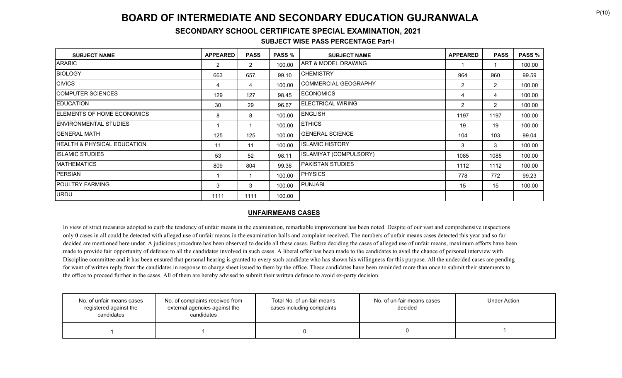### **SECONDARY SCHOOL CERTIFICATE SPECIAL EXAMINATION, 2021**

#### **SUBJECT WISE PASS PERCENTAGE Part-I**

| <b>SUBJECT NAME</b>                | <b>APPEARED</b> | <b>PASS</b>    | <b>PASS %</b> | <b>SUBJECT NAME</b>    | <b>APPEARED</b> | <b>PASS</b>    | <b>PASS %</b> |
|------------------------------------|-----------------|----------------|---------------|------------------------|-----------------|----------------|---------------|
| IARABIC I                          | $\overline{2}$  | $\overline{2}$ | 100.00        | ART & MODEL DRAWING    |                 |                | 100.00        |
| <b>BIOLOGY</b>                     | 663             | 657            | 99.10         | <b>CHEMISTRY</b>       | 964             | 960            | 99.59         |
| <b>CIVICS</b>                      | 4               | 4              | 100.00        | COMMERCIAL GEOGRAPHY   | 2               | $\overline{2}$ | 100.00        |
| ICOMPUTER SCIENCES                 | 129             | 127            | 98.45         | <b>ECONOMICS</b>       | 4               | 4              | 100.00        |
| <b>IEDUCATION</b>                  | 30              | 29             | 96.67         | ELECTRICAL WIRING      | 2               | $\overline{2}$ | 100.00        |
| <b>IELEMENTS OF HOME ECONOMICS</b> | 8               | 8              | 100.00        | <b>ENGLISH</b>         | 1197            | 1197           | 100.00        |
| <b>ENVIRONMENTAL STUDIES</b>       |                 |                | 100.00        | <b>ETHICS</b>          | 19              | 19             | 100.00        |
| IGENERAL MATH                      | 125             | 125            | 100.00        | <b>GENERAL SCIENCE</b> | 104             | 103            | 99.04         |
| IHEALTH & PHYSICAL EDUCATION       | 11              | 11             | 100.00        | <b>ISLAMIC HISTORY</b> | 3               | 3              | 100.00        |
| <b>IISLAMIC STUDIES</b>            | 53              | 52             | 98.11         | ISLAMIYAT (COMPULSORY) | 1085            | 1085           | 100.00        |
| <b>MATHEMATICS</b>                 | 809             | 804            | 99.38         | PAKISTAN STUDIES       | 1112            | 1112           | 100.00        |
| PERSIAN                            |                 |                | 100.00        | <b>PHYSICS</b>         | 778             | 772            | 99.23         |
| <b>IPOULTRY FARMING</b>            | 3               | 3              | 100.00        | <b>PUNJABI</b>         | 15              | 15             | 100.00        |
| URDU                               | 1111            | 1111           | 100.00        |                        |                 |                |               |

#### **UNFAIRMEANS CASES**

In view of strict measures adopted to curb the tendency of unfair means in the examination, remarkable improvement has been noted. Despite of our vast and comprehensive inspections only **0** cases in all could be detected with alleged use of unfair means in the examination halls and complaint received. The numbers of unfair means cases detected this year and so far decided are mentioned here under. A judicious procedure has been observed to decide all these cases. Before deciding the cases of alleged use of unfair means, maximum efforts have been made to provide fair opportunity of defence to all the candidates involved in such cases. A liberal offer has been made to the candidates to avail the chance of personal interview with Discipline committee and it has been ensured that personal hearing is granted to every such candidate who has shown his willingness for this purpose. All the undecided cases are pending for want of written reply from the candidates in response to charge sheet issued to them by the office. These candidates have been reminded more than once to submit their statements to the office to proceed further in the cases. All of them are hereby advised to submit their written defence to avoid ex-party decision.

| No. of unfair means cases<br>registered against the<br>candidates | No. of complaints received from<br>external agencies against the<br>candidates | Total No. of un-fair means<br>cases including complaints | No. of un-fair means cases<br>decided | <b>Under Action</b> |
|-------------------------------------------------------------------|--------------------------------------------------------------------------------|----------------------------------------------------------|---------------------------------------|---------------------|
|                                                                   |                                                                                |                                                          |                                       |                     |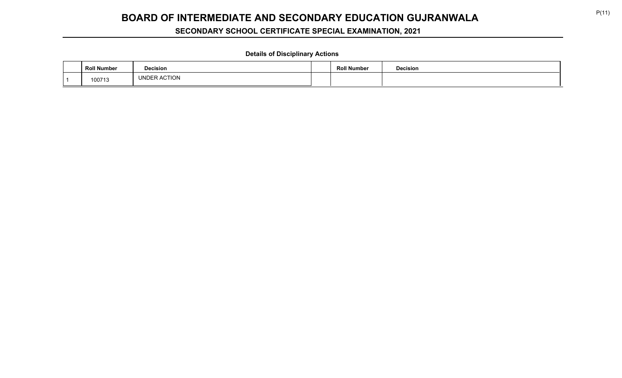# **SECONDARY SCHOOL CERTIFICATE SPECIAL EXAMINATION, 2021**

### **Details of Disciplinary Actions**

| <b>Roll Number</b> | <b>Decision</b> | <b>Roll Number</b> | <b>Decision</b> |
|--------------------|-----------------|--------------------|-----------------|
| 100713             | UNDER ACTION    |                    |                 |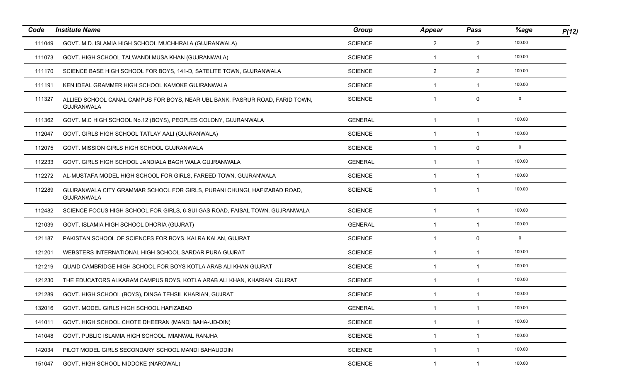| Code   | <b>Institute Name</b>                                                                             | Group          | Appear         | Pass           | %age   | P(12) |
|--------|---------------------------------------------------------------------------------------------------|----------------|----------------|----------------|--------|-------|
| 111049 | GOVT. M.D. ISLAMIA HIGH SCHOOL MUCHHRALA (GUJRANWALA)                                             | <b>SCIENCE</b> | $\overline{2}$ | $\overline{2}$ | 100.00 |       |
| 111073 | GOVT. HIGH SCHOOL TALWANDI MUSA KHAN (GUJRANWALA)                                                 | <b>SCIENCE</b> | $\mathbf{1}$   | 1              | 100.00 |       |
| 111170 | SCIENCE BASE HIGH SCHOOL FOR BOYS, 141-D, SATELITE TOWN, GUJRANWALA                               | <b>SCIENCE</b> | $\overline{2}$ | $\overline{2}$ | 100.00 |       |
| 111191 | KEN IDEAL GRAMMER HIGH SCHOOL KAMOKE GUJRANWALA                                                   | <b>SCIENCE</b> | -1             | 1              | 100.00 |       |
| 111327 | ALLIED SCHOOL CANAL CAMPUS FOR BOYS, NEAR UBL BANK, PASRUR ROAD, FARID TOWN,<br><b>GUJRANWALA</b> | <b>SCIENCE</b> | $\mathbf{1}$   | 0              | 0      |       |
| 111362 | GOVT. M.C HIGH SCHOOL No.12 (BOYS), PEOPLES COLONY, GUJRANWALA                                    | <b>GENERAL</b> | $\mathbf{1}$   | 1              | 100.00 |       |
| 112047 | GOVT. GIRLS HIGH SCHOOL TATLAY AALI (GUJRANWALA)                                                  | <b>SCIENCE</b> | 1              | 1              | 100.00 |       |
| 112075 | GOVT. MISSION GIRLS HIGH SCHOOL GUJRANWALA                                                        | <b>SCIENCE</b> | 1              | 0              | 0      |       |
| 112233 | GOVT. GIRLS HIGH SCHOOL JANDIALA BAGH WALA GUJRANWALA                                             | <b>GENERAL</b> | $\mathbf{1}$   | -1             | 100.00 |       |
| 112272 | AL-MUSTAFA MODEL HIGH SCHOOL FOR GIRLS, FAREED TOWN, GUJRANWALA                                   | <b>SCIENCE</b> | 1              | -1             | 100.00 |       |
| 112289 | GUJRANWALA CITY GRAMMAR SCHOOL FOR GIRLS, PURANI CHUNGI, HAFIZABAD ROAD,<br><b>GUJRANWALA</b>     | <b>SCIENCE</b> | 1              | -1             | 100.00 |       |
| 112482 | SCIENCE FOCUS HIGH SCHOOL FOR GIRLS, 6-SUI GAS ROAD, FAISAL TOWN, GUJRANWALA                      | <b>SCIENCE</b> | $\mathbf{1}$   | $\mathbf{1}$   | 100.00 |       |
| 121039 | GOVT. ISLAMIA HIGH SCHOOL DHORIA (GUJRAT)                                                         | <b>GENERAL</b> | $\mathbf{1}$   | $\mathbf{1}$   | 100.00 |       |
| 121187 | PAKISTAN SCHOOL OF SCIENCES FOR BOYS. KALRA KALAN, GUJRAT                                         | <b>SCIENCE</b> | $\mathbf{1}$   | 0              | 0      |       |
| 121201 | WEBSTERS INTERNATIONAL HIGH SCHOOL SARDAR PURA GUJRAT                                             | <b>SCIENCE</b> | 1              | 1              | 100.00 |       |
| 121219 | QUAID CAMBRIDGE HIGH SCHOOL FOR BOYS KOTLA ARAB ALI KHAN GUJRAT                                   | <b>SCIENCE</b> | 1              | 1              | 100.00 |       |
| 121230 | THE EDUCATORS ALKARAM CAMPUS BOYS, KOTLA ARAB ALI KHAN, KHARIAN, GUJRAT                           | <b>SCIENCE</b> | $\mathbf{1}$   | -1             | 100.00 |       |
| 121289 | GOVT. HIGH SCHOOL (BOYS), DINGA TEHSIL KHARIAN, GUJRAT                                            | <b>SCIENCE</b> | 1              | 1              | 100.00 |       |
| 132016 | GOVT. MODEL GIRLS HIGH SCHOOL HAFIZABAD                                                           | <b>GENERAL</b> | 1              | 1              | 100.00 |       |
| 141011 | GOVT. HIGH SCHOOL CHOTE DHEERAN (MANDI BAHA-UD-DIN)                                               | <b>SCIENCE</b> | 1              | 1              | 100.00 |       |
| 141048 | GOVT. PUBLIC ISLAMIA HIGH SCHOOL. MIANWAL RANJHA                                                  | <b>SCIENCE</b> | $\mathbf{1}$   | $\mathbf 1$    | 100.00 |       |
| 142034 | PILOT MODEL GIRLS SECONDARY SCHOOL MANDI BAHAUDDIN                                                | <b>SCIENCE</b> | $\mathbf{1}$   | 1              | 100.00 |       |
| 151047 | GOVT. HIGH SCHOOL NIDDOKE (NAROWAL)                                                               | <b>SCIENCE</b> | 1              | -1             | 100.00 |       |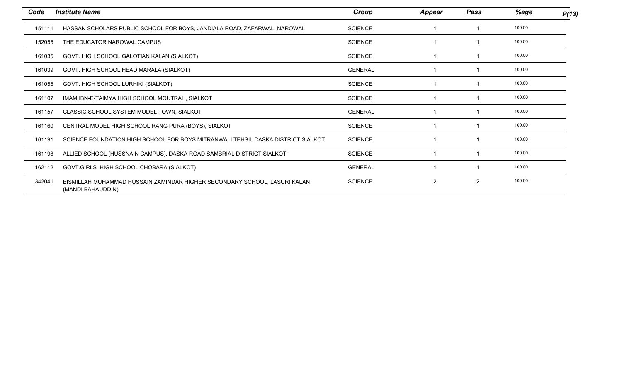| Code   | <b>Institute Name</b>                                                                          | Group          | <b>Appear</b>  | Pass | %age   | P(13) |
|--------|------------------------------------------------------------------------------------------------|----------------|----------------|------|--------|-------|
| 151111 | HASSAN SCHOLARS PUBLIC SCHOOL FOR BOYS, JANDIALA ROAD, ZAFARWAL, NAROWAL                       | <b>SCIENCE</b> |                |      | 100.00 |       |
| 152055 | THE EDUCATOR NAROWAL CAMPUS                                                                    | <b>SCIENCE</b> |                |      | 100.00 |       |
| 161035 | GOVT. HIGH SCHOOL GALOTIAN KALAN (SIALKOT)                                                     | <b>SCIENCE</b> |                |      | 100.00 |       |
| 161039 | GOVT. HIGH SCHOOL HEAD MARALA (SIALKOT)                                                        | <b>GENERAL</b> |                |      | 100.00 |       |
| 161055 | GOVT. HIGH SCHOOL LURHIKI (SIALKOT)                                                            | <b>SCIENCE</b> |                |      | 100.00 |       |
| 161107 | IMAM IBN-E-TAIMYA HIGH SCHOOL MOUTRAH, SIALKOT                                                 | <b>SCIENCE</b> |                |      | 100.00 |       |
| 161157 | CLASSIC SCHOOL SYSTEM MODEL TOWN, SIALKOT                                                      | <b>GENERAL</b> |                |      | 100.00 |       |
| 161160 | CENTRAL MODEL HIGH SCHOOL RANG PURA (BOYS), SIALKOT                                            | <b>SCIENCE</b> |                |      | 100.00 |       |
| 161191 | SCIENCE FOUNDATION HIGH SCHOOL FOR BOYS.MITRANWALI TEHSIL DASKA DISTRICT SIALKOT               | <b>SCIENCE</b> |                |      | 100.00 |       |
| 161198 | ALLIED SCHOOL (HUSSNAIN CAMPUS). DASKA ROAD SAMBRIAL DISTRICT SIALKOT                          | <b>SCIENCE</b> |                |      | 100.00 |       |
| 162112 | GOVT.GIRLS HIGH SCHOOL CHOBARA (SIALKOT)                                                       | <b>GENERAL</b> |                |      | 100.00 |       |
| 342041 | BISMILLAH MUHAMMAD HUSSAIN ZAMINDAR HIGHER SECONDARY SCHOOL, LASURI KALAN<br>(MANDI BAHAUDDIN) | <b>SCIENCE</b> | $\overline{2}$ | 2    | 100.00 |       |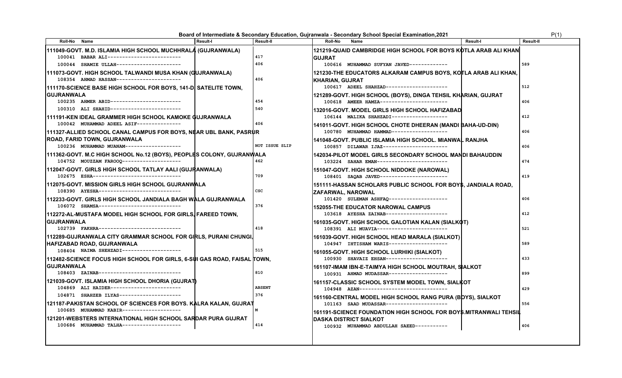**Board of Intermediate & Secondary Education, Gujranwala - Secondary School Special Examination,2021 P(1)** P(1)

| <b>Roll-No</b>    | Name                                                                     | <b>Result-I</b> | <b>Result-II</b> | Roll-No<br>Name                                                          | <b>Result-I</b> | Result-II |
|-------------------|--------------------------------------------------------------------------|-----------------|------------------|--------------------------------------------------------------------------|-----------------|-----------|
|                   | 111049-GOVT. M.D. ISLAMIA HIGH SCHOOL MUCHHRALA (GUJRANWALA)             |                 |                  | 121219-QUAID CAMBRIDGE HIGH SCHOOL FOR BOYS KOTLA ARAB ALI KHAN          |                 |           |
|                   | 100041 BABAR ALI-------------------------                                |                 | 417              | <b>GUJRAT</b>                                                            |                 |           |
|                   | 100044 SHAMIE ULLAH---------------------                                 |                 | 406              | 100616 MUHAMMAD SUFYAN JAVED-------------                                |                 | 589       |
|                   | 111073-GOVT. HIGH SCHOOL TALWANDI MUSA KHAN (GUJRANWALA)                 |                 |                  | 121230-THE EDUCATORS ALKARAM CAMPUS BOYS, KOTLA ARAB ALI KHAN,           |                 |           |
|                   | 108354 AHMAD HASSAN----------------------                                |                 | 406              | KHARIAN, GUJRAT                                                          |                 |           |
|                   | 111170-SCIENCE BASE HIGH SCHOOL FOR BOYS, 141-D SATELITE TOWN,           |                 |                  | 100617 ADEEL SHAHZAD---------------------                                |                 | 512       |
| <b>GUJRANWALA</b> |                                                                          |                 |                  | 121289-GOVT. HIGH SCHOOL (BOYS), DINGA TEHSIL KHARIAN, GUJRAT            |                 |           |
|                   | 100235 AHMER ABID------------------------                                |                 | 454              | 100618 AMEER HAMZA-----------------------                                |                 | 406       |
|                   | 100310 ALI SHAHID------------------------                                |                 | 540              | 132016-GOVT. MODEL GIRLS HIGH SCHOOL HAFIZABAD                           |                 |           |
|                   | 111191-KEN IDEAL GRAMMER HIGH SCHOOL KAMOKE GUJRANWALA                   |                 |                  | 106144 MALIKA SHAHZADI-------------------                                |                 | 412       |
|                   | 100042 MUHAMMAD ADEEL ASIF--------------                                 |                 | 406              | 141011-GOVT. HIGH SCHOOL CHOTE DHEERAN (MANDI BAHA-UD-DIN)               |                 |           |
|                   | 111327-ALLIED SCHOOL CANAL CAMPUS FOR BOYS, NEAR UBL BANK, PASRUR        |                 |                  | 100780 MUHAMMAD HAMMAD------------------                                 |                 | 406       |
|                   | ROAD, FARID TOWN, GUJRANWALA                                             |                 |                  | 141048-GOVT. PUBLIC ISLAMIA HIGH SCHOOL. MIANWAL RANJHA                  |                 |           |
|                   | 100236 MUHAMMAD MUANAM-------------------                                |                 | NOT ISSUE SLIP   | 100857 DILAWAR IJAZ----------------------                                |                 | 406       |
|                   | 111362-GOVT. M.C HIGH SCHOOL No.12 (BOYS), PEOPLES COLONY, GUJRANWALA    |                 |                  | <b>142034-PILOT MODEL GIRLS SECONDARY SCHOOL MANDI BAHAUDDIN</b>         |                 |           |
|                   | 104752 MOUZZAM FAROOQ --------------------                               |                 | 462              | 103224 SAHAR EMAN-----------------------                                 |                 | 474       |
|                   | 112047-GOVT. GIRLS HIGH SCHOOL TATLAY AALI (GUJRANWALA)                  |                 |                  | 151047-GOVT. HIGH SCHOOL NIDDOKE (NAROWAL)                               |                 |           |
|                   | 102675 ESHA------------------------------                                |                 | 709              | 108401 SAQAB JAVED-----------------------                                |                 | 419       |
|                   | 112075-GOVT. MISSION GIRLS HIGH SCHOOL GUJRANWALA                        |                 |                  | 151111-HASSAN SCHOLARS PUBLIC SCHOOL FOR BOY\$, JANDIALA ROAD,           |                 |           |
|                   | 108390 AYESHA----------------------------                                |                 | csc              | ZAFARWAL, NAROWAL                                                        |                 |           |
|                   | 112233-GOVT. GIRLS HIGH SCHOOL JANDIALA BAGH WALA GUJRANWALA             |                 |                  | 101420 SULEMAN ASHFAQ--------------------                                |                 | 406       |
|                   | 106072 SHAMSA----------------------------                                |                 | 376              | 152055-THE EDUCATOR NAROWAL CAMPUS                                       |                 |           |
|                   | 112272-AL-MUSTAFA MODEL HIGH SCHOOL FOR GIRLS, FAREED TOWN,              |                 |                  | 103618 AYESHA ZAINAB---------------------                                |                 | 412       |
| <b>GUJRANWALA</b> |                                                                          |                 |                  | 161035-GOVT. HIGH SCHOOL GALOTIAN KALAN (SIALKOT)                        |                 |           |
|                   | 102739 FAKHRA----------------------------                                |                 | 418              | 108391 ALI MUAVIA------------------------                                |                 | 521       |
|                   | 112289-GUJRANWALA CITY GRAMMAR SCHOOL FOR GIRLS, PURANI CHUNGI,          |                 |                  | 161039-GOVT. HIGH SCHOOL HEAD MARALA (SIALKOT)                           |                 |           |
|                   | HAFIZABAD ROAD, GUJRANWALA                                               |                 |                  | 104947 IHTISHAM WARIS--------------------                                |                 | 589       |
|                   | 108404 NAIMA SHEHZADI-------------------                                 |                 | 515              | 161055-GOVT. HIGH SCHOOL LURHIKI (SIALKOT)                               |                 |           |
|                   | 112482-SCIENCE FOCUS HIGH SCHOOL FOR GIRLS, 6-SUI GAS ROAD, FAISAL TOWN, |                 |                  | 100930 SHAVAIZ EHSAN--------------------                                 |                 | 433       |
| <b>GUJRANWALA</b> |                                                                          |                 |                  | 161107-IMAM IBN-E-TAIMYA HIGH SCHOOL MOUTRAH, SIALKOT                    |                 |           |
|                   | 108403 ZAINAB----------------------------                                |                 | 810              | 100931 AHMAD MUDASSAR--------------------                                |                 | 899       |
|                   | ∣121039-GOVT. ISLAMIA HIGH SCHOOL DHORIA (GUJRAT)                        |                 |                  | 161157-CLASSIC SCHOOL SYSTEM MODEL TOWN, SIALKOT                         |                 |           |
|                   | 104869 ALI HAIDER------------------------                                |                 | <b>ABSENT</b>    | 104948    AZAN-----------------------------                              |                 | 429       |
|                   | 104871 SHAHZEB ILYAS---------------------                                |                 | 376              | 161160-CENTRAL MODEL HIGH SCHOOL RANG PURA (BDYS), SIALKOT               |                 |           |
|                   | 121187-PAKISTAN SCHOOL OF SCIENCES FOR BOYS. KALRA KALAN, GUJRAT         |                 |                  | 101163 SAAD MUDASSAR---------------------                                |                 | 556       |
|                   | 100685 MUHAMMAD KABIR-------------------                                 |                 | м                | <b>161191-SCIENCE FOUNDATION HIGH SCHOOL FOR BOY\$.MITRANWALI TEHSIL</b> |                 |           |
|                   | 121201-WEBSTERS INTERNATIONAL HIGH SCHOOL SARDAR PURA GUJRAT             |                 |                  | <b>DASKA DISTRICT SIALKOT</b>                                            |                 |           |
|                   | 100686 MUHAMMAD TALHA--------------------                                |                 | 414              | 100932 MUHAMMAD ABDULLAH SAEED-----------                                |                 | 406       |
|                   |                                                                          |                 |                  |                                                                          |                 |           |
|                   |                                                                          |                 |                  |                                                                          |                 |           |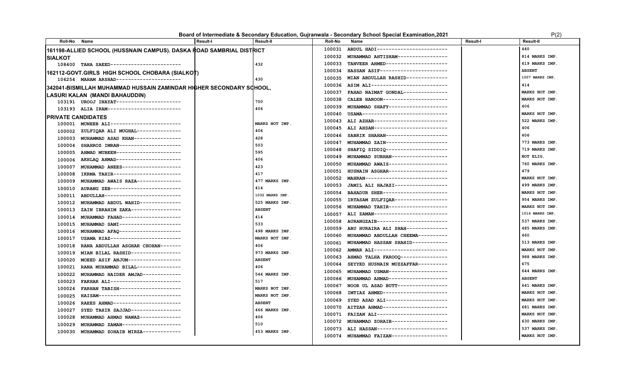### **Board of Intermediate & Secondary Education, Gujranwala - Secondary School Special Examination,2021** P(2)

| Roll-No Name              |                                                                              | l Result-I | <b>Result-II</b> | Roll-No | Name                                | <b>Result-I</b> | <b>Result-II</b>      |
|---------------------------|------------------------------------------------------------------------------|------------|------------------|---------|-------------------------------------|-----------------|-----------------------|
|                           | 161198-ALLIED SCHOOL (HUSSNAIN CAMPUS). DASKA ROAD SAMBRIAL DISTRICT         |            |                  | 100031  | ABDUL HADI-----------------------   |                 | 440                   |
| <b>SIALKOT</b>            |                                                                              |            |                  | 100032  | MUHAMMAD AHTISHAM----------------   |                 | 814 MARKS IMP.        |
|                           | 108400 TAHA SAEED-----------------------                                     |            | 432              | 100033  | TANVEER AHMED--------------------   |                 | 619 MARKS IMP.        |
|                           | 162112-GOVT.GIRLS  HIGH SCHOOL CHOBARA (SIALKOT)                             |            |                  | 100034  | HASSAN ASIF-----------------------  |                 | <b>ABSENT</b>         |
|                           | 106254 MAHAM ARSHAD----------------------                                    |            | 430              | 100035  | MIAN ABDULLAH RASHID--------------  |                 | 1007 MARKS IMP        |
|                           | 342041-BISMILLAH MUHAMMAD HUSSAIN ZAMINDAR HIGHER SECONDARY SCHOOL.          |            |                  | 100036  | ASIM ALI--------------------------  |                 | 414                   |
|                           |                                                                              |            |                  | 100037  | FAHAD NAIMAT GONDAL--------------   |                 | MARKS NOT IMP.        |
|                           | LASURI KALAN  (MANDI BAHAUDDIN)<br>103191 UROOJ INAYAT---------------------- |            | 750              | 100038  | CALEB HAROON----------------------  |                 | MARKS NOT IMP.        |
|                           | 103193 ALIA IRAM-------------------------                                    |            | 406              | 100039  | MUHAMMAD SHAFY--------------------  |                 | 406                   |
|                           |                                                                              |            |                  | 100040  | USAMA-----------------------------  |                 | MARKS NOT IMP.        |
| <b>PRIVATE CANDIDATES</b> | 100001 MUNEEB ALI------------------------                                    |            | MARKS NOT IMP.   | 100043  | ALI AZHAR-------------------------- |                 | 522 MARKS IMP.        |
|                           | 100002 ZULFIQAR ALI MUGHAL---------------                                    |            | 406              | 100045  | ALI AHSAN-------------------------  |                 | 406                   |
| 100003                    | MUHAMMAD ASAD KHAN---------------                                            |            | 428              | 100046  | SABRIK SHAHAN---------------------  |                 | 406                   |
| 100004                    | SHAHROZ IMRAN--------------------                                            |            | 503              | 100047  | MUHAMMAD ZAIN---------------------  |                 | 773 MARKS IMP.        |
| 100005                    | AHMAD MUBEEN---------------------                                            |            | 595              | 100048  | SHAFIQ SIDDIQ---------------------  |                 | 719 MARKS IMP.        |
|                           | 100006 AKHLAQ AHMAD----------------------                                    |            | 406              | 100049  | MUHAMMAD SUBHAN------------------   |                 | NOT ELIG.             |
| 100007                    | MUHAMMAD ANEES--------------------                                           |            | 423              | 100050  | MUHAMMAD AWAIS-------------------   |                 | 760 MARKS IMP.        |
| 100008                    | IKRMA TAHIR-----------------------                                           |            | 417              | 100051  | HUSNAIN ASGHAR--------------------  |                 | 479                   |
| 100009                    | MUHAMMAD AWAIS RAZA---------------                                           |            | 477 MARKS IMP.   | 100052  | MAHRAN----------------------------  |                 | MARKS NOT IMP.        |
| 100010                    | AURANG ZEB------------------------                                           |            | 414              | 100053  | JAMIL ALI HAJAZI------------------  |                 | 499 MARKS IMP.        |
| 100011                    | ABDULLAH---------------------------                                          |            | 1032 MARKS IMP.  | 100054  | BAHADUR SHER----------------------  |                 | <b>MARKS NOT IMP.</b> |
| 100012                    | MUHAMMAD ABDUL WAHID--------------                                           |            | 525 MARKS IMP.   | 100055  | IRTASAM ZULFIQAR------------------  |                 | 954 MARKS IMP.        |
| 100013                    | ZAIN IBRAHIM ZAKA-----------------                                           |            | <b>ABSENT</b>    | 100056  | MUHAMMAD TAHIR--------------------  |                 | MARKS NOT IMP.        |
| 100014                    | MUHAMMAD FAHAD-------------------                                            |            | 414              | 100057  | ALI ZAMAN-------------------------  |                 | 1016 MARKS IMP.       |
| 100015                    | MUHAMMAD SAMI---------------------                                           |            | 533              | 100058  | AURANGZAIB-----------------------   |                 | 537 MARKS IMP.        |
|                           | 100016 MUHAMMAD AFAQ---------------------                                    |            | 498 MARKS IMP.   | 100059  | ABU HURAIRA ALI SHAH--------------  |                 | 485 MARKS IMP.        |
| 100017                    | USAMA RIAZ------------------------                                           |            | MARKS NOT IMP.   | 100060  | MUHAMMAD ABDULLAH CHEEMA----------  |                 | 460                   |
| 100018                    | RANA ABDULLAH ASGHAR CHOHAN-------                                           |            | 406              | 100061  | MUHAMMAD HASSAN SHAHID------------  |                 | 513 MARKS IMP.        |
| 100019                    | MIAN BILAL RASHID-----------------                                           |            | 973 MARKS IMP.   | 100062  | AMMAR ALI-------------------------  |                 | MARKS NOT IMP.        |
| 100020                    | MOEED ASIF ANJUM------------------                                           |            | <b>ABSENT</b>    | 100063  | AHMAD TALHA FAROOQ ---------------- |                 | 988 MARKS IMP.        |
| 100021                    | RANA MUHAMMAD BILAL---------------                                           |            | 406              | 100064  | SEYYED HUSNAIN MUZZAFFAR----------  |                 | 675                   |
| 100022                    | MUHAMMAD HAIDER AMJAD------------                                            |            | 544 MARKS IMP.   | 100065  | MUHAMMAD USMAN-------------------   |                 | 644 MARKS IMP.        |
| 100023                    | FAKHAR ALI-----------------------                                            |            | 517              | 100066  | MUHAMMAD AHMAD-------------------   |                 | <b>ABSENT</b>         |
| 100024                    | FARHAN TABISH--------------------                                            |            | MARKS NOT IMP.   | 100067  | NOOR UL ASAD BUTT-----------------  |                 | 641 MARKS IMP.        |
| 100025                    | HAISAM----------------------------                                           |            | MARKS NOT IMP.   | 100068  | IMTIAZ AHMED---------------------   |                 | MARKS NOT IMP.        |
| 100026                    | RAEES AHMAD-----------------------                                           |            | <b>ABSENT</b>    | 100069  | SYED ASAD ALI---------------------  |                 | MARKS NOT IMP.        |
| 100027                    | SYED TAHIR SAJJAD-----------------                                           |            | 466 MARKS IMP.   | 100070  | AITZAR AHMAD---------------------   |                 | 681 MARKS IMP.        |
| 100028                    | MUHAMMAD AHMAD NAWAZ--------------                                           |            | 406              | 100071  | FAIZAN ALI------------------------  |                 | MARKS NOT IMP.        |
| 100029                    | MUHAMMAD ZAMAN--------------------                                           |            | 510              | 100072  | MUHAMMAD ZOHAIB-------------------  |                 | 630 MARKS IMP.        |
| 100030                    | MUHAMMAD ZOHAIB MIRZA-------------                                           |            | 453 MARKS IMP.   | 100073  | ALI HASSAN------------------------  |                 | 537 MARKS IMP.        |
|                           |                                                                              |            |                  | 100074  | MUHAMMAD FAIZAN-------------------  |                 | MARKS NOT IMP.        |
|                           |                                                                              |            |                  |         |                                     |                 |                       |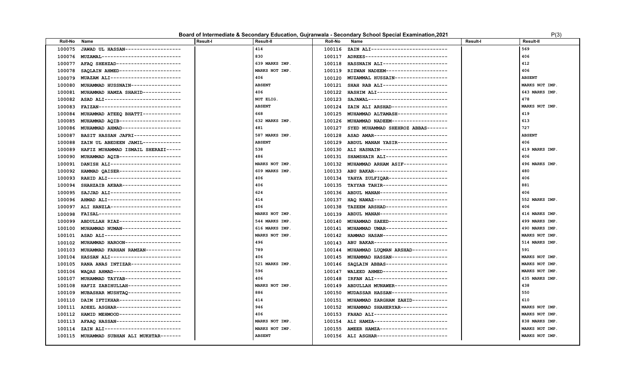|  |  | Board of Intermediate & Secondary Education, Gujranwala - Secondary School Special Examination, 2021 | P(3) |
|--|--|------------------------------------------------------------------------------------------------------|------|
|--|--|------------------------------------------------------------------------------------------------------|------|

| Roll-No | Name                                      | <b>Result-I</b> | Result-II      | Roll-No | Name                                       | <b>Result-I</b> | Result-II      |
|---------|-------------------------------------------|-----------------|----------------|---------|--------------------------------------------|-----------------|----------------|
| 100075  | JAWAD UL HASSAN-------------------        |                 | 414            | 100116  | ZAIN ALI--------------------------         |                 | 569            |
| 100076  | MUZAMAL--------------------------         |                 | 830            | 100117  | ADREES----------------------------         |                 | 406            |
| 100077  | AFAO SHEHZAD----------------------        |                 | 639 MARKS IMP. | 100118  | HASSNAIN ALI----------------------         |                 | 412            |
| 100078  | SAQLAIN AHMED---------------------        |                 | MARKS NOT IMP. | 100119  | RIZWAN NADEEM---------------------         |                 | 406            |
| 100079  | MUAZAM ALI------------------------        |                 | 406            | 100120  | MUZAMMAL HUSSAIN------------------         |                 | <b>ABSENT</b>  |
| 100080  | MUHAMMAD HUSSNAIN-----------------        |                 | <b>ABSENT</b>  | 100121  | SHAH RAB ALI----------------------         |                 | MARKS NOT IMP. |
| 100081  | MUHAMMAD HAMZA SHAHID-------------        |                 | 406            | 100122  | HASHIM ALI------------------------         |                 | 643 MARKS IMP. |
| 100082  | ASAD ALI---------------------------       |                 | NOT ELIG.      | 100123  | SAJAWAL--------------------------          |                 | 478            |
| 100083  | FAIZAN----------------------------        |                 | <b>ABSENT</b>  | 100124  | ZAIN ALI ARSHAD-------------------         |                 | MARKS NOT IMP. |
| 100084  | MUHAMMAD ATEEQ BHATTI-------------        |                 | 668            | 100125  | MUHAMMAD ALTAMASH-----------------         |                 | 419            |
| 100085  | MUHAMMAD AQIB---------------------        |                 | 632 MARKS IMP. | 100126  | MUHAMMAD NADEEM-------------------         |                 | 613            |
| 100086  | MUHAMMAD AHMAD--------------------        |                 | 481            | 100127  | SYED MUHAMMAD SHEHROZ ABBAS-------         |                 | 727            |
| 100087  | BASIT HASSAN JAFRI----------------        |                 | 587 MARKS IMP. | 100128  | ASAD AMAR-------------------------         |                 | <b>ABSENT</b>  |
| 100088  | ZAIN UL ABEDEEN JAMIL-------------        |                 | <b>ABSENT</b>  | 100129  | ABDUL MANAN YASIR-----------------         |                 | 406            |
| 100089  | HAFIZ MUHAMMAD ISMAIL SHERAZI-----        |                 | 538            | 100130  | ALI HASNAIN----------------------          |                 | 419 MARKS IMP. |
| 100090  | MUHAMMAD AQIB---------------------        |                 | 486            | 100131  | SHAMSHAIR ALI--------------------          |                 | 406            |
| 100091  | DANISH ALI------------------------        |                 | MARKS NOT IMP. | 100132  | MUHAMMAD ARHAM ASIF--------------          |                 | 496 MARKS IMP. |
| 100092  | HAMMAD OAISER---------------------        |                 | 609 MARKS IMP. | 100133  | ABU BAKAR-------------------------         |                 | 480            |
| 100093  | RAHID ALI-------------------------        |                 | 406            | 100134  | YAHYA ZULFIQAR--------------------         |                 | 406            |
| 100094  | SHAHZAIB AKBAR--------------------        |                 | 406            | 100135  | TAYYAB TAHIR----------------------         |                 | 881            |
| 100095  | SAJJAD ALI------------------------        |                 | 624            | 100136  | ABDUL MANAN-----------------------         |                 | 406            |
| 100096  | AHMAD ALI-------------------------        |                 | 414            | 100137  | HAQ NAWAZ--------------------------        |                 | 552 MARKS IMP. |
| 100097  | ALI HANZLA------------------------        |                 | 406            | 100138  | TAZEEM ARSHAD---------------------         |                 | 406            |
| 100098  | FAISAL----------------------------        |                 | MARKS NOT IMP. | 100139  | ABDUL MANAN----------------------          |                 | 416 MARKS IMP. |
| 100099  | ABDULLAH RIAZ---------------------        |                 | 544 MARKS IMP. | 100140  | MUHAMMAD SAEED--------------------         |                 | 499 MARKS IMP. |
| 100100  | MUHAMMAD NUMAN--------------------        |                 | 616 MARKS IMP. | 100141  | MUHAMMAD UMAR---------------------         |                 | 490 MARKS IMP. |
| 100101  | ASAD ALI---------------------------       |                 | MARKS NOT IMP. | 100142  | HAMMAD HASAN----------------------         |                 | MARKS NOT IMP. |
|         | 100102 MUHAMMAD HAROON------------------  |                 | 496            |         | 100143 ABU BAKAR-------------------------- |                 | 514 MARKS IMP. |
| 100103  | MUHAMMAD FARHAN RAMZAN------------        |                 | 789            | 100144  | MUHAMMAD LUQMAN ARSHAD------------         |                 | 591            |
| 100104  | HASSAN ALI------------------------        |                 | 406            | 100145  | MUHAMMAD HASSAN-------------------         |                 | MARKS NOT IMP. |
| 100105  | RANA ANAS INTIZAR----------------         |                 | 521 MARKS IMP. | 100146  | SAQLAIN ABBAS---------------------         |                 | MARKS NOT IMP. |
| 100106  | WAQAS AHMAD-----------------------        |                 | 596            | 100147  | WALEED AHMED----------------------         |                 | MARKS NOT IMP. |
| 100107  | MUHAMMAD TAYYAB-------------------        |                 | 406            | 100148  | IRFAN ALI-------------------------         |                 | 435 MARKS IMP. |
| 100108  | HAFIZ ZABIHULLAH------------------        |                 | MARKS NOT IMP. | 100149  | ABDULLAH MUNAWER------------------         |                 | 438            |
| 100109  | MUBASHAR MUSHTAQ ------------------       |                 | 886            | 100150  | MUDASSAR HASSAN------------------          |                 | 550            |
| 100110  | DAIM IFTIKHAR---------------------        |                 | 414            | 100151  | MUHAMMAD ZARGHAM ZAHID------------         |                 | 610            |
|         | 100111 ADEEL ASGHAR---------------------- |                 | 946            | 100152  | MUHAMMAD SHAHERYAR----------------         |                 | MARKS NOT IMP. |
| 100112  | HAMID MEHMOOD---------------------        |                 | 406            | 100153  | FAHAD ALI-------------------------         |                 | MARKS NOT IMP. |
|         | 100113 AFAAQ HASSAN---------------------- |                 | MARKS NOT IMP. | 100154  | ALI HAMZA-------------------------         |                 | 838 MARKS IMP. |
| 100114  | ZAIN ALI---------------------------       |                 | MARKS NOT IMP. | 100155  | AMEER HAMZA-----------------------         |                 | MARKS NOT IMP. |
|         | 100115 MUHAMMAD SUBHAN ALI MUKHTAR------- |                 | <b>ABSENT</b>  |         | 100156 ALI ASGHAR-----------------------   |                 | MARKS NOT IMP. |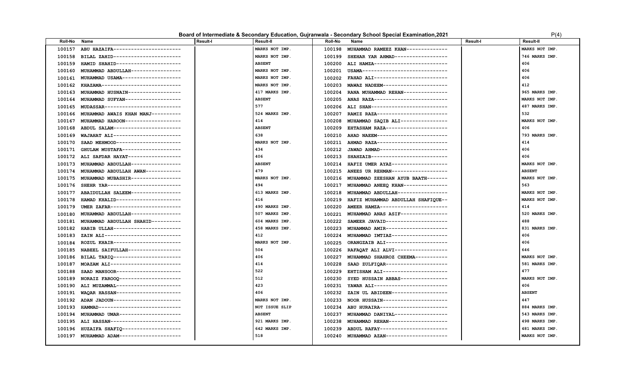### **Board of Intermediate & Secondary Education, Gujranwala - Secondary School Special Examination,2021** P(4)

| Roll-No | Name                                | <b>Result-I</b> | <b>Result-II</b> | Roll-No | Name                                      | Result-I | Result-II      |
|---------|-------------------------------------|-----------------|------------------|---------|-------------------------------------------|----------|----------------|
| 100157  | ABU HAZAIFA-----------------------  |                 | MARKS NOT IMP.   | 100198  | MUHAMMAD RAMEEZ KHAN--------------        |          | MARKS NOT IMP. |
| 100158  | BILAL ZAHID-----------------------  |                 | MARKS NOT IMP.   | 100199  | SHEHAR YAR AHMAD-----------------         |          | 746 MARKS IMP. |
| 100159  | HAMID SHAHID---------------------   |                 | <b>ABSENT</b>    | 100200  | ALI HAMZA-------------------------        |          | 406            |
| 100160  | MUHAMMAD ABDULLAH----------------   |                 | MARKS NOT IMP.   | 100201  | USAMA-----------------------------        |          | 406            |
| 100161  | MUHAMMAD USAMA--------------------  |                 | MARKS NOT IMP.   |         | 100202 FAHAD ALI------------------------  |          | 406            |
| 100162  | KHAZAMA---------------------------  |                 | MARKS NOT IMP.   | 100203  | MAWAZ NADEEM----------------------        |          | 412            |
| 100163  | MUHAMMAD HUSNAIN-----------------   |                 | 417 MARKS IMP.   | 100204  | RANA MUHAMMAD REHAN--------------         |          | 965 MARKS IMP. |
| 100164  | MUHAMMAD SUFYAN------------------   |                 | <b>ABSENT</b>    | 100205  | ANAS RAZA------------------------         |          | MARKS NOT IMP. |
| 100165  | MUDASSAR--------------------------  |                 | 577              |         | 100206 ALI SHAN-------------------------- |          | 487 MARKS IMP. |
| 100166  | MUHAMMAD AWAIS KHAN MANJ----------  |                 | 524 MARKS IMP.   | 100207  | RAMIZ RAZA------------------------        |          | 532            |
| 100167  | MUHAMMAD HAROON------------------   |                 | 414              | 100208  | MUHAMMAD SAQIB ALI----------------        |          | MARKS NOT IMP. |
| 100168  | ABDUL SALAM-----------------------  |                 | <b>ABSENT</b>    | 100209  | EHTASHAM RAZA---------------------        |          | 406            |
| 100169  | WAJAHAT ALI-----------------------  |                 | 638              | 100210  | AHAD NAEEM------------------------        |          | 793 MARKS IMP. |
| 100170  | SAAD MEHMOOD----------------------  |                 | MARKS NOT IMP.   |         | 100211 AHMAD RAZA------------------------ |          | 414            |
| 100171  | GHULAM MUSTAFA--------------------  |                 | 434              |         | 100212 JAWAD AHMAD----------------------- |          | 406            |
| 100172  | ALI SAFDAR HAYAT------------------  |                 | 406              | 100213  | SHAHZAIB--------------------------        |          | 406            |
| 100173  | MUHAMMAD ABDULLAH----------------   |                 | <b>ABSENT</b>    | 100214  | HAFIZ UMER AYAZ-------------------        |          | MARKS NOT IMP. |
| 100174  | MUHAMMAD ABDULLAH AWAN------------  |                 | 479              |         | 100215 ANEES UR REHMAN------------------- |          | <b>ABSENT</b>  |
| 100175  | MUHAMMAD MUBASHIR-----------------  |                 | MARKS NOT IMP.   |         | 100216 MUHAMMAD ZEESHAN AYUB BAATH------- |          | MARKS NOT IMP. |
| 100176  | SHEHR YAR-------------------------  |                 | 494              | 100217  | MUHAMMAD ANEEQ KHAN--------------         |          | 563            |
| 100177  | ABAIDULLAH SALEEM-----------------  |                 | 613 MARKS IMP.   | 100218  | MUHAMMAD ABDULLAH-----------------        |          | MARKS NOT IMP. |
| 100178  | HAMAD KHALID---------------------   |                 | 416              | 100219  | HAFIZ MUHAMMAD ABDULLAH SHAFIQUE--        |          | MARKS NOT IMP. |
| 100179  | UMER ZAFAR------------------------  |                 | 490 MARKS IMP.   | 100220  | AMEER HAMZA-----------------------        |          | 414            |
| 100180  | MUHAMMAD ABDULLAH----------------   |                 | 507 MARKS IMP.   |         | 100221 MUHAMMAD ANAS ASIF---------------  |          | 520 MARKS IMP. |
| 100181  | MUHAMMAD ABDULLAH SHAHID----------  |                 | 604 MARKS IMP.   | 100222  | SAMEER JAVAID--------------------         |          | 488            |
| 100182  | HABIB ULLAH----------------------   |                 | 458 MARKS IMP.   | 100223  | MUHAMMAD AMIR---------------------        |          | 831 MARKS IMP. |
| 100183  | ZAIN ALI--------------------------  |                 | 412              | 100224  | MUHAMMAD IMTIAZ-------------------        |          | 406            |
| 100184  | ROZUL KHAIR-----------------------  |                 | MARKS NOT IMP.   | 100225  | ORANGZAIB ALI---------------------        |          | 406            |
| 100185  | NABEEL SAIFULLAH------------------  |                 | 504              | 100226  | RAFAQAT ALI ALVI------------------        |          | 646            |
| 100186  | BILAL TARIQ ----------------------  |                 | 406              | 100227  | MUHAMMAD SHAHROZ CHEEMA-----------        |          | MARKS NOT IMP. |
| 100187  | MOAZAM ALI-----------------------   |                 | 414              | 100228  | SAAD ZULFIQAR---------------------        |          | 581 MARKS IMP. |
| 100188  | SAAD MANSOOR----------------------  |                 | 522              | 100229  | EHTISHAM ALI----------------------        |          | 477            |
| 100189  | NORAIZ FAROOQ---------------------  |                 | 512              | 100230  | SYED HUSSAIN ABBAS---------------         |          | MARKS NOT IMP. |
| 100190  | ALI MUZAMMAL----------------------  |                 | 423              | 100231  | YAWAR ALI-------------------------        |          | 406            |
| 100191  | WAQAR HASSAN---------------------   |                 | 406              | 100232  | ZAIN UL ABIDEEN-------------------        |          | <b>ABSENT</b>  |
| 100192  | ADAN JADOUN-----------------------  |                 | MARKS NOT IMP.   | 100233  | NOOR HUSSAIN----------------------        |          | 447            |
| 100193  | HAMMAD----------------------------  |                 | NOT ISSUE SLIP   | 100234  | ABU HURAIRA-----------------------        |          | 884 MARKS IMP. |
| 100194  | MUHAMMAD UMAR---------------------  |                 | <b>ABSENT</b>    | 100237  | MUHAMMAD DANIYAL-----------------         |          | 543 MARKS IMP. |
| 100195  | ALI HASSAN------------------------  |                 | 921 MARKS IMP.   | 100238  | MUHAMMAD REHAN-------------------         |          | 498 MARKS IMP. |
| 100196  | HUZAIFA SHAFIQ--------------------- |                 | 642 MARKS IMP.   | 100239  | ABDUL RAFAY-----------------------        |          | 481 MARKS IMP. |
| 100197  | MUHAMMAD ADAM---------------------  |                 | 518              |         | 100240 MUHAMMAD AZAN--------------------- |          | MARKS NOT IMP. |
|         |                                     |                 |                  |         |                                           |          |                |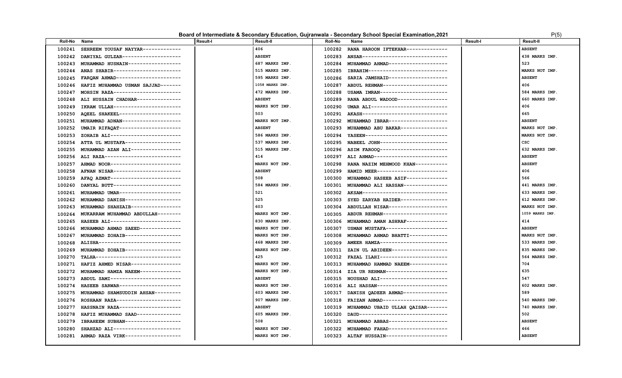### **Board of Intermediate & Secondary Education, Gujranwala - Secondary School Special Examination,2021** P(5)

| Roll-No | Name                                | Result-I | Result-II       | Roll-No | Name                                       | Result-I | Result-II       |
|---------|-------------------------------------|----------|-----------------|---------|--------------------------------------------|----------|-----------------|
| 100241  | SEHREEM YOUSAF NAYYAR-------------  |          | 406             | 100282  | RANA HAROON IFTEKHAR-------------          |          | <b>ABSENT</b>   |
| 100242  | DANIYAL GULZAR--------------------  |          | <b>ABSENT</b>   | 100283  | ANSAR-----------------------------         |          | 438 MARKS IMP.  |
| 100243  | MUHAMMAD HUSNAIN------------------  |          | 687 MARKS IMP.  | 100284  | MUHAMMAD AHMAD -------------------         |          | 523             |
| 100244  | ANAS SHABIR-----------------------  |          | 515 MARKS IMP.  | 100285  | IBRAHIM--------------------------          |          | MARKS NOT IMP.  |
| 100245  | FARQAN AHMAD----------------------  |          | 595 MARKS IMP.  | 100286  | SARIA JAMSHAID-------------------          |          | <b>ABSENT</b>   |
| 100246  | HAFIZ MUHAMMAD USMAN SAJJAD-------  |          | 1058 MARKS IMP. | 100287  | ABDUL REHMAN---------------------          |          | 406             |
| 100247  | MOHSIN RAZA----------------------   |          | 472 MARKS IMP.  | 100288  | USAMA IMRAN----------------------          |          | 584 MARKS IMP.  |
| 100248  | ALI HUSSAIN CHADHAR---------------  |          | <b>ABSENT</b>   | 100289  | RANA ABDUL WADOOD-----------------         |          | 660 MARKS IMP.  |
| 100249  | IKRAM ULLAH-----------------------  |          | MARKS NOT IMP.  | 100290  | UMAR ALI--------------------------         |          | 406             |
| 100250  | AQEEL SHAKEEL---------------------  |          | 503             | 100291  | AKASH-----------------------------         |          | 665             |
| 100251  | MUHAMMAD ADNAN-------------------   |          | MARKS NOT IMP.  | 100292  | MUHAMMAD IBRAR-------------------          |          | <b>ABSENT</b>   |
| 100252  | UMAIR RIFAQAT---------------------  |          | <b>ABSENT</b>   | 100293  | MUHAMMAD ABU BAKAR----------------         |          | MARKS NOT IMP.  |
| 100253  | ZOHAIB ALI------------------------  |          | 586 MARKS IMP.  | 100294  | YASEEN---------------------------          |          | MARKS NOT IMP.  |
| 100254  | ATTA UL MUSTAFA-------------------  |          | 537 MARKS IMP.  | 100295  | NABEEL JOHN-----------------------         |          | csc             |
| 100255  | MUHAMMAD AZAN ALI-----------------  |          | 515 MARKS IMP.  | 100296  | ASIM FAROOQ-----------------------         |          | 632 MARKS IMP.  |
| 100256  | ALI RAZA--------------------------  |          | 414             | 100297  | ALI AHMAD-------------------------         |          | <b>ABSENT</b>   |
| 100257  | AHMAD NOOR------------------------  |          | MARKS NOT IMP.  | 100298  | RANA NAZIM MEHMOOD KHAN-----------         |          | <b>ABSENT</b>   |
| 100258  | AFNAN NISAR-----------------------  |          | <b>ABSENT</b>   | 100299  | HAMID MEER------------------------         |          | 406             |
| 100259  | AFAO AZMAT------------------------  |          | 508             | 100300  | MUHAMMAD HASEEB ASIF-------------          |          | 566             |
| 100260  | DANYAL BUTT-----------------------  |          | 584 MARKS IMP.  | 100301  | MUHAMMAD ALI HASSAN--------------          |          | 441 MARKS IMP.  |
| 100261  | MUHAMMAD UMAR---------------------  |          | 521             |         | 100302 AKSAM------------------------------ |          | 633 MARKS IMP.  |
| 100262  | MUHAMMAD DANISH-------------------  |          | 525             | 100303  | SYED ZARYAB HAIDER----------------         |          | 612 MARKS IMP.  |
| 100263  | MUHAMMAD SHAHZAIB----------------   |          | 603             | 100304  | ABDULLAH NISAR--------------------         |          | MARKS NOT IMP.  |
| 100264  | MUKARRAM MUHAMMAD ABDULLAH--------  |          | MARKS NOT IMP.  | 100305  | ABDUR REHMAN----------------------         |          | 1059 MARKS IMP. |
| 100265  | HASEEB ALI------------------------  |          | 830 MARKS IMP.  | 100306  | MUHAMMAD AMAN ASHRAF-------------          |          | 414             |
| 100266  | MUHAMMAD AHMAD SAEED-------------   |          | MARKS NOT IMP.  | 100307  | USMAN MUSTAFA--------------------          |          | <b>ABSENT</b>   |
| 100267  | MUHAMMAD ZOHAIB------------------   |          | MARKS NOT IMP.  | 100308  | MUHAMMAD AHMAD BHATTI------------          |          | MARKS NOT IMP.  |
| 100268  | ALISHA----------------------------- |          | 468 MARKS IMP.  | 100309  | AMEER HAMZA------------------------        |          | 533 MARKS IMP.  |
| 100269  | MUHAMMAD ZOHAIB-------------------  |          | MARKS NOT IMP.  | 100311  | ZAIN UL ABIDEEN-------------------         |          | 835 MARKS IMP.  |
| 100270  | TALHA-----------------------------  |          | 425             | 100312  | FAZAL ILAHI-----------------------         |          | 564 MARKS IMP.  |
| 100271  | HAFIZ AHMED NISAR----------------   |          | MARKS NOT IMP.  | 100313  | MUHAMMAD HAMMAD NAEEM------------          |          | 704             |
| 100272  | MUHAMMAD HAMZA NAEEM-------------   |          | MARKS NOT IMP.  | 100314  | ZIA UR REHMAN--------------------          |          | 635             |
| 100273  | ABDUL SAMI------------------------  |          | <b>ABSENT</b>   | 100315  | NOUSHAD ALI-----------------------         |          | 547             |
| 100274  | HASEEB SARWAR---------------------  |          | MARKS NOT IMP.  | 100316  | ALI HASSAN------------------------         |          | 602 MARKS IMP.  |
| 100275  | MUHAMMAD SHAMSUDDIN AHSAN---------  |          | 603 MARKS IMP.  | 100317  | DANISH OADEER AHMAD---------------         |          | 589             |
| 100276  | ROSHAAN RAZA----------------------  |          | 907 MARKS IMP.  | 100318  | FAIZAN AHMAD----------------------         |          | 540 MARKS IMP.  |
| 100277  | HASSNAIN RAZA---------------------- |          | <b>ABSENT</b>   | 100319  | MUHAMMAD UBAID ULLAH QAISAR-------         |          | 740 MARKS IMP.  |
| 100278  | HAFIZ MUHAMMAD SAAD---------------  |          | 605 MARKS IMP.  | 100320  | DAUD------------------------------         |          | 502             |
| 100279  | IBRAHEEM SUBHAN------------------   |          | 508             | 100321  | MUHAMMAD ABBAS-------------------          |          | <b>ABSENT</b>   |
| 100280  | SHAHZAD ALI-----------------------  |          | MARKS NOT IMP.  | 100322  | MUHAMMAD FAHAD-------------------          |          | 466             |
| 100281  | AHMAD RAZA VIRK------------------   |          | MARKS NOT IMP.  |         | 100323 ALTAF HUSSAIN---------------------  |          | <b>ABSENT</b>   |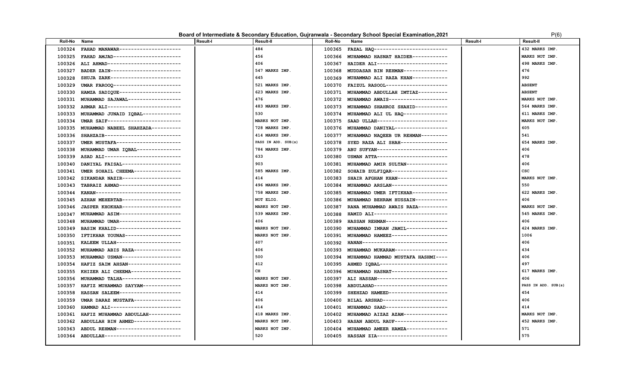### **Board of Intermediate & Secondary Education, Gujranwala - Secondary School Special Examination, 2021** P(6) P(6)

| Roll-No | Name                                | <b>Result-I</b> | <b>Result-II</b>    | <b>Roll-No</b> | Name                                      | Result-I | Result-II           |
|---------|-------------------------------------|-----------------|---------------------|----------------|-------------------------------------------|----------|---------------------|
| 100324  | FAHAD MANAWAR--------------------   |                 | 484                 | 100365         | FAZAL HAQ-------------------------        |          | 432 MARKS IMP.      |
| 100325  | FAHAD AMJAD-----------------------  |                 | 456                 | 100366         | MUHAMMAD HASNAT HAIDER------------        |          | MARKS NOT IMP.      |
| 100326  | ALI AHMAD-------------------------  |                 | 406                 | 100367         | HAIDER ALI------------------------        |          | 498 MARKS IMP.      |
| 100327  | BADER ZAIN------------------------  |                 | 547 MARKS IMP.      | 100368         | MUDDASAR BIN REHMAN--------------         |          | 476                 |
| 100328  | SHUJA ZARK------------------------  |                 | 645                 | 100369         | MUHAMMAD ALI RAZA KHAN------------        |          | 992                 |
| 100329  | UMAR FAROOQ-----------------------  |                 | 521 MARKS IMP.      | 100370         | FAIZUL RASOOL---------------------        |          | <b>ABSENT</b>       |
| 100330  | HAMZA SADIQUE---------------------  |                 | 623 MARKS IMP.      |                | 100371 MUHAMMAD ABDULLAH IMTIAZ---------- |          | <b>ABSENT</b>       |
| 100331  | MUHAMMAD SAJAWAL------------------  |                 | 476                 | 100372         | MUHAMMAD AWAIS--------------------        |          | MARKS NOT IMP.      |
| 100332  | AHMAR ALI-------------------------  |                 | 483 MARKS IMP.      | 100373         | MUHAMMAD SHAHROZ SHAHID-----------        |          | 564 MARKS IMP.      |
| 100333  | MUHAMMAD JUNAID IQBAL-------------  |                 | 530                 | 100374         | MUHAMMAD ALI UL HAQ ---------------       |          | 611 MARKS IMP.      |
| 100334  | UMAR SAIF------------------------   |                 | MARKS NOT IMP.      | 100375         | SAAD ULLAH-----------------------         |          | MARKS NOT IMP.      |
| 100335  | MUHAMMAD NABEEL SHAHZADA----------  |                 | 728 MARKS IMP.      | 100376         | MUHAMMAD DANIYAL------------------        |          | 605                 |
| 100336  | SHAHZAIB--------------------------  |                 | 414 MARKS IMP.      | 100377         | MUHAMMAD NAQEEB UR REHMAN---------        |          | 541                 |
| 100337  | UMER MUSTAFA----------------------  |                 | PASS IN ADD. SUB(s) | 100378         | SYED RAZA ALI SHAH----------------        |          | 654 MARKS IMP.      |
| 100338  | MUHAMMAD UMAR IQBAL---------------  |                 | 784 MARKS IMP.      | 100379         | ABU SUFYAN------------------------        |          | 406                 |
| 100339  | ASAD ALI--------------------------- |                 | 633                 | 100380         | USMAN ATTA------------------------        |          | 478                 |
| 100340  | DANIYAL FAISAL--------------------  |                 | 903                 | 100381         | MUHAMMAD AMIR SULTAN--------------        |          | 406                 |
| 100341  | UMER SOHAIL CHEEMA---------------   |                 | 585 MARKS IMP.      | 100382         | SOHAIB ZULFIQAR-------------------        |          | csc                 |
| 100342  | SIKANDAR NAZIR--------------------  |                 | 414                 | 100383         | SHAIR AFGHAN KHAN-----------------        |          | MARKS NOT IMP.      |
| 100343  | TABRAIZ AHMAD--------------------   |                 | 496 MARKS IMP.      | 100384         | MUHAMMAD ARSLAN-------------------        |          | 550                 |
| 100344  | KANAN-----------------------------  |                 | 758 MARKS IMP.      | 100385         | MUHAMMAD UMER IFTIKHAR------------        |          | 622 MARKS IMP.      |
| 100345  | AZHAN MEHERTAB-------------------   |                 | NOT ELIG.           |                | 100386 MUHAMMAD BEHRAM HUSSAIN----------- |          | 406                 |
| 100346  | JASPER KHOKHAR--------------------  |                 | MARKS NOT IMP.      | 100387         | RANA MUHAMMAD AWAIS RAZA----------        |          | MARKS NOT IMP.      |
| 100347  | MUHAMMAD ASIM---------------------  |                 | 539 MARKS IMP.      | 100388         | HAMID ALI-------------------------        |          | 545 MARKS IMP.      |
| 100348  | MUHAMMAD UMAR---------------------  |                 | 406                 | 100389         | HASSAN REHMAN---------------------        |          | 406                 |
| 100349  | BASIM KHALID----------------------  |                 | MARKS NOT IMP.      | 100390         | MUHAMMAD IMRAN JAMIL-------------         |          | 424 MARKS IMP.      |
| 100350  | IFTIKHAR YOUNAS-------------------  |                 | MARKS NOT IMP.      | 100391         | MUHAMMAD HAMEEZ------------------         |          | 1006                |
| 100351  | KALEEM ULLAH---------------------   |                 | 607                 | 100392         | HANAN-----------------------------        |          | 406                 |
| 100352  | MUHAMMAD ABIS RAZA----------------  |                 | 406                 | 100393         | MUHAMMAD MUKARAM------------------        |          | 434                 |
| 100353  | MUHAMMAD USMAN--------------------  |                 | 500                 | 100394         | MUHAMMAD HAMMAD MUSTAFA HASHMI----        |          | 406                 |
| 100354  | HAFIZ SAIM AHSAN------------------  |                 | 412                 | 100395         | AHMED IQBAL-----------------------        |          | 497                 |
| 100355  | KHIZER ALI CHEEMA-----------------  |                 | CH                  |                | 100396 MUHAMMAD HASNAT------------------  |          | 617 MARKS IMP.      |
| 100356  | MUHAMMAD TALHA--------------------  |                 | MARKS NOT IMP.      | 100397         | ALI HASSAN------------------------        |          | 406                 |
| 100357  | HAFIZ MUHAMMAD SAYYAM-------------  |                 | MARKS NOT IMP.      | 100398         | ABDULAHAD-------------------------        |          | PASS IN ADD. SUB(s) |
| 100358  | HASSAN SALEEM---------------------  |                 | 414                 | 100399         | SHEHZAD HAMEED--------------------        |          | 454                 |
| 100359  | UMAR DARAZ MUSTAFA---------------   |                 | 406                 | 100400         | BILAL ARSHAD---------------------         |          | 406                 |
| 100360  | HAMMAD ALI------------------------  |                 | 414                 | 100401         | MUHAMMAD SAAD---------------------        |          | 414                 |
| 100361  | HAFIZ MUHAMMAD ABDULLAH-----------  |                 | 418 MARKS IMP.      | 100402         | MUHAMMAD AIZAZ AZAM---------------        |          | MARKS NOT IMP.      |
| 100362  | ABDULLAH BIN AHMED----------------  |                 | MARKS NOT IMP.      | 100403         | HASAN ABDUL RAUF------------------        |          | 452 MARKS IMP.      |
| 100363  | ABDUL REHMAN----------------------  |                 | MARKS NOT IMP.      | 100404         | MUHAMMAD AMEER HAMZA--------------        |          | 571                 |
| 100364  | ABDULLAH--------------------------  |                 | 520                 |                | 100405 HASSAN ZIA------------------------ |          | 575                 |
|         |                                     |                 |                     |                |                                           |          |                     |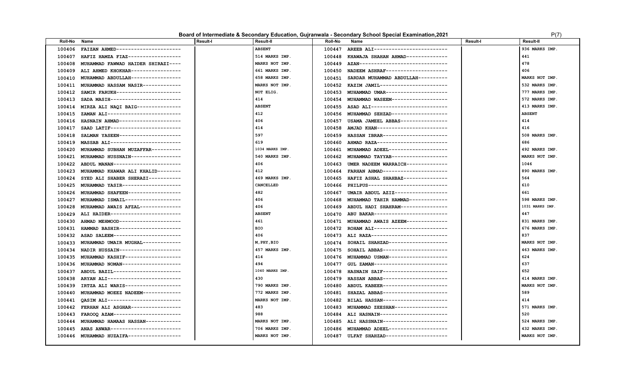### **Board of Intermediate & Secondary Education, Gujranwala - Secondary School Special Examination,2021** P(7)

| Roll-No | Name                               | <b>Result-I</b> | <b>Result-II</b> | <b>Roll-No</b> | Name                                      | <b>Result-I</b> | <b>Result-II</b> |
|---------|------------------------------------|-----------------|------------------|----------------|-------------------------------------------|-----------------|------------------|
| 100406  | FAIZAN AHMED---------------------- |                 | <b>ABSENT</b>    | 100447         | AREEB ALI-------------------------        |                 | 936 MARKS IMP.   |
| 100407  | HAFIZ HAMZA FIAZ------------------ |                 | 514 MARKS IMP.   | 100448         | KHAWAJA SHAHAN AHMAD--------------        |                 | 441              |
| 100408  | MUHAMMAD FAWWAD HAIDER SHIRAZI---- |                 | MARKS NOT IMP.   | 100449         | AZAN------------------------------        |                 | 478              |
| 100409  | ALI AHMED KHOKHAR----------------- |                 | 661 MARKS IMP.   | 100450         | NADEEM ASHRAF--------------------         |                 | 406              |
| 100410  | MUHAMMAD ABDULLAH----------------  |                 | 658 MARKS IMP.   | 100451         | SARDAR MUHAMMAD ABDULLAH----------        |                 | MARKS NOT IMP.   |
| 100411  | MUHAMMAD HASSAM NASIR------------- |                 | MARKS NOT IMP.   | 100452         | KAZIM JAMIL----------------------         |                 | 532 MARKS IMP.   |
| 100412  | SAMIR FARUKH---------------------- |                 | NOT ELIG.        | 100453         | MUHAMMAD UMAR---------------------        |                 | 777 MARKS IMP.   |
| 100413  | SADA MASIH------------------------ |                 | 414              | 100454         | MUHAMMAD WASEEM------------------         |                 | 572 MARKS IMP.   |
| 100414  | MIRZA ALI NAQI BAIG--------------- |                 | <b>ABSENT</b>    |                | 100455 ASAD ALI-------------------------- |                 | 413 MARKS IMP.   |
| 100415  | ZAMAN ALI------------------------- |                 | 412              | 100456         | MUHAMMAD SEHZAD------------------         |                 | <b>ABSENT</b>    |
| 100416  | HASNAIN AHMAD--------------------- |                 | 406              | 100457         | USAMA JAMEEL ABBAS---------------         |                 | 414              |
| 100417  | SAAD LATIF------------------------ |                 | 414              | 100458         | AMJAD KHAN-----------------------         |                 | 416              |
| 100418  | SALMAN YASEEN--------------------- |                 | 597              | 100459         | HASSAN IBRAR----------------------        |                 | 508 MARKS IMP.   |
| 100419  | MASSAB ALI------------------------ |                 | 619              | 100460         | AHMAD RAZA------------------------        |                 | 686              |
| 100420  | MUHAMMAD SUBHAN MUZAFFAR---------- |                 | 1034 MARKS IMP.  | 100461         | MUHAMMAD ADEEL-------------------         |                 | 492 MARKS IMP.   |
| 100421  | MUHAMMAD HUSSNAIN----------------- |                 | 540 MARKS IMP.   | 100462         | MUHAMMAD TAYYAB------------------         |                 | MARKS NOT IMP.   |
| 100422  | ABDUL MANAN----------------------- |                 | 406              | 100463         | UMER NADEEM WARRAICH-------------         |                 | 1046             |
| 100423  | MUHAMMAD KHAWAR ALI KHALID-------- |                 | 412              | 100464         | FARHAN AHMAD----------------------        |                 | 890 MARKS IMP.   |
| 100424  | SYED ALI SHABER SHERAZI----------- |                 | 469 MARKS IMP.   | 100465         | HAFIZ ASHAL SHAHBAZ---------------        |                 | 564              |
| 100425  | MUHAMMAD YASIR-------------------  |                 | CANCELLED        | 100466         | PHILPUS----------------------------       |                 | 610              |
| 100426  | MUHAMMAD SHAFEEN------------------ |                 | 482              | 100467         | UMAIR ABDUL AZIZ------------------        |                 | 661              |
| 100427  | MUHAMMAD ISMAIL------------------  |                 | 406              | 100468         | MUHAMMAD TAHIR HAMMAD------------         |                 | 598 MARKS IMP.   |
| 100428  | MUHAMMAD AWAIS AFZAL-------------- |                 | 406              |                | 100469 ABDUL HADI SHAHRAM---------------- |                 | 1031 MARKS IMP.  |
| 100429  | ALI HAIDER------------------------ |                 | <b>ABSENT</b>    |                | 100470 ABU BAKAR------------------------- |                 | 447              |
| 100430  | AHMAD MEHMOOD--------------------- |                 | 461              |                | 100471 MUHAMMAD AWAIS AZEEM-------------- |                 | 831 MARKS IMP.   |
| 100431  | HAMMAD BASHIR--------------------- |                 | <b>BIO</b>       |                | 100472 ROHAM ALI------------------------- |                 | 676 MARKS IMP.   |
| 100432  | ASAD SALEEM----------------------- |                 | 406              |                | 100473 ALI RAZA-------------------------- |                 | 837              |
| 100433  | MUHAMMAD UMAIR MUGHAL------------- |                 | M, PHY, BIO      | 100474         | SOHAIL SHAHZAD--------------------        |                 | MARKS NOT IMP.   |
| 100434  | NADIR HUSSAIN--------------------  |                 | 457 MARKS IMP.   | 100475         | SOHAIL ABBAS---------------------         |                 | 463 MARKS IMP.   |
| 100435  | MUHAMMAD KASHIF------------------  |                 | 414              |                | 100476 MUHAMMAD USMAN-------------------  |                 | 624              |
| 100436  | MUHAMMAD NOMAN-------------------  |                 | 494              | 100477         | GUL ZAMAN------------------------         |                 | 637              |
| 100437  | ABDUL BAZIL----------------------  |                 | 1040 MARKS IMP.  | 100478         | HASNAIN SAIF----------------------        |                 | 652              |
| 100438  | ARYAN ALI------------------------- |                 | 430              | 100479         | HASSAN ABBAS----------------------        |                 | 414 MARKS IMP    |
| 100439  | IRTZA ALI WARIS------------------  |                 | 790 MARKS IMP.   | 100480         | ABDUL KABEER----------------------        |                 | MARKS NOT IMP.   |
| 100440  | MUHAMMAD MOEEZ NADEEM------------- |                 | 772 MARKS IMP.   | 100481         | SHAZAL ABBAS----------------------        |                 | 589              |
| 100441  | OASIM ALI------------------------- |                 | MARKS NOT IMP.   |                | 100482 BILAL HASSAN---------------------- |                 | 414              |
| 100442  | FERHAN ALI ASGHAR----------------- |                 | 483              | 100483         | MUHAMMAD ZEESHAN-----------------         |                 | 571 MARKS IMP.   |
| 100443  | FAROOO AZAM----------------------- |                 | 988              | 100484         | ALI HASNAIN-----------------------        |                 | 520              |
| 100444  | MUHAMMAD HAMAAS HASSAN------------ |                 | MARKS NOT IMP.   | 100485         | ALI HASSNAIN----------------------        |                 | 524 MARKS IMP.   |
| 100445  | ANAS ANWAR-----------------------  |                 | 706 MARKS IMP.   | 100486         | MUHAMMAD ADEEL--------------------        |                 | 432 MARKS IMP.   |
| 100446  | MUHAMMAD HUZAIFA------------------ |                 | MARKS NOT IMP.   | 100487         | ULFAT SHAHZAD---------------------        |                 | MARKS NOT IMP.   |
|         |                                    |                 |                  |                |                                           |                 |                  |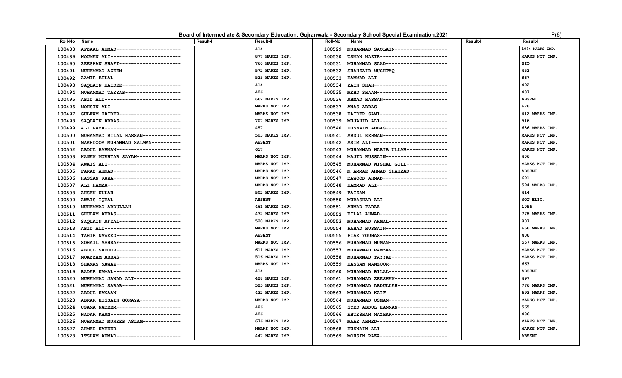### **Board of Intermediate & Secondary Education, Gujranwala - Secondary School Special Examination,2021** P(8)

| Roll-No | Name                                | Result-I | Result-II      | <b>Roll-No</b> | Name                                      | <b>Result-I</b> | <b>Result-II</b> |
|---------|-------------------------------------|----------|----------------|----------------|-------------------------------------------|-----------------|------------------|
| 100488  | AFZAAL AHMAD---------------------   |          | 414            | 100529         | MUHAMMAD SAQLAIN------------------        |                 | 1094 MARKS IMP   |
| 100489  | NOUMAN ALI-----------------------   |          | 877 MARKS IMP. | 100530         | USMAN NAZIR-----------------------        |                 | MARKS NOT IMP.   |
| 100490  | ZEESHAN SHAFI--------------------   |          | 760 MARKS IMP. |                | 100531 MUHAMMAD SAAD--------------------  |                 | <b>BIO</b>       |
| 100491  | MUHAMMAD AZEEM-------------------   |          | 572 MARKS IMP. | 100532         | SHAHZAIB MUSHTAQ ------------------       |                 | 452              |
| 100492  | AAMIR BILAL-----------------------  |          | 525 MARKS IMP. | 100533         | HAMMAD ALI-----------------------         |                 | 867              |
| 100493  | SAQLAIN HAIDER--------------------  |          | 414            | 100534         | ZAIN SHAH-------------------------        |                 | 492              |
| 100494  | MUHAMMAD TAYYAB------------------   |          | 406            | 100535         | MEHD SHAAM------------------------        |                 | 437              |
| 100495  | ABID ALI--------------------------  |          | 662 MARKS IMP. |                | 100536 AHMAD HASSAN---------------------- |                 | <b>ABSENT</b>    |
| 100496  | MOHSIN ALI------------------------  |          | MARKS NOT IMP. | 100537         | ANAS ABBAS------------------------        |                 | 676              |
| 100497  | GULFAM HAIDER--------------------   |          | MARKS NOT IMP. | 100538         | HAIDER SAMI-----------------------        |                 | 412 MARKS IMP.   |
| 100498  | SAQLAIN ABBAS---------------------  |          | 707 MARKS IMP. | 100539         | MUJAHID ALI-----------------------        |                 | 516              |
| 100499  | ALI RAZA--------------------------- |          | 457            |                | 100540 HUSNAIN ABBAS--------------------  |                 | 636 MARKS IMP.   |
| 100500  | MUHAMMAD BILAL HASSAN-------------  |          | 503 MARKS IMP. | 100541         | ABDUL REHMAN----------------------        |                 | MARKS NOT IMP.   |
| 100501  | MAKHDOOM MUHAMMAD SALMAN----------  |          | <b>ABSENT</b>  |                | 100542 ASIM ALI-------------------------- |                 | MARKS NOT IMP.   |
| 100502  | ABDUL RAHMAN---------------------   |          | 617            | 100543         | MUHAMMAD HABIB ULLAH-------------         |                 | MARKS NOT IMP.   |
| 100503  | HANAN MUKHTAR SAYAN---------------  |          | MARKS NOT IMP. | 100544         | MAJID HUSSAIN--------------------         |                 | 406              |
| 100504  | AWAIS ALI-------------------------  |          | MARKS NOT IMP. | 100545         | MUHAMMAD WISHAL GULL--------------        |                 | MARKS NOT IMP.   |
| 100505  | FARAZ AHMAD-----------------------  |          | MARKS NOT IMP. |                | 100546 M AMMAR AHMAD SHAHZAD------------- |                 | <b>ABSENT</b>    |
| 100506  | HASSAN RAZA-----------------------  |          | MARKS NOT IMP. | 100547         | DAWOOD AHMAD---------------------         |                 | 691              |
| 100507  | ALI HAMZA-------------------------  |          | MARKS NOT IMP. | 100548         | HAMMAD ALI------------------------        |                 | 594 MARKS IMP.   |
| 100508  | AHSAN ULLAH-----------------------  |          | 502 MARKS IMP. |                | 100549 FAIZAN---------------------------- |                 | 414              |
| 100509  | AWAIS IOBAL-----------------------  |          | <b>ABSENT</b>  | 100550         | MUBASHAR ALI---------------------         |                 | NOT ELIG.        |
| 100510  | MUHAMMAD ABDULLAH----------------   |          | 461 MARKS IMP. |                | 100551 AHMAD FARAZ----------------------- |                 | 1056             |
| 100511  | GHULAM ABBAS----------------------  |          | 432 MARKS IMP. | 100552         | BILAL AHMAD----------------------         |                 | 778 MARKS IMP.   |
| 100512  | SAQLAIN AFZAL---------------------  |          | 520 MARKS IMP. | 100553         | MUHAMMAD AKMAL-------------------         |                 | 807              |
| 100513  | ABID ALI--------------------------  |          | MARKS NOT IMP. | 100554         | FAHAD HUSSAIN---------------------        |                 | 666 MARKS IMP.   |
| 100514  | TAHIR NAVEED----------------------  |          | <b>ABSENT</b>  | 100555         | FIAZ YOUNAS-----------------------        |                 | 406              |
| 100515  | SOHAIL ASHRAF---------------------  |          | MARKS NOT IMP. | 100556         | MUHAMMAD NUMAN--------------------        |                 | 557 MARKS IMP.   |
| 100516  | ABDUL SABOOR----------------------  |          | 611 MARKS IMP. | 100557         | MUHAMMAD RAMZAN-------------------        |                 | MARKS NOT IMP.   |
| 100517  | MOAZZAM ABBAS---------------------  |          | 516 MARKS IMP. | 100558         | MUHAMMAD TAYYAB------------------         |                 | MARKS NOT IMP.   |
| 100518  | SHAMAS NAWAZ----------------------  |          | MARKS NOT IMP. | 100559         | HASSAN MANZOOR-------------------         |                 | 663              |
| 100519  | BADAR KAMAL----------------------   |          | 414            | 100560         | MUHAMMAD BILAL-------------------         |                 | <b>ABSENT</b>    |
| 100520  | MUHAMMAD JAWAD ALI---------------   |          | 428 MARKS IMP. | 100561         | MUHAMMAD ZEESHAN-----------------         |                 | 497              |
| 100521  | MUHAMMAD SARAB-------------------   |          | 525 MARKS IMP. | 100562         | MUHAMMAD ABDULLAH----------------         |                 | 776 MARKS IMP.   |
| 100522  | ABDUL HANAAN----------------------  |          | 432 MARKS IMP. | 100563         | MUHAMMAD KAIF--------------------         |                 | 693 MARKS IMP.   |
| 100523  | ABRAR HUSSAIN GORAYA-------------   |          | MARKS NOT IMP. | 100564         | MUHAMMAD USMAN-------------------         |                 | MARKS NOT IMP.   |
| 100524  | USAMA NADEEM---------------------   |          | 406            | 100565         | SYED ABDUL HANNAN----------------         |                 | 565              |
| 100525  | NADAR KHAN-----------------------   |          | 406            | 100566         | EHTESHAM MAZHAR------------------         |                 | 486              |
| 100526  | MUHAMMAD MUNEEB ASLAM------------   |          | 676 MARKS IMP. | 100567         | MAAZ AHMED------------------------        |                 | MARKS NOT IMP.   |
| 100527  | AHMAD KABEER---------------------   |          | MARKS NOT IMP. | 100568         | HUSNAIN ALI----------------------         |                 | MARKS NOT IMP    |
| 100528  | ITSHAM AHMAD---------------------   |          | 447 MARKS IMP. |                | 100569 MOHSIN RAZA----------------------  |                 | <b>ABSENT</b>    |
|         |                                     |          |                |                |                                           |                 |                  |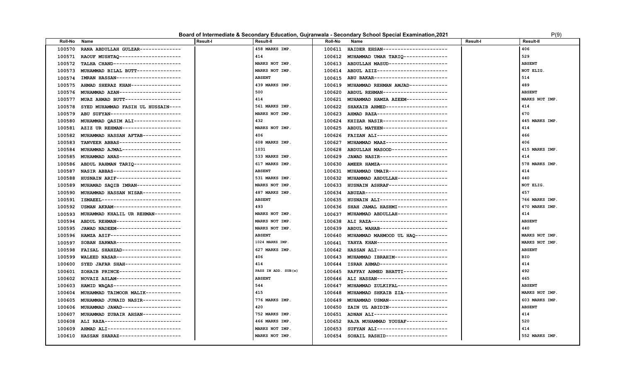### **Board of Intermediate & Secondary Education, Gujranwala - Secondary School Special Examination, 2021** P(9) P(9)

| Roll-No | Name                                      | <b>Result-I</b> | Result-II           | <b>Roll-No</b> | Name                                | <b>Result-I</b> | <b>Result-II</b> |
|---------|-------------------------------------------|-----------------|---------------------|----------------|-------------------------------------|-----------------|------------------|
| 100570  | RANA ABDULLAH GULZAR--------------        |                 | 458 MARKS IMP.      | 100611         | HAIDER EHSAN----------------------  |                 | 406              |
| 100571  | RAOUF MUSHTAQ---------------------        |                 | 414                 | 100612         | MUHAMMAD UMAR TARIQ --------------  |                 | 529              |
| 100572  | TALHA CHAND-----------------------        |                 | MARKS NOT IMP.      | 100613         | ABDULLAH MASUD--------------------  |                 | <b>ABSENT</b>    |
| 100573  | MUHAMMAD BILAL BUTT--------------         |                 | MARKS NOT IMP.      | 100614         | ABDUL AZIZ------------------------  |                 | NOT ELIG.        |
| 100574  | <b>IMRAN HASSAN----------------------</b> |                 | <b>ABSENT</b>       | 100615         | ABU BAKAR-------------------------  |                 | 514              |
| 100575  | AHMAD SHERAZ KHAN-----------------        |                 | 439 MARKS IMP.      | 100619         | MUHAMMAD REHMAN AMJAD------------   |                 | 489              |
| 100576  | MUHAMMAD AZAN---------------------        |                 | 500                 | 100620         | ABDUL REHMAN---------------------   |                 | <b>ABSENT</b>    |
| 100577  | MUAZ AHMAD BUTT-------------------        |                 | 414                 | 100621         | MUHAMMAD HAMZA AZEEM--------------  |                 | MARKS NOT IMP.   |
| 100578  | SYED MUHAMMAD FASIH UL HUSSAIN----        |                 | 561 MARKS IMP.      | 100622         | SHAKAIB AHMED---------------------  |                 | 414              |
| 100579  | ABU SUFYAN------------------------        |                 | MARKS NOT IMP.      | 100623         | AHMAD RAZA------------------------  |                 | 670              |
| 100580  | MUHAMMAD QASIM ALI----------------        |                 | 432                 | 100624         | KHIZAR NASIR----------------------  |                 | 445 MARKS IMP.   |
| 100581  | AZIZ UR REHMAN-------------------         |                 | MARKS NOT IMP.      | 100625         | ABDUL MATEEN----------------------  |                 | 414              |
| 100582  | MUHAMMAD HASSAN AFTAB-------------        |                 | 406                 | 100626         | FAIZAN ALI-----------------------   |                 | 466              |
| 100583  | TANVEER ABBAS---------------------        |                 | 608 MARKS IMP.      | 100627         | MUHAMMAD MAAZ---------------------  |                 | 406              |
| 100584  | MUHAMMAD AJMAL--------------------        |                 | 1031                | 100628         | ABDULLAH MASOOD-------------------  |                 | 415 MARKS IMP.   |
| 100585  | MUHAMMAD ANAS---------------------        |                 | 533 MARKS IMP.      | 100629         | JAWAD NASIR-----------------------  |                 | 414              |
| 100586  | ABDUL RAHMAN TARIQ---------------         |                 | 617 MARKS IMP.      | 100630         | AMEER HAMZA-----------------------  |                 | 578 MARKS IMP.   |
| 100587  | NASIR ABBAS-----------------------        |                 | <b>ABSENT</b>       | 100631         | MUHAMMAD UMAIR-------------------   |                 | 414              |
| 100588  | HUSNAIN ARIF----------------------        |                 | 531 MARKS IMP.      | 100632         | MUHAMMAD ABDULLAH----------------   |                 | 440              |
| 100589  | MUHAMAD SAQIB IMRAN---------------        |                 | MARKS NOT IMP.      | 100633         | HUSNAIN ASHRAF--------------------  |                 | NOT ELIG.        |
| 100590  | MUHAMMAD HASSAN NISAR-------------        |                 | 487 MARKS IMP.      | 100634         | ABUZAR----------------------------  |                 | 457              |
| 100591  | ISMAEEL---------------------------        |                 | <b>ABSENT</b>       | 100635         | HUSNAIN ALI-----------------------  |                 | 766 MARKS IMP.   |
| 100592  | USMAN AKRAM-----------------------        |                 | 493                 | 100636         | SHAH JAMAL HASHMI----------------   |                 | 470 MARKS IMP.   |
| 100593  | MUHAMMAD KHALIL UR REHMAN---------        |                 | MARKS NOT IMP.      | 100637         | MUHAMMAD ABDULLAH----------------   |                 | 414              |
| 100594  | ABDUL REHMAN----------------------        |                 | MARKS NOT IMP.      | 100638         | ALI RAZA--------------------------- |                 | <b>ABSENT</b>    |
| 100595  | JAWAD NADEEM----------------------        |                 | MARKS NOT IMP.      | 100639         | ABDUL WAHAB-----------------------  |                 | 440              |
| 100596  | HAMZA ASIF------------------------        |                 | <b>ABSENT</b>       | 100640         | MUHAMMAD MAHMOOD UL HAQ ----------  |                 | MARKS NOT IMP.   |
| 100597  | SOBAN SARWAR----------------------        |                 | 1024 MARKS IMP.     | 100641         | YAHYA KHAN------------------------  |                 | MARKS NOT IMP.   |
| 100598  | FAISAL SHAHZAD--------------------        |                 | 627 MARKS IMP.      | 100642         | HASSAN ALI------------------------  |                 | <b>ABSENT</b>    |
| 100599  | WALEED NASAR----------------------        |                 | 406                 | 100643         | MUHAMMAD IBRAHIM-----------------   |                 | <b>BIO</b>       |
| 100600  | SYED JAFAR SHAH-------------------        |                 | 414                 | 100644         | ISRAR AHMAD-----------------------  |                 | 414              |
| 100601  | ZOHAIB PRINCE---------------------        |                 | PASS IN ADD. SUB(s) | 100645         | RAFFAY AHMED BHATTI--------------   |                 | 492              |
| 100602  | NOVAIZ ASLAM----------------------        |                 | <b>ABSENT</b>       | 100646         | ALI HASSAN------------------------  |                 | 465              |
| 100603  | HAMID WAQAS-----------------------        |                 | 544                 | 100647         | MUHAMMAD ZULKIFAL----------------   |                 | <b>ABSENT</b>    |
| 100604  | MUHAMMAD TAIMOOR MALIK------------        |                 | 415                 | 100648         | MUHAMMAD SHKAIB ZIA---------------  |                 | MARKS NOT IMP.   |
| 100605  | MUHAMMAD JUNAID NASIR-------------        |                 | 776 MARKS IMP.      | 100649         | MUHAMMAD USMAN--------------------  |                 | 603 MARKS IMP.   |
| 100606  | MUHAMMAD JAWAD--------------------        |                 | 420                 | 100650         | ZAIN UL ABIDIN--------------------  |                 | <b>ABSENT</b>    |
| 100607  | MUHAMMAD ZUBAIR AHSAN-------------        |                 | 752 MARKS IMP.      | 100651         | ADNAN ALI------------------------   |                 | 414              |
| 100608  | ALI RAZA---------------------------       |                 | 466 MARKS IMP.      | 100652         | RAJA MUHAMMAD YOUSAF-------------   |                 | 520              |
| 100609  | AHMAD ALI------------------------         |                 | MARKS NOT IMP.      | 100653         | SUFYAN ALI------------------------  |                 | 414              |
| 100610  | HASSAN SHARAZ---------------------        |                 | MARKS NOT IMP.      | 100654         | SOHAIL RASHID---------------------  |                 | 552 MARKS IMP.   |
|         |                                           |                 |                     |                |                                     |                 |                  |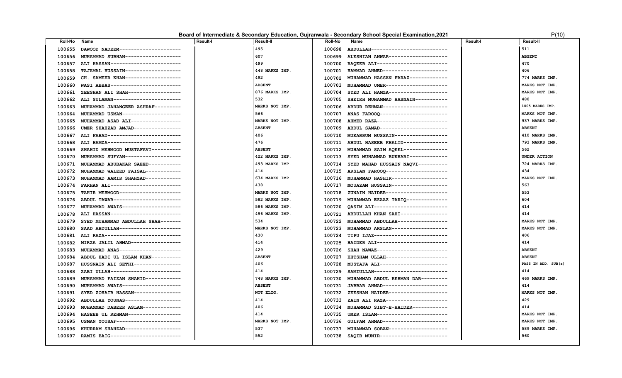### **Board of Intermediate & Secondary Education, Gujranwala - Secondary School Special Examination, 2021** P(10) P(10)

| <b>Roll-No</b> | Name                                | <b>Result-I</b> | <b>Result-II</b> | <b>Roll-No</b> | Name                                       | <b>Result-I</b> | <b>Result-II</b>    |
|----------------|-------------------------------------|-----------------|------------------|----------------|--------------------------------------------|-----------------|---------------------|
| 100655         | DAWOOD NADEEM--------------------   |                 | 495              | 100698         | ABDULLAH--------------------------         |                 | 511                 |
| 100656         | MUHAMMAD SUBHAN------------------   |                 | 607              | 100699         | ALESHIAN ANWAR-------------------          |                 | <b>ABSENT</b>       |
| 100657         | ALI HASSAN------------------------  |                 | 499              | 100700         | RAQEEB ALI------------------------         |                 | 470                 |
| 100658         | TAJAMAL HUSSAIN-------------------  |                 | 448 MARKS IMP.   | 100701         | HAMMAD AHMED----------------------         |                 | 406                 |
| 100659         | CH. SAMEER KHAN-------------------  |                 | 492              | 100702         | MUHAMMAD HASSAN FARAZ-------------         |                 | 774 MARKS IMP.      |
| 100660         | WASI ABBAS------------------------  |                 | <b>ABSENT</b>    | 100703         | MUHAMMAD UMER---------------------         |                 | MARKS NOT IMP.      |
| 100661         | ZEESHAN ALI SHAH------------------  |                 | 876 MARKS IMP.   | 100704         | SYED ALI HAMZA--------------------         |                 | MARKS NOT IMP.      |
| 100662         | ALI SULAMAN-----------------------  |                 | 532              | 100705         | SHEIKH MUHAMMAD HASNAIN-----------         |                 | 480                 |
| 100663         | MUHAMMAD JAHANGEER ASHRAF---------  |                 | MARKS NOT IMP.   |                | 100706 ABDUR REHMAN----------------------  |                 | 1005 MARKS IMP.     |
| 100664         | MUHAMMAD USMAN--------------------  |                 | 566              | 100707         | ANAS FAROOQ-----------------------         |                 | MARKS NOT IMP.      |
| 100665         | MUHAMMAD ASAD ALI-----------------  |                 | MARKS NOT IMP.   | 100708         | AHMED RAZA------------------------         |                 | 937 MARKS IMP.      |
| 100666         | UMER SHAHZAD AMJAD---------------   |                 | <b>ABSENT</b>    | 100709         | ABDUL SAMAD-----------------------         |                 | <b>ABSENT</b>       |
| 100667         | ALI FAHAD-------------------------  |                 | 406              | 100710         | MUKARRUM HUSSAIN------------------         |                 | 410 MARKS IMP.      |
| 100668         | ALI HAMZA-------------------------- |                 | 476              | 100711         | ABDUL HASEEB KHALID--------------          |                 | 793 MARKS IMP.      |
| 100669         | SHAHID MEHMOOD MUSTAFAVI----------  |                 | <b>ABSENT</b>    | 100712         | MUHAMMAD SAIM AQEEL--------------          |                 | 562                 |
| 100670         | MUHAMMAD SUFYAN-------------------  |                 | 422 MARKS IMP.   | 100713         | SYED MUHAMMAD BUKHARI-------------         |                 | UNDER ACTION        |
| 100671         | MUHAMMAD ABUBAKAR SAEED-----------  |                 | 493 MARKS IMP.   | 100714         | SYED MAHAD HUSSAIN NAQVI----------         |                 | 724 MARKS IMP.      |
| 100672         | MUHAMMAD WALEED FAISAL------------  |                 | 414              |                | 100715 ARSLAN FAROOQ --------------------- |                 | 434                 |
| 100673         | MUHAMMAD AAMIR SHAHZAD------------  |                 | 634 MARKS IMP.   |                | 100716 MUHAMMAD HASHIR-------------------  |                 | MARKS NOT IMP.      |
| 100674         | FARHAN ALI------------------------  |                 | 438              | 100717         | MOUAZAM HUSSAIN-------------------         |                 | 563                 |
| 100675         | TAHIR MEHMOOD---------------------  |                 | MARKS NOT IMP.   | 100718         | ZUNAIN HAIDER---------------------         |                 | 553                 |
| 100676         | ABDUL TAWAB-----------------------  |                 | 582 MARKS IMP.   | 100719         | MUHAMMAD EZAAZ TARIQ--------------         |                 | 604                 |
| 100677         | MUHAMMAD AWAIS--------------------  |                 | 586 MARKS IMP.   | 100720         | OASIM ALI-------------------------         |                 | 414                 |
| 100678         | ALI HASSAN------------------------  |                 | 496 MARKS IMP.   | 100721         | ABDULLAH KHAN SAHI---------------          |                 | 414                 |
| 100679         | SYED MUHAMMAD ABDULLAH SHAH-------  |                 | 534              | 100722         | MUHAMMAD ABDULLAH----------------          |                 | MARKS NOT IMP.      |
| 100680         | SAAD ABDULLAH---------------------  |                 | MARKS NOT IMP.   | 100723         | MUHAMMAD ARSLAN-------------------         |                 | MARKS NOT IMP.      |
| 100681         | ALI RAZA--------------------------- |                 | 430              | 100724         | TIPU IJAZ-------------------------         |                 | 406                 |
| 100682         | MIRZA JALIL AHMAD----------------   |                 | 414              | 100725         | HAIDER ALI------------------------         |                 | 414                 |
| 100683         | MUHAMMAD ANAS--------------------   |                 | 429              | 100726         | SHAH NAWAZ------------------------         |                 | <b>ABSENT</b>       |
| 100684         | ABDUL HADI UL ISLAM KHAN----------  |                 | <b>ABSENT</b>    | 100727         | EHTSHAM ULLAH---------------------         |                 | <b>ABSENT</b>       |
| 100687         | HUSSNAIN ALI SETHI----------------  |                 | 406              | 100728         | MUSTAFA ALI-----------------------         |                 | PASS IN ADD. SUB(s) |
| 100688         | ZABI ULLAH------------------------  |                 | 414              | 100729         | SAMIULLAH-------------------------         |                 | 414                 |
| 100689         | MUHAMMAD FAIZAN SHAHID-----------   |                 | 748 MARKS IMP.   | 100730         | MUHAMMAD ABDUL REHMAN DAR---------         |                 | 469 MARKS IMP.      |
| 100690         | MUHAMMAD AWAIS-------------------   |                 | <b>ABSENT</b>    | 100731         | JABBAR AHMAD----------------------         |                 | 414                 |
| 100691         | SYED ZOHAIB HASSAN----------------  |                 | NOT ELIG.        | 100732         | ZEESHAN HAIDER--------------------         |                 | MARKS NOT IMP.      |
| 100692         | ABDULLAH YOUNAS-------------------  |                 | 414              | 100733         | ZAIN ALI RAZA---------------------         |                 | 429                 |
| 100693         | MUHAMMAD DABEER ASLAM-------------  |                 | 406              | 100734         | MUHAMMAD SIBT-E-HAIDER------------         |                 | 414                 |
| 100694         | HASEEB UL REHMAN------------------  |                 | 414              | 100735         | UMER ISLAM------------------------         |                 | MARKS NOT IMP.      |
| 100695         | USMAN YOUSAF---------------------   |                 | MARKS NOT IMP.   | 100736         | GULFAM AHMAD---------------------          |                 | MARKS NOT IMP.      |
| 100696         | KHURRAM SHAHZAD------------------   |                 | 537              | 100737         | MUHAMMAD SOBAN--------------------         |                 | 589 MARKS IMP.      |
| 100697         | RAMIS BAIG------------------------  |                 | 552              | 100738         | SAQIB MUNIR-----------------------         |                 | 560                 |
|                |                                     |                 |                  |                |                                            |                 |                     |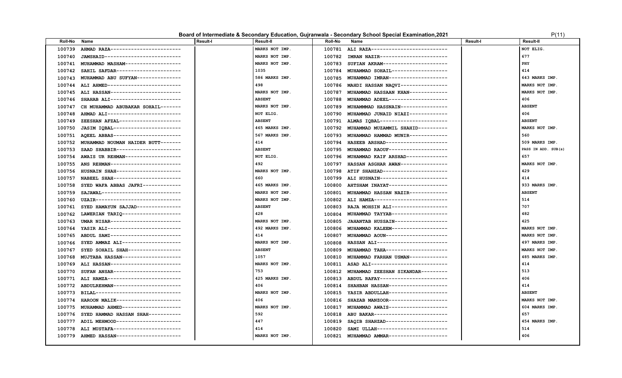### **Board of Intermediate & Secondary Education, Gujranwala - Secondary School Special Examination, 2021** P(11)

| <b>Roll-No</b> | Name                                | <b>Result-I</b> | <b>Result-II</b> | <b>Roll-No</b> | Name                                      | <b>Result-I</b> | <b>Result-II</b>    |
|----------------|-------------------------------------|-----------------|------------------|----------------|-------------------------------------------|-----------------|---------------------|
| 100739         | AHMAD RAZA------------------------  |                 | MARKS NOT IMP.   | 100781         | ALI RAZA---------------------------       |                 | NOT ELIG.           |
| 100740         | JAMSHAID--------------------------  |                 | MARKS NOT IMP.   |                | 100782 IMRAN NAZIR----------------------- |                 | 677                 |
| 100741         | MUHAMMAD MASHAM------------------   |                 | MARKS NOT IMP.   | 100783         | SUFIAN AKRAM---------------------         |                 | PHY                 |
| 100742         | SAHIL SAFDAR---------------------   |                 | 1035             | 100784         | MUHAMMAD SOHAIL------------------         |                 | 414                 |
| 100743         | MUHAMMAD ABU SUFYAN--------------   |                 | 586 MARKS IMP.   | 100785         | MUHAMMAD IMRAN-------------------         |                 | 643 MARKS IMP.      |
| 100744         | ALI AHMED-------------------------  |                 | 498              |                | 100786 MAHDI HASSAN NAQVI---------------  |                 | MARKS NOT IMP.      |
| 100745         | ALI HASSAN------------------------  |                 | MARKS NOT IMP.   | 100787         | MUHAMMAD HASSAAN KHAN------------         |                 | MARKS NOT IMP.      |
| 100746         | SHAHAB ALI------------------------  |                 | <b>ABSENT</b>    | 100788         | MUHAMMAD ADEEL-------------------         |                 | 406                 |
| 100747         | CH MUHAMMAD ABUBAKAR SOHAIL-------  |                 | MARKS NOT IMP.   | 100789         | MUHAMMMAD HASSNAIN---------------         |                 | <b>ABSENT</b>       |
| 100748         | AHMAD ALI-------------------------  |                 | NOT ELIG.        | 100790         | MUHAMMAD JUNAID NIAZI-------------        |                 | 406                 |
| 100749         | ZEESHAN AFZAL---------------------  |                 | <b>ABSENT</b>    |                | 100791 ALMAS IQBAL----------------------- |                 | <b>ABSENT</b>       |
| 100750         | JASIM IQBAL-----------------------  |                 | 465 MARKS IMP.   | 100792         | MUHAMMAD MUZAMMIL SHAHID----------        |                 | MARKS NOT IMP.      |
| 100751         | AOEEL ABBAS-----------------------  |                 | 567 MARKS IMP.   | 100793         | MUHAMMAD HAMMAD MUNIR-------------        |                 | 560                 |
| 100752         | MUHAMMAD NOUMAN HAIDER BUTT-------  |                 | 414              | 100794         | HASEEB ARSHAD---------------------        |                 | 509 MARKS IMP.      |
| 100753         | SAAD SHABBIR----------------------  |                 | <b>ABSENT</b>    | 100795         | MUHAMMAD RAOUF-------------------         |                 | PASS IN ADD. SUB(s) |
| 100754         | AWAIS UR REHMAN-------------------  |                 | NOT ELIG.        |                | 100796 MUHAMMAD KAIF ARSHAD-------------- |                 | 657                 |
| 100755         | ANS REHMAN-----------------------   |                 | 492              | 100797         | HASSAN ASGHAR AWAN----------------        |                 | MARKS NOT IMP.      |
| 100756         | HUSNAIN SHAH----------------------  |                 | MARKS NOT IMP.   | 100798         | ATIF SHAHZAD----------------------        |                 | 429                 |
| 100757         | NABEEL SHAH----------------------   |                 | 660              |                | 100799 ALI HUSNAIN----------------------- |                 | 414                 |
| 100758         | SYED WAFA ABBAS JAFRI-------------  |                 | 465 MARKS IMP.   | 100800         | AHTSHAM INAYAT--------------------        |                 | 933 MARKS IMP.      |
| 100759         | SAJAWAL---------------------------  |                 | MARKS NOT IMP.   | 100801         | MUHAMMAD HASSAN NAZIR------------         |                 | <b>ABSENT</b>       |
| 100760         | UZAIR-----------------------------  |                 | MARKS NOT IMP.   | 100802         | ALI HAMZA-------------------------        |                 | 514                 |
| 100761         | SYED HAMAYUN SAJJAD--------------   |                 | <b>ABSENT</b>    | 100803         | RAJA MOHSIN ALI------------------         |                 | 707                 |
| 100762         | LAWERIAN TARIQ -------------------- |                 | 428              | 100804         | MUHAMMAD TAYYAB------------------         |                 | 482                 |
| 100763         | UMAR NISAR------------------------  |                 | MARKS NOT IMP.   |                | 100805 JAHANTAB HUSSAIN-----------------  |                 | 425                 |
| 100764         | YASIR ALI-------------------------  |                 | 492 MARKS IMP.   |                | 100806 MUHAMMAD KALEEM------------------  |                 | MARKS NOT IMP.      |
| 100765         | ABDUL SAMI-----------------------   |                 | 414              | 100807         | MUHAMMAD AOUN--------------------         |                 | MARKS NOT IMP.      |
| 100766         | SYED AMMAZ ALI--------------------  |                 | MARKS NOT IMP.   | 100808         | HASSAN ALI------------------------        |                 | 497 MARKS IMP.      |
| 100767         | SYED SOHAIL SHAH-----------------   |                 | <b>ABSENT</b>    | 100809         | MUHAMMAD TAHA--------------------         |                 | MARKS NOT IMP.      |
| 100768         | MUJTABA HASSAN--------------------  |                 | 1057             | 100810         | MUHAMMAD FARHAN USMAN-------------        |                 | 485 MARKS IMP.      |
| 100769         | ALI HASSAN------------------------  |                 | MARKS NOT IMP.   |                | 100811 ASAD ALI-------------------------- |                 | 414                 |
| 100770         | SUFAN ANSAR-----------------------  |                 | 753              | 100812         | MUHAMMAD ZEESHAN SIKANDAR---------        |                 | 513                 |
| 100771         | ALI HAMZA-------------------------  |                 | 425 MARKS IMP.   |                | 100813 ABDUL RAFAY----------------------  |                 | 406                 |
| 100772         | ABDULREHMAN-----------------------  |                 | 406              | 100814         | SHAHBAN HASSAN--------------------        |                 | 414                 |
| 100773         | BILAL------------------------------ |                 | MARKS NOT IMP.   |                | 100815 YASIR ABDULLAH-------------------  |                 | <b>ABSENT</b>       |
| 100774         | HAROON MALIK----------------------  |                 | 406              | 100816         | SHAZAB MANZOOR--------------------        |                 | MARKS NOT IMP.      |
| 100775         | MUHAMMAD AHMED--------------------  |                 | MARKS NOT IMP.   | 100817         | MUHAMMAD AWAIS--------------------        |                 | 604 MARKS IMP.      |
| 100776         | SYED HAMMAD HASSAN SHAH-----------  |                 | 592              | 100818         | ABU BAKAR-------------------------        |                 | 657                 |
| 100777         | ADIL MEHMOOD----------------------  |                 | 447              | 100819         | SAQIB SHAHZAD---------------------        |                 | 454 MARKS IMP.      |
| 100778         | ALI MUSTAFA-----------------------  |                 | 414              | 100820         | SAMI ULLAH------------------------        |                 | 514                 |
| 100779         | AHMED HASSAN----------------------  |                 | MARKS NOT IMP.   |                | 100821 MUHAMMAD AMMAR ------------------- |                 | 406                 |
|                |                                     |                 |                  |                |                                           |                 |                     |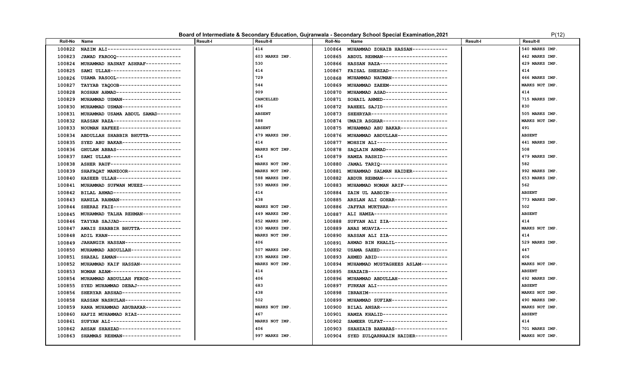### **Board of Intermediate & Secondary Education, Gujranwala - Secondary School Special Examination, 2021 P(12)** P(12)

| 414<br>540 MARKS IMP.<br>100822<br>NAZIM ALI-------------------------<br>100864<br>MUHAMMAD ZOHAIB HASSAN------------<br>603 MARKS IMP.<br>JAWAD FAROOQ----------------------<br>ABDUL REHMAN---------------------<br>442 MARKS IMP.<br>100823<br>100865<br>530<br>HASSAN RAZA-----------------------<br>429 MARKS IMP.<br>100824<br>MUHAMMAD HASNAT ASHRAF------------<br>100866<br>414<br>SAMI ULLAH-----------------------<br>FAISAL SHEHZAD-------------------<br>414<br>100825<br>100867<br>729<br>MUHAMMAD NAUMAN------------------<br>466 MARKS IMP.<br>100826<br>USAMA RASOOL----------------------<br>100868<br>544<br>MUHAMMAD ZAEEM-------------------<br>MARKS NOT IMP.<br>100827<br>TAYYAB YAQOOB---------------------<br>100869<br>909<br>MUHAMMAD ASAD---------------------<br>414<br>ROSHAN AHMAD----------------------<br>100828<br>100870<br>CANCELLED<br>715 MARKS IMP.<br>MUHAMMAD USMAN-------------------<br>SOHAIL AHMED----------------------<br>100829<br>100871<br>406<br>830<br>100830<br>100872<br>RAHEEL SAJID----------------------<br>MUHAMMAD USMAN--------------------<br><b>ABSENT</b><br>505 MARKS IMP.<br>100831<br>MUHAMMAD USAMA ABDUL SAMAD--------<br>SHEHRYAR---------------------------<br>100873<br>588<br>MARKS NOT IMP.<br>UMAIR ASGHAR----------------------<br>100832<br>HASSAN RAZA-----------------------<br>100874<br><b>ABSENT</b><br>MUHAMMAD ABU BAKAR---------------<br>491<br>100833<br>NOUMAN HAFEEZ---------------------<br>100875<br>479 MARKS IMP.<br>ABDULLAH SHABBIR BHUTTA-----------<br>MUHAMMAD ABDULLAH-----------------<br><b>ABSENT</b><br>100834<br>100876<br>414<br>MOHSIN ALI------------------------<br>SYED ABU BAKAR--------------------<br>441 MARKS IMP.<br>100835<br>100877<br>MARKS NOT IMP.<br>508<br>100836<br>GHULAM ABBAS----------------------<br>100878<br>SAOLAIN AHMAD---------------------<br>414<br>479 MARKS IMP.<br>100837<br>100879<br>HAMZA RASHID----------------------<br>SAMI ULLAH------------------------<br>MARKS NOT IMP.<br>582<br>100838<br>100880<br>ASHER RAUF------------------------<br>JAMAL TARIQ-----------------------<br>MARKS NOT IMP.<br>992 MARKS IMP.<br>SHAFAQAT MANZOOR------------------<br>100881<br>100839<br>MUHAMMAD SALMAN HAIDER------------<br>588 MARKS IMP.<br>653 MARKS IMP.<br>100840<br>HASEEB ULLAH----------------------<br>100882 ABDUR REHMAN---------------------<br>562<br>593 MARKS IMP.<br>100841<br>MUHAMMAD SUFWAN MUEEZ-------------<br>100883<br>MUHAMMAD NOMAN ARIF--------------<br>414<br><b>ABSENT</b><br>100842<br>BILAL AHMAD-----------------------<br>100884<br>ZAIN UL AABDIN--------------------<br>438<br>773 MARKS IMP.<br>100843<br>HANZLA RAHMAN---------------------<br>100885<br>ARSLAN ALI GOHAR------------------<br>502<br>SHERAZ FAIZ------------------------<br>MARKS NOT IMP.<br>JAFFAR MUKTHAR--------------------<br>100844<br>100886<br><b>ABSENT</b><br>MUHAMMAD TALHA REHMAN-------------<br>449 MARKS IMP.<br>ALI HAMZA-------------------------<br>100845<br>100887<br>852 MARKS IMP.<br>414<br>TAYYAB SAJJAD--------------------<br>SUFYAN ALI ZIA--------------------<br>100846<br>100888<br>MARKS NOT IMP.<br>830 MARKS IMP.<br>ANAS MUAVIA----------------------<br>100847<br>AWAIS SHABBIR BHUTTA--------------<br>100889<br>ADIL KHAN------------------------<br>MARKS NOT IMP.<br>HASSAN ALI ZIA--------------------<br>414<br>100848<br>100890<br>JAHANGIR HASSAN-------------------<br>406<br>AHMAD BIN KHALIL------------------<br>529 MARKS IMP.<br>100849<br>100891<br>447<br>MUHAMMAD ABDULLAH-----------------<br>507 MARKS IMP.<br>USAMA SAEED-----------------------<br>100850<br>100892<br>406<br>SHAZAL ZAMAN----------------------<br>835 MARKS IMP.<br>AHMED ABID-----------------------<br>100851<br>100893<br>MUHAMMAD KAIF HASSAN--------------<br>MARKS NOT IMP.<br>MUHAMMAD MUSTAGHEES ASLAM---------<br>MARKS NOT IMP.<br>100852<br>100894<br>414<br>NOMAN AZAM-----------------------<br>SHAZAIB---------------------------<br><b>ABSENT</b><br>100853<br>100895<br>406<br>MUHAMMAD ABDULLAH----------------<br>492 MARKS IMP.<br>100854<br>MUHAMMAD ABDULLAH FEROZ-----------<br>100896<br>683<br>FURKAN ALI-----------------------<br><b>ABSENT</b><br>100855<br>SYED MUHAMMAD DEBAJ---------------<br>100897<br>438<br>IBRAHIM---------------------------<br>MARKS NOT IMP.<br>100856<br>SHERYAR ARSHAD--------------------<br>100898<br>502<br>490 MARKS IMP.<br>HASSAN NASRULAH-------------------<br>MUHAMMAD SUFIAN-------------------<br>100858<br>100899<br>MARKS NOT IMP.<br>RANA MUHAMMAD ABUBAKAR------------<br>BILAL ANSAR-----------------------<br>MARKS NOT IMP.<br>100859<br>100900<br>467<br>HAFIZ MUHAMMAD RIAZ---------------<br>HAMZA KHALID----------------------<br><b>ABSENT</b><br>100860<br>100901<br>SUFYAN ALI------------------------<br>MARKS NOT IMP.<br>SAMEER ULFAT---------------------<br>414<br>100861<br>100902<br>406<br>701 MARKS IMP.<br>100862<br>AHSAN SHAHZAD---------------------<br>100903<br>SHAHZAIB BANARAS------------------<br>997 MARKS IMP.<br>100904 | <b>Roll-No</b> | Name                               | <b>Result-I</b> | <b>Result-II</b> | <b>Roll-No</b> | Name                               | <b>Result-I</b> | <b>Result-II</b> |
|----------------------------------------------------------------------------------------------------------------------------------------------------------------------------------------------------------------------------------------------------------------------------------------------------------------------------------------------------------------------------------------------------------------------------------------------------------------------------------------------------------------------------------------------------------------------------------------------------------------------------------------------------------------------------------------------------------------------------------------------------------------------------------------------------------------------------------------------------------------------------------------------------------------------------------------------------------------------------------------------------------------------------------------------------------------------------------------------------------------------------------------------------------------------------------------------------------------------------------------------------------------------------------------------------------------------------------------------------------------------------------------------------------------------------------------------------------------------------------------------------------------------------------------------------------------------------------------------------------------------------------------------------------------------------------------------------------------------------------------------------------------------------------------------------------------------------------------------------------------------------------------------------------------------------------------------------------------------------------------------------------------------------------------------------------------------------------------------------------------------------------------------------------------------------------------------------------------------------------------------------------------------------------------------------------------------------------------------------------------------------------------------------------------------------------------------------------------------------------------------------------------------------------------------------------------------------------------------------------------------------------------------------------------------------------------------------------------------------------------------------------------------------------------------------------------------------------------------------------------------------------------------------------------------------------------------------------------------------------------------------------------------------------------------------------------------------------------------------------------------------------------------------------------------------------------------------------------------------------------------------------------------------------------------------------------------------------------------------------------------------------------------------------------------------------------------------------------------------------------------------------------------------------------------------------------------------------------------------------------------------------------------------------------------------------------------------------------------------------------------------------------------------------------------------------------------------------------------------------------------------------------------------------------------------------------------------------------------------------------------------------------------------------------------------------------------------------------------------------------------------------------------------------------------------------------------------------------------------------------------------------------------------------------------------------------------------------------------------------------------------------------------------------------------------------------------------------------------------------------------------------------------------------------------------------------------------------------------------------------------------------------------------------------------------------------------------------------------------------------------------------------------------------------------------------------------------------------------------------------------------------------------------------------------------------------------------------------------------------------------------------------------------------------------------------------------------------------------------------------|----------------|------------------------------------|-----------------|------------------|----------------|------------------------------------|-----------------|------------------|
|                                                                                                                                                                                                                                                                                                                                                                                                                                                                                                                                                                                                                                                                                                                                                                                                                                                                                                                                                                                                                                                                                                                                                                                                                                                                                                                                                                                                                                                                                                                                                                                                                                                                                                                                                                                                                                                                                                                                                                                                                                                                                                                                                                                                                                                                                                                                                                                                                                                                                                                                                                                                                                                                                                                                                                                                                                                                                                                                                                                                                                                                                                                                                                                                                                                                                                                                                                                                                                                                                                                                                                                                                                                                                                                                                                                                                                                                                                                                                                                                                                                                                                                                                                                                                                                                                                                                                                                                                                                                                                                                                                                                                                                                                                                                                                                                                                                                                                                                                                                                                                                                                                                |                |                                    |                 |                  |                |                                    |                 |                  |
|                                                                                                                                                                                                                                                                                                                                                                                                                                                                                                                                                                                                                                                                                                                                                                                                                                                                                                                                                                                                                                                                                                                                                                                                                                                                                                                                                                                                                                                                                                                                                                                                                                                                                                                                                                                                                                                                                                                                                                                                                                                                                                                                                                                                                                                                                                                                                                                                                                                                                                                                                                                                                                                                                                                                                                                                                                                                                                                                                                                                                                                                                                                                                                                                                                                                                                                                                                                                                                                                                                                                                                                                                                                                                                                                                                                                                                                                                                                                                                                                                                                                                                                                                                                                                                                                                                                                                                                                                                                                                                                                                                                                                                                                                                                                                                                                                                                                                                                                                                                                                                                                                                                |                |                                    |                 |                  |                |                                    |                 |                  |
|                                                                                                                                                                                                                                                                                                                                                                                                                                                                                                                                                                                                                                                                                                                                                                                                                                                                                                                                                                                                                                                                                                                                                                                                                                                                                                                                                                                                                                                                                                                                                                                                                                                                                                                                                                                                                                                                                                                                                                                                                                                                                                                                                                                                                                                                                                                                                                                                                                                                                                                                                                                                                                                                                                                                                                                                                                                                                                                                                                                                                                                                                                                                                                                                                                                                                                                                                                                                                                                                                                                                                                                                                                                                                                                                                                                                                                                                                                                                                                                                                                                                                                                                                                                                                                                                                                                                                                                                                                                                                                                                                                                                                                                                                                                                                                                                                                                                                                                                                                                                                                                                                                                |                |                                    |                 |                  |                |                                    |                 |                  |
|                                                                                                                                                                                                                                                                                                                                                                                                                                                                                                                                                                                                                                                                                                                                                                                                                                                                                                                                                                                                                                                                                                                                                                                                                                                                                                                                                                                                                                                                                                                                                                                                                                                                                                                                                                                                                                                                                                                                                                                                                                                                                                                                                                                                                                                                                                                                                                                                                                                                                                                                                                                                                                                                                                                                                                                                                                                                                                                                                                                                                                                                                                                                                                                                                                                                                                                                                                                                                                                                                                                                                                                                                                                                                                                                                                                                                                                                                                                                                                                                                                                                                                                                                                                                                                                                                                                                                                                                                                                                                                                                                                                                                                                                                                                                                                                                                                                                                                                                                                                                                                                                                                                |                |                                    |                 |                  |                |                                    |                 |                  |
|                                                                                                                                                                                                                                                                                                                                                                                                                                                                                                                                                                                                                                                                                                                                                                                                                                                                                                                                                                                                                                                                                                                                                                                                                                                                                                                                                                                                                                                                                                                                                                                                                                                                                                                                                                                                                                                                                                                                                                                                                                                                                                                                                                                                                                                                                                                                                                                                                                                                                                                                                                                                                                                                                                                                                                                                                                                                                                                                                                                                                                                                                                                                                                                                                                                                                                                                                                                                                                                                                                                                                                                                                                                                                                                                                                                                                                                                                                                                                                                                                                                                                                                                                                                                                                                                                                                                                                                                                                                                                                                                                                                                                                                                                                                                                                                                                                                                                                                                                                                                                                                                                                                |                |                                    |                 |                  |                |                                    |                 |                  |
|                                                                                                                                                                                                                                                                                                                                                                                                                                                                                                                                                                                                                                                                                                                                                                                                                                                                                                                                                                                                                                                                                                                                                                                                                                                                                                                                                                                                                                                                                                                                                                                                                                                                                                                                                                                                                                                                                                                                                                                                                                                                                                                                                                                                                                                                                                                                                                                                                                                                                                                                                                                                                                                                                                                                                                                                                                                                                                                                                                                                                                                                                                                                                                                                                                                                                                                                                                                                                                                                                                                                                                                                                                                                                                                                                                                                                                                                                                                                                                                                                                                                                                                                                                                                                                                                                                                                                                                                                                                                                                                                                                                                                                                                                                                                                                                                                                                                                                                                                                                                                                                                                                                |                |                                    |                 |                  |                |                                    |                 |                  |
|                                                                                                                                                                                                                                                                                                                                                                                                                                                                                                                                                                                                                                                                                                                                                                                                                                                                                                                                                                                                                                                                                                                                                                                                                                                                                                                                                                                                                                                                                                                                                                                                                                                                                                                                                                                                                                                                                                                                                                                                                                                                                                                                                                                                                                                                                                                                                                                                                                                                                                                                                                                                                                                                                                                                                                                                                                                                                                                                                                                                                                                                                                                                                                                                                                                                                                                                                                                                                                                                                                                                                                                                                                                                                                                                                                                                                                                                                                                                                                                                                                                                                                                                                                                                                                                                                                                                                                                                                                                                                                                                                                                                                                                                                                                                                                                                                                                                                                                                                                                                                                                                                                                |                |                                    |                 |                  |                |                                    |                 |                  |
|                                                                                                                                                                                                                                                                                                                                                                                                                                                                                                                                                                                                                                                                                                                                                                                                                                                                                                                                                                                                                                                                                                                                                                                                                                                                                                                                                                                                                                                                                                                                                                                                                                                                                                                                                                                                                                                                                                                                                                                                                                                                                                                                                                                                                                                                                                                                                                                                                                                                                                                                                                                                                                                                                                                                                                                                                                                                                                                                                                                                                                                                                                                                                                                                                                                                                                                                                                                                                                                                                                                                                                                                                                                                                                                                                                                                                                                                                                                                                                                                                                                                                                                                                                                                                                                                                                                                                                                                                                                                                                                                                                                                                                                                                                                                                                                                                                                                                                                                                                                                                                                                                                                |                |                                    |                 |                  |                |                                    |                 |                  |
|                                                                                                                                                                                                                                                                                                                                                                                                                                                                                                                                                                                                                                                                                                                                                                                                                                                                                                                                                                                                                                                                                                                                                                                                                                                                                                                                                                                                                                                                                                                                                                                                                                                                                                                                                                                                                                                                                                                                                                                                                                                                                                                                                                                                                                                                                                                                                                                                                                                                                                                                                                                                                                                                                                                                                                                                                                                                                                                                                                                                                                                                                                                                                                                                                                                                                                                                                                                                                                                                                                                                                                                                                                                                                                                                                                                                                                                                                                                                                                                                                                                                                                                                                                                                                                                                                                                                                                                                                                                                                                                                                                                                                                                                                                                                                                                                                                                                                                                                                                                                                                                                                                                |                |                                    |                 |                  |                |                                    |                 |                  |
|                                                                                                                                                                                                                                                                                                                                                                                                                                                                                                                                                                                                                                                                                                                                                                                                                                                                                                                                                                                                                                                                                                                                                                                                                                                                                                                                                                                                                                                                                                                                                                                                                                                                                                                                                                                                                                                                                                                                                                                                                                                                                                                                                                                                                                                                                                                                                                                                                                                                                                                                                                                                                                                                                                                                                                                                                                                                                                                                                                                                                                                                                                                                                                                                                                                                                                                                                                                                                                                                                                                                                                                                                                                                                                                                                                                                                                                                                                                                                                                                                                                                                                                                                                                                                                                                                                                                                                                                                                                                                                                                                                                                                                                                                                                                                                                                                                                                                                                                                                                                                                                                                                                |                |                                    |                 |                  |                |                                    |                 |                  |
|                                                                                                                                                                                                                                                                                                                                                                                                                                                                                                                                                                                                                                                                                                                                                                                                                                                                                                                                                                                                                                                                                                                                                                                                                                                                                                                                                                                                                                                                                                                                                                                                                                                                                                                                                                                                                                                                                                                                                                                                                                                                                                                                                                                                                                                                                                                                                                                                                                                                                                                                                                                                                                                                                                                                                                                                                                                                                                                                                                                                                                                                                                                                                                                                                                                                                                                                                                                                                                                                                                                                                                                                                                                                                                                                                                                                                                                                                                                                                                                                                                                                                                                                                                                                                                                                                                                                                                                                                                                                                                                                                                                                                                                                                                                                                                                                                                                                                                                                                                                                                                                                                                                |                |                                    |                 |                  |                |                                    |                 |                  |
|                                                                                                                                                                                                                                                                                                                                                                                                                                                                                                                                                                                                                                                                                                                                                                                                                                                                                                                                                                                                                                                                                                                                                                                                                                                                                                                                                                                                                                                                                                                                                                                                                                                                                                                                                                                                                                                                                                                                                                                                                                                                                                                                                                                                                                                                                                                                                                                                                                                                                                                                                                                                                                                                                                                                                                                                                                                                                                                                                                                                                                                                                                                                                                                                                                                                                                                                                                                                                                                                                                                                                                                                                                                                                                                                                                                                                                                                                                                                                                                                                                                                                                                                                                                                                                                                                                                                                                                                                                                                                                                                                                                                                                                                                                                                                                                                                                                                                                                                                                                                                                                                                                                |                |                                    |                 |                  |                |                                    |                 |                  |
|                                                                                                                                                                                                                                                                                                                                                                                                                                                                                                                                                                                                                                                                                                                                                                                                                                                                                                                                                                                                                                                                                                                                                                                                                                                                                                                                                                                                                                                                                                                                                                                                                                                                                                                                                                                                                                                                                                                                                                                                                                                                                                                                                                                                                                                                                                                                                                                                                                                                                                                                                                                                                                                                                                                                                                                                                                                                                                                                                                                                                                                                                                                                                                                                                                                                                                                                                                                                                                                                                                                                                                                                                                                                                                                                                                                                                                                                                                                                                                                                                                                                                                                                                                                                                                                                                                                                                                                                                                                                                                                                                                                                                                                                                                                                                                                                                                                                                                                                                                                                                                                                                                                |                |                                    |                 |                  |                |                                    |                 |                  |
|                                                                                                                                                                                                                                                                                                                                                                                                                                                                                                                                                                                                                                                                                                                                                                                                                                                                                                                                                                                                                                                                                                                                                                                                                                                                                                                                                                                                                                                                                                                                                                                                                                                                                                                                                                                                                                                                                                                                                                                                                                                                                                                                                                                                                                                                                                                                                                                                                                                                                                                                                                                                                                                                                                                                                                                                                                                                                                                                                                                                                                                                                                                                                                                                                                                                                                                                                                                                                                                                                                                                                                                                                                                                                                                                                                                                                                                                                                                                                                                                                                                                                                                                                                                                                                                                                                                                                                                                                                                                                                                                                                                                                                                                                                                                                                                                                                                                                                                                                                                                                                                                                                                |                |                                    |                 |                  |                |                                    |                 |                  |
|                                                                                                                                                                                                                                                                                                                                                                                                                                                                                                                                                                                                                                                                                                                                                                                                                                                                                                                                                                                                                                                                                                                                                                                                                                                                                                                                                                                                                                                                                                                                                                                                                                                                                                                                                                                                                                                                                                                                                                                                                                                                                                                                                                                                                                                                                                                                                                                                                                                                                                                                                                                                                                                                                                                                                                                                                                                                                                                                                                                                                                                                                                                                                                                                                                                                                                                                                                                                                                                                                                                                                                                                                                                                                                                                                                                                                                                                                                                                                                                                                                                                                                                                                                                                                                                                                                                                                                                                                                                                                                                                                                                                                                                                                                                                                                                                                                                                                                                                                                                                                                                                                                                |                |                                    |                 |                  |                |                                    |                 |                  |
|                                                                                                                                                                                                                                                                                                                                                                                                                                                                                                                                                                                                                                                                                                                                                                                                                                                                                                                                                                                                                                                                                                                                                                                                                                                                                                                                                                                                                                                                                                                                                                                                                                                                                                                                                                                                                                                                                                                                                                                                                                                                                                                                                                                                                                                                                                                                                                                                                                                                                                                                                                                                                                                                                                                                                                                                                                                                                                                                                                                                                                                                                                                                                                                                                                                                                                                                                                                                                                                                                                                                                                                                                                                                                                                                                                                                                                                                                                                                                                                                                                                                                                                                                                                                                                                                                                                                                                                                                                                                                                                                                                                                                                                                                                                                                                                                                                                                                                                                                                                                                                                                                                                |                |                                    |                 |                  |                |                                    |                 |                  |
|                                                                                                                                                                                                                                                                                                                                                                                                                                                                                                                                                                                                                                                                                                                                                                                                                                                                                                                                                                                                                                                                                                                                                                                                                                                                                                                                                                                                                                                                                                                                                                                                                                                                                                                                                                                                                                                                                                                                                                                                                                                                                                                                                                                                                                                                                                                                                                                                                                                                                                                                                                                                                                                                                                                                                                                                                                                                                                                                                                                                                                                                                                                                                                                                                                                                                                                                                                                                                                                                                                                                                                                                                                                                                                                                                                                                                                                                                                                                                                                                                                                                                                                                                                                                                                                                                                                                                                                                                                                                                                                                                                                                                                                                                                                                                                                                                                                                                                                                                                                                                                                                                                                |                |                                    |                 |                  |                |                                    |                 |                  |
|                                                                                                                                                                                                                                                                                                                                                                                                                                                                                                                                                                                                                                                                                                                                                                                                                                                                                                                                                                                                                                                                                                                                                                                                                                                                                                                                                                                                                                                                                                                                                                                                                                                                                                                                                                                                                                                                                                                                                                                                                                                                                                                                                                                                                                                                                                                                                                                                                                                                                                                                                                                                                                                                                                                                                                                                                                                                                                                                                                                                                                                                                                                                                                                                                                                                                                                                                                                                                                                                                                                                                                                                                                                                                                                                                                                                                                                                                                                                                                                                                                                                                                                                                                                                                                                                                                                                                                                                                                                                                                                                                                                                                                                                                                                                                                                                                                                                                                                                                                                                                                                                                                                |                |                                    |                 |                  |                |                                    |                 |                  |
|                                                                                                                                                                                                                                                                                                                                                                                                                                                                                                                                                                                                                                                                                                                                                                                                                                                                                                                                                                                                                                                                                                                                                                                                                                                                                                                                                                                                                                                                                                                                                                                                                                                                                                                                                                                                                                                                                                                                                                                                                                                                                                                                                                                                                                                                                                                                                                                                                                                                                                                                                                                                                                                                                                                                                                                                                                                                                                                                                                                                                                                                                                                                                                                                                                                                                                                                                                                                                                                                                                                                                                                                                                                                                                                                                                                                                                                                                                                                                                                                                                                                                                                                                                                                                                                                                                                                                                                                                                                                                                                                                                                                                                                                                                                                                                                                                                                                                                                                                                                                                                                                                                                |                |                                    |                 |                  |                |                                    |                 |                  |
|                                                                                                                                                                                                                                                                                                                                                                                                                                                                                                                                                                                                                                                                                                                                                                                                                                                                                                                                                                                                                                                                                                                                                                                                                                                                                                                                                                                                                                                                                                                                                                                                                                                                                                                                                                                                                                                                                                                                                                                                                                                                                                                                                                                                                                                                                                                                                                                                                                                                                                                                                                                                                                                                                                                                                                                                                                                                                                                                                                                                                                                                                                                                                                                                                                                                                                                                                                                                                                                                                                                                                                                                                                                                                                                                                                                                                                                                                                                                                                                                                                                                                                                                                                                                                                                                                                                                                                                                                                                                                                                                                                                                                                                                                                                                                                                                                                                                                                                                                                                                                                                                                                                |                |                                    |                 |                  |                |                                    |                 |                  |
|                                                                                                                                                                                                                                                                                                                                                                                                                                                                                                                                                                                                                                                                                                                                                                                                                                                                                                                                                                                                                                                                                                                                                                                                                                                                                                                                                                                                                                                                                                                                                                                                                                                                                                                                                                                                                                                                                                                                                                                                                                                                                                                                                                                                                                                                                                                                                                                                                                                                                                                                                                                                                                                                                                                                                                                                                                                                                                                                                                                                                                                                                                                                                                                                                                                                                                                                                                                                                                                                                                                                                                                                                                                                                                                                                                                                                                                                                                                                                                                                                                                                                                                                                                                                                                                                                                                                                                                                                                                                                                                                                                                                                                                                                                                                                                                                                                                                                                                                                                                                                                                                                                                |                |                                    |                 |                  |                |                                    |                 |                  |
|                                                                                                                                                                                                                                                                                                                                                                                                                                                                                                                                                                                                                                                                                                                                                                                                                                                                                                                                                                                                                                                                                                                                                                                                                                                                                                                                                                                                                                                                                                                                                                                                                                                                                                                                                                                                                                                                                                                                                                                                                                                                                                                                                                                                                                                                                                                                                                                                                                                                                                                                                                                                                                                                                                                                                                                                                                                                                                                                                                                                                                                                                                                                                                                                                                                                                                                                                                                                                                                                                                                                                                                                                                                                                                                                                                                                                                                                                                                                                                                                                                                                                                                                                                                                                                                                                                                                                                                                                                                                                                                                                                                                                                                                                                                                                                                                                                                                                                                                                                                                                                                                                                                |                |                                    |                 |                  |                |                                    |                 |                  |
|                                                                                                                                                                                                                                                                                                                                                                                                                                                                                                                                                                                                                                                                                                                                                                                                                                                                                                                                                                                                                                                                                                                                                                                                                                                                                                                                                                                                                                                                                                                                                                                                                                                                                                                                                                                                                                                                                                                                                                                                                                                                                                                                                                                                                                                                                                                                                                                                                                                                                                                                                                                                                                                                                                                                                                                                                                                                                                                                                                                                                                                                                                                                                                                                                                                                                                                                                                                                                                                                                                                                                                                                                                                                                                                                                                                                                                                                                                                                                                                                                                                                                                                                                                                                                                                                                                                                                                                                                                                                                                                                                                                                                                                                                                                                                                                                                                                                                                                                                                                                                                                                                                                |                |                                    |                 |                  |                |                                    |                 |                  |
|                                                                                                                                                                                                                                                                                                                                                                                                                                                                                                                                                                                                                                                                                                                                                                                                                                                                                                                                                                                                                                                                                                                                                                                                                                                                                                                                                                                                                                                                                                                                                                                                                                                                                                                                                                                                                                                                                                                                                                                                                                                                                                                                                                                                                                                                                                                                                                                                                                                                                                                                                                                                                                                                                                                                                                                                                                                                                                                                                                                                                                                                                                                                                                                                                                                                                                                                                                                                                                                                                                                                                                                                                                                                                                                                                                                                                                                                                                                                                                                                                                                                                                                                                                                                                                                                                                                                                                                                                                                                                                                                                                                                                                                                                                                                                                                                                                                                                                                                                                                                                                                                                                                |                |                                    |                 |                  |                |                                    |                 |                  |
|                                                                                                                                                                                                                                                                                                                                                                                                                                                                                                                                                                                                                                                                                                                                                                                                                                                                                                                                                                                                                                                                                                                                                                                                                                                                                                                                                                                                                                                                                                                                                                                                                                                                                                                                                                                                                                                                                                                                                                                                                                                                                                                                                                                                                                                                                                                                                                                                                                                                                                                                                                                                                                                                                                                                                                                                                                                                                                                                                                                                                                                                                                                                                                                                                                                                                                                                                                                                                                                                                                                                                                                                                                                                                                                                                                                                                                                                                                                                                                                                                                                                                                                                                                                                                                                                                                                                                                                                                                                                                                                                                                                                                                                                                                                                                                                                                                                                                                                                                                                                                                                                                                                |                |                                    |                 |                  |                |                                    |                 |                  |
|                                                                                                                                                                                                                                                                                                                                                                                                                                                                                                                                                                                                                                                                                                                                                                                                                                                                                                                                                                                                                                                                                                                                                                                                                                                                                                                                                                                                                                                                                                                                                                                                                                                                                                                                                                                                                                                                                                                                                                                                                                                                                                                                                                                                                                                                                                                                                                                                                                                                                                                                                                                                                                                                                                                                                                                                                                                                                                                                                                                                                                                                                                                                                                                                                                                                                                                                                                                                                                                                                                                                                                                                                                                                                                                                                                                                                                                                                                                                                                                                                                                                                                                                                                                                                                                                                                                                                                                                                                                                                                                                                                                                                                                                                                                                                                                                                                                                                                                                                                                                                                                                                                                |                |                                    |                 |                  |                |                                    |                 |                  |
|                                                                                                                                                                                                                                                                                                                                                                                                                                                                                                                                                                                                                                                                                                                                                                                                                                                                                                                                                                                                                                                                                                                                                                                                                                                                                                                                                                                                                                                                                                                                                                                                                                                                                                                                                                                                                                                                                                                                                                                                                                                                                                                                                                                                                                                                                                                                                                                                                                                                                                                                                                                                                                                                                                                                                                                                                                                                                                                                                                                                                                                                                                                                                                                                                                                                                                                                                                                                                                                                                                                                                                                                                                                                                                                                                                                                                                                                                                                                                                                                                                                                                                                                                                                                                                                                                                                                                                                                                                                                                                                                                                                                                                                                                                                                                                                                                                                                                                                                                                                                                                                                                                                |                |                                    |                 |                  |                |                                    |                 |                  |
|                                                                                                                                                                                                                                                                                                                                                                                                                                                                                                                                                                                                                                                                                                                                                                                                                                                                                                                                                                                                                                                                                                                                                                                                                                                                                                                                                                                                                                                                                                                                                                                                                                                                                                                                                                                                                                                                                                                                                                                                                                                                                                                                                                                                                                                                                                                                                                                                                                                                                                                                                                                                                                                                                                                                                                                                                                                                                                                                                                                                                                                                                                                                                                                                                                                                                                                                                                                                                                                                                                                                                                                                                                                                                                                                                                                                                                                                                                                                                                                                                                                                                                                                                                                                                                                                                                                                                                                                                                                                                                                                                                                                                                                                                                                                                                                                                                                                                                                                                                                                                                                                                                                |                |                                    |                 |                  |                |                                    |                 |                  |
|                                                                                                                                                                                                                                                                                                                                                                                                                                                                                                                                                                                                                                                                                                                                                                                                                                                                                                                                                                                                                                                                                                                                                                                                                                                                                                                                                                                                                                                                                                                                                                                                                                                                                                                                                                                                                                                                                                                                                                                                                                                                                                                                                                                                                                                                                                                                                                                                                                                                                                                                                                                                                                                                                                                                                                                                                                                                                                                                                                                                                                                                                                                                                                                                                                                                                                                                                                                                                                                                                                                                                                                                                                                                                                                                                                                                                                                                                                                                                                                                                                                                                                                                                                                                                                                                                                                                                                                                                                                                                                                                                                                                                                                                                                                                                                                                                                                                                                                                                                                                                                                                                                                |                |                                    |                 |                  |                |                                    |                 |                  |
|                                                                                                                                                                                                                                                                                                                                                                                                                                                                                                                                                                                                                                                                                                                                                                                                                                                                                                                                                                                                                                                                                                                                                                                                                                                                                                                                                                                                                                                                                                                                                                                                                                                                                                                                                                                                                                                                                                                                                                                                                                                                                                                                                                                                                                                                                                                                                                                                                                                                                                                                                                                                                                                                                                                                                                                                                                                                                                                                                                                                                                                                                                                                                                                                                                                                                                                                                                                                                                                                                                                                                                                                                                                                                                                                                                                                                                                                                                                                                                                                                                                                                                                                                                                                                                                                                                                                                                                                                                                                                                                                                                                                                                                                                                                                                                                                                                                                                                                                                                                                                                                                                                                |                |                                    |                 |                  |                |                                    |                 |                  |
|                                                                                                                                                                                                                                                                                                                                                                                                                                                                                                                                                                                                                                                                                                                                                                                                                                                                                                                                                                                                                                                                                                                                                                                                                                                                                                                                                                                                                                                                                                                                                                                                                                                                                                                                                                                                                                                                                                                                                                                                                                                                                                                                                                                                                                                                                                                                                                                                                                                                                                                                                                                                                                                                                                                                                                                                                                                                                                                                                                                                                                                                                                                                                                                                                                                                                                                                                                                                                                                                                                                                                                                                                                                                                                                                                                                                                                                                                                                                                                                                                                                                                                                                                                                                                                                                                                                                                                                                                                                                                                                                                                                                                                                                                                                                                                                                                                                                                                                                                                                                                                                                                                                |                |                                    |                 |                  |                |                                    |                 |                  |
|                                                                                                                                                                                                                                                                                                                                                                                                                                                                                                                                                                                                                                                                                                                                                                                                                                                                                                                                                                                                                                                                                                                                                                                                                                                                                                                                                                                                                                                                                                                                                                                                                                                                                                                                                                                                                                                                                                                                                                                                                                                                                                                                                                                                                                                                                                                                                                                                                                                                                                                                                                                                                                                                                                                                                                                                                                                                                                                                                                                                                                                                                                                                                                                                                                                                                                                                                                                                                                                                                                                                                                                                                                                                                                                                                                                                                                                                                                                                                                                                                                                                                                                                                                                                                                                                                                                                                                                                                                                                                                                                                                                                                                                                                                                                                                                                                                                                                                                                                                                                                                                                                                                |                |                                    |                 |                  |                |                                    |                 |                  |
|                                                                                                                                                                                                                                                                                                                                                                                                                                                                                                                                                                                                                                                                                                                                                                                                                                                                                                                                                                                                                                                                                                                                                                                                                                                                                                                                                                                                                                                                                                                                                                                                                                                                                                                                                                                                                                                                                                                                                                                                                                                                                                                                                                                                                                                                                                                                                                                                                                                                                                                                                                                                                                                                                                                                                                                                                                                                                                                                                                                                                                                                                                                                                                                                                                                                                                                                                                                                                                                                                                                                                                                                                                                                                                                                                                                                                                                                                                                                                                                                                                                                                                                                                                                                                                                                                                                                                                                                                                                                                                                                                                                                                                                                                                                                                                                                                                                                                                                                                                                                                                                                                                                |                |                                    |                 |                  |                |                                    |                 |                  |
|                                                                                                                                                                                                                                                                                                                                                                                                                                                                                                                                                                                                                                                                                                                                                                                                                                                                                                                                                                                                                                                                                                                                                                                                                                                                                                                                                                                                                                                                                                                                                                                                                                                                                                                                                                                                                                                                                                                                                                                                                                                                                                                                                                                                                                                                                                                                                                                                                                                                                                                                                                                                                                                                                                                                                                                                                                                                                                                                                                                                                                                                                                                                                                                                                                                                                                                                                                                                                                                                                                                                                                                                                                                                                                                                                                                                                                                                                                                                                                                                                                                                                                                                                                                                                                                                                                                                                                                                                                                                                                                                                                                                                                                                                                                                                                                                                                                                                                                                                                                                                                                                                                                |                |                                    |                 |                  |                |                                    |                 |                  |
|                                                                                                                                                                                                                                                                                                                                                                                                                                                                                                                                                                                                                                                                                                                                                                                                                                                                                                                                                                                                                                                                                                                                                                                                                                                                                                                                                                                                                                                                                                                                                                                                                                                                                                                                                                                                                                                                                                                                                                                                                                                                                                                                                                                                                                                                                                                                                                                                                                                                                                                                                                                                                                                                                                                                                                                                                                                                                                                                                                                                                                                                                                                                                                                                                                                                                                                                                                                                                                                                                                                                                                                                                                                                                                                                                                                                                                                                                                                                                                                                                                                                                                                                                                                                                                                                                                                                                                                                                                                                                                                                                                                                                                                                                                                                                                                                                                                                                                                                                                                                                                                                                                                |                |                                    |                 |                  |                |                                    |                 |                  |
|                                                                                                                                                                                                                                                                                                                                                                                                                                                                                                                                                                                                                                                                                                                                                                                                                                                                                                                                                                                                                                                                                                                                                                                                                                                                                                                                                                                                                                                                                                                                                                                                                                                                                                                                                                                                                                                                                                                                                                                                                                                                                                                                                                                                                                                                                                                                                                                                                                                                                                                                                                                                                                                                                                                                                                                                                                                                                                                                                                                                                                                                                                                                                                                                                                                                                                                                                                                                                                                                                                                                                                                                                                                                                                                                                                                                                                                                                                                                                                                                                                                                                                                                                                                                                                                                                                                                                                                                                                                                                                                                                                                                                                                                                                                                                                                                                                                                                                                                                                                                                                                                                                                |                |                                    |                 |                  |                |                                    |                 |                  |
|                                                                                                                                                                                                                                                                                                                                                                                                                                                                                                                                                                                                                                                                                                                                                                                                                                                                                                                                                                                                                                                                                                                                                                                                                                                                                                                                                                                                                                                                                                                                                                                                                                                                                                                                                                                                                                                                                                                                                                                                                                                                                                                                                                                                                                                                                                                                                                                                                                                                                                                                                                                                                                                                                                                                                                                                                                                                                                                                                                                                                                                                                                                                                                                                                                                                                                                                                                                                                                                                                                                                                                                                                                                                                                                                                                                                                                                                                                                                                                                                                                                                                                                                                                                                                                                                                                                                                                                                                                                                                                                                                                                                                                                                                                                                                                                                                                                                                                                                                                                                                                                                                                                |                |                                    |                 |                  |                |                                    |                 |                  |
|                                                                                                                                                                                                                                                                                                                                                                                                                                                                                                                                                                                                                                                                                                                                                                                                                                                                                                                                                                                                                                                                                                                                                                                                                                                                                                                                                                                                                                                                                                                                                                                                                                                                                                                                                                                                                                                                                                                                                                                                                                                                                                                                                                                                                                                                                                                                                                                                                                                                                                                                                                                                                                                                                                                                                                                                                                                                                                                                                                                                                                                                                                                                                                                                                                                                                                                                                                                                                                                                                                                                                                                                                                                                                                                                                                                                                                                                                                                                                                                                                                                                                                                                                                                                                                                                                                                                                                                                                                                                                                                                                                                                                                                                                                                                                                                                                                                                                                                                                                                                                                                                                                                |                |                                    |                 |                  |                |                                    |                 |                  |
|                                                                                                                                                                                                                                                                                                                                                                                                                                                                                                                                                                                                                                                                                                                                                                                                                                                                                                                                                                                                                                                                                                                                                                                                                                                                                                                                                                                                                                                                                                                                                                                                                                                                                                                                                                                                                                                                                                                                                                                                                                                                                                                                                                                                                                                                                                                                                                                                                                                                                                                                                                                                                                                                                                                                                                                                                                                                                                                                                                                                                                                                                                                                                                                                                                                                                                                                                                                                                                                                                                                                                                                                                                                                                                                                                                                                                                                                                                                                                                                                                                                                                                                                                                                                                                                                                                                                                                                                                                                                                                                                                                                                                                                                                                                                                                                                                                                                                                                                                                                                                                                                                                                |                |                                    |                 |                  |                |                                    |                 |                  |
|                                                                                                                                                                                                                                                                                                                                                                                                                                                                                                                                                                                                                                                                                                                                                                                                                                                                                                                                                                                                                                                                                                                                                                                                                                                                                                                                                                                                                                                                                                                                                                                                                                                                                                                                                                                                                                                                                                                                                                                                                                                                                                                                                                                                                                                                                                                                                                                                                                                                                                                                                                                                                                                                                                                                                                                                                                                                                                                                                                                                                                                                                                                                                                                                                                                                                                                                                                                                                                                                                                                                                                                                                                                                                                                                                                                                                                                                                                                                                                                                                                                                                                                                                                                                                                                                                                                                                                                                                                                                                                                                                                                                                                                                                                                                                                                                                                                                                                                                                                                                                                                                                                                |                |                                    |                 |                  |                |                                    |                 |                  |
|                                                                                                                                                                                                                                                                                                                                                                                                                                                                                                                                                                                                                                                                                                                                                                                                                                                                                                                                                                                                                                                                                                                                                                                                                                                                                                                                                                                                                                                                                                                                                                                                                                                                                                                                                                                                                                                                                                                                                                                                                                                                                                                                                                                                                                                                                                                                                                                                                                                                                                                                                                                                                                                                                                                                                                                                                                                                                                                                                                                                                                                                                                                                                                                                                                                                                                                                                                                                                                                                                                                                                                                                                                                                                                                                                                                                                                                                                                                                                                                                                                                                                                                                                                                                                                                                                                                                                                                                                                                                                                                                                                                                                                                                                                                                                                                                                                                                                                                                                                                                                                                                                                                | 100863         | SHAMMAS REHMAN-------------------- |                 |                  |                | SYED ZULQARNAAIN HAIDER----------- |                 | MARKS NOT IMP.   |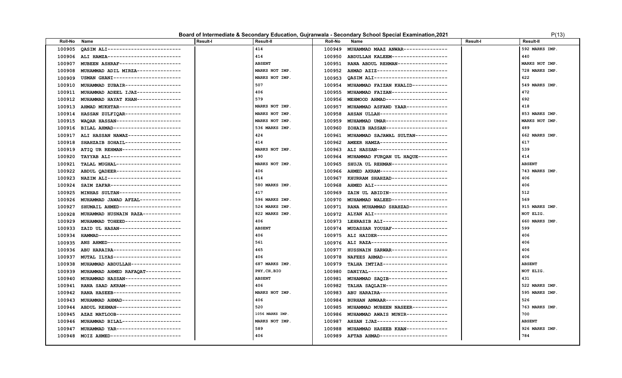### **Board of Intermediate & Secondary Education, Gujranwala - Secondary School Special Examination, 2021** P(13)

| <b>Roll-No</b> | Name                               | <b>Result-I</b> | <b>Result-II</b> | <b>Roll-No</b> | Name                                      | Result-I | <b>Result-II</b> |
|----------------|------------------------------------|-----------------|------------------|----------------|-------------------------------------------|----------|------------------|
| 100905         | OASIM ALI------------------------- |                 | 414              | 100949         | MUHAMMAD MAAZ ANWAR--------------         |          | 592 MARKS IMP.   |
| 100906         | ALI HAMZA------------------------- |                 | 414              | 100950         | ABDULLAH KALEEM-------------------        |          | 440              |
| 100907         | MUBEEN ASHRAF--------------------  |                 | <b>ABSENT</b>    | 100951         | RANA ABDUL REHMAN----------------         |          | MARKS NOT IMP.   |
| 100908         | MUHAMMAD ADIL MIRZA--------------- |                 | MARKS NOT IMP.   | 100952         | AHMAD AZIZ------------------------        |          | 728 MARKS IMP.   |
| 100909         | USMAN GHANI----------------------- |                 | MARKS NOT IMP.   | 100953         | OASIM ALI-------------------------        |          | 622              |
| 100910         | MUHAMMAD ZUBAIR------------------- |                 | 507              | 100954         | MUHAMMAD FAIZAN KHALID------------        |          | 549 MARKS IMP.   |
| 100911         | MUHAMMAD ADEEL IJAZ--------------- |                 | 406              | 100955         | MUHAMMAD FAIZAN-------------------        |          | 472              |
| 100912         | MUHAMMAD HAYAT KHAN--------------- |                 | 579              | 100956         | MEHMOOD AHMAD---------------------        |          | 692              |
| 100913         | AHMAD MUKHTAR--------------------- |                 | MARKS NOT IMP.   | 100957         | MUHAMMAD ASFAND YAAR--------------        |          | 418              |
| 100914         | HASSAN ZULFIOAR------------------- |                 | MARKS NOT IMP.   | 100958         | AHSAN ULLAH-----------------------        |          | 853 MARKS IMP.   |
| 100915         | WAQAR HASSAN---------------------- |                 | MARKS NOT IMP.   | 100959         | MUHAMMAD UMAR---------------------        |          | MARKS NOT IMP.   |
| 100916         | BILAL AHMAD----------------------- |                 | 536 MARKS IMP.   | 100960         | ZOHAIB HASSAN---------------------        |          | 489              |
| 100917         | ALI HASSAN NAWAZ------------------ |                 | 424              | 100961         | MUHAMMAD SAJAWAL SULTAN-----------        |          | 662 MARKS IMP.   |
| 100918         | SHAHZAIB SOHAIL------------------- |                 | 414              | 100962         | AMEER HAMZA-----------------------        |          | 617              |
| 100919         | ATIQ UR REHMAN-------------------- |                 | MARKS NOT IMP.   |                | 100963 ALI HASSAN------------------------ |          | 539              |
| 100920         | TAYYAB ALI------------------------ |                 | 490              | 100964         | MUHAMMAD FURQAN UL HAQUE----------        |          | 414              |
| 100921         | TALAL MUGHAL---------------------- |                 | MARKS NOT IMP.   | 100965         | SHUJA UL REHMAN-------------------        |          | <b>ABSENT</b>    |
| 100922         | ABDUL QADEER---------------------- |                 | 406              |                | 100966 AHMED AKRAM----------------------- |          | 743 MARKS IMP.   |
| 100923         | NAZIM ALI------------------------- |                 | 414              | 100967         | KHURRAM SHAHZAD-------------------        |          | 406              |
| 100924         | SAIM ZAFAR------------------------ |                 | 580 MARKS IMP.   | 100968         | AHMED ALI-------------------------        |          | 406              |
| 100925         | MINHAS SULTAN--------------------- |                 | 417              | 100969         | ZAIN UL ABIDIN--------------------        |          | 512              |
| 100926         | MUHAMMAD JAWAD AFZAL-------------  |                 | 596 MARKS IMP.   | 100970         | MUHAMMAD WALEED-------------------        |          | 569              |
| 100927         | SHUMAIL AHMED--------------------- |                 | 524 MARKS IMP.   |                | 100971 RANA MUHAMMAD SHAHZAD------------- |          | 915 MARKS IMP.   |
| 100928         | MUHAMMAD HUSNAIN RAZA------------- |                 | 822 MARKS IMP.   |                | 100972 ALYAN ALI------------------------- |          | NOT ELIG.        |
| 100929         | MUHAMMAD TOHEED------------------  |                 | 406              |                | 100973 LEHRASIB ALI---------------------  |          | 660 MARKS IMP.   |
| 100933         | ZAID UL HASAN--------------------- |                 | <b>ABSENT</b>    | 100974         | MUDASSAR YOUSAF------------------         |          | 599              |
| 100934         | HAMMAD---------------------------- |                 | 406              |                | 100975 ALI HAIDER------------------------ |          | 406              |
| 100935         | ANS AHMED------------------------- |                 | 561              |                | 100976 ALI RAZA-------------------------- |          | 406              |
| 100936         | ABU HARAIRA----------------------- |                 | 465              | 100977         | HUSSNAIN SARWAR-------------------        |          | 406              |
| 100937         | MUTAL ILYAS----------------------- |                 | 406              | 100978         | NAFEES AHMAD----------------------        |          | 406              |
| 100938         | MUHAMMAD ABDULLAH----------------  |                 | 687 MARKS IMP.   | 100979         | TALHA IMTIAZ----------------------        |          | <b>ABSENT</b>    |
| 100939         | MUHAMMAD AHMED RAFAQAT------------ |                 | PHY, CH, BIO     | 100980         | DANIYAL---------------------------        |          | NOT ELIG.        |
| 100940         | MUHAMMAD HASSAN------------------- |                 | <b>ABSENT</b>    | 100981         | MUHAMMAD SAQIB--------------------        |          | 431              |
| 100941         | RANA SAAD AKRAM------------------  |                 | 406              | 100982         | TALHA SAOLAIN---------------------        |          | 522 MARKS IMP.   |
| 100942         | RANA HASEEB----------------------- |                 | MARKS NOT IMP.   | 100983         | ABU HARAIRA-----------------------        |          | 595 MARKS IMP.   |
| 100943         | MUHAMMAD AHMAD-------------------  |                 | 406              | 100984         | BURHAN ANWAAR --------------------        |          | 526              |
| 100944         | ABDUL REHMAN---------------------  |                 | 520              | 100985         | MUHAMMAD MUBEEN NASEER------------        |          | 763 MARKS IMP.   |
| 100945         | AZAZ MATLOOB---------------------  |                 | 1056 MARKS IMP.  | 100986         | MUHAMMAD AWAIS MUNIR--------------        |          | 700              |
| 100946         | MUHAMMAD BILAL-------------------  |                 | MARKS NOT IMP.   | 100987         | AHSAN IJAZ------------------------        |          | <b>ABSENT</b>    |
| 100947         | MUHAMMAD YAR---------------------- |                 | 589              | 100988         | MUHAMMAD HASEEB KHAN-------------         |          | 926 MARKS IMP.   |
| 100948         | MOIZ AHMED------------------------ |                 | 406              |                | 100989 AFTAB AHMAD----------------------  |          | 784              |
|                |                                    |                 |                  |                |                                           |          |                  |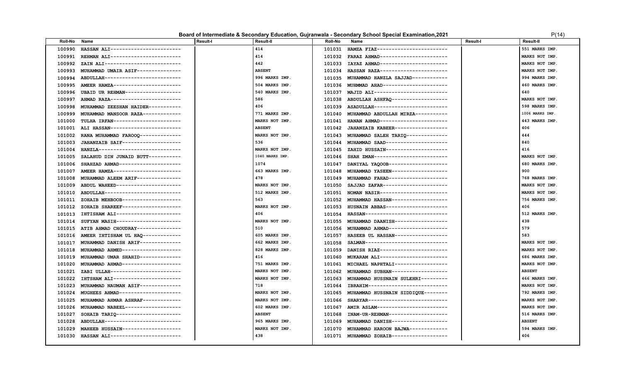### **Board of Intermediate & Secondary Education, Gujranwala - Secondary School Special Examination, 2021 P**(14)

| Roll-No | Name                               | <b>Result-I</b> | Result-II       | <b>Roll-No</b> | Name                                      | <b>Result-I</b> | <b>Result-II</b> |
|---------|------------------------------------|-----------------|-----------------|----------------|-------------------------------------------|-----------------|------------------|
| 100990  | HASSAN ALI------------------------ |                 | 414             | 101031         | HAMZA FIAZ------------------------        |                 | 551 MARKS IMP.   |
| 100991  | REHMAN ALI------------------------ |                 | 414             | 101032         | FARAZ AHMAD-----------------------        |                 | MARKS NOT IMP.   |
| 100992  | ZAIN ALI-------------------------- |                 | 442             | 101033         | IAYAZ AHMAD-----------------------        |                 | MARKS NOT IMP.   |
| 100993  | MUHAMMAD UMAIR ASIF--------------  |                 | <b>ABSENT</b>   | 101034         | HASSAN RAZA-----------------------        |                 | MARKS NOT IMP.   |
| 100994  | ABDULLAH-------------------------  |                 | 996 MARKS IMP.  | 101035         | MUHAMMAD HANZLA SAJJAD------------        |                 | 994 MARKS IMP.   |
| 100995  | AMEER HAMZA----------------------  |                 | 504 MARKS IMP.  |                | 101036 MUHMMAD AHAD---------------------  |                 | 460 MARKS IMP.   |
| 100996  | UBAID UR REHMAN------------------  |                 | 540 MARKS IMP.  | 101037         | MAJID ALI-------------------------        |                 | 640              |
| 100997  | AHMAD RAZA------------------------ |                 | 586             | 101038         | ABDULLAH ASHFAQ -------------------       |                 | MARKS NOT IMP.   |
| 100998  | MUHAMMAD ZEESHAN HAIDER----------- |                 | 406             | 101039         | ASADULLAH-------------------------        |                 | 598 MARKS IMP.   |
| 100999  | MUHAMMAD MANSOOR RAZA------------- |                 | 771 MARKS IMP.  | 101040         | MUHAMMAD ABDULLAH MIRZA-----------        |                 | 1006 MARKS IMP.  |
| 101000  | TULHA IRFAN----------------------- |                 | MARKS NOT IMP.  | 101041         | HANAN AHMAD----------------------         |                 | 443 MARKS IMP.   |
| 101001  | ALI HASSAN------------------------ |                 | <b>ABSENT</b>   | 101042         | JAHANZAIB KABEER------------------        |                 | 406              |
| 101002  | RANA MUHAMMAD FAROOQ-------------- |                 | MARKS NOT IMP.  | 101043         | MUHAMMAD SALEH TARIQ--------------        |                 | 444              |
| 101003  | JAHANZAIB SAIF-------------------- |                 | 536             | 101044         | MUHAMMAD SAAD---------------------        |                 | 840              |
| 101004  | HANZLA---------------------------- |                 | MARKS NOT IMP.  | 101045         | ZAHID HUSSAIN---------------------        |                 | 416              |
| 101005  | SALAHUD DIN JUNAID BUTT----------- |                 | 1040 MARKS IMP. | 101046         | SHAH ZMAN-------------------------        |                 | MARKS NOT IMP.   |
| 101006  | SHAHZAD AHMAD--------------------- |                 | 1074            | 101047         | DANIYAL YAQOOB--------------------        |                 | 680 MARKS IMP.   |
| 101007  | AMEER HAMZA----------------------- |                 | 663 MARKS IMP.  | 101048         | MUHAMMAD YASEEN------------------         |                 | 900              |
| 101008  | MUHAMMAD ALEEM ARIF--------------  |                 | 478             | 101049         | MUHAMMAD FAHAD--------------------        |                 | 768 MARKS IMP.   |
| 101009  | ABDUL WAHEED---------------------- |                 | MARKS NOT IMP.  | 101050         | SAJJAD ZAFAR----------------------        |                 | MARKS NOT IMP.   |
| 101010  | ABDULLAH-------------------------- |                 | 512 MARKS IMP.  | 101051         | NOMAN NASIR-----------------------        |                 | MARKS NOT IMP.   |
| 101011  | ZOHAIB MEHBOOB-------------------- |                 | 563             | 101052         | MUHAMMAD HASSAN-------------------        |                 | 756 MARKS IMP.   |
| 101012  | ZOHAIB SHAREEF-------------------- |                 | MARKS NOT IMP.  | 101053         | HUSNAIN ABBAS---------------------        |                 | 406              |
| 101013  | IHTISHAM ALI---------------------- |                 | 406             | 101054         | HASSAN----------------------------        |                 | 512 MARKS IMP.   |
| 101014  | SUFYAN MASIH---------------------- |                 | MARKS NOT IMP.  | 101055         | MUHAMMAD DAANISH------------------        |                 | 438              |
| 101015  | ATIB AHMAD CHOUDRAY--------------- |                 | 510             | 101056         | MUHAMMAD AHMAD-------------------         |                 | 579              |
| 101016  | AMEER IHTISHAM UL HAQ------------- |                 | 605 MARKS IMP.  | 101057         | HASEEB UL HASSAN------------------        |                 | 583              |
| 101017  | MUHAMMAD DANISH ARIF-------------  |                 | 662 MARKS IMP.  | 101058         | SALMAN---------------------------         |                 | MARKS NOT IMP.   |
| 101018  | MUHAMMAD AHMED-------------------- |                 | 828 MARKS IMP.  | 101059         | DANISH RIAZ-----------------------        |                 | MARKS NOT IMP.   |
| 101019  | MUHAMMAD UMAR SHAHID-------------- |                 | 416             | 101060         | MUKARAM ALI-----------------------        |                 | 686 MARKS IMP.   |
| 101020  | MUHAMMAD AHMAD ------------------- |                 | 751 MARKS IMP.  | 101061         | MICHAEL NAPHTALI-----------------         |                 | MARKS NOT IMP.   |
| 101021  | ZABI ULLAH------------------------ |                 | MARKS NOT IMP.  | 101062         | MUHAMMAD SUBHAN-------------------        |                 | <b>ABSENT</b>    |
| 101022  | IHTSHAM ALI----------------------- |                 | MARKS NOT IMP.  | 101063         | MUHAMMAD HUSSNAIN SULEHRI---------        |                 | 466 MARKS IMP.   |
| 101023  | MUHAMMAD NAUMAN ASIF-------------- |                 | 718             | 101064         | IBRAHIM---------------------------        |                 | MARKS NOT IMP.   |
| 101024  | MUGHEES AHMAD--------------------- |                 | MARKS NOT IMP.  | 101065         | MUHAMMAD HUSSNAIN SIDDIQUE--------        |                 | 792 MARKS IMP.   |
| 101025  | MUHAMMAD AHMAR ASHRAF------------- |                 | MARKS NOT IMP.  | 101066         | SHARYAR---------------------------        |                 | MARKS NOT IMP.   |
| 101026  | MUHAMMAD NABEEL------------------  |                 | 602 MARKS IMP.  | 101067         | AMIR ASLAM------------------------        |                 | MARKS NOT IMP.   |
| 101027  | SOHAIB TARIQ---------------------- |                 | <b>ABSENT</b>   | 101068         | INAM-UR-REHMAN--------------------        |                 | 516 MARKS IMP.   |
| 101028  | ABDULLAH-------------------------- |                 | 965 MARKS IMP.  | 101069         | MUHAMMAD DANISH------------------         |                 | <b>ABSENT</b>    |
| 101029  | MAHEEB HUSSAIN-------------------- |                 | MARKS NOT IMP.  | 101070         | MUHAMMAD HAROON BAJWA-------------        |                 | 594 MARKS IMP.   |
| 101030  | HASSAN ALI------------------------ |                 | 438             |                | 101071 MUHAMMAD ZOHAIB------------------- |                 | 406              |
|         |                                    |                 |                 |                |                                           |                 |                  |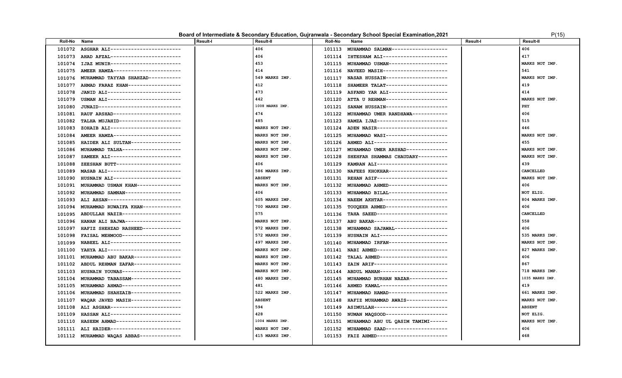### **Board of Intermediate & Secondary Education, Gujranwala - Secondary School Special Examination, 2021** P(15) P(15)

| 406<br>406<br>ASGHAR ALI------------------------<br>MUHAMMAD SALMAN------------------<br>101072<br>101113<br>406<br>417<br>AHAD AFZAL------------------------<br>IHTESHAM ALI----------------------<br>101073<br>101114<br>453<br>MUHAMMAD USMAN-------------------<br>MARKS NOT IMP.<br>101074<br>IJAZ MUNIR------------------------<br>101115<br>414<br>NAVEED MASIH---------------------<br>541<br>101075<br>AMEER HAMZA-----------------------<br>101116<br>MUHAMMAD TAYYAB SHAHZAD-----------<br>549 MARKS IMP.<br>NASAR HUSSAIN---------------------<br>MARKS NOT IMP.<br>101076<br>101117<br>AHMAD FARAZ KHAN-----------------<br>412<br>SHAMEER TALAT---------------------<br>419<br>101077<br>101118<br>JANID ALI-------------------------<br>473<br>414<br>ASFAND YAR ALI--------------------<br>101078<br>101119<br>USMAN ALI-------------------------<br>442<br>MARKS NOT IMP<br>ATTA U REHMAN---------------------<br>101079<br>101120<br>1008 MARKS IMP.<br>JUNAID---------------------------<br>PHY<br>101080<br>SANAM HUSSAIN---------------------<br>101121<br>474<br>406<br>RAUF ARSHAD-----------------------<br>101081<br>MUHAMMAD UMER RANDHAWA------------<br>101122<br>515<br>485<br>TALHA MUJAHID---------------------<br>HAMZA IJAZ------------------------<br>101082<br>101123<br>446<br>ZOHAIB ALI------------------------<br>MARKS NOT IMP.<br>ADEN NASIR------------------------<br>101083<br>101124<br>AMEER HAMZA-----------------------<br>MUHAMMAD WASI---------------------<br>MARKS NOT IMP.<br>MARKS NOT IMP.<br>101084<br>101125<br>455<br>HAIDER ALI SULTAN-----------------<br>MARKS NOT IMP.<br>AHMED ALI-------------------------<br>101085<br>101126<br>MARKS NOT IMP.<br>MARKS NOT IMP.<br>MUHAMMAD TALHA--------------------<br>101127<br>MUHAMMAD UMER ARSHAD--------------<br>101086<br>MARKS NOT IMP.<br>MARKS NOT IMP.<br>101087<br>SAMEER ALI------------------------<br>101128<br>SHEHFAR SHAMMAS CHAUDARY----------<br>406<br>439<br>101088<br>ZEESHAN BUTT----------------------<br>101129<br>KAMRAN ALI-----------------------<br>586 MARKS IMP.<br>CANCELLED<br>MASAB ALI-------------------------<br>NAFEES KHOKHAR--------------------<br>101089<br>101130<br><b>ABSENT</b><br>MARKS NOT IMP.<br>REHAN ASIF------------------------<br>101090<br>HUSNAIN ALI-----------------------<br>101131<br>MARKS NOT IMP.<br>406<br>101091<br>MUHAMMAD USMAN KHAN--------------<br>101132 MUHAMMAD AHMED-------------------<br>406<br>NOT ELIG.<br>101092<br>MUHAMMAD SAMNAN------------------<br>101133 MUHAMMAD BILAL--------------------<br>605 MARKS IMP.<br>804 MARKS IMP.<br>101093<br>ALI AHSAN-------------------------<br>101134 NAEEM AKHTAR----------------------<br>700 MARKS IMP.<br>406<br>101094<br>MUHAMMAD RUWAIFA KHAN-------------<br>101135 TOUQEER AHMED---------------------<br>575<br>CANCELLED<br>101095<br>ABDULLAH NAZIR-------------------<br>101136 TAHA SAEED------------------------<br>558<br>HANAN ALI BAJWA------------------<br>MARKS NOT IMP.<br>ABU BAKAR-------------------------<br>101096<br>101137<br>406<br>HAFIZ SHEHZAD RASHEED-------------<br>972 MARKS IMP.<br>MUHAMMAD SAJAWAL-----------------<br>101097<br>101138<br>535 MARKS IMP.<br>FAISAL MEHMOOD-------------------<br>572 MARKS IMP.<br>HUSNAIN ALI-----------------------<br>101098<br>101139<br>NABEEL ALI------------------------<br>497 MARKS IMP.<br>MUHAMMAD IRFAN--------------------<br>MARKS NOT IMP.<br>101099<br>101140<br>NABI AHMED-----------------------<br>YAHYA ALI-------------------------<br>MARKS NOT IMP.<br>827 MARKS IMP.<br>101100<br>101141<br>406<br>MUHAMMAD ABU BAKAR----------------<br>MARKS NOT IMP.<br>TALAL AHMED-----------------------<br>101101<br>101142<br>ABDUL REHMAN ZAFAR---------------<br>867<br>MARKS NOT IMP.<br>ZAIN ARIF-------------------------<br>101102<br>101143<br>HUSNAIN YOUNAS--------------------<br>MARKS NOT IMP.<br>ABDUL MANAN----------------------<br>718 MARKS IMP.<br>101103<br>101144<br>1035 MARKS IMP.<br>MUHAMMAD TABASSAM----------------<br>480 MARKS IMP.<br>MUHAMMAD BURHAN NAZAR-------------<br>101104<br>101145<br>419<br>481<br>101105<br>MUHAMMAD AHMAD--------------------<br>101146 AHMED KAMAL-----------------------<br>MUHAMMAD SHAHZAIB----------------<br>522 MARKS IMP.<br>MUHAMMAD HAMAD -------------------<br>661 MARKS IMP.<br>101106<br>101147<br>WAQAR JAVED MASIH-----------------<br><b>ABSENT</b><br>MARKS NOT IMP.<br>HAFIZ MUHAMMAD AWAIS--------------<br>101107<br>101148<br>ALI ASGHAR------------------------<br>594<br>101149 ASIMULLAH-------------------------<br><b>ABSENT</b><br>101108<br>428<br>HASSAN ALI------------------------<br>NUMAN MAQSOOD---------------------<br>NOT ELIG.<br>101109<br>101150<br>HASEEM AHMAD---------------------<br>1004 MARKS IMP.<br>MARKS NOT IMP.<br>101110<br>101151<br>MUHAMMAD ABU UL QASIM TAMIMI------<br>ALI HAIDER------------------------<br>MARKS NOT IMP.<br>406<br>101111<br>MUHAMMAD SAAD---------------------<br>101152<br>468<br>415 MARKS IMP.<br>101112 MUHAMMAD WAQAS ABBAS--------------<br>101153 FAIZ AHMED------------------------ | <b>Roll-No</b> | Name | <b>Result-I</b> | <b>Result-II</b> | <b>Roll-No</b> | Name | <b>Result-I</b> | <b>Result-II</b> |
|--------------------------------------------------------------------------------------------------------------------------------------------------------------------------------------------------------------------------------------------------------------------------------------------------------------------------------------------------------------------------------------------------------------------------------------------------------------------------------------------------------------------------------------------------------------------------------------------------------------------------------------------------------------------------------------------------------------------------------------------------------------------------------------------------------------------------------------------------------------------------------------------------------------------------------------------------------------------------------------------------------------------------------------------------------------------------------------------------------------------------------------------------------------------------------------------------------------------------------------------------------------------------------------------------------------------------------------------------------------------------------------------------------------------------------------------------------------------------------------------------------------------------------------------------------------------------------------------------------------------------------------------------------------------------------------------------------------------------------------------------------------------------------------------------------------------------------------------------------------------------------------------------------------------------------------------------------------------------------------------------------------------------------------------------------------------------------------------------------------------------------------------------------------------------------------------------------------------------------------------------------------------------------------------------------------------------------------------------------------------------------------------------------------------------------------------------------------------------------------------------------------------------------------------------------------------------------------------------------------------------------------------------------------------------------------------------------------------------------------------------------------------------------------------------------------------------------------------------------------------------------------------------------------------------------------------------------------------------------------------------------------------------------------------------------------------------------------------------------------------------------------------------------------------------------------------------------------------------------------------------------------------------------------------------------------------------------------------------------------------------------------------------------------------------------------------------------------------------------------------------------------------------------------------------------------------------------------------------------------------------------------------------------------------------------------------------------------------------------------------------------------------------------------------------------------------------------------------------------------------------------------------------------------------------------------------------------------------------------------------------------------------------------------------------------------------------------------------------------------------------------------------------------------------------------------------------------------------------------------------------------------------------------------------------------------------------------------------------------------------------------------------------------------------------------------------------------------------------------------------------------------------------------------------------------------------------------------------------------------------------------------------------------------------------------------------------------------------------------------------------------------------------------------------------------------------------------------------------------------------------------------------------------------------------------------------------------------------------------------------------------------------------------------------------------------------------------------------------------------------------------------------------------------|----------------|------|-----------------|------------------|----------------|------|-----------------|------------------|
|                                                                                                                                                                                                                                                                                                                                                                                                                                                                                                                                                                                                                                                                                                                                                                                                                                                                                                                                                                                                                                                                                                                                                                                                                                                                                                                                                                                                                                                                                                                                                                                                                                                                                                                                                                                                                                                                                                                                                                                                                                                                                                                                                                                                                                                                                                                                                                                                                                                                                                                                                                                                                                                                                                                                                                                                                                                                                                                                                                                                                                                                                                                                                                                                                                                                                                                                                                                                                                                                                                                                                                                                                                                                                                                                                                                                                                                                                                                                                                                                                                                                                                                                                                                                                                                                                                                                                                                                                                                                                                                                                                                                                                                                                                                                                                                                                                                                                                                                                                                                                                                                                                                                                              |                |      |                 |                  |                |      |                 |                  |
|                                                                                                                                                                                                                                                                                                                                                                                                                                                                                                                                                                                                                                                                                                                                                                                                                                                                                                                                                                                                                                                                                                                                                                                                                                                                                                                                                                                                                                                                                                                                                                                                                                                                                                                                                                                                                                                                                                                                                                                                                                                                                                                                                                                                                                                                                                                                                                                                                                                                                                                                                                                                                                                                                                                                                                                                                                                                                                                                                                                                                                                                                                                                                                                                                                                                                                                                                                                                                                                                                                                                                                                                                                                                                                                                                                                                                                                                                                                                                                                                                                                                                                                                                                                                                                                                                                                                                                                                                                                                                                                                                                                                                                                                                                                                                                                                                                                                                                                                                                                                                                                                                                                                                              |                |      |                 |                  |                |      |                 |                  |
|                                                                                                                                                                                                                                                                                                                                                                                                                                                                                                                                                                                                                                                                                                                                                                                                                                                                                                                                                                                                                                                                                                                                                                                                                                                                                                                                                                                                                                                                                                                                                                                                                                                                                                                                                                                                                                                                                                                                                                                                                                                                                                                                                                                                                                                                                                                                                                                                                                                                                                                                                                                                                                                                                                                                                                                                                                                                                                                                                                                                                                                                                                                                                                                                                                                                                                                                                                                                                                                                                                                                                                                                                                                                                                                                                                                                                                                                                                                                                                                                                                                                                                                                                                                                                                                                                                                                                                                                                                                                                                                                                                                                                                                                                                                                                                                                                                                                                                                                                                                                                                                                                                                                                              |                |      |                 |                  |                |      |                 |                  |
|                                                                                                                                                                                                                                                                                                                                                                                                                                                                                                                                                                                                                                                                                                                                                                                                                                                                                                                                                                                                                                                                                                                                                                                                                                                                                                                                                                                                                                                                                                                                                                                                                                                                                                                                                                                                                                                                                                                                                                                                                                                                                                                                                                                                                                                                                                                                                                                                                                                                                                                                                                                                                                                                                                                                                                                                                                                                                                                                                                                                                                                                                                                                                                                                                                                                                                                                                                                                                                                                                                                                                                                                                                                                                                                                                                                                                                                                                                                                                                                                                                                                                                                                                                                                                                                                                                                                                                                                                                                                                                                                                                                                                                                                                                                                                                                                                                                                                                                                                                                                                                                                                                                                                              |                |      |                 |                  |                |      |                 |                  |
|                                                                                                                                                                                                                                                                                                                                                                                                                                                                                                                                                                                                                                                                                                                                                                                                                                                                                                                                                                                                                                                                                                                                                                                                                                                                                                                                                                                                                                                                                                                                                                                                                                                                                                                                                                                                                                                                                                                                                                                                                                                                                                                                                                                                                                                                                                                                                                                                                                                                                                                                                                                                                                                                                                                                                                                                                                                                                                                                                                                                                                                                                                                                                                                                                                                                                                                                                                                                                                                                                                                                                                                                                                                                                                                                                                                                                                                                                                                                                                                                                                                                                                                                                                                                                                                                                                                                                                                                                                                                                                                                                                                                                                                                                                                                                                                                                                                                                                                                                                                                                                                                                                                                                              |                |      |                 |                  |                |      |                 |                  |
|                                                                                                                                                                                                                                                                                                                                                                                                                                                                                                                                                                                                                                                                                                                                                                                                                                                                                                                                                                                                                                                                                                                                                                                                                                                                                                                                                                                                                                                                                                                                                                                                                                                                                                                                                                                                                                                                                                                                                                                                                                                                                                                                                                                                                                                                                                                                                                                                                                                                                                                                                                                                                                                                                                                                                                                                                                                                                                                                                                                                                                                                                                                                                                                                                                                                                                                                                                                                                                                                                                                                                                                                                                                                                                                                                                                                                                                                                                                                                                                                                                                                                                                                                                                                                                                                                                                                                                                                                                                                                                                                                                                                                                                                                                                                                                                                                                                                                                                                                                                                                                                                                                                                                              |                |      |                 |                  |                |      |                 |                  |
|                                                                                                                                                                                                                                                                                                                                                                                                                                                                                                                                                                                                                                                                                                                                                                                                                                                                                                                                                                                                                                                                                                                                                                                                                                                                                                                                                                                                                                                                                                                                                                                                                                                                                                                                                                                                                                                                                                                                                                                                                                                                                                                                                                                                                                                                                                                                                                                                                                                                                                                                                                                                                                                                                                                                                                                                                                                                                                                                                                                                                                                                                                                                                                                                                                                                                                                                                                                                                                                                                                                                                                                                                                                                                                                                                                                                                                                                                                                                                                                                                                                                                                                                                                                                                                                                                                                                                                                                                                                                                                                                                                                                                                                                                                                                                                                                                                                                                                                                                                                                                                                                                                                                                              |                |      |                 |                  |                |      |                 |                  |
|                                                                                                                                                                                                                                                                                                                                                                                                                                                                                                                                                                                                                                                                                                                                                                                                                                                                                                                                                                                                                                                                                                                                                                                                                                                                                                                                                                                                                                                                                                                                                                                                                                                                                                                                                                                                                                                                                                                                                                                                                                                                                                                                                                                                                                                                                                                                                                                                                                                                                                                                                                                                                                                                                                                                                                                                                                                                                                                                                                                                                                                                                                                                                                                                                                                                                                                                                                                                                                                                                                                                                                                                                                                                                                                                                                                                                                                                                                                                                                                                                                                                                                                                                                                                                                                                                                                                                                                                                                                                                                                                                                                                                                                                                                                                                                                                                                                                                                                                                                                                                                                                                                                                                              |                |      |                 |                  |                |      |                 |                  |
|                                                                                                                                                                                                                                                                                                                                                                                                                                                                                                                                                                                                                                                                                                                                                                                                                                                                                                                                                                                                                                                                                                                                                                                                                                                                                                                                                                                                                                                                                                                                                                                                                                                                                                                                                                                                                                                                                                                                                                                                                                                                                                                                                                                                                                                                                                                                                                                                                                                                                                                                                                                                                                                                                                                                                                                                                                                                                                                                                                                                                                                                                                                                                                                                                                                                                                                                                                                                                                                                                                                                                                                                                                                                                                                                                                                                                                                                                                                                                                                                                                                                                                                                                                                                                                                                                                                                                                                                                                                                                                                                                                                                                                                                                                                                                                                                                                                                                                                                                                                                                                                                                                                                                              |                |      |                 |                  |                |      |                 |                  |
|                                                                                                                                                                                                                                                                                                                                                                                                                                                                                                                                                                                                                                                                                                                                                                                                                                                                                                                                                                                                                                                                                                                                                                                                                                                                                                                                                                                                                                                                                                                                                                                                                                                                                                                                                                                                                                                                                                                                                                                                                                                                                                                                                                                                                                                                                                                                                                                                                                                                                                                                                                                                                                                                                                                                                                                                                                                                                                                                                                                                                                                                                                                                                                                                                                                                                                                                                                                                                                                                                                                                                                                                                                                                                                                                                                                                                                                                                                                                                                                                                                                                                                                                                                                                                                                                                                                                                                                                                                                                                                                                                                                                                                                                                                                                                                                                                                                                                                                                                                                                                                                                                                                                                              |                |      |                 |                  |                |      |                 |                  |
|                                                                                                                                                                                                                                                                                                                                                                                                                                                                                                                                                                                                                                                                                                                                                                                                                                                                                                                                                                                                                                                                                                                                                                                                                                                                                                                                                                                                                                                                                                                                                                                                                                                                                                                                                                                                                                                                                                                                                                                                                                                                                                                                                                                                                                                                                                                                                                                                                                                                                                                                                                                                                                                                                                                                                                                                                                                                                                                                                                                                                                                                                                                                                                                                                                                                                                                                                                                                                                                                                                                                                                                                                                                                                                                                                                                                                                                                                                                                                                                                                                                                                                                                                                                                                                                                                                                                                                                                                                                                                                                                                                                                                                                                                                                                                                                                                                                                                                                                                                                                                                                                                                                                                              |                |      |                 |                  |                |      |                 |                  |
|                                                                                                                                                                                                                                                                                                                                                                                                                                                                                                                                                                                                                                                                                                                                                                                                                                                                                                                                                                                                                                                                                                                                                                                                                                                                                                                                                                                                                                                                                                                                                                                                                                                                                                                                                                                                                                                                                                                                                                                                                                                                                                                                                                                                                                                                                                                                                                                                                                                                                                                                                                                                                                                                                                                                                                                                                                                                                                                                                                                                                                                                                                                                                                                                                                                                                                                                                                                                                                                                                                                                                                                                                                                                                                                                                                                                                                                                                                                                                                                                                                                                                                                                                                                                                                                                                                                                                                                                                                                                                                                                                                                                                                                                                                                                                                                                                                                                                                                                                                                                                                                                                                                                                              |                |      |                 |                  |                |      |                 |                  |
|                                                                                                                                                                                                                                                                                                                                                                                                                                                                                                                                                                                                                                                                                                                                                                                                                                                                                                                                                                                                                                                                                                                                                                                                                                                                                                                                                                                                                                                                                                                                                                                                                                                                                                                                                                                                                                                                                                                                                                                                                                                                                                                                                                                                                                                                                                                                                                                                                                                                                                                                                                                                                                                                                                                                                                                                                                                                                                                                                                                                                                                                                                                                                                                                                                                                                                                                                                                                                                                                                                                                                                                                                                                                                                                                                                                                                                                                                                                                                                                                                                                                                                                                                                                                                                                                                                                                                                                                                                                                                                                                                                                                                                                                                                                                                                                                                                                                                                                                                                                                                                                                                                                                                              |                |      |                 |                  |                |      |                 |                  |
|                                                                                                                                                                                                                                                                                                                                                                                                                                                                                                                                                                                                                                                                                                                                                                                                                                                                                                                                                                                                                                                                                                                                                                                                                                                                                                                                                                                                                                                                                                                                                                                                                                                                                                                                                                                                                                                                                                                                                                                                                                                                                                                                                                                                                                                                                                                                                                                                                                                                                                                                                                                                                                                                                                                                                                                                                                                                                                                                                                                                                                                                                                                                                                                                                                                                                                                                                                                                                                                                                                                                                                                                                                                                                                                                                                                                                                                                                                                                                                                                                                                                                                                                                                                                                                                                                                                                                                                                                                                                                                                                                                                                                                                                                                                                                                                                                                                                                                                                                                                                                                                                                                                                                              |                |      |                 |                  |                |      |                 |                  |
|                                                                                                                                                                                                                                                                                                                                                                                                                                                                                                                                                                                                                                                                                                                                                                                                                                                                                                                                                                                                                                                                                                                                                                                                                                                                                                                                                                                                                                                                                                                                                                                                                                                                                                                                                                                                                                                                                                                                                                                                                                                                                                                                                                                                                                                                                                                                                                                                                                                                                                                                                                                                                                                                                                                                                                                                                                                                                                                                                                                                                                                                                                                                                                                                                                                                                                                                                                                                                                                                                                                                                                                                                                                                                                                                                                                                                                                                                                                                                                                                                                                                                                                                                                                                                                                                                                                                                                                                                                                                                                                                                                                                                                                                                                                                                                                                                                                                                                                                                                                                                                                                                                                                                              |                |      |                 |                  |                |      |                 |                  |
|                                                                                                                                                                                                                                                                                                                                                                                                                                                                                                                                                                                                                                                                                                                                                                                                                                                                                                                                                                                                                                                                                                                                                                                                                                                                                                                                                                                                                                                                                                                                                                                                                                                                                                                                                                                                                                                                                                                                                                                                                                                                                                                                                                                                                                                                                                                                                                                                                                                                                                                                                                                                                                                                                                                                                                                                                                                                                                                                                                                                                                                                                                                                                                                                                                                                                                                                                                                                                                                                                                                                                                                                                                                                                                                                                                                                                                                                                                                                                                                                                                                                                                                                                                                                                                                                                                                                                                                                                                                                                                                                                                                                                                                                                                                                                                                                                                                                                                                                                                                                                                                                                                                                                              |                |      |                 |                  |                |      |                 |                  |
|                                                                                                                                                                                                                                                                                                                                                                                                                                                                                                                                                                                                                                                                                                                                                                                                                                                                                                                                                                                                                                                                                                                                                                                                                                                                                                                                                                                                                                                                                                                                                                                                                                                                                                                                                                                                                                                                                                                                                                                                                                                                                                                                                                                                                                                                                                                                                                                                                                                                                                                                                                                                                                                                                                                                                                                                                                                                                                                                                                                                                                                                                                                                                                                                                                                                                                                                                                                                                                                                                                                                                                                                                                                                                                                                                                                                                                                                                                                                                                                                                                                                                                                                                                                                                                                                                                                                                                                                                                                                                                                                                                                                                                                                                                                                                                                                                                                                                                                                                                                                                                                                                                                                                              |                |      |                 |                  |                |      |                 |                  |
|                                                                                                                                                                                                                                                                                                                                                                                                                                                                                                                                                                                                                                                                                                                                                                                                                                                                                                                                                                                                                                                                                                                                                                                                                                                                                                                                                                                                                                                                                                                                                                                                                                                                                                                                                                                                                                                                                                                                                                                                                                                                                                                                                                                                                                                                                                                                                                                                                                                                                                                                                                                                                                                                                                                                                                                                                                                                                                                                                                                                                                                                                                                                                                                                                                                                                                                                                                                                                                                                                                                                                                                                                                                                                                                                                                                                                                                                                                                                                                                                                                                                                                                                                                                                                                                                                                                                                                                                                                                                                                                                                                                                                                                                                                                                                                                                                                                                                                                                                                                                                                                                                                                                                              |                |      |                 |                  |                |      |                 |                  |
|                                                                                                                                                                                                                                                                                                                                                                                                                                                                                                                                                                                                                                                                                                                                                                                                                                                                                                                                                                                                                                                                                                                                                                                                                                                                                                                                                                                                                                                                                                                                                                                                                                                                                                                                                                                                                                                                                                                                                                                                                                                                                                                                                                                                                                                                                                                                                                                                                                                                                                                                                                                                                                                                                                                                                                                                                                                                                                                                                                                                                                                                                                                                                                                                                                                                                                                                                                                                                                                                                                                                                                                                                                                                                                                                                                                                                                                                                                                                                                                                                                                                                                                                                                                                                                                                                                                                                                                                                                                                                                                                                                                                                                                                                                                                                                                                                                                                                                                                                                                                                                                                                                                                                              |                |      |                 |                  |                |      |                 |                  |
|                                                                                                                                                                                                                                                                                                                                                                                                                                                                                                                                                                                                                                                                                                                                                                                                                                                                                                                                                                                                                                                                                                                                                                                                                                                                                                                                                                                                                                                                                                                                                                                                                                                                                                                                                                                                                                                                                                                                                                                                                                                                                                                                                                                                                                                                                                                                                                                                                                                                                                                                                                                                                                                                                                                                                                                                                                                                                                                                                                                                                                                                                                                                                                                                                                                                                                                                                                                                                                                                                                                                                                                                                                                                                                                                                                                                                                                                                                                                                                                                                                                                                                                                                                                                                                                                                                                                                                                                                                                                                                                                                                                                                                                                                                                                                                                                                                                                                                                                                                                                                                                                                                                                                              |                |      |                 |                  |                |      |                 |                  |
|                                                                                                                                                                                                                                                                                                                                                                                                                                                                                                                                                                                                                                                                                                                                                                                                                                                                                                                                                                                                                                                                                                                                                                                                                                                                                                                                                                                                                                                                                                                                                                                                                                                                                                                                                                                                                                                                                                                                                                                                                                                                                                                                                                                                                                                                                                                                                                                                                                                                                                                                                                                                                                                                                                                                                                                                                                                                                                                                                                                                                                                                                                                                                                                                                                                                                                                                                                                                                                                                                                                                                                                                                                                                                                                                                                                                                                                                                                                                                                                                                                                                                                                                                                                                                                                                                                                                                                                                                                                                                                                                                                                                                                                                                                                                                                                                                                                                                                                                                                                                                                                                                                                                                              |                |      |                 |                  |                |      |                 |                  |
|                                                                                                                                                                                                                                                                                                                                                                                                                                                                                                                                                                                                                                                                                                                                                                                                                                                                                                                                                                                                                                                                                                                                                                                                                                                                                                                                                                                                                                                                                                                                                                                                                                                                                                                                                                                                                                                                                                                                                                                                                                                                                                                                                                                                                                                                                                                                                                                                                                                                                                                                                                                                                                                                                                                                                                                                                                                                                                                                                                                                                                                                                                                                                                                                                                                                                                                                                                                                                                                                                                                                                                                                                                                                                                                                                                                                                                                                                                                                                                                                                                                                                                                                                                                                                                                                                                                                                                                                                                                                                                                                                                                                                                                                                                                                                                                                                                                                                                                                                                                                                                                                                                                                                              |                |      |                 |                  |                |      |                 |                  |
|                                                                                                                                                                                                                                                                                                                                                                                                                                                                                                                                                                                                                                                                                                                                                                                                                                                                                                                                                                                                                                                                                                                                                                                                                                                                                                                                                                                                                                                                                                                                                                                                                                                                                                                                                                                                                                                                                                                                                                                                                                                                                                                                                                                                                                                                                                                                                                                                                                                                                                                                                                                                                                                                                                                                                                                                                                                                                                                                                                                                                                                                                                                                                                                                                                                                                                                                                                                                                                                                                                                                                                                                                                                                                                                                                                                                                                                                                                                                                                                                                                                                                                                                                                                                                                                                                                                                                                                                                                                                                                                                                                                                                                                                                                                                                                                                                                                                                                                                                                                                                                                                                                                                                              |                |      |                 |                  |                |      |                 |                  |
|                                                                                                                                                                                                                                                                                                                                                                                                                                                                                                                                                                                                                                                                                                                                                                                                                                                                                                                                                                                                                                                                                                                                                                                                                                                                                                                                                                                                                                                                                                                                                                                                                                                                                                                                                                                                                                                                                                                                                                                                                                                                                                                                                                                                                                                                                                                                                                                                                                                                                                                                                                                                                                                                                                                                                                                                                                                                                                                                                                                                                                                                                                                                                                                                                                                                                                                                                                                                                                                                                                                                                                                                                                                                                                                                                                                                                                                                                                                                                                                                                                                                                                                                                                                                                                                                                                                                                                                                                                                                                                                                                                                                                                                                                                                                                                                                                                                                                                                                                                                                                                                                                                                                                              |                |      |                 |                  |                |      |                 |                  |
|                                                                                                                                                                                                                                                                                                                                                                                                                                                                                                                                                                                                                                                                                                                                                                                                                                                                                                                                                                                                                                                                                                                                                                                                                                                                                                                                                                                                                                                                                                                                                                                                                                                                                                                                                                                                                                                                                                                                                                                                                                                                                                                                                                                                                                                                                                                                                                                                                                                                                                                                                                                                                                                                                                                                                                                                                                                                                                                                                                                                                                                                                                                                                                                                                                                                                                                                                                                                                                                                                                                                                                                                                                                                                                                                                                                                                                                                                                                                                                                                                                                                                                                                                                                                                                                                                                                                                                                                                                                                                                                                                                                                                                                                                                                                                                                                                                                                                                                                                                                                                                                                                                                                                              |                |      |                 |                  |                |      |                 |                  |
|                                                                                                                                                                                                                                                                                                                                                                                                                                                                                                                                                                                                                                                                                                                                                                                                                                                                                                                                                                                                                                                                                                                                                                                                                                                                                                                                                                                                                                                                                                                                                                                                                                                                                                                                                                                                                                                                                                                                                                                                                                                                                                                                                                                                                                                                                                                                                                                                                                                                                                                                                                                                                                                                                                                                                                                                                                                                                                                                                                                                                                                                                                                                                                                                                                                                                                                                                                                                                                                                                                                                                                                                                                                                                                                                                                                                                                                                                                                                                                                                                                                                                                                                                                                                                                                                                                                                                                                                                                                                                                                                                                                                                                                                                                                                                                                                                                                                                                                                                                                                                                                                                                                                                              |                |      |                 |                  |                |      |                 |                  |
|                                                                                                                                                                                                                                                                                                                                                                                                                                                                                                                                                                                                                                                                                                                                                                                                                                                                                                                                                                                                                                                                                                                                                                                                                                                                                                                                                                                                                                                                                                                                                                                                                                                                                                                                                                                                                                                                                                                                                                                                                                                                                                                                                                                                                                                                                                                                                                                                                                                                                                                                                                                                                                                                                                                                                                                                                                                                                                                                                                                                                                                                                                                                                                                                                                                                                                                                                                                                                                                                                                                                                                                                                                                                                                                                                                                                                                                                                                                                                                                                                                                                                                                                                                                                                                                                                                                                                                                                                                                                                                                                                                                                                                                                                                                                                                                                                                                                                                                                                                                                                                                                                                                                                              |                |      |                 |                  |                |      |                 |                  |
|                                                                                                                                                                                                                                                                                                                                                                                                                                                                                                                                                                                                                                                                                                                                                                                                                                                                                                                                                                                                                                                                                                                                                                                                                                                                                                                                                                                                                                                                                                                                                                                                                                                                                                                                                                                                                                                                                                                                                                                                                                                                                                                                                                                                                                                                                                                                                                                                                                                                                                                                                                                                                                                                                                                                                                                                                                                                                                                                                                                                                                                                                                                                                                                                                                                                                                                                                                                                                                                                                                                                                                                                                                                                                                                                                                                                                                                                                                                                                                                                                                                                                                                                                                                                                                                                                                                                                                                                                                                                                                                                                                                                                                                                                                                                                                                                                                                                                                                                                                                                                                                                                                                                                              |                |      |                 |                  |                |      |                 |                  |
|                                                                                                                                                                                                                                                                                                                                                                                                                                                                                                                                                                                                                                                                                                                                                                                                                                                                                                                                                                                                                                                                                                                                                                                                                                                                                                                                                                                                                                                                                                                                                                                                                                                                                                                                                                                                                                                                                                                                                                                                                                                                                                                                                                                                                                                                                                                                                                                                                                                                                                                                                                                                                                                                                                                                                                                                                                                                                                                                                                                                                                                                                                                                                                                                                                                                                                                                                                                                                                                                                                                                                                                                                                                                                                                                                                                                                                                                                                                                                                                                                                                                                                                                                                                                                                                                                                                                                                                                                                                                                                                                                                                                                                                                                                                                                                                                                                                                                                                                                                                                                                                                                                                                                              |                |      |                 |                  |                |      |                 |                  |
|                                                                                                                                                                                                                                                                                                                                                                                                                                                                                                                                                                                                                                                                                                                                                                                                                                                                                                                                                                                                                                                                                                                                                                                                                                                                                                                                                                                                                                                                                                                                                                                                                                                                                                                                                                                                                                                                                                                                                                                                                                                                                                                                                                                                                                                                                                                                                                                                                                                                                                                                                                                                                                                                                                                                                                                                                                                                                                                                                                                                                                                                                                                                                                                                                                                                                                                                                                                                                                                                                                                                                                                                                                                                                                                                                                                                                                                                                                                                                                                                                                                                                                                                                                                                                                                                                                                                                                                                                                                                                                                                                                                                                                                                                                                                                                                                                                                                                                                                                                                                                                                                                                                                                              |                |      |                 |                  |                |      |                 |                  |
|                                                                                                                                                                                                                                                                                                                                                                                                                                                                                                                                                                                                                                                                                                                                                                                                                                                                                                                                                                                                                                                                                                                                                                                                                                                                                                                                                                                                                                                                                                                                                                                                                                                                                                                                                                                                                                                                                                                                                                                                                                                                                                                                                                                                                                                                                                                                                                                                                                                                                                                                                                                                                                                                                                                                                                                                                                                                                                                                                                                                                                                                                                                                                                                                                                                                                                                                                                                                                                                                                                                                                                                                                                                                                                                                                                                                                                                                                                                                                                                                                                                                                                                                                                                                                                                                                                                                                                                                                                                                                                                                                                                                                                                                                                                                                                                                                                                                                                                                                                                                                                                                                                                                                              |                |      |                 |                  |                |      |                 |                  |
|                                                                                                                                                                                                                                                                                                                                                                                                                                                                                                                                                                                                                                                                                                                                                                                                                                                                                                                                                                                                                                                                                                                                                                                                                                                                                                                                                                                                                                                                                                                                                                                                                                                                                                                                                                                                                                                                                                                                                                                                                                                                                                                                                                                                                                                                                                                                                                                                                                                                                                                                                                                                                                                                                                                                                                                                                                                                                                                                                                                                                                                                                                                                                                                                                                                                                                                                                                                                                                                                                                                                                                                                                                                                                                                                                                                                                                                                                                                                                                                                                                                                                                                                                                                                                                                                                                                                                                                                                                                                                                                                                                                                                                                                                                                                                                                                                                                                                                                                                                                                                                                                                                                                                              |                |      |                 |                  |                |      |                 |                  |
|                                                                                                                                                                                                                                                                                                                                                                                                                                                                                                                                                                                                                                                                                                                                                                                                                                                                                                                                                                                                                                                                                                                                                                                                                                                                                                                                                                                                                                                                                                                                                                                                                                                                                                                                                                                                                                                                                                                                                                                                                                                                                                                                                                                                                                                                                                                                                                                                                                                                                                                                                                                                                                                                                                                                                                                                                                                                                                                                                                                                                                                                                                                                                                                                                                                                                                                                                                                                                                                                                                                                                                                                                                                                                                                                                                                                                                                                                                                                                                                                                                                                                                                                                                                                                                                                                                                                                                                                                                                                                                                                                                                                                                                                                                                                                                                                                                                                                                                                                                                                                                                                                                                                                              |                |      |                 |                  |                |      |                 |                  |
|                                                                                                                                                                                                                                                                                                                                                                                                                                                                                                                                                                                                                                                                                                                                                                                                                                                                                                                                                                                                                                                                                                                                                                                                                                                                                                                                                                                                                                                                                                                                                                                                                                                                                                                                                                                                                                                                                                                                                                                                                                                                                                                                                                                                                                                                                                                                                                                                                                                                                                                                                                                                                                                                                                                                                                                                                                                                                                                                                                                                                                                                                                                                                                                                                                                                                                                                                                                                                                                                                                                                                                                                                                                                                                                                                                                                                                                                                                                                                                                                                                                                                                                                                                                                                                                                                                                                                                                                                                                                                                                                                                                                                                                                                                                                                                                                                                                                                                                                                                                                                                                                                                                                                              |                |      |                 |                  |                |      |                 |                  |
|                                                                                                                                                                                                                                                                                                                                                                                                                                                                                                                                                                                                                                                                                                                                                                                                                                                                                                                                                                                                                                                                                                                                                                                                                                                                                                                                                                                                                                                                                                                                                                                                                                                                                                                                                                                                                                                                                                                                                                                                                                                                                                                                                                                                                                                                                                                                                                                                                                                                                                                                                                                                                                                                                                                                                                                                                                                                                                                                                                                                                                                                                                                                                                                                                                                                                                                                                                                                                                                                                                                                                                                                                                                                                                                                                                                                                                                                                                                                                                                                                                                                                                                                                                                                                                                                                                                                                                                                                                                                                                                                                                                                                                                                                                                                                                                                                                                                                                                                                                                                                                                                                                                                                              |                |      |                 |                  |                |      |                 |                  |
|                                                                                                                                                                                                                                                                                                                                                                                                                                                                                                                                                                                                                                                                                                                                                                                                                                                                                                                                                                                                                                                                                                                                                                                                                                                                                                                                                                                                                                                                                                                                                                                                                                                                                                                                                                                                                                                                                                                                                                                                                                                                                                                                                                                                                                                                                                                                                                                                                                                                                                                                                                                                                                                                                                                                                                                                                                                                                                                                                                                                                                                                                                                                                                                                                                                                                                                                                                                                                                                                                                                                                                                                                                                                                                                                                                                                                                                                                                                                                                                                                                                                                                                                                                                                                                                                                                                                                                                                                                                                                                                                                                                                                                                                                                                                                                                                                                                                                                                                                                                                                                                                                                                                                              |                |      |                 |                  |                |      |                 |                  |
|                                                                                                                                                                                                                                                                                                                                                                                                                                                                                                                                                                                                                                                                                                                                                                                                                                                                                                                                                                                                                                                                                                                                                                                                                                                                                                                                                                                                                                                                                                                                                                                                                                                                                                                                                                                                                                                                                                                                                                                                                                                                                                                                                                                                                                                                                                                                                                                                                                                                                                                                                                                                                                                                                                                                                                                                                                                                                                                                                                                                                                                                                                                                                                                                                                                                                                                                                                                                                                                                                                                                                                                                                                                                                                                                                                                                                                                                                                                                                                                                                                                                                                                                                                                                                                                                                                                                                                                                                                                                                                                                                                                                                                                                                                                                                                                                                                                                                                                                                                                                                                                                                                                                                              |                |      |                 |                  |                |      |                 |                  |
|                                                                                                                                                                                                                                                                                                                                                                                                                                                                                                                                                                                                                                                                                                                                                                                                                                                                                                                                                                                                                                                                                                                                                                                                                                                                                                                                                                                                                                                                                                                                                                                                                                                                                                                                                                                                                                                                                                                                                                                                                                                                                                                                                                                                                                                                                                                                                                                                                                                                                                                                                                                                                                                                                                                                                                                                                                                                                                                                                                                                                                                                                                                                                                                                                                                                                                                                                                                                                                                                                                                                                                                                                                                                                                                                                                                                                                                                                                                                                                                                                                                                                                                                                                                                                                                                                                                                                                                                                                                                                                                                                                                                                                                                                                                                                                                                                                                                                                                                                                                                                                                                                                                                                              |                |      |                 |                  |                |      |                 |                  |
|                                                                                                                                                                                                                                                                                                                                                                                                                                                                                                                                                                                                                                                                                                                                                                                                                                                                                                                                                                                                                                                                                                                                                                                                                                                                                                                                                                                                                                                                                                                                                                                                                                                                                                                                                                                                                                                                                                                                                                                                                                                                                                                                                                                                                                                                                                                                                                                                                                                                                                                                                                                                                                                                                                                                                                                                                                                                                                                                                                                                                                                                                                                                                                                                                                                                                                                                                                                                                                                                                                                                                                                                                                                                                                                                                                                                                                                                                                                                                                                                                                                                                                                                                                                                                                                                                                                                                                                                                                                                                                                                                                                                                                                                                                                                                                                                                                                                                                                                                                                                                                                                                                                                                              |                |      |                 |                  |                |      |                 |                  |
|                                                                                                                                                                                                                                                                                                                                                                                                                                                                                                                                                                                                                                                                                                                                                                                                                                                                                                                                                                                                                                                                                                                                                                                                                                                                                                                                                                                                                                                                                                                                                                                                                                                                                                                                                                                                                                                                                                                                                                                                                                                                                                                                                                                                                                                                                                                                                                                                                                                                                                                                                                                                                                                                                                                                                                                                                                                                                                                                                                                                                                                                                                                                                                                                                                                                                                                                                                                                                                                                                                                                                                                                                                                                                                                                                                                                                                                                                                                                                                                                                                                                                                                                                                                                                                                                                                                                                                                                                                                                                                                                                                                                                                                                                                                                                                                                                                                                                                                                                                                                                                                                                                                                                              |                |      |                 |                  |                |      |                 |                  |
|                                                                                                                                                                                                                                                                                                                                                                                                                                                                                                                                                                                                                                                                                                                                                                                                                                                                                                                                                                                                                                                                                                                                                                                                                                                                                                                                                                                                                                                                                                                                                                                                                                                                                                                                                                                                                                                                                                                                                                                                                                                                                                                                                                                                                                                                                                                                                                                                                                                                                                                                                                                                                                                                                                                                                                                                                                                                                                                                                                                                                                                                                                                                                                                                                                                                                                                                                                                                                                                                                                                                                                                                                                                                                                                                                                                                                                                                                                                                                                                                                                                                                                                                                                                                                                                                                                                                                                                                                                                                                                                                                                                                                                                                                                                                                                                                                                                                                                                                                                                                                                                                                                                                                              |                |      |                 |                  |                |      |                 |                  |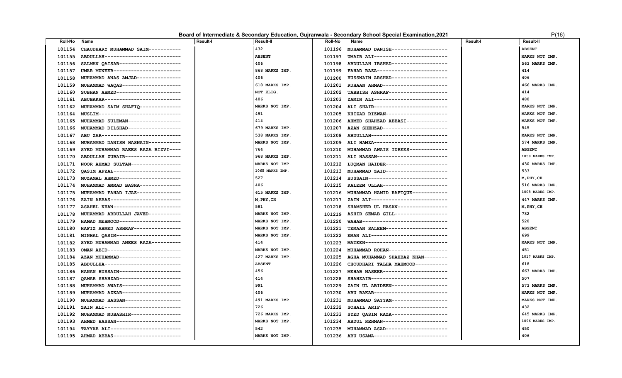#### **Board of Intermediate & Secondary Education, Gujranwala - Secondary School Special Examination, 2021** P(16)

|  | P(16) |  |
|--|-------|--|
|  |       |  |

| <b>Roll-No</b> | Name                                      | <b>Result-I</b> | <b>Result-II</b> | <b>Roll-No</b> | Name                                      | <b>Result-I</b> | <b>Result-II</b> |
|----------------|-------------------------------------------|-----------------|------------------|----------------|-------------------------------------------|-----------------|------------------|
| 101154         | CHAUDHARY MUHAMMAD SAIM-----------        |                 | 432              | 101196         | MUHAMMAD DANISH------------------         |                 | <b>ABSENT</b>    |
| 101155         | ABDULLAH-------------------------         |                 | <b>ABSENT</b>    | 101197         | UMAIR ALI-------------------------        |                 | MARKS NOT IMP.   |
| 101156         | SALMAN OAISAR---------------------        |                 | 406              | 101198         | ABDULLAH IRSHAD------------------         |                 | 563 MARKS IMP.   |
| 101157         | UMAR MUNEEB----------------------         |                 | 868 MARKS IMP.   | 101199         | FAHAD RAZA------------------------        |                 | 414              |
| 101158         | MUHAMMAD ANAS AMJAD--------------         |                 | 406              | 101200         | HUSSNAIN ARSHAD------------------         |                 | 406              |
| 101159         | MUHAMMAD WAQAS--------------------        |                 | 618 MARKS IMP.   | 101201         | RUHAAN AHMAD---------------------         |                 | 466 MARKS IMP.   |
| 101160         | SUBHAN AHMED----------------------        |                 | NOT ELIG.        | 101202         | TABBISH ASHRAF-------------------         |                 | 414              |
| 101161         | ABUBAKAR--------------------------        |                 | 406              | 101203         | ZAMIN ALI-------------------------        |                 | 480              |
| 101162         | MUHAMMAD SAIM SHAFIQ-------------         |                 | MARKS NOT IMP.   | 101204         | ALI SHAIR-------------------------        |                 | MARKS NOT IMP.   |
| 101164         | MUSLIM----------------------------        |                 | 491              | 101205         | KHIZAR RIZWAN---------------------        |                 | MARKS NOT IMP.   |
| 101165         | MUHAMMAD SULEMAN-----------------         |                 | 414              | 101206         | AHMED SHAHZAD ABBASI-------------         |                 | MARKS NOT IMP.   |
| 101166         | MUHAMMAD DILSHAD-----------------         |                 | 679 MARKS IMP.   | 101207         | AZAN SHEHZAD----------------------        |                 | 545              |
| 101167         | ABU ZAR---------------------------        |                 | 538 MARKS IMP.   | 101208         | ABDULLAH--------------------------        |                 | MARKS NOT IMP.   |
| 101168         | MUHAMMAD DANISH HASNAIN-----------        |                 | MARKS NOT IMP.   |                | 101209 ALI HAMZA------------------------- |                 | 574 MARKS IMP.   |
| 101169         | SYED MUHAMMAD RAEES RAZA RIZVI----        |                 | 764              | 101210         | MUHAMMAD AWAIS IDREES-------------        |                 | <b>ABSENT</b>    |
| 101170         | ABDULLAH ZUBAIR------------------         |                 | 968 MARKS IMP.   |                | 101211 ALI HASSAN------------------------ |                 | 1058 MARKS IMP.  |
| 101171         | NOOR AHMAD SULTAN-----------------        |                 | MARKS NOT IMP.   |                | 101212 LUQMAN HAIDER--------------------- |                 | 430 MARKS IMP.   |
| 101172         | QASIM AFZAL-----------------------        |                 | 1065 MARKS IMP.  |                | 101213 MUHAMMAD ZAID--------------------  |                 | 533              |
| 101173         | MUZAMAL AHMED--------------------         |                 | 527              | 101214         | HUSSAIN--------------------------         |                 | M, PHY, CH       |
| 101174         | MUHAMMAD AMMAD BASRA--------------        |                 | 406              |                | 101215 KALEEM ULLAH---------------------- |                 | 516 MARKS IMP.   |
| 101175         | MUHAMMAD FAHAD IJAZ---------------        |                 | 615 MARKS IMP.   | 101216         | MUHAMMAD HAMID RAFIQUE-----------         |                 | 1008 MARKS IMP.  |
| 101176         | ZAIN ABBAS------------------------        |                 | M, PHY, CH       | 101217         | ZAIN ALI--------------------------        |                 | 447 MARKS IMP.   |
| 101177         | ASAHEL KHAN----------------------         |                 | 581              | 101218         | SHAMSHER UL HASAN----------------         |                 | M, PHY, CH       |
| 101178         | MUHAMMAD ABDULLAH JAVED-----------        |                 | MARKS NOT IMP.   |                | 101219 ASHIR SEMAB GILL------------------ |                 | 732              |
| 101179         | HAMAD MEHMOOD--------------------         |                 | MARKS NOT IMP.   | 101220         | WAHAB-----------------------------        |                 | 520              |
| 101180         | HAFIZ AHMED ASHRAF---------------         |                 | MARKS NOT IMP.   |                | 101221 TEMAAN SALEEM--------------------  |                 | <b>ABSENT</b>    |
| 101181         | MINHAL OASIM----------------------        |                 | MARKS NOT IMP.   | 101222         | EMAN ALI-------------------------         |                 | 699              |
| 101182         | SYED MUHAMMAD ANEES RAZA---------         |                 | 414              | 101223         | MATEEN----------------------------        |                 | MARKS NOT IMP.   |
| 101183         | OMAN ABID------------------------         |                 | MARKS NOT IMP.   | 101224         | MUHAMMAD ROHAN-------------------         |                 | 451              |
| 101184         | AZAN MUHAMMAD--------------------         |                 | 427 MARKS IMP.   | 101225         | AGHA MUHAMMAD SHAHBAZ KHAN--------        |                 | 1017 MARKS IMP.  |
| 101185         | ABDULLHA--------------------------        |                 | <b>ABSENT</b>    | 101226         | CHOUDHARI TALHA MAHMOOD-----------        |                 | 618              |
| 101186         | HANAN HUSSAIN--------------------         |                 | 456              | 101227         | MEHAB NASEER----------------------        |                 | 663 MARKS IMP.   |
| 101187         | OAMAR SHAHZAD--------------------         |                 | 414              | 101228         | SHAHZAIB--------------------------        |                 | 507              |
| 101188         | MUHAMMAD AWAIS--------------------        |                 | 991              | 101229         | ZAIN UL ABIDEEN-------------------        |                 | 573 MARKS IMP.   |
| 101189         | MUHAMMAD AZKAR--------------------        |                 | 406              | 101230         | ABU BAKAR-------------------------        |                 | MARKS NOT IMP.   |
| 101190         | MUHAMMAD HASSAN------------------         |                 | 491 MARKS IMP.   | 101231         | MUHAMMAD SAYYAM-------------------        |                 | MARKS NOT IMP.   |
| 101191         | ZAIN ALI--------------------------        |                 | 726              | 101232         | SOHAIL ARIF-----------------------        |                 | 432              |
| 101192         | MUHAMMAD MUBASHIR-----------------        |                 | 726 MARKS IMP.   | 101233         | SYED QASIM RAZA-------------------        |                 | 645 MARKS IMP    |
| 101193         | AHMED HASSAN---------------------         |                 | MARKS NOT IMP.   | 101234         | ABDUL REHMAN---------------------         |                 | 1096 MARKS IMP   |
| 101194         | TAYYAB ALI------------------------        |                 | 542              | 101235         | MUHAMMAD ASAD---------------------        |                 | 450              |
|                | 101195 AHMAD ABBAS----------------------- |                 | MARKS NOT IMP.   |                | 101236 ABU USAMA------------------------- |                 | 406              |
|                |                                           |                 |                  |                |                                           |                 |                  |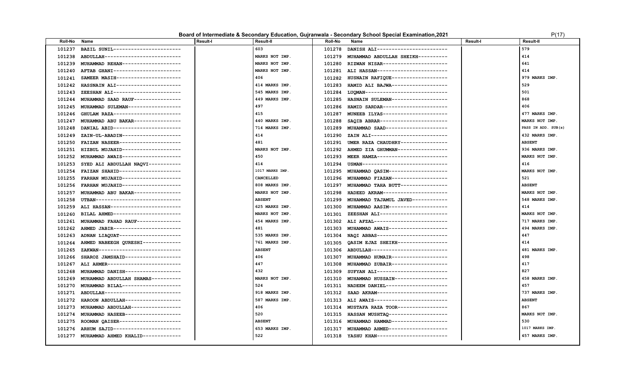### **Board of Intermediate & Secondary Education, Gujranwala - Secondary School Special Examination,2021** P(17)

| '( | 1 | 7 |  |
|----|---|---|--|
|    |   |   |  |

| Roll-No | Name                               | <b>Result-I</b> | Result-II       | <b>Roll-No</b> | Name                                      | <b>Result-I</b> | <b>Result-II</b>    |
|---------|------------------------------------|-----------------|-----------------|----------------|-------------------------------------------|-----------------|---------------------|
| 101237  | BAZIL SUNIL----------------------- |                 | 603             | 101278         | DANISH ALI------------------------        |                 | 579                 |
| 101238  | ABDULLAH-------------------------  |                 | MARKS NOT IMP.  | 101279         | MUHAMMAD ABDULLAH SHEIKH----------        |                 | 414                 |
| 101239  | MUHAMMAD REHAN-------------------  |                 | MARKS NOT IMP.  | 101280         | RIZWAN NISAR----------------------        |                 | 641                 |
| 101240  | AFTAB GHANI----------------------- |                 | MARKS NOT IMP.  | 101281         | ALI HASSAN------------------------        |                 | 414                 |
| 101241  | SAMEER MASIH---------------------  |                 | 406             | 101282         | HUSNAIN RAFIQUE-------------------        |                 | 979 MARKS IMP.      |
| 101242  | HASSNAIN ALI---------------------- |                 | 414 MARKS IMP.  | 101283         | HAMID ALI BAJWA-------------------        |                 | 529                 |
| 101243  | ZEESHAN ALI----------------------- |                 | 545 MARKS IMP.  | 101284         | LUQMAN----------------------------        |                 | 501                 |
| 101244  | MUHAMMAD SAAD RAUF---------------  |                 | 449 MARKS IMP.  | 101285         | HASNAIN SULEMAN------------------         |                 | 868                 |
| 101245  | MUHAMMAD SULEMAN-----------------  |                 | 497             | 101286         | HAMID SARDAR----------------------        |                 | 406                 |
| 101246  | GHULAM RAZA----------------------- |                 | 415             | 101287         | MUNEEB ILYAS----------------------        |                 | 477 MARKS IMP.      |
| 101247  | MUHAMMAD ABU BAKAR---------------- |                 | 440 MARKS IMP.  | 101288         | SAQIB ABRAR-----------------------        |                 | MARKS NOT IMP.      |
| 101248  | DANIAL ABID----------------------- |                 | 714 MARKS IMP.  | 101289         | MUHAMMAD SAAD--------------------         |                 | PASS IN ADD. SUB(s) |
| 101249  | ZAIN-UL-ABADIN-------------------- |                 | 414             | 101290         | ZAIN ALI--------------------------        |                 | 432 MARKS IMP.      |
| 101250  | FAIZAN NASEER--------------------- |                 | 481             | 101291         | UMER RAZA CHAUDHRY---------------         |                 | <b>ABSENT</b>       |
| 101251  | HIZBUL MUJAHID-------------------- |                 | MARKS NOT IMP.  | 101292         | AHMED ZIA GHUMMAN-----------------        |                 | 936 MARKS IMP.      |
| 101252  | MUHAMMAD AWAIS-------------------- |                 | 450             | 101293         | MEER HAMZA------------------------        |                 | MARKS NOT IMP.      |
| 101253  | SYED ALI ABDULLAH NAQVI----------- |                 | 414             | 101294         | USMAN-----------------------------        |                 | 416                 |
| 101254  | FAIZAN SHAHID--------------------- |                 | 1017 MARKS IMP. | 101295         | MUHAMMAD OASIM-------------------         |                 | MARKS NOT IMP.      |
| 101255  | FARHAN MUJAHID-------------------- |                 | CANCELLED       | 101296         | MUHAMMAD FIAZAN-------------------        |                 | 521                 |
| 101256  | FARHAN MUJAHID-------------------  |                 | 808 MARKS IMP.  | 101297         | MUHAMMAD TAHA BUTT---------------         |                 | <b>ABSENT</b>       |
| 101257  | MUHAMMAD ABU BAKAR---------------- |                 | MARKS NOT IMP.  | 101298         | HADEED AKRAM----------------------        |                 | MARKS NOT IMP.      |
| 101258  | UTBAN----------------------------- |                 | <b>ABSENT</b>   | 101299         | MUHAMMAD TAJAMUL JAVED------------        |                 | 548 MARKS IMP.      |
| 101259  | ALI HASSAN------------------------ |                 | 625 MARKS IMP.  | 101300         | MUHAMMAD AASIM-------------------         |                 | 414                 |
| 101260  | BILAL AHMED----------------------- |                 | MARKS NOT IMP.  | 101301         | ZEESHAN ALI-----------------------        |                 | MARKS NOT IMP.      |
| 101261  | MUHAMMAD FAHAD RAUF--------------  |                 | 454 MARKS IMP.  | 101302         | ALI AFZAL-------------------------        |                 | 717 MARKS IMP.      |
| 101262  | AHMED JABIR----------------------- |                 | 481             | 101303         | MUHAMMAD AWAIS--------------------        |                 | 494 MARKS IMP.      |
| 101263  | ADNAN LIAQUAT--------------------- |                 | 535 MARKS IMP.  | 101304         | NAQI ABBAS------------------------        |                 | 447                 |
| 101264  | AHMED NABEEGH QURESHI------------- |                 | 761 MARKS IMP.  | 101305         | QASIM EJAZ SHEIKH-----------------        |                 | 414                 |
| 101265  | ZAKWAN---------------------------  |                 | <b>ABSENT</b>   | 101306         | ABDULLAH--------------------------        |                 | 481 MARKS IMP.      |
| 101266  | SHAROZ JAMSHAID------------------- |                 | 406             | 101307         | MUHAMMAD HUMAIR------------------         |                 | 498                 |
| 101267  | ALI AHMER------------------------- |                 | 447             | 101308         | MUHAMMAD ZUBAIR------------------         |                 | 417                 |
| 101268  | MUHAMMAD DANISH------------------- |                 | 432             | 101309         | SUFYAN ALI------------------------        |                 | 827                 |
| 101269  | MUHAMMAD ABDULLAH SHAMAS---------- |                 | MARKS NOT IMP.  | 101310         | MUHAMMAD HUSSAIN------------------        |                 | 458 MARKS IMP.      |
| 101270  | MUHAMMAD BILAL-------------------- |                 | 524             | 101311         | NADEEM DANIEL--------------------         |                 | 457                 |
| 101271  | ABDULLAH-------------------------- |                 | 918 MARKS IMP.  | 101312         | SAAD AKRAM------------------------        |                 | 737 MARKS IMP.      |
| 101272  | HAROON ABDULLAH------------------- |                 | 587 MARKS IMP.  | 101313         | ALI AWAIS-------------------------        |                 | <b>ABSENT</b>       |
| 101273  | MUHAMMAD ABDULLAH----------------- |                 | 406             | 101314         | MUSTAFA RAZA TOOR-----------------        |                 | 867                 |
| 101274  | MUHAMMAD HASEEB------------------  |                 | 520             | 101315         | HASSAN MUSHTAQ--------------------        |                 | MARKS NOT IMP.      |
| 101275  | ROOMAN QAISER--------------------- |                 | <b>ABSENT</b>   | 101316         | MUHAMMAD HAMMAD ------------------        |                 | 530                 |
| 101276  | ARHUM SAJID----------------------- |                 | 653 MARKS IMP.  | 101317         | MUHAMMAD AHMED--------------------        |                 | 1017 MARKS IMP.     |
| 101277  | MUHAMMAD AHMED KHALID------------- |                 | 522             |                | 101318 YASHU KHAN------------------------ |                 | 457 MARKS IMP.      |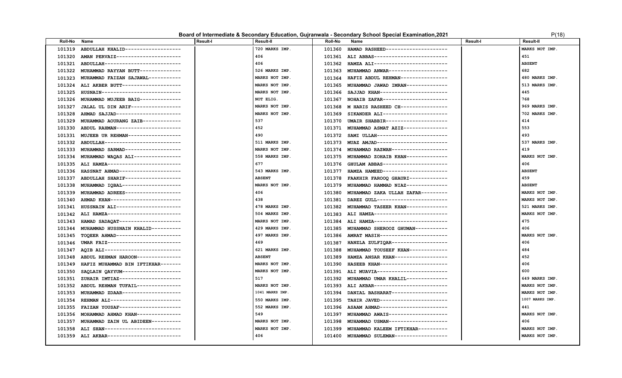### **Board of Intermediate & Secondary Education, Gujranwala - Secondary School Special Examination, 2021** P(18)

| <b>Roll-No</b> | Name                                | <b>Result-I</b> | <b>Result-II</b> | <b>Roll-No</b> | Name                                      | Result-I | Result-II      |
|----------------|-------------------------------------|-----------------|------------------|----------------|-------------------------------------------|----------|----------------|
| 101319         | ABDULLAH KHALID------------------   |                 | 720 MARKS IMP.   | 101360         | HAMAD RASHEED--------------------         |          | MARKS NOT IMP. |
| 101320         | AMAN PERVAIZ----------------------  |                 | 406              |                | 101361 ALI ABBAS------------------------- |          | 451            |
| 101321         | ABDULLAH-------------------------   |                 | 406              | 101362         | HAMZA ALI-------------------------        |          | <b>ABSENT</b>  |
| 101322         | MUHAMMAD RAYYAN BUTT-------------   |                 | 526 MARKS IMP.   | 101363         | MUHAMMAD ANWAR--------------------        |          | 682            |
| 101323         | MUHAMMAD FAIZAN SAJAWAL-----------  |                 | MARKS NOT IMP.   | 101364         | HAFIZ ABDUL REHMAN----------------        |          | 480 MARKS IMP. |
| 101324         | ALI AKBER BUTT--------------------  |                 | MARKS NOT IMP.   | 101365         | MUHAMMAD JAWAD IMRAN--------------        |          | 513 MARKS IMP. |
| 101325         | HUSNAIN---------------------------  |                 | MARKS NOT IMP.   | 101366         | SAJJAD KHAN----------------------         |          | 445            |
| 101326         | MUHAMMAD MUJEEB BAIG-------------   |                 | NOT ELIG.        | 101367         | NOHAIB ZAFAR----------------------        |          | 768            |
| 101327         | JALAL UL DIN ARIF-----------------  |                 | MARKS NOT IMP.   | 101368         | M HARIS RASHEED CH---------------         |          | 969 MARKS IMP. |
| 101328         | AHMAD SAJJAD----------------------  |                 | MARKS NOT IMP.   | 101369         | SIKANDER ALI----------------------        |          | 702 MARKS IMP. |
| 101329         | MUHAMMAD AOURANG ZAIB-------------  |                 | 537              | 101370         | UMAIR SHABBIR---------------------        |          | 414            |
| 101330         | ABDUL RAHMAN----------------------  |                 | 452              |                | 101371 MUHAMMAD ASMAT AZIZ--------------- |          | 553            |
| 101331         | MUJEEB UR REHMAN------------------  |                 | 490              | 101372         | SAMI ULLAH------------------------        |          | 493            |
| 101332         | ABDULLAH--------------------------  |                 | 511 MARKS IMP.   | 101373         | MUAZ AMJAD------------------------        |          | 537 MARKS IMP. |
| 101333         | MUHAMMAD SARMAD------------------   |                 | MARKS NOT IMP.   | 101374         | MUHAMMAD RAZWAN------------------         |          | 419            |
| 101334         | MUHAMMAD WAQAS ALI----------------  |                 | 558 MARKS IMP.   | 101375         | MUHAMMAD ZOHAIB KHAN-------------         |          | MARKS NOT IMP. |
| 101335         | ALI HAMZA-------------------------  |                 | 677              | 101376         | GHULAM ABBAS----------------------        |          | 406            |
| 101336         | HASSNAT AHMAD---------------------  |                 | 543 MARKS IMP.   | 101377         | HAMZA HAMEED----------------------        |          | <b>ABSENT</b>  |
| 101337         | ABDULLAH SHARIF------------------   |                 | <b>ABSENT</b>    | 101378         | FAAKHIR FAROOQ GHAURI-------------        |          | 459            |
| 101338         | MUHAMMAD IOBAL--------------------  |                 | MARKS NOT IMP.   | 101379         | MUHAMMAD HAMMAD NIAZ-------------         |          | <b>ABSENT</b>  |
| 101339         | MUHAMMAD ADREES-------------------  |                 | 406              | 101380         | MUHAMMAD ZAKA ULLAH ZAFAR---------        |          | MARKS NOT IMP. |
| 101340         | AHMAD KHAN-----------------------   |                 | 438              | 101381         | DAREZ GULL------------------------        |          | MARKS NOT IMP. |
| 101341         | HUSSNAIN ALI----------------------  |                 | 478 MARKS IMP.   | 101382         | MUHAMMAD TASEER KHAN--------------        |          | 521 MARKS IMP. |
| 101342         | ALI HAMZA-------------------------  |                 | 504 MARKS IMP.   | 101383         | ALI HAMZA-------------------------        |          | MARKS NOT IMP. |
| 101343         | HAMAD SADAQAT --------------------- |                 | MARKS NOT IMP.   | 101384         | ALI HAMZA-------------------------        |          | 475            |
| 101344         | MUHAMMAD HUSSNAIN KHALID----------  |                 | 429 MARKS IMP.   | 101385         | MUHAMMAD SHEROOZ GHUMAN-----------        |          | 406            |
| 101345         | TOOEER AHMAD----------------------  |                 | 497 MARKS IMP.   |                | 101386 AMRAT MASIH----------------------- |          | MARKS NOT IMP. |
| 101346         | UMAR FAIZ-------------------------  |                 | 469              | 101387         | HANZLA ZULFIOAR-------------------        |          | 406            |
| 101347         | AQIB ALI--------------------------  |                 | 621 MARKS IMP.   | 101388         | MUHAMMAD TOUSEEF KHAN-------------        |          | 484            |
| 101348         | ABDUL REHMAN HAROON--------------   |                 | <b>ABSENT</b>    | 101389         | HAMZA ANSAR KHAN------------------        |          | 452            |
| 101349         | HAFIZ MUHAMMAD BIN IFTIKHAR-------  |                 | MARKS NOT IMP.   | 101390         | HASEEB KHAN-----------------------        |          | 406            |
| 101350         | SAQLAIN QAYYUM--------------------  |                 | MARKS NOT IMP.   |                | 101391 ALI MUAVIA------------------------ |          | 600            |
| 101351         | ZUHAIR IMTIAZ---------------------  |                 | 517              |                | 101392 MUHAMMAD UMAR KHALIL-------------- |          | 649 MARKS IMP. |
| 101352         | ABDUL REHMAN TUFAIL--------------   |                 | MARKS NOT IMP.   | 101393         | ALI AKBAR-------------------------        |          | MARKS NOT IMP. |
| 101353         | MUHAMMAD ZDAAR-------------------   |                 | 1041 MARKS IMP.  | 101394         | DANIAL BASHARAT-------------------        |          | MARKS NOT IMP. |
| 101354         | REHMAN ALI------------------------  |                 | 550 MARKS IMP.   | 101395         | TAHIR JAVED-----------------------        |          | 1007 MARKS IMP |
| 101355         | FAIZAN YOUSAF---------------------  |                 | 552 MARKS IMP.   |                | 101396 ASAAM AHMAD----------------------  |          | 441            |
| 101356         | MOHAMMAD AHMAD KHAN---------------  |                 | 549              | 101397         | MUHAMMAD AWAIS--------------------        |          | MARKS NOT IMP. |
| 101357         | MUHAMMAD ZAIN UL ABIDEEN----------  |                 | MARKS NOT IMP.   | 101398         | MUHAMMAD USMAN-------------------         |          | 406            |
| 101358         | ALI SHAN--------------------------  |                 | MARKS NOT IMP.   | 101399         | MUHAMMAD KALEEM IFTIKHAR----------        |          | MARKS NOT IMP. |
| 101359         | ALI AKBAR-------------------------  |                 | 406              |                | 101400 MUHAMMAD SULEMAN------------------ |          | MARKS NOT IMP. |
|                |                                     |                 |                  |                |                                           |          |                |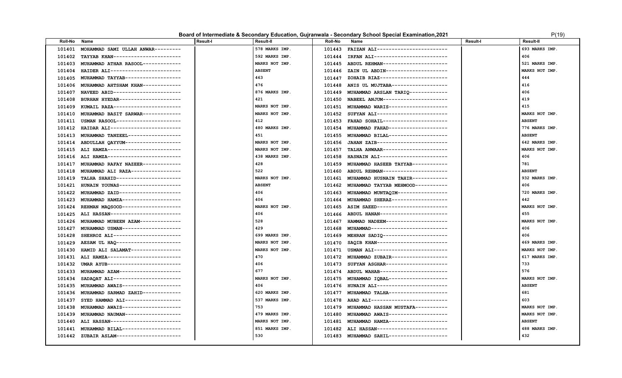#### **Board of Intermediate & Secondary Education, Gujranwala - Secondary School Special Examination, 2021** P(19) P(19)

|  | P(19) |  |
|--|-------|--|
|  |       |  |

| 578 MARKS IMP.<br>FAIZAN ALI------------------------<br>693 MARKS IMP.<br>MOHAMMAD SAMI ULLAH ANWAR---------<br>101401<br>101443<br>592 MARKS IMP.<br>406<br>101402<br>TAYYAB KHAN-----------------------<br>IRFAN ALI-------------------------<br>101444<br>MARKS NOT IMP.<br>521 MARKS IMP.<br>ABDUL REHMAN---------------------<br>101403<br>MUHAMMAD ATHAR RASOOL-------------<br>101445<br><b>ABSENT</b><br>MARKS NOT IMP.<br>101404<br>HAIDER ALI------------------------<br>ZAIN UL ABDIN---------------------<br>101446<br>463<br>444<br>ZOHAIB RIAZ-----------------------<br>101405<br>MUHAMMAD TAYYAB-------------------<br>101447<br>476<br>416<br>MUHAMMAD AHTSHAM KHAN-------------<br>ANIS UL MUJTABA-------------------<br>101406<br>101448<br>406<br>876 MARKS IMP.<br>NAVEED ABID-----------------------<br>MUHAMMAD ARSLAN TARIQ-------------<br>101407<br>101449<br>421<br>419<br>BURHAN HYEDAR---------------------<br>NABEEL ANJUM----------------------<br>101408<br>101450<br>415<br>MARKS NOT IMP.<br>KUMAIL RAZA-----------------------<br>101451 MUHAMMAD WARIS-------------------<br>101409<br>MARKS NOT IMP.<br>MARKS NOT IMP.<br>101452 SUFYAN ALI------------------------<br>101410<br>MUHAMMAD BASIT SARWAR-------------<br>412<br>USMAN RASOOL---------------------<br>101453 FAHAD SOHAIL---------------------<br><b>ABSENT</b><br>101411<br>480 MARKS IMP.<br>776 MARKS IMP.<br>101412<br>HAIDAR ALI-----------------------<br>101454<br>MUHAMMAD FAHAD-------------------<br>MUHAMMAD TANZEEL-----------------<br>451<br>MUHAMMAD BILAL-------------------<br><b>ABSENT</b><br>101413<br>101455<br>ABDULLAH QAYYUM-------------------<br>JAHAN ZAIB------------------------<br>642 MARKS IMP.<br>MARKS NOT IMP.<br>101414<br>101456<br>ALI HAMZA-------------------------<br>TALHA ANWAAR----------------------<br>MARKS NOT IMP.<br>MARKS NOT IMP.<br>101415<br>101457<br>ALI HAMZA-------------------------<br>438 MARKS IMP.<br>HASNAIN ALI-----------------------<br>406<br>101416<br>101458<br>428<br>781<br>MUHAMMAD RAFAY NAZEER-------------<br>101459 MUHAMMAD HASEEB TAYYAB------------<br>101417<br>522<br>MUHAMMAD ALI RAZA-----------------<br><b>ABSENT</b><br>ABDUL REHMAN----------------------<br>101418<br>101460<br>TALHA SHAHID----------------------<br>932 MARKS IMP.<br>MARKS NOT IMP.<br>101461 MUHAMMAD HUSNAIN TAHIR------------<br>101419<br><b>ABSENT</b><br>406<br>101421<br>HUNAIN YOUNAS---------------------<br>101462 MUHAMMAD TAYYAB MEHMOOD-----------<br>MUHAMMAD ZAID--------------------<br>406<br>101463 MUHAMMAD MUNTAQIM-----------------<br>720 MARKS IMP.<br>101422<br>MUHAMMAD HAMZA--------------------<br>406<br>MUHAMMAD SHERAZ------------------<br>442<br>101423<br>101464<br>REHMAN MAQSOOD--------------------<br>101465 ASIM SAEED------------------------<br>MARKS NOT IMP.<br>MARKS NOT IMP.<br>101424<br>ALI HASSAN------------------------<br>406<br>101466 ABDUL HANAN----------------------<br>455<br>101425<br>528<br>MUHAMMAD MUBEEN AZAM--------------<br>HAMMAD NADEEM---------------------<br>MARKS NOT IMP.<br>101426<br>101467<br>429<br>MUHAMMAD USMAN-------------------<br>MUHAMMAD--------------------------<br>406<br>101427<br>101468<br>SHEHROZ ALI-----------------------<br>699 MARKS IMP.<br>MEHRAN SADIQ----------------------<br>406<br>101428<br>101469<br>AESAM UL HAQ ----------------------<br>MARKS NOT IMP.<br>SAQIB KHAN------------------------<br>469 MARKS IMP.<br>101429<br>101470<br>HAMID ALI SALAMAT----------------<br>MARKS NOT IMP.<br>MARKS NOT IMP.<br>101430<br>470<br>ALI HAMZA-------------------------<br>MUHAMMAD ZUBAIR------------------<br>617 MARKS IMP.<br>101431<br>101472<br>406<br>733<br>UMAR AYUB------------------------<br>SUFYAN ASGHAR---------------------<br>101432<br>101473<br>677<br>576<br>MUHAMMAD AZAM---------------------<br>ABDUL WAHAB-----------------------<br>101433<br>101474<br>SADAQAT ALI-----------------------<br>MARKS NOT IMP.<br>MUHAMMAD IQBAL--------------------<br>MARKS NOT IMP.<br>101434<br>101475<br>406<br><b>ABSENT</b><br>MUHAMMAD AWAIS--------------------<br>HUNAIN ALI------------------------<br>101435<br>101476<br>MUHAMMAD SARMAD ZAHID-------------<br>620 MARKS IMP.<br>681<br>MUHAMMAD TALHA--------------------<br>101436<br>101477<br>SYED HAMMAD ALI------------------<br>537 MARKS IMP.<br>603<br>AHAD ALI--------------------------<br>101437<br>101478<br>753<br>MUHAMMAD AWAIS--------------------<br>MUHAMMAD HASSAN MUSTAFA-----------<br>MARKS NOT IMP.<br>101438<br>101479<br>MUHAMMAD NAUMAN-------------------<br>MUHAMMAD AWAIS--------------------<br>479 MARKS IMP.<br>MARKS NOT IMP.<br>101439<br>101480<br>ALI HASSAN------------------------<br>MUHAMMAD HAMZA-------------------<br>MARKS NOT IMP.<br><b>ABSENT</b><br>101440<br>101481<br>MUHAMMAD BILAL--------------------<br>851 MARKS IMP.<br>ALI HASSAN------------------------<br>488 MARKS IMP<br>101441<br>101482<br>530<br>432<br>101483 MUHAMMAD SAHIL--------------------<br>101442<br>ZUBAIR ASLAM---------------------- | <b>Roll-No</b> | Name | <b>Result-I</b> | <b>Result-II</b> | <b>Roll-No</b> | Name | Result-I | <b>Result-II</b> |
|----------------------------------------------------------------------------------------------------------------------------------------------------------------------------------------------------------------------------------------------------------------------------------------------------------------------------------------------------------------------------------------------------------------------------------------------------------------------------------------------------------------------------------------------------------------------------------------------------------------------------------------------------------------------------------------------------------------------------------------------------------------------------------------------------------------------------------------------------------------------------------------------------------------------------------------------------------------------------------------------------------------------------------------------------------------------------------------------------------------------------------------------------------------------------------------------------------------------------------------------------------------------------------------------------------------------------------------------------------------------------------------------------------------------------------------------------------------------------------------------------------------------------------------------------------------------------------------------------------------------------------------------------------------------------------------------------------------------------------------------------------------------------------------------------------------------------------------------------------------------------------------------------------------------------------------------------------------------------------------------------------------------------------------------------------------------------------------------------------------------------------------------------------------------------------------------------------------------------------------------------------------------------------------------------------------------------------------------------------------------------------------------------------------------------------------------------------------------------------------------------------------------------------------------------------------------------------------------------------------------------------------------------------------------------------------------------------------------------------------------------------------------------------------------------------------------------------------------------------------------------------------------------------------------------------------------------------------------------------------------------------------------------------------------------------------------------------------------------------------------------------------------------------------------------------------------------------------------------------------------------------------------------------------------------------------------------------------------------------------------------------------------------------------------------------------------------------------------------------------------------------------------------------------------------------------------------------------------------------------------------------------------------------------------------------------------------------------------------------------------------------------------------------------------------------------------------------------------------------------------------------------------------------------------------------------------------------------------------------------------------------------------------------------------------------------------------------------------------------------------------------------------------------------------------------------------------------------------------------------------------------------------------------------------------------------------------------------------------------------------------------------------------------------------------------------------------------------------------------------------------------------------------------------------------------------------------------------------------------------------------------------------------------------------------------------------------------------------------------------------------------------------------------------------------------------------------------------------------------------------------------------------------------------------------------------------------------------------------------------------------------------------------------------------------------------------------------------------------------------|----------------|------|-----------------|------------------|----------------|------|----------|------------------|
|                                                                                                                                                                                                                                                                                                                                                                                                                                                                                                                                                                                                                                                                                                                                                                                                                                                                                                                                                                                                                                                                                                                                                                                                                                                                                                                                                                                                                                                                                                                                                                                                                                                                                                                                                                                                                                                                                                                                                                                                                                                                                                                                                                                                                                                                                                                                                                                                                                                                                                                                                                                                                                                                                                                                                                                                                                                                                                                                                                                                                                                                                                                                                                                                                                                                                                                                                                                                                                                                                                                                                                                                                                                                                                                                                                                                                                                                                                                                                                                                                                                                                                                                                                                                                                                                                                                                                                                                                                                                                                                                                                                                                                                                                                                                                                                                                                                                                                                                                                                                                                                                                                                |                |      |                 |                  |                |      |          |                  |
|                                                                                                                                                                                                                                                                                                                                                                                                                                                                                                                                                                                                                                                                                                                                                                                                                                                                                                                                                                                                                                                                                                                                                                                                                                                                                                                                                                                                                                                                                                                                                                                                                                                                                                                                                                                                                                                                                                                                                                                                                                                                                                                                                                                                                                                                                                                                                                                                                                                                                                                                                                                                                                                                                                                                                                                                                                                                                                                                                                                                                                                                                                                                                                                                                                                                                                                                                                                                                                                                                                                                                                                                                                                                                                                                                                                                                                                                                                                                                                                                                                                                                                                                                                                                                                                                                                                                                                                                                                                                                                                                                                                                                                                                                                                                                                                                                                                                                                                                                                                                                                                                                                                |                |      |                 |                  |                |      |          |                  |
|                                                                                                                                                                                                                                                                                                                                                                                                                                                                                                                                                                                                                                                                                                                                                                                                                                                                                                                                                                                                                                                                                                                                                                                                                                                                                                                                                                                                                                                                                                                                                                                                                                                                                                                                                                                                                                                                                                                                                                                                                                                                                                                                                                                                                                                                                                                                                                                                                                                                                                                                                                                                                                                                                                                                                                                                                                                                                                                                                                                                                                                                                                                                                                                                                                                                                                                                                                                                                                                                                                                                                                                                                                                                                                                                                                                                                                                                                                                                                                                                                                                                                                                                                                                                                                                                                                                                                                                                                                                                                                                                                                                                                                                                                                                                                                                                                                                                                                                                                                                                                                                                                                                |                |      |                 |                  |                |      |          |                  |
|                                                                                                                                                                                                                                                                                                                                                                                                                                                                                                                                                                                                                                                                                                                                                                                                                                                                                                                                                                                                                                                                                                                                                                                                                                                                                                                                                                                                                                                                                                                                                                                                                                                                                                                                                                                                                                                                                                                                                                                                                                                                                                                                                                                                                                                                                                                                                                                                                                                                                                                                                                                                                                                                                                                                                                                                                                                                                                                                                                                                                                                                                                                                                                                                                                                                                                                                                                                                                                                                                                                                                                                                                                                                                                                                                                                                                                                                                                                                                                                                                                                                                                                                                                                                                                                                                                                                                                                                                                                                                                                                                                                                                                                                                                                                                                                                                                                                                                                                                                                                                                                                                                                |                |      |                 |                  |                |      |          |                  |
|                                                                                                                                                                                                                                                                                                                                                                                                                                                                                                                                                                                                                                                                                                                                                                                                                                                                                                                                                                                                                                                                                                                                                                                                                                                                                                                                                                                                                                                                                                                                                                                                                                                                                                                                                                                                                                                                                                                                                                                                                                                                                                                                                                                                                                                                                                                                                                                                                                                                                                                                                                                                                                                                                                                                                                                                                                                                                                                                                                                                                                                                                                                                                                                                                                                                                                                                                                                                                                                                                                                                                                                                                                                                                                                                                                                                                                                                                                                                                                                                                                                                                                                                                                                                                                                                                                                                                                                                                                                                                                                                                                                                                                                                                                                                                                                                                                                                                                                                                                                                                                                                                                                |                |      |                 |                  |                |      |          |                  |
|                                                                                                                                                                                                                                                                                                                                                                                                                                                                                                                                                                                                                                                                                                                                                                                                                                                                                                                                                                                                                                                                                                                                                                                                                                                                                                                                                                                                                                                                                                                                                                                                                                                                                                                                                                                                                                                                                                                                                                                                                                                                                                                                                                                                                                                                                                                                                                                                                                                                                                                                                                                                                                                                                                                                                                                                                                                                                                                                                                                                                                                                                                                                                                                                                                                                                                                                                                                                                                                                                                                                                                                                                                                                                                                                                                                                                                                                                                                                                                                                                                                                                                                                                                                                                                                                                                                                                                                                                                                                                                                                                                                                                                                                                                                                                                                                                                                                                                                                                                                                                                                                                                                |                |      |                 |                  |                |      |          |                  |
|                                                                                                                                                                                                                                                                                                                                                                                                                                                                                                                                                                                                                                                                                                                                                                                                                                                                                                                                                                                                                                                                                                                                                                                                                                                                                                                                                                                                                                                                                                                                                                                                                                                                                                                                                                                                                                                                                                                                                                                                                                                                                                                                                                                                                                                                                                                                                                                                                                                                                                                                                                                                                                                                                                                                                                                                                                                                                                                                                                                                                                                                                                                                                                                                                                                                                                                                                                                                                                                                                                                                                                                                                                                                                                                                                                                                                                                                                                                                                                                                                                                                                                                                                                                                                                                                                                                                                                                                                                                                                                                                                                                                                                                                                                                                                                                                                                                                                                                                                                                                                                                                                                                |                |      |                 |                  |                |      |          |                  |
|                                                                                                                                                                                                                                                                                                                                                                                                                                                                                                                                                                                                                                                                                                                                                                                                                                                                                                                                                                                                                                                                                                                                                                                                                                                                                                                                                                                                                                                                                                                                                                                                                                                                                                                                                                                                                                                                                                                                                                                                                                                                                                                                                                                                                                                                                                                                                                                                                                                                                                                                                                                                                                                                                                                                                                                                                                                                                                                                                                                                                                                                                                                                                                                                                                                                                                                                                                                                                                                                                                                                                                                                                                                                                                                                                                                                                                                                                                                                                                                                                                                                                                                                                                                                                                                                                                                                                                                                                                                                                                                                                                                                                                                                                                                                                                                                                                                                                                                                                                                                                                                                                                                |                |      |                 |                  |                |      |          |                  |
|                                                                                                                                                                                                                                                                                                                                                                                                                                                                                                                                                                                                                                                                                                                                                                                                                                                                                                                                                                                                                                                                                                                                                                                                                                                                                                                                                                                                                                                                                                                                                                                                                                                                                                                                                                                                                                                                                                                                                                                                                                                                                                                                                                                                                                                                                                                                                                                                                                                                                                                                                                                                                                                                                                                                                                                                                                                                                                                                                                                                                                                                                                                                                                                                                                                                                                                                                                                                                                                                                                                                                                                                                                                                                                                                                                                                                                                                                                                                                                                                                                                                                                                                                                                                                                                                                                                                                                                                                                                                                                                                                                                                                                                                                                                                                                                                                                                                                                                                                                                                                                                                                                                |                |      |                 |                  |                |      |          |                  |
|                                                                                                                                                                                                                                                                                                                                                                                                                                                                                                                                                                                                                                                                                                                                                                                                                                                                                                                                                                                                                                                                                                                                                                                                                                                                                                                                                                                                                                                                                                                                                                                                                                                                                                                                                                                                                                                                                                                                                                                                                                                                                                                                                                                                                                                                                                                                                                                                                                                                                                                                                                                                                                                                                                                                                                                                                                                                                                                                                                                                                                                                                                                                                                                                                                                                                                                                                                                                                                                                                                                                                                                                                                                                                                                                                                                                                                                                                                                                                                                                                                                                                                                                                                                                                                                                                                                                                                                                                                                                                                                                                                                                                                                                                                                                                                                                                                                                                                                                                                                                                                                                                                                |                |      |                 |                  |                |      |          |                  |
|                                                                                                                                                                                                                                                                                                                                                                                                                                                                                                                                                                                                                                                                                                                                                                                                                                                                                                                                                                                                                                                                                                                                                                                                                                                                                                                                                                                                                                                                                                                                                                                                                                                                                                                                                                                                                                                                                                                                                                                                                                                                                                                                                                                                                                                                                                                                                                                                                                                                                                                                                                                                                                                                                                                                                                                                                                                                                                                                                                                                                                                                                                                                                                                                                                                                                                                                                                                                                                                                                                                                                                                                                                                                                                                                                                                                                                                                                                                                                                                                                                                                                                                                                                                                                                                                                                                                                                                                                                                                                                                                                                                                                                                                                                                                                                                                                                                                                                                                                                                                                                                                                                                |                |      |                 |                  |                |      |          |                  |
|                                                                                                                                                                                                                                                                                                                                                                                                                                                                                                                                                                                                                                                                                                                                                                                                                                                                                                                                                                                                                                                                                                                                                                                                                                                                                                                                                                                                                                                                                                                                                                                                                                                                                                                                                                                                                                                                                                                                                                                                                                                                                                                                                                                                                                                                                                                                                                                                                                                                                                                                                                                                                                                                                                                                                                                                                                                                                                                                                                                                                                                                                                                                                                                                                                                                                                                                                                                                                                                                                                                                                                                                                                                                                                                                                                                                                                                                                                                                                                                                                                                                                                                                                                                                                                                                                                                                                                                                                                                                                                                                                                                                                                                                                                                                                                                                                                                                                                                                                                                                                                                                                                                |                |      |                 |                  |                |      |          |                  |
|                                                                                                                                                                                                                                                                                                                                                                                                                                                                                                                                                                                                                                                                                                                                                                                                                                                                                                                                                                                                                                                                                                                                                                                                                                                                                                                                                                                                                                                                                                                                                                                                                                                                                                                                                                                                                                                                                                                                                                                                                                                                                                                                                                                                                                                                                                                                                                                                                                                                                                                                                                                                                                                                                                                                                                                                                                                                                                                                                                                                                                                                                                                                                                                                                                                                                                                                                                                                                                                                                                                                                                                                                                                                                                                                                                                                                                                                                                                                                                                                                                                                                                                                                                                                                                                                                                                                                                                                                                                                                                                                                                                                                                                                                                                                                                                                                                                                                                                                                                                                                                                                                                                |                |      |                 |                  |                |      |          |                  |
|                                                                                                                                                                                                                                                                                                                                                                                                                                                                                                                                                                                                                                                                                                                                                                                                                                                                                                                                                                                                                                                                                                                                                                                                                                                                                                                                                                                                                                                                                                                                                                                                                                                                                                                                                                                                                                                                                                                                                                                                                                                                                                                                                                                                                                                                                                                                                                                                                                                                                                                                                                                                                                                                                                                                                                                                                                                                                                                                                                                                                                                                                                                                                                                                                                                                                                                                                                                                                                                                                                                                                                                                                                                                                                                                                                                                                                                                                                                                                                                                                                                                                                                                                                                                                                                                                                                                                                                                                                                                                                                                                                                                                                                                                                                                                                                                                                                                                                                                                                                                                                                                                                                |                |      |                 |                  |                |      |          |                  |
|                                                                                                                                                                                                                                                                                                                                                                                                                                                                                                                                                                                                                                                                                                                                                                                                                                                                                                                                                                                                                                                                                                                                                                                                                                                                                                                                                                                                                                                                                                                                                                                                                                                                                                                                                                                                                                                                                                                                                                                                                                                                                                                                                                                                                                                                                                                                                                                                                                                                                                                                                                                                                                                                                                                                                                                                                                                                                                                                                                                                                                                                                                                                                                                                                                                                                                                                                                                                                                                                                                                                                                                                                                                                                                                                                                                                                                                                                                                                                                                                                                                                                                                                                                                                                                                                                                                                                                                                                                                                                                                                                                                                                                                                                                                                                                                                                                                                                                                                                                                                                                                                                                                |                |      |                 |                  |                |      |          |                  |
|                                                                                                                                                                                                                                                                                                                                                                                                                                                                                                                                                                                                                                                                                                                                                                                                                                                                                                                                                                                                                                                                                                                                                                                                                                                                                                                                                                                                                                                                                                                                                                                                                                                                                                                                                                                                                                                                                                                                                                                                                                                                                                                                                                                                                                                                                                                                                                                                                                                                                                                                                                                                                                                                                                                                                                                                                                                                                                                                                                                                                                                                                                                                                                                                                                                                                                                                                                                                                                                                                                                                                                                                                                                                                                                                                                                                                                                                                                                                                                                                                                                                                                                                                                                                                                                                                                                                                                                                                                                                                                                                                                                                                                                                                                                                                                                                                                                                                                                                                                                                                                                                                                                |                |      |                 |                  |                |      |          |                  |
|                                                                                                                                                                                                                                                                                                                                                                                                                                                                                                                                                                                                                                                                                                                                                                                                                                                                                                                                                                                                                                                                                                                                                                                                                                                                                                                                                                                                                                                                                                                                                                                                                                                                                                                                                                                                                                                                                                                                                                                                                                                                                                                                                                                                                                                                                                                                                                                                                                                                                                                                                                                                                                                                                                                                                                                                                                                                                                                                                                                                                                                                                                                                                                                                                                                                                                                                                                                                                                                                                                                                                                                                                                                                                                                                                                                                                                                                                                                                                                                                                                                                                                                                                                                                                                                                                                                                                                                                                                                                                                                                                                                                                                                                                                                                                                                                                                                                                                                                                                                                                                                                                                                |                |      |                 |                  |                |      |          |                  |
|                                                                                                                                                                                                                                                                                                                                                                                                                                                                                                                                                                                                                                                                                                                                                                                                                                                                                                                                                                                                                                                                                                                                                                                                                                                                                                                                                                                                                                                                                                                                                                                                                                                                                                                                                                                                                                                                                                                                                                                                                                                                                                                                                                                                                                                                                                                                                                                                                                                                                                                                                                                                                                                                                                                                                                                                                                                                                                                                                                                                                                                                                                                                                                                                                                                                                                                                                                                                                                                                                                                                                                                                                                                                                                                                                                                                                                                                                                                                                                                                                                                                                                                                                                                                                                                                                                                                                                                                                                                                                                                                                                                                                                                                                                                                                                                                                                                                                                                                                                                                                                                                                                                |                |      |                 |                  |                |      |          |                  |
|                                                                                                                                                                                                                                                                                                                                                                                                                                                                                                                                                                                                                                                                                                                                                                                                                                                                                                                                                                                                                                                                                                                                                                                                                                                                                                                                                                                                                                                                                                                                                                                                                                                                                                                                                                                                                                                                                                                                                                                                                                                                                                                                                                                                                                                                                                                                                                                                                                                                                                                                                                                                                                                                                                                                                                                                                                                                                                                                                                                                                                                                                                                                                                                                                                                                                                                                                                                                                                                                                                                                                                                                                                                                                                                                                                                                                                                                                                                                                                                                                                                                                                                                                                                                                                                                                                                                                                                                                                                                                                                                                                                                                                                                                                                                                                                                                                                                                                                                                                                                                                                                                                                |                |      |                 |                  |                |      |          |                  |
|                                                                                                                                                                                                                                                                                                                                                                                                                                                                                                                                                                                                                                                                                                                                                                                                                                                                                                                                                                                                                                                                                                                                                                                                                                                                                                                                                                                                                                                                                                                                                                                                                                                                                                                                                                                                                                                                                                                                                                                                                                                                                                                                                                                                                                                                                                                                                                                                                                                                                                                                                                                                                                                                                                                                                                                                                                                                                                                                                                                                                                                                                                                                                                                                                                                                                                                                                                                                                                                                                                                                                                                                                                                                                                                                                                                                                                                                                                                                                                                                                                                                                                                                                                                                                                                                                                                                                                                                                                                                                                                                                                                                                                                                                                                                                                                                                                                                                                                                                                                                                                                                                                                |                |      |                 |                  |                |      |          |                  |
|                                                                                                                                                                                                                                                                                                                                                                                                                                                                                                                                                                                                                                                                                                                                                                                                                                                                                                                                                                                                                                                                                                                                                                                                                                                                                                                                                                                                                                                                                                                                                                                                                                                                                                                                                                                                                                                                                                                                                                                                                                                                                                                                                                                                                                                                                                                                                                                                                                                                                                                                                                                                                                                                                                                                                                                                                                                                                                                                                                                                                                                                                                                                                                                                                                                                                                                                                                                                                                                                                                                                                                                                                                                                                                                                                                                                                                                                                                                                                                                                                                                                                                                                                                                                                                                                                                                                                                                                                                                                                                                                                                                                                                                                                                                                                                                                                                                                                                                                                                                                                                                                                                                |                |      |                 |                  |                |      |          |                  |
|                                                                                                                                                                                                                                                                                                                                                                                                                                                                                                                                                                                                                                                                                                                                                                                                                                                                                                                                                                                                                                                                                                                                                                                                                                                                                                                                                                                                                                                                                                                                                                                                                                                                                                                                                                                                                                                                                                                                                                                                                                                                                                                                                                                                                                                                                                                                                                                                                                                                                                                                                                                                                                                                                                                                                                                                                                                                                                                                                                                                                                                                                                                                                                                                                                                                                                                                                                                                                                                                                                                                                                                                                                                                                                                                                                                                                                                                                                                                                                                                                                                                                                                                                                                                                                                                                                                                                                                                                                                                                                                                                                                                                                                                                                                                                                                                                                                                                                                                                                                                                                                                                                                |                |      |                 |                  |                |      |          |                  |
|                                                                                                                                                                                                                                                                                                                                                                                                                                                                                                                                                                                                                                                                                                                                                                                                                                                                                                                                                                                                                                                                                                                                                                                                                                                                                                                                                                                                                                                                                                                                                                                                                                                                                                                                                                                                                                                                                                                                                                                                                                                                                                                                                                                                                                                                                                                                                                                                                                                                                                                                                                                                                                                                                                                                                                                                                                                                                                                                                                                                                                                                                                                                                                                                                                                                                                                                                                                                                                                                                                                                                                                                                                                                                                                                                                                                                                                                                                                                                                                                                                                                                                                                                                                                                                                                                                                                                                                                                                                                                                                                                                                                                                                                                                                                                                                                                                                                                                                                                                                                                                                                                                                |                |      |                 |                  |                |      |          |                  |
|                                                                                                                                                                                                                                                                                                                                                                                                                                                                                                                                                                                                                                                                                                                                                                                                                                                                                                                                                                                                                                                                                                                                                                                                                                                                                                                                                                                                                                                                                                                                                                                                                                                                                                                                                                                                                                                                                                                                                                                                                                                                                                                                                                                                                                                                                                                                                                                                                                                                                                                                                                                                                                                                                                                                                                                                                                                                                                                                                                                                                                                                                                                                                                                                                                                                                                                                                                                                                                                                                                                                                                                                                                                                                                                                                                                                                                                                                                                                                                                                                                                                                                                                                                                                                                                                                                                                                                                                                                                                                                                                                                                                                                                                                                                                                                                                                                                                                                                                                                                                                                                                                                                |                |      |                 |                  |                |      |          |                  |
|                                                                                                                                                                                                                                                                                                                                                                                                                                                                                                                                                                                                                                                                                                                                                                                                                                                                                                                                                                                                                                                                                                                                                                                                                                                                                                                                                                                                                                                                                                                                                                                                                                                                                                                                                                                                                                                                                                                                                                                                                                                                                                                                                                                                                                                                                                                                                                                                                                                                                                                                                                                                                                                                                                                                                                                                                                                                                                                                                                                                                                                                                                                                                                                                                                                                                                                                                                                                                                                                                                                                                                                                                                                                                                                                                                                                                                                                                                                                                                                                                                                                                                                                                                                                                                                                                                                                                                                                                                                                                                                                                                                                                                                                                                                                                                                                                                                                                                                                                                                                                                                                                                                |                |      |                 |                  |                |      |          |                  |
|                                                                                                                                                                                                                                                                                                                                                                                                                                                                                                                                                                                                                                                                                                                                                                                                                                                                                                                                                                                                                                                                                                                                                                                                                                                                                                                                                                                                                                                                                                                                                                                                                                                                                                                                                                                                                                                                                                                                                                                                                                                                                                                                                                                                                                                                                                                                                                                                                                                                                                                                                                                                                                                                                                                                                                                                                                                                                                                                                                                                                                                                                                                                                                                                                                                                                                                                                                                                                                                                                                                                                                                                                                                                                                                                                                                                                                                                                                                                                                                                                                                                                                                                                                                                                                                                                                                                                                                                                                                                                                                                                                                                                                                                                                                                                                                                                                                                                                                                                                                                                                                                                                                |                |      |                 |                  |                |      |          |                  |
|                                                                                                                                                                                                                                                                                                                                                                                                                                                                                                                                                                                                                                                                                                                                                                                                                                                                                                                                                                                                                                                                                                                                                                                                                                                                                                                                                                                                                                                                                                                                                                                                                                                                                                                                                                                                                                                                                                                                                                                                                                                                                                                                                                                                                                                                                                                                                                                                                                                                                                                                                                                                                                                                                                                                                                                                                                                                                                                                                                                                                                                                                                                                                                                                                                                                                                                                                                                                                                                                                                                                                                                                                                                                                                                                                                                                                                                                                                                                                                                                                                                                                                                                                                                                                                                                                                                                                                                                                                                                                                                                                                                                                                                                                                                                                                                                                                                                                                                                                                                                                                                                                                                |                |      |                 |                  |                |      |          |                  |
|                                                                                                                                                                                                                                                                                                                                                                                                                                                                                                                                                                                                                                                                                                                                                                                                                                                                                                                                                                                                                                                                                                                                                                                                                                                                                                                                                                                                                                                                                                                                                                                                                                                                                                                                                                                                                                                                                                                                                                                                                                                                                                                                                                                                                                                                                                                                                                                                                                                                                                                                                                                                                                                                                                                                                                                                                                                                                                                                                                                                                                                                                                                                                                                                                                                                                                                                                                                                                                                                                                                                                                                                                                                                                                                                                                                                                                                                                                                                                                                                                                                                                                                                                                                                                                                                                                                                                                                                                                                                                                                                                                                                                                                                                                                                                                                                                                                                                                                                                                                                                                                                                                                |                |      |                 |                  |                |      |          |                  |
|                                                                                                                                                                                                                                                                                                                                                                                                                                                                                                                                                                                                                                                                                                                                                                                                                                                                                                                                                                                                                                                                                                                                                                                                                                                                                                                                                                                                                                                                                                                                                                                                                                                                                                                                                                                                                                                                                                                                                                                                                                                                                                                                                                                                                                                                                                                                                                                                                                                                                                                                                                                                                                                                                                                                                                                                                                                                                                                                                                                                                                                                                                                                                                                                                                                                                                                                                                                                                                                                                                                                                                                                                                                                                                                                                                                                                                                                                                                                                                                                                                                                                                                                                                                                                                                                                                                                                                                                                                                                                                                                                                                                                                                                                                                                                                                                                                                                                                                                                                                                                                                                                                                |                |      |                 |                  |                |      |          |                  |
|                                                                                                                                                                                                                                                                                                                                                                                                                                                                                                                                                                                                                                                                                                                                                                                                                                                                                                                                                                                                                                                                                                                                                                                                                                                                                                                                                                                                                                                                                                                                                                                                                                                                                                                                                                                                                                                                                                                                                                                                                                                                                                                                                                                                                                                                                                                                                                                                                                                                                                                                                                                                                                                                                                                                                                                                                                                                                                                                                                                                                                                                                                                                                                                                                                                                                                                                                                                                                                                                                                                                                                                                                                                                                                                                                                                                                                                                                                                                                                                                                                                                                                                                                                                                                                                                                                                                                                                                                                                                                                                                                                                                                                                                                                                                                                                                                                                                                                                                                                                                                                                                                                                |                |      |                 |                  |                |      |          |                  |
|                                                                                                                                                                                                                                                                                                                                                                                                                                                                                                                                                                                                                                                                                                                                                                                                                                                                                                                                                                                                                                                                                                                                                                                                                                                                                                                                                                                                                                                                                                                                                                                                                                                                                                                                                                                                                                                                                                                                                                                                                                                                                                                                                                                                                                                                                                                                                                                                                                                                                                                                                                                                                                                                                                                                                                                                                                                                                                                                                                                                                                                                                                                                                                                                                                                                                                                                                                                                                                                                                                                                                                                                                                                                                                                                                                                                                                                                                                                                                                                                                                                                                                                                                                                                                                                                                                                                                                                                                                                                                                                                                                                                                                                                                                                                                                                                                                                                                                                                                                                                                                                                                                                |                |      |                 |                  |                |      |          |                  |
|                                                                                                                                                                                                                                                                                                                                                                                                                                                                                                                                                                                                                                                                                                                                                                                                                                                                                                                                                                                                                                                                                                                                                                                                                                                                                                                                                                                                                                                                                                                                                                                                                                                                                                                                                                                                                                                                                                                                                                                                                                                                                                                                                                                                                                                                                                                                                                                                                                                                                                                                                                                                                                                                                                                                                                                                                                                                                                                                                                                                                                                                                                                                                                                                                                                                                                                                                                                                                                                                                                                                                                                                                                                                                                                                                                                                                                                                                                                                                                                                                                                                                                                                                                                                                                                                                                                                                                                                                                                                                                                                                                                                                                                                                                                                                                                                                                                                                                                                                                                                                                                                                                                |                |      |                 |                  |                |      |          |                  |
|                                                                                                                                                                                                                                                                                                                                                                                                                                                                                                                                                                                                                                                                                                                                                                                                                                                                                                                                                                                                                                                                                                                                                                                                                                                                                                                                                                                                                                                                                                                                                                                                                                                                                                                                                                                                                                                                                                                                                                                                                                                                                                                                                                                                                                                                                                                                                                                                                                                                                                                                                                                                                                                                                                                                                                                                                                                                                                                                                                                                                                                                                                                                                                                                                                                                                                                                                                                                                                                                                                                                                                                                                                                                                                                                                                                                                                                                                                                                                                                                                                                                                                                                                                                                                                                                                                                                                                                                                                                                                                                                                                                                                                                                                                                                                                                                                                                                                                                                                                                                                                                                                                                |                |      |                 |                  |                |      |          |                  |
|                                                                                                                                                                                                                                                                                                                                                                                                                                                                                                                                                                                                                                                                                                                                                                                                                                                                                                                                                                                                                                                                                                                                                                                                                                                                                                                                                                                                                                                                                                                                                                                                                                                                                                                                                                                                                                                                                                                                                                                                                                                                                                                                                                                                                                                                                                                                                                                                                                                                                                                                                                                                                                                                                                                                                                                                                                                                                                                                                                                                                                                                                                                                                                                                                                                                                                                                                                                                                                                                                                                                                                                                                                                                                                                                                                                                                                                                                                                                                                                                                                                                                                                                                                                                                                                                                                                                                                                                                                                                                                                                                                                                                                                                                                                                                                                                                                                                                                                                                                                                                                                                                                                |                |      |                 |                  |                |      |          |                  |
|                                                                                                                                                                                                                                                                                                                                                                                                                                                                                                                                                                                                                                                                                                                                                                                                                                                                                                                                                                                                                                                                                                                                                                                                                                                                                                                                                                                                                                                                                                                                                                                                                                                                                                                                                                                                                                                                                                                                                                                                                                                                                                                                                                                                                                                                                                                                                                                                                                                                                                                                                                                                                                                                                                                                                                                                                                                                                                                                                                                                                                                                                                                                                                                                                                                                                                                                                                                                                                                                                                                                                                                                                                                                                                                                                                                                                                                                                                                                                                                                                                                                                                                                                                                                                                                                                                                                                                                                                                                                                                                                                                                                                                                                                                                                                                                                                                                                                                                                                                                                                                                                                                                |                |      |                 |                  |                |      |          |                  |
|                                                                                                                                                                                                                                                                                                                                                                                                                                                                                                                                                                                                                                                                                                                                                                                                                                                                                                                                                                                                                                                                                                                                                                                                                                                                                                                                                                                                                                                                                                                                                                                                                                                                                                                                                                                                                                                                                                                                                                                                                                                                                                                                                                                                                                                                                                                                                                                                                                                                                                                                                                                                                                                                                                                                                                                                                                                                                                                                                                                                                                                                                                                                                                                                                                                                                                                                                                                                                                                                                                                                                                                                                                                                                                                                                                                                                                                                                                                                                                                                                                                                                                                                                                                                                                                                                                                                                                                                                                                                                                                                                                                                                                                                                                                                                                                                                                                                                                                                                                                                                                                                                                                |                |      |                 |                  |                |      |          |                  |
|                                                                                                                                                                                                                                                                                                                                                                                                                                                                                                                                                                                                                                                                                                                                                                                                                                                                                                                                                                                                                                                                                                                                                                                                                                                                                                                                                                                                                                                                                                                                                                                                                                                                                                                                                                                                                                                                                                                                                                                                                                                                                                                                                                                                                                                                                                                                                                                                                                                                                                                                                                                                                                                                                                                                                                                                                                                                                                                                                                                                                                                                                                                                                                                                                                                                                                                                                                                                                                                                                                                                                                                                                                                                                                                                                                                                                                                                                                                                                                                                                                                                                                                                                                                                                                                                                                                                                                                                                                                                                                                                                                                                                                                                                                                                                                                                                                                                                                                                                                                                                                                                                                                |                |      |                 |                  |                |      |          |                  |
|                                                                                                                                                                                                                                                                                                                                                                                                                                                                                                                                                                                                                                                                                                                                                                                                                                                                                                                                                                                                                                                                                                                                                                                                                                                                                                                                                                                                                                                                                                                                                                                                                                                                                                                                                                                                                                                                                                                                                                                                                                                                                                                                                                                                                                                                                                                                                                                                                                                                                                                                                                                                                                                                                                                                                                                                                                                                                                                                                                                                                                                                                                                                                                                                                                                                                                                                                                                                                                                                                                                                                                                                                                                                                                                                                                                                                                                                                                                                                                                                                                                                                                                                                                                                                                                                                                                                                                                                                                                                                                                                                                                                                                                                                                                                                                                                                                                                                                                                                                                                                                                                                                                |                |      |                 |                  |                |      |          |                  |
|                                                                                                                                                                                                                                                                                                                                                                                                                                                                                                                                                                                                                                                                                                                                                                                                                                                                                                                                                                                                                                                                                                                                                                                                                                                                                                                                                                                                                                                                                                                                                                                                                                                                                                                                                                                                                                                                                                                                                                                                                                                                                                                                                                                                                                                                                                                                                                                                                                                                                                                                                                                                                                                                                                                                                                                                                                                                                                                                                                                                                                                                                                                                                                                                                                                                                                                                                                                                                                                                                                                                                                                                                                                                                                                                                                                                                                                                                                                                                                                                                                                                                                                                                                                                                                                                                                                                                                                                                                                                                                                                                                                                                                                                                                                                                                                                                                                                                                                                                                                                                                                                                                                |                |      |                 |                  |                |      |          |                  |
|                                                                                                                                                                                                                                                                                                                                                                                                                                                                                                                                                                                                                                                                                                                                                                                                                                                                                                                                                                                                                                                                                                                                                                                                                                                                                                                                                                                                                                                                                                                                                                                                                                                                                                                                                                                                                                                                                                                                                                                                                                                                                                                                                                                                                                                                                                                                                                                                                                                                                                                                                                                                                                                                                                                                                                                                                                                                                                                                                                                                                                                                                                                                                                                                                                                                                                                                                                                                                                                                                                                                                                                                                                                                                                                                                                                                                                                                                                                                                                                                                                                                                                                                                                                                                                                                                                                                                                                                                                                                                                                                                                                                                                                                                                                                                                                                                                                                                                                                                                                                                                                                                                                |                |      |                 |                  |                |      |          |                  |
|                                                                                                                                                                                                                                                                                                                                                                                                                                                                                                                                                                                                                                                                                                                                                                                                                                                                                                                                                                                                                                                                                                                                                                                                                                                                                                                                                                                                                                                                                                                                                                                                                                                                                                                                                                                                                                                                                                                                                                                                                                                                                                                                                                                                                                                                                                                                                                                                                                                                                                                                                                                                                                                                                                                                                                                                                                                                                                                                                                                                                                                                                                                                                                                                                                                                                                                                                                                                                                                                                                                                                                                                                                                                                                                                                                                                                                                                                                                                                                                                                                                                                                                                                                                                                                                                                                                                                                                                                                                                                                                                                                                                                                                                                                                                                                                                                                                                                                                                                                                                                                                                                                                |                |      |                 |                  |                |      |          |                  |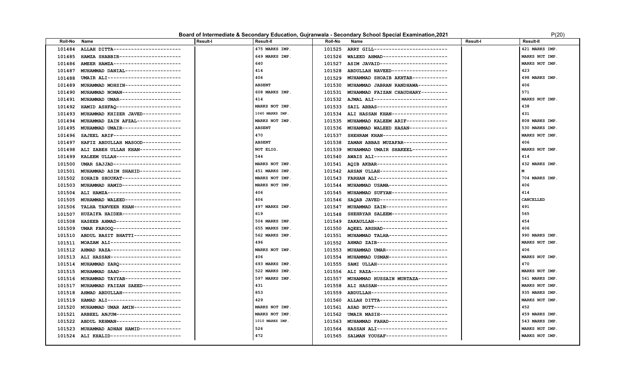### **Board of Intermediate & Secondary Education, Gujranwala - Secondary School Special Examination, 2021** P(20) P(20)

| <b>Roll-No</b> | Name                                | <b>Result-I</b> | <b>Result-II</b> | <b>Roll-No</b> | Name                                      | <b>Result-I</b> | <b>Result-II</b> |
|----------------|-------------------------------------|-----------------|------------------|----------------|-------------------------------------------|-----------------|------------------|
| 101484         | ALLAH DITTA-----------------------  |                 | 475 MARKS IMP.   | 101525         | ARRY GILL-------------------------        |                 | 421 MARKS IMP.   |
| 101485         | HAMZA SHABBIR---------------------  |                 | 649 MARKS IMP.   | 101526         | WALEED AHMAD----------------------        |                 | MARKS NOT IMP.   |
| 101486         | AMEER HAMZA-----------------------  |                 | 640              | 101527         | ASIM JAVAID-----------------------        |                 | MARKS NOT IMP.   |
| 101487         | MUHAMMAD DANIAL-------------------  |                 | 414              | 101528         | ABDULLAH NAVEED-------------------        |                 | 423              |
| 101488         | UMAIR ALI-------------------------  |                 | 406              | 101529         | MUHAMMAD SHOAIB AKHTAR------------        |                 | 498 MARKS IMP.   |
| 101489         | MUHAMMAD MOHSIN-------------------  |                 | <b>ABSENT</b>    | 101530         | MUHAMMAD JABRAN RANDHAWA----------        |                 | 406              |
| 101490         | MUHAMMAD NOMAN-------------------   |                 | 608 MARKS IMP.   | 101531         | MUHAMMAD FAIZAN CHAUDHARY---------        |                 | 571              |
| 101491         | MUHAMMAD UMAR --------------------- |                 | 414              |                | 101532 AJMAL ALI------------------------- |                 | MARKS NOT IMP.   |
| 101492         | HAMID ASHFAQ ---------------------- |                 | MARKS NOT IMP.   | 101533         | SAIL ABBAS------------------------        |                 | 438              |
| 101493         | MUHAMMAD KHIZER JAVED-------------  |                 | 1040 MARKS IMP.  | 101534         | ALI HASSAN KHAN-------------------        |                 | 431              |
| 101494         | MUHAMMAD ZAIN AFZAL---------------  |                 | MARKS NOT IMP.   | 101535         | MUHAMMAD KALEEM ARIF-------------         |                 | 808 MARKS IMP.   |
| 101495         | MUHAMMAD UMAIR--------------------  |                 | <b>ABSENT</b>    |                | 101536 MUHAMMAD WALEED HASAN------------- |                 | 530 MARKS IMP.   |
| 101496         | SAJEEL ARIF-----------------------  |                 | 470              | 101537         | SHEHRAM KHAN----------------------        |                 | MARKS NOT IMP.   |
| 101497         | HAFIZ ABDULLAH MASOOD-------------  |                 | <b>ABSENT</b>    | 101538         | ZAMAN ABBAS MUZAFAR---------------        |                 | 406              |
| 101498         | ALI ZABEH ULLAH KHAN--------------  |                 | NOT ELIG.        | 101539         | MUHAMMAD UMAIR SHAKEEL-----------         |                 | MARKS NOT IMP.   |
| 101499         | KALEEM ULLAH----------------------  |                 | 544              | 101540         | AWAIS ALI-------------------------        |                 | 414              |
| 101500         | UMAR SAJJAD-----------------------  |                 | MARKS NOT IMP.   | 101541         | AOIB AKBAR------------------------        |                 | 432 MARKS IMP.   |
| 101501         | MUHAMMAD ASIM SHAHID-------------   |                 | 451 MARKS IMP.   | 101542         | AHSAN ULLAH----------------------         |                 | м                |
| 101502         | ZOHAIB SHOUKAT--------------------  |                 | MARKS NOT IMP.   | 101543         | FARHAN ALI-----------------------         |                 | 704 MARKS IMP.   |
| 101503         | MUHAMMAD HAMID-------------------   |                 | MARKS NOT IMP.   | 101544         | MUHAMMAD USAMA--------------------        |                 | 406              |
| 101504         | ALI HAMZA-------------------------  |                 | 406              | 101545         | MUHAMMAD SUFYAN------------------         |                 | 414              |
| 101505         | MUHAMMAD WALEED-------------------  |                 | 406              | 101546         | SAQAB JAVED-----------------------        |                 | CANCELLED        |
| 101506         | TALHA TANVEER KHAN----------------  |                 | 497 MARKS IMP.   | 101547         | MUHAMMAD ZAIN---------------------        |                 | 491              |
| 101507         | HUZAIFA HAIDER--------------------  |                 | 619              | 101548         | SHEHRYAR SALEEM-------------------        |                 | 565              |
| 101508         | HASEEB AHMAD----------------------  |                 | 504 MARKS IMP.   | 101549         | ZAKAULLAH------------------------         |                 | 454              |
| 101509         | UMAR FAROOO-----------------------  |                 | 655 MARKS IMP.   | 101550         | AQEEL ARSHAD----------------------        |                 | 406              |
| 101510         | ABDUL BASIT BHATTI----------------  |                 | 562 MARKS IMP.   | 101551         | MUHAMMAD TALHA-------------------         |                 | 990 MARKS IMP.   |
| 101511         | MOAZAM ALI------------------------  |                 | 496              | 101552         | AHMAD ZAIB------------------------        |                 | MARKS NOT IMP.   |
| 101512         | AHMAD RAZA------------------------  |                 | MARKS NOT IMP.   | 101553         | MUHAMMAD UMAR---------------------        |                 | 406              |
| 101513         | ALI HASSAN------------------------  |                 | 406              | 101554         | MUHAMMAD USMAN-------------------         |                 | MARKS NOT IMP.   |
| 101514         | MUHAMMAD ZARO---------------------  |                 | 693 MARKS IMP.   | 101555         | SAMI ULLAH------------------------        |                 | 470              |
| 101515         | MUHAMMAD SAAD---------------------  |                 | 522 MARKS IMP.   | 101556         | ALI RAZA---------------------------       |                 | MARKS NOT IMP.   |
| 101516         | MUHAMMAD TAYYAB------------------   |                 | 597 MARKS IMP.   | 101557         | MUHAMMAD HUSSAIN MURTAZA----------        |                 | 561 MARKS IMP.   |
| 101517         | MUHAMMAD FAIZAN SAEED-------------  |                 | 431              | 101558         | ALI HASSAN------------------------        |                 | MARKS NOT IMP.   |
| 101518         | AHMAD ABDULLAH--------------------  |                 | 853              | 101559         | ABDULLAH--------------------------        |                 | 935 MARKS IMP.   |
| 101519         | HAMAD ALI-------------------------  |                 | 429              | 101560         | ALLAH DITTA-----------------------        |                 | MARKS NOT IMP.   |
| 101520         | MUHAMMAD UMAR AMIN---------------   |                 | MARKS NOT IMP.   | 101561         | ASAD BUTT-------------------------        |                 | 452              |
| 101521         | ARBEEL ANJUM----------------------  |                 | MARKS NOT IMP.   | 101562         | UMAIR MASIH-----------------------        |                 | 459 MARKS IMP.   |
| 101522         | ABDUL REHMAN----------------------  |                 | 1010 MARKS IMP.  | 101563         | MUHAMMAD FAHAD--------------------        |                 | 543 MARKS IMP.   |
| 101523         | MUHAMMAD ADNAN HAMID-------------   |                 | 526              | 101564         | HASSAN ALI------------------------        |                 | MARKS NOT IMP.   |
| 101524         | ALI KHALID------------------------  |                 | 472              | 101565         | SALMAN YOUSAF---------------------        |                 | MARKS NOT IMP.   |
|                |                                     |                 |                  |                |                                           |                 |                  |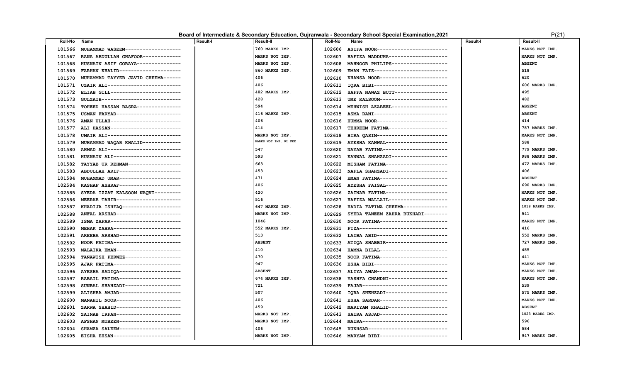### **Board of Intermediate & Secondary Education, Gujranwala - Secondary School Special Examination, 2021** P(21)

|  | P(21 |  |  |
|--|------|--|--|
|  |      |  |  |

| <b>Roll-No</b> | Name                                | <b>Result-I</b> | <b>Result-II</b>      | <b>Roll-No</b> | Name                                      | <b>Result-I</b> | <b>Result-II</b> |
|----------------|-------------------------------------|-----------------|-----------------------|----------------|-------------------------------------------|-----------------|------------------|
| 101566         | MUHAMMAD WASEEM------------------   |                 | 760 MARKS IMP.        | 102606         | ASIFA NOOR------------------------        |                 | MARKS NOT IMP.   |
| 101567         | RANA ABDULLAH GHAFOOR------------   |                 | MARKS NOT IMP.        | 102607         | HAFIZA WADDUHA--------------------        |                 | MARKS NOT IMP.   |
| 101568         | HUSNAIN ASIF GORAYA---------------  |                 | MARKS NOT IMP.        | 102608         | MAHNOOR PHILIPS-------------------        |                 | <b>ABSENT</b>    |
| 101569         | FARHAN KHALID--------------------   |                 | 860 MARKS IMP.        | 102609         | EMAN FAIZ-------------------------        |                 | 518              |
| 101570         | MUHAMMAD TAYYEB JAVID CHEEMA------  |                 | 406                   | 102610         | KHANSA NOOR-----------------------        |                 | 620              |
| 101571         | UZAIR ALI-------------------------  |                 | 406                   |                | 102611 IQRA BIBI------------------------- |                 | 606 MARKS IMP.   |
| 101572         | ELIAB GILL------------------------  |                 | 482 MARKS IMP.        | 102612         | SAFFA NAWAZ BUTT------------------        |                 | 495              |
| 101573         | GULZAIB---------------------------- |                 | 428                   | 102613         | UME KALSOOM-----------------------        |                 | 482              |
| 101574         | TOHEED HASSAN BASRA---------------  |                 | 594                   | 102614         | MEHWISH AZABEEL-------------------        |                 | <b>ABSENT</b>    |
| 101575         | USMAN FARYAD---------------------   |                 | 416 MARKS IMP.        |                | 102615 ASMA RANI------------------------  |                 | <b>ABSENT</b>    |
| 101576         | AMAN ULLAH-----------------------   |                 | 406                   | 102616         | HUMMA NOOR------------------------        |                 | 414              |
| 101577         | ALI HASSAN------------------------  |                 | 414                   | 102617         | TEHREEM FATIMA--------------------        |                 | 787 MARKS IMP.   |
| 101578         | UMAIR ALI------------------------   |                 | MARKS NOT IMP.        | 102618         | HIRA QASIM------------------------        |                 | MARKS NOT IMP.   |
| 101579         | MUHAMMAD WAQAR KHALID-------------  |                 | MARKS NOT IMP. RL FEE |                | 102619 AYESHA KANWAL--------------------  |                 | 588              |
| 101580         | AHMAD ALI-------------------------  |                 | 547                   | 102620         | NAYAB FATIMA----------------------        |                 | 779 MARKS IMP.   |
| 101581         | HUSNAIN ALI-----------------------  |                 | 593                   |                | 102621 KANWAL SHAHZADI------------------- |                 | 988 MARKS IMP.   |
| 101582         | TAYYAB UR REHMAN------------------  |                 | 663                   | 102622         | MISHAM FATIMA---------------------        |                 | 472 MARKS IMP.   |
| 101583         | ABDULLAH ARIF--------------------   |                 | 453                   | 102623         | NAFLA SHAHZADI--------------------        |                 | 406              |
| 101584         | MUHAMMAD UMAR --------------------  |                 | 471                   | 102624         | EMAN FATIMA-----------------------        |                 | <b>ABSENT</b>    |
| 102584         | KASHAF ASHRAF--------------------   |                 | 406                   |                | 102625 AYESHA FAISAL--------------------- |                 | 690 MARKS IMP.   |
| 102585         | SYEDA IZZAT KALSOOM NAQVI---------  |                 | 420                   | 102626         | ZAINAB FATIMA---------------------        |                 | MARKS NOT IMP.   |
| 102586         | MEERAB TAHIR---------------------   |                 | 516                   | 102627         | HAFIZA WALLAIL--------------------        |                 | MARKS NOT IMP.   |
| 102587         | KHADIJA ISHFAQ--------------------  |                 | 647 MARKS IMP.        | 102628         | HADIA FATIMA CHEEMA--------------         |                 | 1018 MARKS IMP.  |
| 102588         | ANFAL ARSHAD---------------------   |                 | MARKS NOT IMP.        | 102629         | SYEDA TANEEM ZAHRA BUKHARI--------        |                 | 541              |
| 102589         | ISMA ZAFAR------------------------  |                 | 1046                  | 102630         | NOOR FATIMA-----------------------        |                 | MARKS NOT IMP.   |
| 102590         | MEHAK ZAHRA-----------------------  |                 | 552 MARKS IMP.        |                | 102631 FIZA------------------------------ |                 | 416              |
| 102591         | AREEBA ARSHAD---------------------  |                 | 513                   | 102632         | LAIBA ABID------------------------        |                 | 552 MARKS IMP.   |
| 102592         | NOOR FATIMA----------------------   |                 | <b>ABSENT</b>         |                | 102633 ATIQA SHABBIR--------------------- |                 | 727 MARKS IMP.   |
| 102593         | MALAIKA EMAN---------------------   |                 | 410                   | 102634         | HAMNA BILAL----------------------         |                 | 485              |
| 102594         | TANAWISH PERWEZ------------------   |                 | 470                   |                | 102635 NOOR FATIMA----------------------  |                 | 441              |
| 102595         | AJAR FATIMA-----------------------  |                 | 947                   | 102636         | ESHA BIBI-------------------------        |                 | MARKS NOT IMP.   |
| 102596         | AYESHA SADIQA---------------------  |                 | <b>ABSENT</b>         | 102637         | ALIYA AWAN------------------------        |                 | MARKS NOT IMP.   |
| 102597         | RABAIL FATIMA---------------------  |                 | 674 MARKS IMP.        | 102638         | YASHFA CHANDNI--------------------        |                 | MARKS NOT IMP.   |
| 102598         | SUNBAL SHAHZADI------------------   |                 | 721                   |                | 102639 FAJAR----------------------------- |                 | 539              |
| 102599         | ALISHBA AMJAD---------------------  |                 | 507                   | 102640         | IQRA SHEHZADI--------------------         |                 | 575 MARKS IMP.   |
| 102600         | MANAHIL NOOR---------------------   |                 | 406                   | 102641         | ESHA SARDAR-----------------------        |                 | MARKS NOT IMP.   |
| 102601         | ZARWA SHAHID----------------------  |                 | 459                   | 102642         | MARIYAM KHALID--------------------        |                 | <b>ABSENT</b>    |
| 102602         | ZAINAB IRFAN---------------------   |                 | MARKS NOT IMP.        | 102643         | SAIRA ASJAD-----------------------        |                 | 1023 MARKS IMP.  |
| 102603         | AFSHAN MUBEEN---------------------  |                 | MARKS NOT IMP.        | 102644         | MAIRA-----------------------------        |                 | 596              |
| 102604         | SHAMZA SALEEM---------------------  |                 | 406                   | 102645         | RUKHSAR---------------------------        |                 | 584              |
| 102605         | EISHA EHSAN-----------------------  |                 | MARKS NOT IMP.        |                | 102646 MARYAM BIBI----------------------  |                 | 947 MARKS IMP.   |
|                |                                     |                 |                       |                |                                           |                 |                  |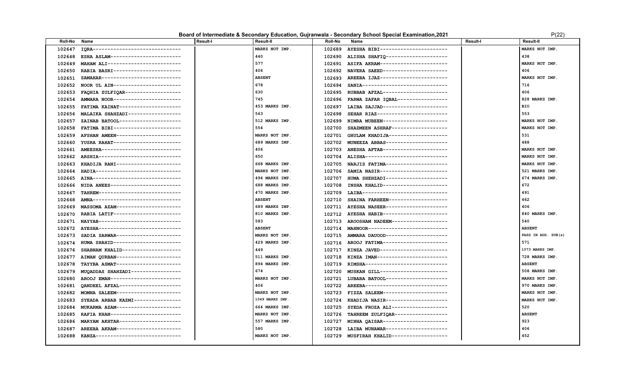### **Board of Intermediate & Secondary Education, Gujranwala - Secondary School Special Examination, 2021** P(22)

| <b>Roll-No</b> | Name                                | <b>Result-I</b> | <b>Result-II</b> | <b>Roll-No</b> | Name                                      | <b>Result-I</b> | <b>Result-II</b>    |
|----------------|-------------------------------------|-----------------|------------------|----------------|-------------------------------------------|-----------------|---------------------|
| 102647         | IORA------------------------------  |                 | MARKS NOT IMP.   | 102689         | AYESHA BIBI-----------------------        |                 | MARKS NOT IMP.      |
| 102648         | ESHA ASLAM------------------------  |                 | 440              | 102690         | ALISHA SHAFIQ---------------------        |                 | 438                 |
| 102649         | MAHAM ALI-------------------------  |                 | 577              | 102691         | ASIFA AKRAM-----------------------        |                 | MARKS NOT IMP.      |
| 102650         | RABIA BASRI-----------------------  |                 | 406              | 102692         | NAVERA SAEED----------------------        |                 | 406                 |
| 102651         | SAMAHAR--------------------------   |                 | <b>ABSENT</b>    |                | 102693 AREEBA IJAZ----------------------- |                 | MARKS NOT IMP.      |
| 102652         | NOOR UL AIN----------------------   |                 | 678              | 102694         | SANIA------------------------------       |                 | 716                 |
| 102653         | FAQHIA ZULFIQAR-------------------  |                 | 630              | 102695         | RUBBAB AFZAL---------------------         |                 | 406                 |
| 102654         | AMMARA NOOR-----------------------  |                 | 745              | 102696         | FARWA ZAFAR IOBAL----------------         |                 | 828 MARKS IMP.      |
| 102655         | FATIMA KAINAT--------------------   |                 | 453 MARKS IMP.   | 102697         | LAIBA SAJJAD----------------------        |                 | <b>BIO</b>          |
| 102656         | MALAIKA SHAHZADI-----------------   |                 | 563              | 102698         | SEHAR RIAZ------------------------        |                 | 553                 |
| 102657         | ZAINAB BATOOL---------------------  |                 | 512 MARKS IMP.   | 102699         | NIMRA MUBEEN----------------------        |                 | MARKS NOT IMP.      |
| 102658         | FATIMA BIBI----------------------   |                 | 554              | 102700         | SHAZMEEN ASHRAF------------------         |                 | MARKS NOT IMP.      |
| 102659         | AFSHAN AMEEN---------------------   |                 | MARKS NOT IMP.   | 102701         | GHULAM KHADIJA--------------------        |                 | 531                 |
| 102660         | YUSRA RAHAT-----------------------  |                 | 689 MARKS IMP.   | 102702         | MUNEEZA ABBAS---------------------        |                 | 488                 |
| 102661         | AMEESHA--------------------------   |                 | 406              | 102703         | ANESHA AFTAB---------------------         |                 | MARKS NOT IMP.      |
| 102662         | ARSHIA----------------------------  |                 | 650              | 102704         | ALISHA----------------------------        |                 | MARKS NOT IMP.      |
| 102663         | KHADIJA RANI----------------------  |                 | 668 MARKS IMP.   | 102705         | NARJIS FATIMA---------------------        |                 | MARKS NOT IMP.      |
| 102664         | HADIA-----------------------------  |                 | MARKS NOT IMP.   | 102706         | SAMIA NASIR-----------------------        |                 | 521 MARKS IMP.      |
| 102665         | AINA------------------------------- |                 | 494 MARKS IMP.   | 102707         | HUMA SHEHZADI---------------------        |                 | 674 MARKS IMP.      |
| 102666         | NIDA ANEES------------------------  |                 | 688 MARKS IMP.   | 102708         | INSHA KHALID----------------------        |                 | 672                 |
| 102667         | TAHREM----------------------------  |                 | 470 MARKS IMP.   | 102709         | LAIBA-----------------------------        |                 | 491                 |
| 102668         | AMNA------------------------------- |                 | <b>ABSENT</b>    | 102710         | SHAINA FARHEEN--------------------        |                 | 462                 |
| 102669         | MASSOMA AZAM----------------------  |                 | 689 MARKS IMP.   | 102711         | AYESHA NASEER---------------------        |                 | 406                 |
| 102670         | RABIA LATIF-----------------------  |                 | 810 MARKS IMP.   |                | 102712 AYESHA HABIB---------------------  |                 | 840 MARKS IMP.      |
| 102671         | NAYYAB----------------------------  |                 | 583              | 102713         | AROOSHAM NADEEM------------------         |                 | 540                 |
| 102672         | AYESHA----------------------------  |                 | <b>ABSENT</b>    |                | 102714 MAHNOOR--------------------------- |                 | <b>ABSENT</b>       |
| 102673         | SADIA SARWAR----------------------  |                 | MARKS NOT IMP.   |                | 102715 AMMARA DAUOOD--------------------- |                 | PASS IN ADD. SUB(s) |
| 102674         | HUMA SHAHID----------------------   |                 | 429 MARKS IMP.   |                | 102716 AROOJ FATIMA---------------------- |                 | 571                 |
| 102676         | SHABNAM KHALID--------------------  |                 | 449              | 102717         | KINZA JAVED-----------------------        |                 | 1073 MARKS IMP.     |
| 102677         | AIMAN OURBAN----------------------  |                 | 511 MARKS IMP.   | 102718         | KINZA IMAN------------------------        |                 | 728 MARKS IMP.      |
| 102678         | TAYYBA ASMAT----------------------  |                 | 894 MARKS IMP.   | 102719         | RIMSHA----------------------------        |                 | <b>ABSENT</b>       |
| 102679         | MUQADDAS SHAHZADI----------------   |                 | 674              | 102720         | MUSKAN GILL----------------------         |                 | 508 MARKS IMP.      |
| 102680         | AROOJ EMAN------------------------  |                 | MARKS NOT IMP.   | 102721         | LUBABA BATOOL---------------------        |                 | MARKS NOT IMP.      |
| 102681         | OANDEEL AFZAL---------------------  |                 | 406              | 102722         | AREEBA----------------------------        |                 | 970 MARKS IMP.      |
| 102682         | MOMNA SALEEM----------------------  |                 | MARKS NOT IMP.   | 102723         | FIZZA SALEEM----------------------        |                 | MARKS NOT IMP.      |
| 102683         | SYEADA ARBAB KAZMI---------------   |                 | 1049 MARKS IMP.  | 102724         | KHADIJA NASIR---------------------        |                 | MARKS NOT IMP.      |
| 102684         | MUKARMA AZAM----------------------  |                 | 664 MARKS IMP.   | 102725         | SYEDA FROZA ALI-------------------        |                 | 520                 |
| 102685         | RAFIA KHAN------------------------  |                 | MARKS NOT IMP.   | 102726         | TAHREEM ZULFIQAR------------------        |                 | <b>ABSENT</b>       |
| 102686         | MARYAM AKHTAR---------------------  |                 | 557 MARKS IMP.   | 102727         | MINHA QAISAR----------------------        |                 | 923                 |
| 102687         | AREEBA AKRAM----------------------  |                 | 580              | 102728         | LAIBA MUNAWAR---------------------        |                 | 406                 |
| 102688         | KANZA-----------------------------  |                 | MARKS NOT IMP.   |                | 102729 MUSFIRAH KHALID------------------  |                 | 452                 |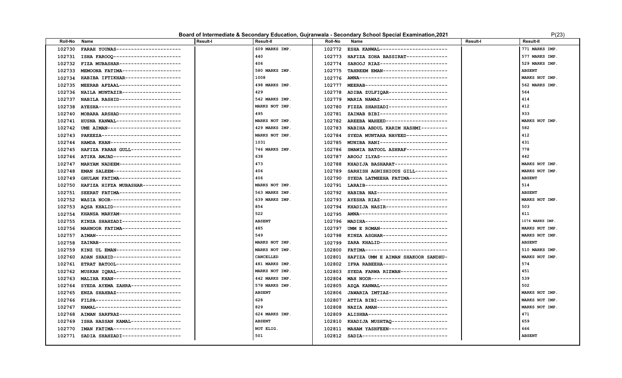#### Board of Intermediate & Secondary Education, Gujranwala - Secondary School Special Examination, 2021 **PEDITION** P(23)

| Roll-No | Name                                | <b>Result-I</b> | <b>Result-II</b> | Roll-No | Name                                      | <b>Result-I</b> | Result-II       |
|---------|-------------------------------------|-----------------|------------------|---------|-------------------------------------------|-----------------|-----------------|
| 102730  | FARAH YOUNAS----------------------  |                 | 609 MARKS IMP.   | 102772  | ESHA KANWAL----------------------         |                 | 771 MARKS IMP.  |
| 102731  | ISHA FAROOQ------------------------ |                 | 440              | 102773  | HAFIZA ZOHA BASSIRAT--------------        |                 | 577 MARKS IMP.  |
| 102732  | FIZA MUBASHAR---------------------  |                 | 406              | 102774  | SAROOJ RIAZ-----------------------        |                 | 529 MARKS IMP.  |
| 102733  | MEMOONA FATIMA--------------------  |                 | 580 MARKS IMP.   | 102775  | TAHREEM EMAN----------------------        |                 | <b>ABSENT</b>   |
| 102734  | HABIBA IFTIKHAR-------------------  |                 | 1008             | 102776  | AMNA-------------------------------       |                 | MARKS NOT IMP.  |
| 102735  | MEERAB AFZAAL---------------------  |                 | 498 MARKS IMP.   | 102777  | MEERAB---------------------------         |                 | 562 MARKS IMP.  |
| 102736  | NAILA MUNTAZIR--------------------  |                 | 429              | 102778  | ADIBA ZULFIQAR--------------------        |                 | 564             |
| 102737  | NABILA RASHID---------------------  |                 | 542 MARKS IMP.   | 102779  | MARIA NAWAZ-----------------------        |                 | 414             |
| 102738  | AYESHA----------------------------  |                 | MARKS NOT IMP.   | 102780  | FIZZA SHAHZADI-------------------         |                 | 412             |
| 102740  | MOBARA ARSHAD---------------------  |                 | 495              | 102781  | ZAINAB BIBI-----------------------        |                 | 933             |
| 102741  | HUSNA KANWAL----------------------  |                 | MARKS NOT IMP.   | 102782  | AREEBA WAHEED---------------------        |                 | MARKS NOT IMP.  |
| 102742  | UME AIMAN------------------------   |                 | 429 MARKS IMP.   | 102783  | NABIHA ABDUL KARIM HASHMI---------        |                 | 582             |
| 102743  | PAKEEZA---------------------------  |                 | MARKS NOT IMP.   | 102784  | SYEDA MUNTAHA NAVEED-------------         |                 | 412             |
| 102744  | HAMDA KHAN------------------------  |                 | 1031             | 102785  | MUNIBA RANI-----------------------        |                 | 431             |
| 102745  | HAFIZA FARAH GULL-----------------  |                 | 746 MARKS IMP.   | 102786  | SMAWIA BATOOL ASHRAF--------------        |                 | 778             |
| 102746  | ATIKA AMJAD-----------------------  |                 | 638              | 102787  | AROOJ ILYAS-----------------------        |                 | 442             |
| 102747  | MARYAM NADEEM---------------------  |                 | 473              | 102788  | KHADIJA BASHARAT------------------        |                 | MARKS NOT IMP.  |
| 102748  | EMAN SALEEM-----------------------  |                 | 406              | 102789  | SARHISH AGNISHIOUS GILL-----------        |                 | MARKS NOT IMP.  |
| 102749  | GHULAM FATIMA---------------------  |                 | 406              | 102790  | SYEDA LATMEEHA FATIMA-------------        |                 | <b>ABSENT</b>   |
| 102750  | HAFIZA HIFZA MUBASHAR-------------  |                 | MARKS NOT IMP.   | 102791  | LARAIB----------------------------        |                 | 514             |
| 102751  | SEERAT FATIMA---------------------  |                 | 563 MARKS IMP.   | 102792  | HABIBA NAZ------------------------        |                 | <b>ABSENT</b>   |
| 102752  | WASIA NOOR------------------------  |                 | 639 MARKS IMP.   | 102793  | AYESHA RIAZ-----------------------        |                 | MARKS NOT IMP.  |
| 102753  | AQSA KHALID-----------------------  |                 | 854              | 102794  | KHADIJA NASIR---------------------        |                 | 503             |
| 102754  | KHANSA MARYAM---------------------  |                 | 522              | 102795  | AMNA------------------------------        |                 | 611             |
| 102755  | KINZA SHAHZADI--------------------  |                 | <b>ABSENT</b>    | 102796  | MADIHA----------------------------        |                 | 1074 MARKS IMP. |
| 102756  | MAHNOOR FATIMA--------------------  |                 | 485              | 102797  | UMM E ROMAN-----------------------        |                 | MARKS NOT IMP.  |
| 102757  | AIMAN-----------------------------  |                 | 549              | 102798  | KINZA ASGHAR----------------------        |                 | MARKS NOT IMP.  |
| 102758  | ZAINAB----------------------------  |                 | MARKS NOT IMP.   | 102799  | ZARA KHALID-----------------------        |                 | <b>ABSENT</b>   |
| 102759  | KINZ UL EMAN----------------------  |                 | MARKS NOT IMP.   | 102800  | FATIMA----------------------------        |                 | 510 MARKS IMP.  |
| 102760  | ADAN SHAHID----------------------   |                 | CANCELLED        | 102801  | HAFIZA UMM E AIMAN SHAKOOR SANDHU-        |                 | MARKS NOT IMP.  |
| 102761  | ETRAT BATOOL----------------------  |                 | 481 MARKS IMP.   | 102802  | IFRA RABEEHA----------------------        |                 | 574             |
| 102762  | MUSKAN IQBAL---------------------   |                 | MARKS NOT IMP.   | 102803  | SYEDA FARWA RIZWAN---------------         |                 | 451             |
| 102763  | MALIHA KHAN-----------------------  |                 | 442 MARKS IMP.   | 102804  | MAH NOOR--------------------------        |                 | 539             |
| 102764  | SYEDA AYEMA ZAHRA-----------------  |                 | 578 MARKS IMP.   | 102805  | AZQA KANWAL----------------------         |                 | 502             |
| 102765  | ENZA SHAHBAZ----------------------- |                 | <b>ABSENT</b>    | 102806  | JAWARIA IMTIAZ--------------------        |                 | MARKS NOT IMP.  |
| 102766  | FILPA-----------------------------  |                 | 628              | 102807  | ATTIA BIBI------------------------        |                 | MARKS NOT IMP.  |
| 102767  | NAMAL----------------------------   |                 | 829              | 102808  | NAZIA AMAN------------------------        |                 | MARKS NOT IMP.  |
| 102768  | AIMAN SARFRAZ---------------------  |                 | 624 MARKS IMP.   | 102809  | ALISHBA---------------------------        |                 | 471             |
| 102769  | ISHA HASSAN KAMAL----------------   |                 | <b>ABSENT</b>    | 102810  | KHADIJA MUSHTAQ -------------------       |                 | 659             |
| 102770  | IMAN FATIMA----------------------   |                 | NOT ELIG.        | 102811  | MAHAM YASHFEEN-------------------         |                 | 666             |
| 102771  | SADIA SHAHZADI-------------------   |                 | 501              |         | 102812 SADIA----------------------------- |                 | <b>ABSENT</b>   |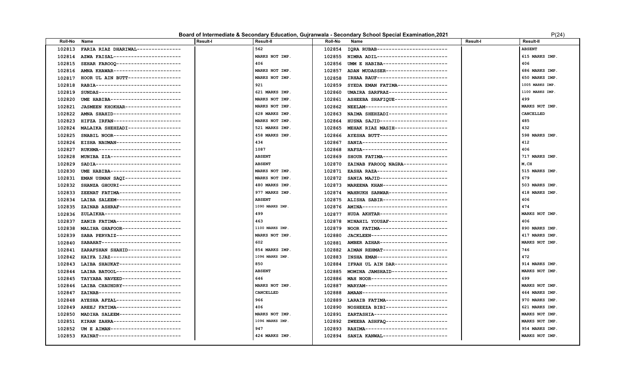### **Board of Intermediate & Secondary Education, Gujranwala - Secondary School Special Examination, 2021** P(24)

| ינרי<br>Δ |
|-----------|
|           |

| <b>Roll-No</b> | Name                                      | <b>Result-I</b> | <b>Result-II</b> | <b>Roll-No</b> | Name                                     | <b>Result-I</b> | <b>Result-II</b> |
|----------------|-------------------------------------------|-----------------|------------------|----------------|------------------------------------------|-----------------|------------------|
| 102813         | FARIA RIAZ DHARIWAL---------------        |                 | 562              | 102854         | IQRA RUBAB------------------------       |                 | <b>ABSENT</b>    |
| 102814         | AZWA FAISAL----------------------         |                 | MARKS NOT IMP    | 102855         | NIMRA ADIL------------------------       |                 | 615 MARKS IMP.   |
| 102815         | SEHAR FAROOQ ----------------------       |                 | 406              | 102856         | UMM E HABIBA----------------------       |                 | 406              |
| 102816         | AMNA KHAWAR-----------------------        |                 | MARKS NOT IMP.   | 102857         | ADAN MUDASSER---------------------       |                 | 686 MARKS IMP.   |
| 102817         | HOOR UL AIN BUTT------------------        |                 | MARKS NOT IMP.   | 102858         | IRHAA RAUF------------------------       |                 | 650 MARKS IMP.   |
| 102818         | RABIA------------------------------       |                 | 921              | 102859         | SYEDA EMAN FATIMA----------------        |                 | 1005 MARKS IMP   |
| 102819         | SUNDAS----------------------------        |                 | 621 MARKS IMP.   | 102860         | UMAIRA SARFRAZ--------------------       |                 | 1100 MARKS IMP   |
| 102820         | UME HABIBA------------------------        |                 | MARKS NOT IMP.   | 102861         | ASHEEBA SHAFIQUE------------------       |                 | 499              |
| 102821         | JASMEEN KHOKHAR------------------         |                 | MARKS NOT IMP.   | 102862         | NEELAM----------------------------       |                 | MARKS NOT IMP.   |
| 102822         | AMNA SHAHID-----------------------        |                 | 628 MARKS IMP.   | 102863         | NAIMA SHEHZADI-------------------        |                 | CANCELLED        |
| 102823         | HIFZA IRFAN-----------------------        |                 | MARKS NOT IMP.   | 102864         | HUSNA SAJID----------------------        |                 | 485              |
| 102824         | MALAIKA SHEHZADI------------------        |                 | 521 MARKS IMP.   | 102865         | MEHAK RIAZ MASIH------------------       |                 | 432              |
| 102825         | SNABIL NOOR-----------------------        |                 | 458 MARKS IMP.   | 102866         | AYESHA BUTT----------------------        |                 | 598 MARKS IMP.   |
| 102826         | EISHA NAUMAN----------------------        |                 | 434              | 102867         | SANIA-----------------------------       |                 | 412              |
| 102827         | RUKHMA----------------------------        |                 | 1087             | 102868         | HAFSA-----------------------------       |                 | 406              |
| 102828         | MUNIBA ZIA------------------------        |                 | <b>ABSENT</b>    | 102869         | SHOUR FATIMA----------------------       |                 | 717 MARKS IMP.   |
| 102829         | SADIA-----------------------------        |                 | <b>ABSENT</b>    | 102870         | ZAINAB FAROOQ NAGRA---------------       |                 | M, CH            |
| 102830         | UME HABIBA------------------------        |                 | MARKS NOT IMP.   | 102871         | EASHA RAZA------------------------       |                 | 515 MARKS IMP.   |
| 102831         | EMAN USMAN SAQI-------------------        |                 | MARKS NOT IMP.   | 102872         | SANIA MAJID----------------------        |                 | 679              |
| 102832         | SHANZA GHOURI--------------------         |                 | 480 MARKS IMP.   | 102873         | MAREENA KHAN----------------------       |                 | 503 MARKS IMP.   |
| 102833         | ZEENAT FATIMA---------------------        |                 | 977 MARKS IMP.   | 102874         | MAHRUKH SARWAR-------------------        |                 | 418 MARKS IMP.   |
| 102834         | LAIBA SALEEM----------------------        |                 | <b>ABSENT</b>    |                | 102875 ALISHA SABIR--------------------- |                 | 406              |
| 102835         | ZAINAB ASHRAF--------------------         |                 | 1090 MARKS IMP.  | 102876         | AMINA-----------------------------       |                 | 474              |
| 102836         | ZULAIKHA--------------------------        |                 | 499              | 102877         | HUDA AKHTAR-----------------------       |                 | MARKS NOT IMP.   |
| 102837         | ZANIB FATIMA---------------------         |                 | 463              | 102878         | MINAHIL YOUSAF-------------------        |                 | 406              |
| 102838         | MALIHA GHAFOOR--------------------        |                 | 1100 MARKS IMP.  | 102879         | NOOR FATIMA-----------------------       |                 | 890 MARKS IMP.   |
| 102839         | SABA PERVAIZ----------------------        |                 | MARKS NOT IMP.   | 102880         | JACKLEEN--------------------------       |                 | 417 MARKS IMP.   |
| 102840         | SABAHAT---------------------------        |                 | 602              | 102881         | AMBER AZHAR-----------------------       |                 | MARKS NOT IMP.   |
| 102841         | ZARAFSHAN SHAHID-----------------         |                 | 854 MARKS IMP.   | 102882         | AIMAN REHMAT---------------------        |                 | 746              |
| 102842         | HAIFA IJAZ-------------------------       |                 | 1096 MARKS IMP.  | 102883         | INSHA EMAN-----------------------        |                 | 472              |
| 102843         | LAIBA SHAUKAT---------------------        |                 | 850              | 102884         | IFRAH UL AIN DAR-----------------        |                 | 914 MARKS IMP.   |
| 102844         | LAIBA BATOOL----------------------        |                 | <b>ABSENT</b>    | 102885         | MOMINA JAMSHAID-------------------       |                 | MARKS NOT IMP.   |
| 102845         | TAYYABA NAVEED--------------------        |                 | 646              | 102886         | MAH NOOR--------------------------       |                 | 699              |
| 102846         | LAIBA CHAUHDRY--------------------        |                 | MARKS NOT IMP    | 102887         | MARYAM----------------------------       |                 | MARKS NOT IMP.   |
| 102847         | ZAINAB----------------------------        |                 | CANCELLED        | 102888         | AMAAN-----------------------------       |                 | 464 MARKS IMP.   |
| 102848         | AYESHA AFZAL----------------------        |                 | 966              | 102889         | LARAIB FATIMA--------------------        |                 | 970 MARKS IMP.   |
| 102849         | AREEJ FATIMA----------------------        |                 | 406              | 102890         | NOSHEEZA BIBI---------------------       |                 | 621 MARKS IMP.   |
| 102850         | MADIHA SALEEM---------------------        |                 | MARKS NOT IMP    | 102891         | ZARTASHIA-------------------------       |                 | MARKS NOT IMP.   |
| 102851         | KIRAN ZAHRA-----------------------        |                 | 1096 MARKS IMP.  | 102892         | ZWEEBA ASHFAQ---------------------       |                 | MARKS NOT IMP.   |
| 102852         | UM E AIMAN------------------------        |                 | 947              | 102893         | RAHIMA----------------------------       |                 | 954 MARKS IMP.   |
|                | 102853 KAINAT---------------------------- |                 | 424 MARKS IMP.   | 102894         | SANIA KANWAL----------------------       |                 | MARKS NOT IMP.   |
|                |                                           |                 |                  |                |                                          |                 |                  |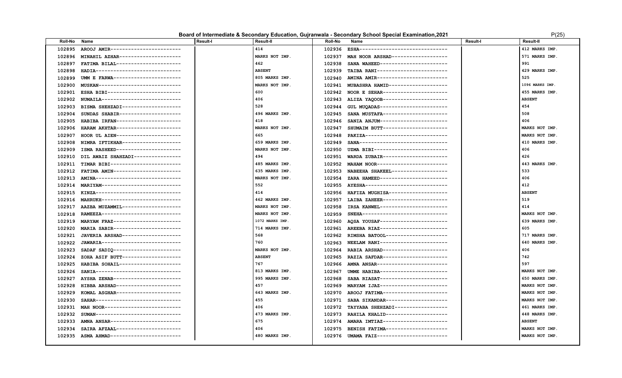#### **Board of Intermediate & Secondary Education, Gujranwala - Secondary School Special Examination, 2021** P(25)

| ר וכ |  |
|------|--|
|      |  |

| <b>Roll-No</b> | Name                                | <b>Result-I</b> | <b>Result-II</b> | <b>Roll-No</b> | Name                                     | <b>Result-I</b> | <b>Result-II</b> |
|----------------|-------------------------------------|-----------------|------------------|----------------|------------------------------------------|-----------------|------------------|
| 102895         | AROOJ AMIR------------------------  |                 | 414              | 102936         | ESHA-------------------------------      |                 | 412 MARKS IMP.   |
| 102896         | MINAHIL AZHAR---------------------  |                 | MARKS NOT IMP.   | 102937         | MAH NOOR ARSHAD-------------------       |                 | 571 MARKS IMP.   |
| 102897         | FATIMA BILAL----------------------  |                 | 462              | 102938         | SANA WAHEED----------------------        |                 | 991              |
| 102898         | HADIA-----------------------------  |                 | <b>ABSENT</b>    | 102939         | TAIBA RANI------------------------       |                 | 429 MARKS IMP.   |
| 102899         | UMM E FARWA-----------------------  |                 | 805 MARKS IMP.   | 102940         | AMINA AMIR------------------------       |                 | 525              |
| 102900         | MUSKAN----------------------------  |                 | MARKS NOT IMP.   | 102941         | MUBASHRA HAMID-------------------        |                 | 1096 MARKS IMP.  |
| 102901         | ESHA BIBI-------------------------  |                 | 600              | 102942         | NOOR E SEHAR----------------------       |                 | 455 MARKS IMP.   |
| 102902         | NUMAILA--------------------------   |                 | 406              | 102943         | ALIZA YAQOOB----------------------       |                 | <b>ABSENT</b>    |
| 102903         | BISMA SHEHZADI--------------------  |                 | 528              | 102944         | GUL MUQADAS-----------------------       |                 | 454              |
| 102904         | SUNDAS SHABIR---------------------  |                 | 496 MARKS IMP.   | 102945         | SANA MUSTAFA----------------------       |                 | 508              |
| 102905         | HABIBA IRFAN----------------------  |                 | 418              | 102946         | SANIA ANJUM-----------------------       |                 | 406              |
| 102906         | HARAM AKHTAR----------------------  |                 | MARKS NOT IMP.   | 102947         | SHUMAIM BUTT----------------------       |                 | MARKS NOT IMP.   |
| 102907         | HOOR UL AIEN----------------------  |                 | 665              | 102948         | PAKIZA----------------------------       |                 | MARKS NOT IMP.   |
| 102908         | NIMRA IFTIKHAR-------------------   |                 | 659 MARKS IMP.   | 102949         | SANA------------------------------       |                 | 410 MARKS IMP.   |
| 102909         | ISMA RASHEED---------------------   |                 | MARKS NOT IMP.   | 102950         | UZMA BIBI-------------------------       |                 | 406              |
| 102910         | DIL AWAIZ SHAHZADI----------------  |                 | 494              | 102951         | WARDA ZUBAIR----------------------       |                 | 426              |
| 102911         | TIMAR BIBI------------------------  |                 | 485 MARKS IMP.   | 102952         | MAHAM NOOR------------------------       |                 | 443 MARKS IMP.   |
| 102912         | FATIMA AMIN----------------------   |                 | 635 MARKS IMP.   | 102953         | NABEEHA SHAKEEL-------------------       |                 | 533              |
| 102913         | AMINA-----------------------------  |                 | MARKS NOT IMP.   | 102954         | ZARA HAMEED-----------------------       |                 | 406              |
| 102914         | MARIYAM--------------------------   |                 | 552              | 102955         | AYESHA----------------------------       |                 | 412              |
| 102915         | KINZA------------------------------ |                 | 414              | 102956         | HAFIZA MUGHISA--------------------       |                 | <b>ABSENT</b>    |
| 102916         | MAHRUKH--------------------------   |                 | 462 MARKS IMP.   | 102957         | LAIBA ZAHEER----------------------       |                 | 519              |
| 102917         | AAZBA MUZAMMIL--------------------  |                 | MARKS NOT IMP.   | 102958         | IRSA KANWEL----------------------        |                 | 414              |
| 102918         | RAMEEZA---------------------------  |                 | MARKS NOT IMP.   | 102959         | SNEHA-----------------------------       |                 | MARKS NOT IMP.   |
| 102919         | MARYAM FRAZ-----------------------  |                 | 1072 MARKS IMP.  | 102960         | AQSA YOUSAF-----------------------       |                 | 639 MARKS IMP.   |
| 102920         | MARIA SABIR-----------------------  |                 | 714 MARKS IMP.   | 102961         | AREEBA RIAZ-----------------------       |                 | 605              |
| 102921         | JAVERIA ARSHAD--------------------  |                 | 568              | 102962         | RIMSHA BATOOL---------------------       |                 | 717 MARKS IMP.   |
| 102922         | JAWARIA---------------------------  |                 | 760              | 102963         | NEELAM RANI-----------------------       |                 | 640 MARKS IMP.   |
| 102923         | SADAF SADIQ-----------------------  |                 | MARKS NOT IMP.   | 102964         | RABIA ARSHAD----------------------       |                 | 406              |
| 102924         | ZOHA ASIF BUTT--------------------  |                 | <b>ABSENT</b>    | 102965         | RAZIA SAFDAR----------------------       |                 | 742              |
| 102925         | HABIBA SOHAIL---------------------  |                 | 767              | 102966         | AMNA ANSAR------------------------       |                 | 597              |
| 102926         | SANIA------------------------------ |                 | 813 MARKS IMP.   | 102967         | UMME HABIBA-----------------------       |                 | MARKS NOT IMP.   |
| 102927         | AYSHA ZENAB-----------------------  |                 | 995 MARKS IMP.   | 102968         | SABA RIASAT-----------------------       |                 | 650 MARKS IMP.   |
| 102928         | HIBBA ARSHAD----------------------  |                 | 457              | 102969         | MARYAM IJAZ-----------------------       |                 | MARKS NOT IMP.   |
| 102929         | KOMAL ASGHAR----------------------  |                 | 643 MARKS IMP.   | 102970         | AROOJ FATIMA----------------------       |                 | MARKS NOT IMP.   |
| 102930         | SAHAR------------------------------ |                 | 455              | 102971         | SABA SIKANDAR---------------------       |                 | MARKS NOT IMP.   |
| 102931         | MAH NOOR-------------------------   |                 | 406              | 102972         | TAYYABA SHEHZADI-----------------        |                 | 461 MARKS IMP.   |
| 102932         | SUMAN-----------------------------  |                 | 473 MARKS IMP.   | 102973         | RAHILA KHALID--------------------        |                 | 448 MARKS IMP.   |
| 102933         | AMNA ANSAR------------------------  |                 | 675              | 102974         | AMARA IMTIAZ----------------------       |                 | <b>ABSENT</b>    |
| 102934         | SAIRA AFZAAL----------------------  |                 | 406              | 102975         | BENISH FATIMA---------------------       |                 | MARKS NOT IMP.   |
| 102935         | ASMA AHMAD------------------------  |                 | 480 MARKS IMP.   |                | 102976 UMAMA FAIZ----------------------- |                 | MARKS NOT IMP.   |
|                |                                     |                 |                  |                |                                          |                 |                  |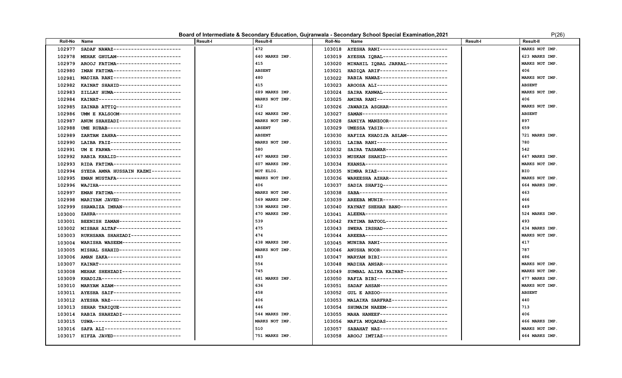#### **Board of Intermediate & Secondary Education, Gujranwala - Secondary School Special Examination, 2021** P(26)

| ?(26 |  |
|------|--|

| <b>Roll-No</b> | Name                                | <b>Result-I</b> | <b>Result-II</b> | <b>Roll-No</b> | Name                                     | <b>Result-I</b> | <b>Result-II</b> |
|----------------|-------------------------------------|-----------------|------------------|----------------|------------------------------------------|-----------------|------------------|
| 102977         | SADAF NAWAZ-----------------------  |                 | 472              | 103018         | AYESHA RANI-----------------------       |                 | MARKS NOT IMP    |
| 102978         | MEHAK GHULAM----------------------  |                 | 640 MARKS IMP.   | 103019         | AYESHA IQBAL----------------------       |                 | 623 MARKS IMP.   |
| 102979         | AROOJ FATIMA----------------------  |                 | 415              | 103020         | MINAHIL IQBAL JARRAL-------------        |                 | MARKS NOT IMP.   |
| 102980         | IMAN FATIMA-----------------------  |                 | <b>ABSENT</b>    | 103021         | HADIOA ARIF-----------------------       |                 | 406              |
| 102981         | MADIHA RANI-----------------------  |                 | 480              | 103022         | RABIA NAWAZ-----------------------       |                 | MARKS NOT IMP.   |
| 102982         | KAINAT SHAHID---------------------  |                 | 415              | 103023         | AROOSA ALI------------------------       |                 | <b>ABSENT</b>    |
| 102983         | ZILLAY HUMA-----------------------  |                 | 689 MARKS IMP.   | 103024         | SAIRA KANWAL---------------------        |                 | MARKS NOT IMP    |
| 102984         | KAINAT----------------------------  |                 | MARKS NOT IMP.   | 103025         | AMINA RANI------------------------       |                 | 406              |
| 102985         | ZAINAB ATTIQ ---------------------- |                 | 412              | 103026         | JAWARIA ASGHAR--------------------       |                 | MARKS NOT IMP    |
| 102986         | UMM E KALSOOM---------------------  |                 | 642 MARKS IMP.   | 103027         | SAMAN-----------------------------       |                 | <b>ABSENT</b>    |
| 102987         | ANUM SHAHZADI---------------------  |                 | MARKS NOT IMP    | 103028         | SANIYA MANZOOR--------------------       |                 | 897              |
| 102988         | UME RUBAB-------------------------  |                 | <b>ABSENT</b>    | 103029         | UMESSA YASIR----------------------       |                 | 659              |
| 102989         | ZARTAM ZAHRA----------------------  |                 | <b>ABSENT</b>    | 103030         | HAFIZA KHADIJA ASLAM--------------       |                 | 721 MARKS IMP.   |
| 102990         | LAIBA FAIZ------------------------- |                 | MARKS NOT IMP.   | 103031         | LAIBA RANI------------------------       |                 | 780              |
| 102991         | UM E FARWA-----------------------   |                 | 580              | 103032         | SAIRA TASAWAR---------------------       |                 | 542              |
| 102992         | RABIA KHALID----------------------  |                 | 467 MARKS IMP.   | 103033         | MUSKAN SHAHID--------------------        |                 | 647 MARKS IMP.   |
| 102993         | RIDA FATIMA-----------------------  |                 | 607 MARKS IMP.   | 103034         | KHANSA----------------------------       |                 | MARKS NOT IMP    |
| 102994         | SYEDA AMNA HUSSAIN KAZMI----------  |                 | NOT ELIG.        | 103035         | NIMRA RIAZ------------------------       |                 | <b>BIO</b>       |
| 102995         | EMAN MUSTAFA----------------------  |                 | MARKS NOT IMP.   | 103036         | WAREESHA AZHAR--------------------       |                 | MARKS NOT IMP    |
| 102996         | WAJIHA----------------------------  |                 | 406              | 103037         | SADIA SHAFIQ----------------------       |                 | 664 MARKS IMP.   |
| 102997         | EMAN FATIMA-----------------------  |                 | MARKS NOT IMP.   | 103038         | SABA------------------------------       |                 | 463              |
| 102998         | MARIYAM JAVED---------------------  |                 | 569 MARKS IMP.   | 103039         | AREEBA MUNIR----------------------       |                 | 466              |
| 102999         | SHAWAIZA IMRAN--------------------  |                 | 538 MARKS IMP    | 103040         | KAYNAT SHEHAR BANO----------------       |                 | 449              |
| 103000         | ZAHRA------------------------------ |                 | 470 MARKS IMP.   | 103041         | ALEENA----------------------------       |                 | 524 MARKS IMP.   |
| 103001         | BEENISH ZAMAN---------------------  |                 | 539              |                | 103042 FATIMA BATOOL-------------------- |                 | 493              |
| 103002         | MISBAH ALTAF----------------------  |                 | 475              | 103043         | SWERA IRSHAD----------------------       |                 | 434 MARKS IMP.   |
| 103003         | RUKHSANA SHAHZADI-----------------  |                 | 474              | 103044         | AREEBA----------------------------       |                 | MARKS NOT IMP.   |
| 103004         | WARISHA WASEEM--------------------  |                 | 438 MARKS IMP.   | 103045         | MUNIBA RANI-----------------------       |                 | 417              |
| 103005         | MISHAL SHAHID---------------------  |                 | MARKS NOT IMP.   | 103046         | ANUSHA NOOR-----------------------       |                 | 787              |
| 103006         | AMAN ZAKA------------------------   |                 | 483              | 103047         | MARYAM BIBI----------------------        |                 | 486              |
| 103007         | KAINAT----------------------------  |                 | 554              | 103048         | MADIHA ANSAR---------------------        |                 | MARKS NOT IMP.   |
| 103008         | MEHAK SHEHZADI--------------------  |                 | 745              | 103049         | SUMBAL ALIKA KAINAT--------------        |                 | MARKS NOT IMP.   |
| 103009         | KHADIJA---------------------------  |                 | 681 MARKS IMP.   | 103050         | RAFIA BIBI------------------------       |                 | 477 MARKS IMP.   |
| 103010         | MARYAM AZAM-----------------------  |                 | 636              | 103051         | SADAF AHSAN----------------------        |                 | MARKS NOT IMP.   |
| 103011         | AYESHA SAIF-----------------------  |                 | 458              | 103052         | GUL E ARZOO-----------------------       |                 | <b>ABSENT</b>    |
| 103012         | AYESHA NAZ------------------------  |                 | 406              | 103053         | MALAIKA SARFRAZ-------------------       |                 | 440              |
| 103013         | SEHAR TARIQUE---------------------  |                 | 446              | 103054         | SHUMAIM NAEEM---------------------       |                 | 713              |
| 103014         | RABIA SHAHZADI--------------------  |                 | 544 MARKS IMP.   | 103055         | MAHA HANEEF-----------------------       |                 | 406              |
| 103015         | USWA------------------------------- |                 | MARKS NOT IMP.   | 103056         | MAFIA MUQADAS---------------------       |                 | 466 MARKS IMP.   |
| 103016         | SAFA ALI--------------------------  |                 | 510              | 103057         | SABAHAT NAZ-----------------------       |                 | MARKS NOT IMP.   |
| 103017         | HIFZA JAVED------------------------ |                 | 751 MARKS IMP.   | 103058         | AROOJ IMTIAZ----------------------       |                 | 464 MARKS IMP.   |
|                |                                     |                 |                  |                |                                          |                 |                  |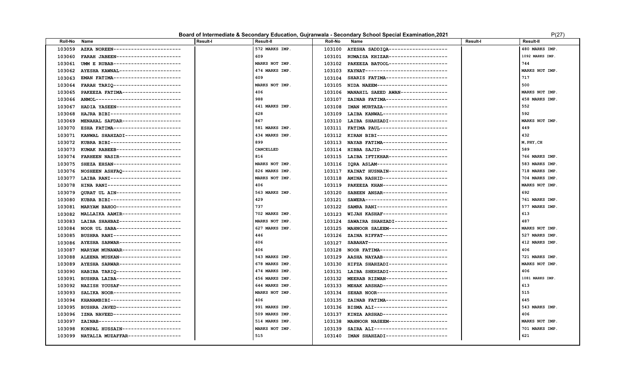#### Board of Intermediate & Secondary Education, Gujranwala - Secondary School Special Examination, 2021 **PEDITION** P(27)

| Roll-No | Name                                | <b>Result-I</b> | Result-II      | <b>Roll-No</b> | Name                                      | <b>Result-I</b> | <b>Result-II</b> |
|---------|-------------------------------------|-----------------|----------------|----------------|-------------------------------------------|-----------------|------------------|
| 103059  | AZKA NOREEN-----------------------  |                 | 572 MARKS IMP. | 103100         | AYESHA SADDIQA--------------------        |                 | 480 MARKS IMP.   |
| 103060  | FARAH JABEEN----------------------  |                 | 609            | 103101         | RUMAISA KHIZAR--------------------        |                 | 1092 MARKS IMP.  |
| 103061  | UMM E RUBAB-----------------------  |                 | MARKS NOT IMP. | 103102         | PAKEEZA BATOOL--------------------        |                 | 744              |
| 103062  | AYESHA KAWNAL---------------------  |                 | 474 MARKS IMP. | 103103         | KAYNAT----------------------------        |                 | MARKS NOT IMP.   |
| 103063  | EMAN FATIMA----------------------   |                 | 609            | 103104         | SHARIS FATIMA---------------------        |                 | 717              |
| 103064  | FARAH TARIQ ----------------------- |                 | MARKS NOT IMP. | 103105         | NIDA NAEEM-----------------------         |                 | 500              |
| 103065  | PAKEEZA FATIMA--------------------  |                 | 406            | 103106         | MANAHIL SAEED AWAN---------------         |                 | MARKS NOT IMP.   |
| 103066  | ANMOL-----------------------------  |                 | 988            | 103107         | ZAINAB FATIMA--------------------         |                 | 458 MARKS IMP.   |
| 103067  | HADIA YASEEN----------------------  |                 | 641 MARKS IMP. | 103108         | IMAN MURTAZA----------------------        |                 | 552              |
| 103068  | HAJRA BIBI------------------------  |                 | 628            | 103109         | LAIBA KANWAL----------------------        |                 | 592              |
| 103069  | MENAHAL SAFDAR--------------------  |                 | 867            | 103110         | LAIBA SHAHZADI--------------------        |                 | MARKS NOT IMP.   |
| 103070  | ESHA FATIMA-----------------------  |                 | 581 MARKS IMP. | 103111         | FATIMA PAUL----------------------         |                 | 449              |
| 103071  | KANWAL SHAHZADI-------------------  |                 | 434 MARKS IMP. | 103112         | KIRAN BIBI-----------------------         |                 | 432              |
| 103072  | KUBRA BIBI------------------------  |                 | 899            | 103113         | NAYAB FATIMA----------------------        |                 | M, PHY, CH       |
| 103073  | KUMAK RABEEB----------------------  |                 | CANCELLED      | 103114         | HIBBA SAJID-----------------------        |                 | 589              |
| 103074  | FARHEEN NASIR---------------------  |                 | 816            | 103115         | LAIBA IFTIKHAR--------------------        |                 | 766 MARKS IMP.   |
| 103075  | SHEZA EHSAN-----------------------  |                 | MARKS NOT IMP. |                | 103116 IQRA ASLAM------------------------ |                 | 583 MARKS IMP.   |
| 103076  | NOSHEEN ASHFAQ--------------------  |                 | 826 MARKS IMP. | 103117         | KAINAT HUSNAIN-------------------         |                 | 718 MARKS IMP.   |
| 103077  | LAIBA RANI------------------------  |                 | MARKS NOT IMP. | 103118         | AMINA RASHID----------------------        |                 | 704 MARKS IMP.   |
| 103078  | HINA RANI-------------------------  |                 | 406            | 103119         | PAKEEZA KHAN---------------------         |                 | MARKS NOT IMP.   |
| 103079  | OURAT UL AIN----------------------  |                 | 563 MARKS IMP. | 103120         | SABEEN ANSAR----------------------        |                 | 692              |
| 103080  | KUBRA BIBI------------------------  |                 | 429            | 103121         | SAWERA----------------------------        |                 | 761 MARKS IMP.   |
| 103081  | MARYAM BAHOO ---------------------  |                 | 737            | 103122         | SAMRA RANI------------------------        |                 | 577 MARKS IMP.   |
| 103082  | MALLAIKA AAMIR--------------------  |                 | 702 MARKS IMP. | 103123         | WIJAH KASHAF----------------------        |                 | 613              |
| 103083  | LAIBA SHAHBAZ---------------------  |                 | MARKS NOT IMP. | 103124         | SAWAIRA SHAHZADI-----------------         |                 | 487              |
| 103084  | NOOR UL SABA----------------------  |                 | 627 MARKS IMP. | 103125         | MAHNOOR SALEEM--------------------        |                 | MARKS NOT IMP.   |
| 103085  | BUSHRA RANI-----------------------  |                 | 446            | 103126         | ZAINA RIFFAT---------------------         |                 | 527 MARKS IMP.   |
| 103086  | AYESHA SARWAR---------------------  |                 | 606            | 103127         | SABAHAT---------------------------        |                 | 412 MARKS IMP.   |
| 103087  | MARYAM MUNAWAR--------------------  |                 | 406            | 103128         | NOOR FATIMA-----------------------        |                 | 406              |
| 103088  | ALEENA MUSKAN---------------------  |                 | 543 MARKS IMP. | 103129         | AASHA NAYAAB---------------------         |                 | 721 MARKS IMP.   |
| 103089  | AYESHA SARWAR---------------------  |                 | 678 MARKS IMP. | 103130         | HIFZA SHAHZADI-------------------         |                 | MARKS NOT IMP.   |
| 103090  | HABIBA TARIQ----------------------  |                 | 474 MARKS IMP. | 103131         | LAIBA SHEHZADI--------------------        |                 | 406              |
| 103091  | BUSHRA LAIBA----------------------  |                 | 456 MARKS IMP. | 103132         | MEERAB RIZWAN--------------------         |                 | 1081 MARKS IMP.  |
| 103092  | NAZISH YOUSAF---------------------  |                 | 644 MARKS IMP. | 103133         | MEHAK ARSHAD----------------------        |                 | 613              |
| 103093  | SALIKA NOOR-----------------------  |                 | MARKS NOT IMP. | 103134         | SEHAR NOOR------------------------        |                 | 515              |
| 103094  | KHANAMBIBI-----------------------   |                 | 406            | 103135         | ZAINAB FATIMA---------------------        |                 | 645              |
| 103095  | BUSHRA JAVED----------------------  |                 | 991 MARKS IMP. | 103136         | BISMA ALI-------------------------        |                 | 543 MARKS IMP.   |
| 103096  | IZNA NAVEED-----------------------  |                 | 509 MARKS IMP. | 103137         | KINZA ARSHAD----------------------        |                 | 406              |
| 103097  | ZAINAB----------------------------  |                 | 514 MARKS IMP. | 103138         | MAHNOOR NASEEM-------------------         |                 | MARKS NOT IMP.   |
| 103098  | KONPAL HUSSAIN--------------------  |                 | MARKS NOT IMP. | 103139         | SAIRA ALI-------------------------        |                 | 701 MARKS IMP.   |
| 103099  | NATALIA MUZAFFAR------------------  |                 | 515            |                | 103140 IMAN SHAHZADI--------------------- |                 | 621              |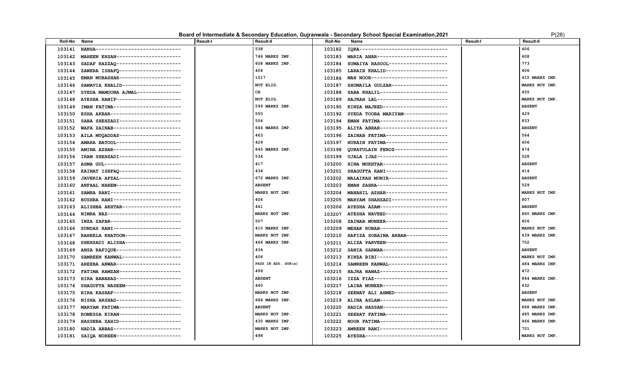|         | P(28)<br>Board of Intermediate & Secondary Education, Guiranwala - Secondary School Special Examination, 2021 |                 |                |                |                                           |                 |                  |  |  |
|---------|---------------------------------------------------------------------------------------------------------------|-----------------|----------------|----------------|-------------------------------------------|-----------------|------------------|--|--|
| Roll-No | Name                                                                                                          | <b>Result-I</b> | Result-II      | <b>Roll-No</b> | Name                                      | <b>Result-I</b> | <b>Result-II</b> |  |  |
| 103141  | HANSA-----------------------------                                                                            |                 | 538            | 103182         | IQRA-------------------------------       |                 | 406              |  |  |
| 103142  | MAHEEN EHSAN----------------------                                                                            |                 | 746 MARKS IMP. | 103183         | MARIA ANAR------------------------        |                 | 608              |  |  |
| 103143  | SADAF RAZZAQ ----------------------                                                                           |                 | 608 MARKS IMP. | 103184         | SUMAIYA RASOOL-------------------         |                 | 773              |  |  |
| 103144  | ZAWERA ISHAFO---------------------                                                                            |                 | 406            | 103185         | LARAIB KHALID---------------------        |                 | 406              |  |  |
| 103145  | EMAN MUBASHAR--------------------                                                                             |                 | 1017           | 103186         | MAH NOOR--------------------------        |                 | 415 MARKS IMP.   |  |  |
| 103146  | SAMAVIA KHALID-------------------                                                                             |                 | NOT ELIG.      | 103187         | SHUMAILA GULZAR-------------------        |                 | MARKS NOT IMP.   |  |  |
| 103147  | SYEDA MAMOONA AJMAL--------------                                                                             |                 | CH             | 103188         | SABA KHALIL-----------------------        |                 | 455              |  |  |
| 103148  | AYESHA HANIF----------------------                                                                            |                 | NOT ELIG.      | 103189         | HAJRAH LAL------------------------        |                 | MARKS NOT IMP.   |  |  |
| 103149  | IMAN FATIMA----------------------                                                                             |                 | 599 MARKS IMP. | 103190         | KINZA MAJEED---------------------         |                 | <b>ABSENT</b>    |  |  |
| 103150  | ESHA AKBAR------------------------                                                                            |                 | 550            | 103192         | SYEDA TOOBA MARIYAM--------------         |                 | 429              |  |  |
| 103151  | SABA SHEHZADI---------------------                                                                            |                 | 504            | 103194         | EMAN FATIMA-----------------------        |                 | 833              |  |  |
| 103152  | WAFA ZAINAB----------------------                                                                             |                 | 644 MARKS IMP. | 103195         | ALIYA ABRAR-----------------------        |                 | <b>ABSENT</b>    |  |  |
| 103153  | AILA MUQADDAS---------------------                                                                            |                 | 463            | 103196         | ZAINAB FATIMA---------------------        |                 | 564              |  |  |
| 103154  | AMARA BATOOL ----------------------                                                                           |                 | 429            | 103197         | HURAIN FATIMA---------------------        |                 | 406              |  |  |
| 103155  | AMINA AZHAR----------------------                                                                             |                 | 845 MARKS IMP. | 103198         | QURATULAIN FEROZ-----------------         |                 | 474              |  |  |
| 103156  | IRAM SHEHZADI---------------------                                                                            |                 | 534            | 103199         | UJALA IJAZ------------------------        |                 | 528              |  |  |
| 103157  | ASMA GUL---------------------------                                                                           |                 | 417            | 103200         | HINA MUKHTAR----------------------        |                 | <b>ABSENT</b>    |  |  |
| 103158  | KAINAT ISHFAQ---------------------                                                                            |                 | 434            | 103201         | SHAGUFTA RANI---------------------        |                 | 414              |  |  |
| 103159  | JAVERIA AFZAL---------------------                                                                            |                 | 672 MARKS IMP. | 103202         | MALAIKAH MUNIR--------------------        |                 | <b>ABSENT</b>    |  |  |
| 103160  | ANFAAL NAEEM----------------------                                                                            |                 | <b>ABSENT</b>  | 103203         | EMAN ZAHRA------------------------        |                 | 529              |  |  |
| 103161  | SAMRA RANI------------------------                                                                            |                 | MARKS NOT IMP. | 103204         | MANAHIL AZHAR--------------------         |                 | MARKS NOT IMP.   |  |  |
| 103162  | BUSHRA RANI-----------------------                                                                            |                 | 406            | 103205         | MARYAM SHAHZADI------------------         |                 | 807              |  |  |
| 103163  | ALISHBA AKHTAR--------------------                                                                            |                 | 441            | 103206         | AYESHA AZAM ----------------------        |                 | <b>ABSENT</b>    |  |  |
| 103164  | NIMRA NAZ-------------------------                                                                            |                 | MARKS NOT IMP. | 103207         | AYESHA NAVEED---------------------        |                 | 860 MARKS IMP.   |  |  |
| 103165  | INZA ZAFAR------------------------                                                                            |                 | 507            | 103208         | ZAINAB MUNEER---------------------        |                 | 406              |  |  |
|         | 103166 SUNDAS RANI-----------------------                                                                     |                 | 410 MARKS IMP. |                | 103209 MEHAK RUBAB----------------------- |                 | MARKS NOT IMP.   |  |  |

| 103149 | IMAN FATIMA----------------------- | 599 MARKS IMP.      | 103190 | KINZA MAJEED----------------------         | <b>ABSENT</b>  |
|--------|------------------------------------|---------------------|--------|--------------------------------------------|----------------|
| 103150 | ESHA AKBAR------------------------ | 550                 | 103192 | SYEDA TOOBA MARIYAM--------------          | 429            |
| 103151 | SABA SHEHZADI--------------------- | 504                 | 103194 | EMAN FATIMA-----------------------         | 833            |
| 103152 | WAFA ZAINAB----------------------- | 644 MARKS IMP.      | 103195 | ALIYA ABRAR-----------------------         | <b>ABSENT</b>  |
| 103153 | AILA MUQADDAS--------------------- | 463                 | 103196 | ZAINAB FATIMA---------------------         | 564            |
| 103154 | AMARA BATOOL---------------------- | 429                 | 103197 | HURAIN FATIMA--------------------          | 406            |
| 103155 | AMINA AZHAR----------------------- | 845 MARKS IMP.      | 103198 | QURATULAIN FEROZ------------------         | 474            |
| 103156 | IRAM SHEHZADI--------------------- | 534                 | 103199 | UJALA IJAZ-------------------------        | 528            |
| 103157 | ASMA GUL-------------------------- | 417                 | 103200 | HINA MUKHTAR----------------------         | <b>ABSENT</b>  |
| 103158 | KAINAT ISHFAO--------------------- | 434                 | 103201 | SHAGUFTA RANI---------------------         | 414            |
| 103159 | JAVERIA AFZAL--------------------- | 672 MARKS IMP.      | 103202 | MALAIKAH MUNIR--------------------         | <b>ABSENT</b>  |
| 103160 | ANFAAL NAEEM---------------------- | <b>ABSENT</b>       | 103203 | EMAN ZAHRA------------------------         | 529            |
| 103161 | SAMRA RANI------------------------ | MARKS NOT IMP.      | 103204 | MANAHIL AZHAR---------------------         | MARKS NOT IMP. |
| 103162 | BUSHRA RANI----------------------- | 406                 | 103205 | MARYAM SHAHZADI-------------------         | 807            |
| 103163 | ALISHBA AKHTAR-------------------- | 441                 |        | 103206 AYESHA AZAM-----------------------  | <b>ABSENT</b>  |
| 103164 | NIMRA NAZ------------------------- | MARKS NOT IMP.      | 103207 | AYESHA NAVEED---------------------         | 860 MARKS IMP. |
| 103165 | INZA ZAFAR------------------------ | 507                 | 103208 | ZAINAB MUNEER---------------------         | 406            |
| 103166 | SUNDAS RANI----------------------  | 410 MARKS IMP.      | 103209 | MEHAK RUBAB-----------------------         | MARKS NOT IMP. |
| 103167 | RAHEELA KHATOON------------------- | MARKS NOT IMP.      | 103210 | HAFIZA SOBAINA ARBAB--------------         | 439 MARKS IMP. |
| 103168 | SHEHZADI ALISHA------------------- | 466 MARKS IMP.      | 103211 | ALIZA PARVEEN---------------------         | 702            |
| 103169 | ANSA RAFIQUE---------------------- | 434                 | 103212 | SANIA SARWAR---------------------          | <b>ABSENT</b>  |
| 103170 | SAMREEN KANWAL-------------------  | 406                 | 103213 | KINZA BIBI------------------------         | MARKS NOT IMP. |
| 103171 | AREEBA ANWAR---------------------- | PASS IN ADD. SUB(s) | 103214 | SAMREEN KANWAL-------------------          | 484 MARKS IMP. |
| 103172 | FATIMA RAMZAN--------------------- | 499                 | 103215 | HAJRA NAWAZ-----------------------         | 472            |
| 103173 | HIRA BANARAS---------------------- | <b>ABSENT</b>       | 103216 | IZZA FIAZ-------------------------         | 844 MARKS IMP. |
| 103174 | SHAGUFTA NASEEM------------------- | 440                 | 103217 | LAIBA MUNEER----------------------         | 432            |
| 103175 | HIRA KASHAF----------------------- | MARKS NOT IMP.      | 103218 | ZEENAT ALI AHMED------------------         | <b>ABSENT</b>  |
| 103176 | NISHA ARSHAD---------------------- | 684 MARKS IMP.      | 103219 | ALINA ASLAM-----------------------         | MARKS NOT IMP. |
| 103177 | MARYAM FATIMA--------------------- | <b>ABSENT</b>       | 103220 | HADIA HASSAN----------------------         | 868 MARKS IMP. |
| 103178 | ROMESSA KIRAN--------------------- | MARKS NOT IMP.      | 103221 | SEERAT FATIMA---------------------         | 485 MARKS IMP. |
| 103179 | HASSEBA ZAHID--------------------- | 430 MARKS IMP.      | 103222 | NOOR FATIMA-----------------------         | 466 MARKS IMP. |
| 103180 | HADIA ABBAS----------------------- | MARKS NOT IMP.      | 103223 | AMREEN RANI----------------------          | 701            |
| 103181 | SAIQA NOREEN---------------------- | 498                 |        | 103225 AYESHA----------------------------- | MARKS NOT IMP. |
|        |                                    |                     |        |                                            |                |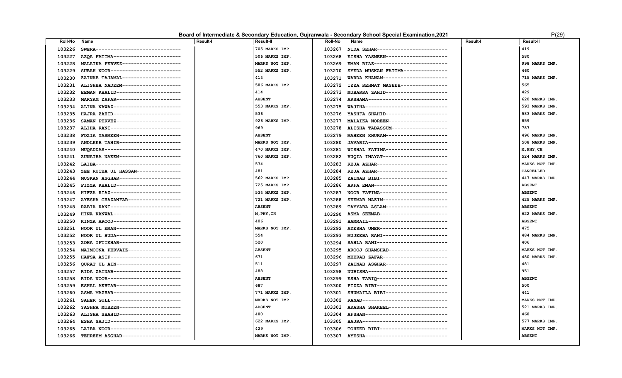### **Board of Intermediate & Secondary Education, Gujranwala - Secondary School Special Examination, 2021** P(29) P(29)

| <b>Roll-No</b> | Name                                       | <b>Result-I</b> | <b>Result-II</b> | <b>Roll-No</b> | Name                                      | Result-I | <b>Result-II</b> |
|----------------|--------------------------------------------|-----------------|------------------|----------------|-------------------------------------------|----------|------------------|
| 103226         | SWERA------------------------------        |                 | 705 MARKS IMP.   | 103267         | NIDA SEHAR------------------------        |          | 419              |
| 103227         | AZOA FATIMA-----------------------         |                 | 506 MARKS IMP.   | 103268         | EISHA YASMEEN---------------------        |          | 580              |
| 103228         | MALAIKA PERVEZ--------------------         |                 | MARKS NOT IMP.   | 103269         | EMAN RIAZ-------------------------        |          | 998 MARKS IMP.   |
| 103229         | SUBAH NOOR------------------------         |                 | 552 MARKS IMP.   | 103270         | SYEDA MUSKAN FATIMA---------------        |          | 460              |
| 103230         | ZAINAB TAJAMAL-------------------          |                 | 414              | 103271         | WARDA KHANAM----------------------        |          | 715 MARKS IMP.   |
| 103231         | ALISHBA NADEEM--------------------         |                 | 586 MARKS IMP.   | 103272         | IZZA REHMAT MASEEH----------------        |          | 565              |
| 103232         | EEMAN KHALID---------------------          |                 | 414              | 103273         | MUBARRA ZAHID---------------------        |          | 429              |
| 103233         | MARYAM ZAFAR----------------------         |                 | <b>ABSENT</b>    | 103274         | ARSHAMA---------------------------        |          | 620 MARKS IMP.   |
| 103234         | ALINA NAWAZ-----------------------         |                 | 553 MARKS IMP.   | 103275         | WAJIHA---------------------------         |          | 593 MARKS IMP.   |
| 103235         | HAJRA ZAHID-----------------------         |                 | 536              | 103276         | YASHFA SHAHID---------------------        |          | 583 MARKS IMP.   |
| 103236         | SAMAN PERVEZ----------------------         |                 | 926 MARKS IMP.   | 103277         | MALAIKA NOREEN--------------------        |          | 859              |
| 103237         | ALIHA RANI-----------------------          |                 | 969              | 103278         | ALISHA TABASSUM-------------------        |          | 787              |
| 103238         | FOZIA YASMEEN--------------------          |                 | <b>ABSENT</b>    | 103279         | MAHEEN KHURAM--------------------         |          | 496 MARKS IMP.   |
| 103239         | ANDLEEB TAHIR--------------------          |                 | MARKS NOT IMP.   | 103280         | JAVARIA---------------------------        |          | 508 MARKS IMP.   |
| 103240         | MUQADDAS--------------------------         |                 | 470 MARKS IMP.   |                | 103281 WISHAL FATIMA--------------------  |          | M, PHY, CH       |
| 103241         | ZUNAIRA NAEEM---------------------         |                 | 760 MARKS IMP.   |                | 103282 RUOIA INAYAT---------------------- |          | 524 MARKS IMP.   |
|                | 103242 LAIBA------------------------------ |                 | 534              |                | 103283 REJA AZHAR------------------------ |          | MARKS NOT IMP.   |
| 103243         | ZEE RUTBA UL HASSAN---------------         |                 | 481              | 103284         | REJA AZHAR------------------------        |          | CANCELLED        |
| 103244         | MUSKAN ASGHAR---------------------         |                 | 562 MARKS IMP.   | 103285         | ZAINAB BIBI-----------------------        |          | 447 MARKS IMP.   |
| 103245         | FIZZA KHALID---------------------          |                 | 725 MARKS IMP.   |                | 103286 ARFA EMAN------------------------- |          | <b>ABSENT</b>    |
| 103246         | HIFZA RIAZ------------------------         |                 | 534 MARKS IMP.   | 103287         | NOOR FATIMA-----------------------        |          | <b>ABSENT</b>    |
| 103247         | AYESHA GHAZANFAR-----------------          |                 | 721 MARKS IMP.   | 103288         | SEEMAB NAZIM---------------------         |          | 425 MARKS IMP.   |
| 103248         | RABIA RANI------------------------         |                 | <b>ABSENT</b>    | 103289         | TAYYABA ASLAM---------------------        |          | <b>ABSENT</b>    |
| 103249         | HINA KANWAL----------------------          |                 | M, PHY, CH       | 103290         | ASMA SEEMAB----------------------         |          | 622 MARKS IMP.   |
| 103250         | KINZA AROOJ-----------------------         |                 | 406              |                | 103291 HAMMAIL--------------------------- |          | <b>ABSENT</b>    |
| 103251         | NOOR UL EMAN---------------------          |                 | MARKS NOT IMP.   |                | 103292 AYESHA UMER----------------------- |          | 475              |
| 103252         | NOOR UL HUDA----------------------         |                 | 554              | 103293         | MUJEEBA RANI----------------------        |          | 484 MARKS IMP.   |
| 103253         | ZOHA IFTIKHAR---------------------         |                 | 520              | 103294         | SAHLA RANI------------------------        |          | 406              |
| 103254         | MAIMOONA PERVAIZ------------------         |                 | <b>ABSENT</b>    |                | 103295 AROOJ SHAMSHAD-------------------  |          | MARKS NOT IMP.   |
| 103255         | HAFSA ASIF------------------------         |                 | 671              | 103296         | MEERAB ZAFAR----------------------        |          | 480 MARKS IMP.   |
| 103256         | QURAT UL AIN---------------------          |                 | 511              | 103297         | ZAINAB ASGHAR---------------------        |          | 481              |
| 103257         | RIDA ZAINAB-----------------------         |                 | 488              | 103298         | NUBISHA---------------------------        |          | 951              |
| 103258         | RIDA NOOR-------------------------         |                 | <b>ABSENT</b>    | 103299         | ESHA TARIQ-------------------------       |          | <b>ABSENT</b>    |
| 103259         | ESHAL AKHTAR----------------------         |                 | 687              | 103300         | FIZZA BIBI------------------------        |          | 500              |
| 103260         | ASMA MAZHAR-----------------------         |                 | 771 MARKS IMP.   | 103301         | SHUMAILA BIBI---------------------        |          | 441              |
| 103261         | SAHER GULL------------------------         |                 | MARKS NOT IMP.   | 103302         | RANAD-----------------------------        |          | MARKS NOT IMP.   |
| 103262         | YASHFA MUBEEN---------------------         |                 | <b>ABSENT</b>    | 103303         | AKASHA SHAKEEL--------------------        |          | 521 MARKS IMP.   |
| 103263         | ALISHA SHAHID---------------------         |                 | 480              | 103304         | AFSHAN----------------------------        |          | 468              |
| 103264         | ESHA SAJID------------------------         |                 | 622 MARKS IMP.   | 103305         | HAJRA-----------------------------        |          | 577 MARKS IMP.   |
| 103265         | LAIBA NOOR------------------------         |                 | 429              | 103306         | TOHEED BIBI-----------------------        |          | MARKS NOT IMP    |
| 103266         | TEHREEM ASGHAR--------------------         |                 | MARKS NOT IMP.   |                | 103307 AYESHA---------------------------- |          | <b>ABSENT</b>    |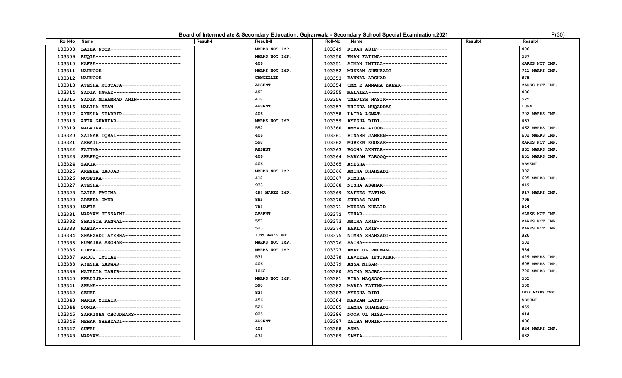### **Board of Intermediate & Secondary Education, Gujranwala - Secondary School Special Examination, 2021** P(30) P(30)

| LAIBA NOOR------------------------<br>MARKS NOT IMP.<br>KIRAN ASIF------------------------<br>406<br>103308<br>103349<br>MARKS NOT IMP.<br>587<br>103309<br>RUQIA-----------------------------<br>103350<br>EMAN FATIMA----------------------<br>MARKS NOT IMP.<br>HAFSA------------------------------<br>406<br>AIMAN IMTIAZ----------------------<br>103310<br>103351<br>MARKS NOT IMP.<br>741 MARKS IMP.<br>103311<br>MAHNOOR---------------------------<br>103352<br>MUSKAN SHEHZADI------------------<br>CANCELLED<br>878<br>MAHNOOR---------------------------<br>KANWAL ARSHAD---------------------<br>103312<br>103353<br><b>ABSENT</b><br>AYESHA MUSTAFA-------------------<br>UMM E AMMARA ZAFAR----------------<br>MARKS NOT IMP.<br>103313<br>103354<br>497<br>MALAIKA--------------------------<br>406<br>103314<br>SADIA NAWAZ-----------------------<br>103355<br>525<br>418<br>TNAVISH NASIR---------------------<br>103315<br>SADIA MUHAMMAD AMIN---------------<br>103356<br><b>ABSENT</b><br>1094<br>MALIHA KHAN----------------------<br>KHIZRA MUQADDAS-------------------<br>103316<br>103357<br>702 MARKS IMP.<br>406<br>LAIBA ASMAT-----------------------<br>103317<br>AYESHA SHABBIR--------------------<br>103358<br>467<br>AFIA GHAFFAR---------------------<br>MARKS NOT IMP.<br>AYESHA BIBI----------------------<br>103318<br>103359<br>552<br>AMMARA AYOOB---------------------<br>462 MARKS IMP.<br>103319<br>MALAIKA---------------------------<br>103360<br>406<br>ZAINAB IQBAL----------------------<br>BINASH JABEEN---------------------<br>103320<br>103361<br>602 MARKS IMP.<br>ARBAIL----------------------------<br>598<br>MUBEEN KOUSAR---------------------<br>103321<br>MARKS NOT IMP.<br>103362<br>103322<br>FATIMA-----------------------------<br><b>ABSENT</b><br>ROOHA AKHTAR----------------------<br>865 MARKS IMP.<br>103363<br>406<br>651 MARKS IMP.<br>103323<br>SHAFAO-----------------------------<br>MARYAM FAROOQ---------------------<br>103364<br><b>ABSENT</b><br>103324<br>ZAKIA-----------------------------<br>406<br>AYESHA----------------------------<br>103365<br>AREEBA SAJJAD---------------------<br>MARKS NOT IMP.<br>AMINA SHAHZADI-------------------<br>802<br>103325<br>103366<br>412<br>605 MARKS IMP.<br>MUSFIRA---------------------------<br>RIMSHA----------------------------<br>103326<br>103367<br>AYESHA---------------------------<br>933<br>NISHA ASGHAR----------------------<br>103327<br>103368<br>449<br>LAIBA FATIMA---------------------<br>494 MARKS IMP.<br>NAFEES FATIMA---------------------<br>917 MARKS IMP.<br>103328<br>103369<br>AREEBA UMER----------------------<br>855<br>SUNDAS RANI----------------------<br>795<br>103329<br>103370<br>MAFIA-----------------------------<br>754<br>MEEZAB KHALID---------------------<br>544<br>103330<br>103371<br>SEHAR-----------------------------<br>MARYAM HUSSAINI------------------<br><b>ABSENT</b><br>MARKS NOT IMP.<br>103331<br>103372<br>557<br>SHAISTA KANWAL--------------------<br>AMINA ARIF-----------------------<br>MARKS NOT IMP.<br>103332<br>103373<br>523<br>RABIA------------------------------<br>PARIA ARIF------------------------<br>MARKS NOT IMP.<br>103333<br>103374<br>1085 MARKS IMP.<br>SHAHZADI AYESHA------------------<br>NIMRA SHAHZADI--------------------<br>826<br>103334<br>103375<br>HUMAIRA ASGHAR--------------------<br>MARKS NOT IMP.<br>SAIRA------------------------------<br>502<br>103335<br>103376<br>HIFZA------------------------------<br>AMAT UL REHMAN-------------------<br>584<br>103336<br>MARKS NOT IMP.<br>103377<br>103337<br>AROOJ IMTIAZ----------------------<br>531<br>LAVEEZA IFTIKHAR------------------<br>429 MARKS IMP.<br>103378<br>103379 ANSA NISAR------------------------<br>AYESHA SARWAR---------------------<br>406<br>608 MARKS IMP.<br>103338<br>NATALIA TAHIR---------------------<br>1062<br>ADINA HAJRA-----------------------<br>720 MARKS IMP.<br>103339<br>103380<br>555<br>KHADIJA---------------------------<br>MARKS NOT IMP.<br>HIRA MAQSOOD----------------------<br>103340<br>103381<br>SHAMA-----------------------------<br>590<br>MARIA FATIMA----------------------<br>500<br>103341<br>103382<br>834<br>1028 MARKS IMP.<br>SEHAR-----------------------------<br>AYESHA BIBI-----------------------<br>103342<br>103383<br>MARIA ZUBAIR----------------------<br>456<br>MARYAM LATIF---------------------<br><b>ABSENT</b><br>103343<br>103384<br>SONIA------------------------------<br>526<br>HAMNA SHAHZADI--------------------<br>459<br>103344<br>103385<br>825<br>NOOR UL NISA----------------------<br>414<br>103345<br>ZARKISHA CHOUDHARY---------------<br>103386<br>MEHAK SHEHZADI--------------------<br>ZAIBA MUNIR-----------------------<br><b>ABSENT</b><br>406<br>103346<br>103387<br>SUFAH-----------------------------<br>406<br>ASMA-------------------------------<br>824 MARKS IMP.<br>103347<br>103388<br>474<br>432<br>MARYAM---------------------------<br>SAMIA-----------------------------<br>103348<br>103389 | <b>Roll-No</b> | Name | <b>Result-I</b> | <b>Result-II</b> | Roll-No | Name | <b>Result-I</b> | Result-II |
|--------------------------------------------------------------------------------------------------------------------------------------------------------------------------------------------------------------------------------------------------------------------------------------------------------------------------------------------------------------------------------------------------------------------------------------------------------------------------------------------------------------------------------------------------------------------------------------------------------------------------------------------------------------------------------------------------------------------------------------------------------------------------------------------------------------------------------------------------------------------------------------------------------------------------------------------------------------------------------------------------------------------------------------------------------------------------------------------------------------------------------------------------------------------------------------------------------------------------------------------------------------------------------------------------------------------------------------------------------------------------------------------------------------------------------------------------------------------------------------------------------------------------------------------------------------------------------------------------------------------------------------------------------------------------------------------------------------------------------------------------------------------------------------------------------------------------------------------------------------------------------------------------------------------------------------------------------------------------------------------------------------------------------------------------------------------------------------------------------------------------------------------------------------------------------------------------------------------------------------------------------------------------------------------------------------------------------------------------------------------------------------------------------------------------------------------------------------------------------------------------------------------------------------------------------------------------------------------------------------------------------------------------------------------------------------------------------------------------------------------------------------------------------------------------------------------------------------------------------------------------------------------------------------------------------------------------------------------------------------------------------------------------------------------------------------------------------------------------------------------------------------------------------------------------------------------------------------------------------------------------------------------------------------------------------------------------------------------------------------------------------------------------------------------------------------------------------------------------------------------------------------------------------------------------------------------------------------------------------------------------------------------------------------------------------------------------------------------------------------------------------------------------------------------------------------------------------------------------------------------------------------------------------------------------------------------------------------------------------------------------------------------------------------------------------------------------------------------------------------------------------------------------------------------------------------------------------------------------------------------------------------------------------------------------------------------------------------------------------------------------------------------------------------------------------------------------------------------------------------------------------------------------------------------------------------------------------------------------------------------------------------------------------------------------------------------------------------------------------------------------------------------------------------------------------------------------------------------------------------------------------------------------------------------------------------------------------------------------------------------------------------------------------------------------------------------------------------------|----------------|------|-----------------|------------------|---------|------|-----------------|-----------|
|                                                                                                                                                                                                                                                                                                                                                                                                                                                                                                                                                                                                                                                                                                                                                                                                                                                                                                                                                                                                                                                                                                                                                                                                                                                                                                                                                                                                                                                                                                                                                                                                                                                                                                                                                                                                                                                                                                                                                                                                                                                                                                                                                                                                                                                                                                                                                                                                                                                                                                                                                                                                                                                                                                                                                                                                                                                                                                                                                                                                                                                                                                                                                                                                                                                                                                                                                                                                                                                                                                                                                                                                                                                                                                                                                                                                                                                                                                                                                                                                                                                                                                                                                                                                                                                                                                                                                                                                                                                                                                                                                                                                                                                                                                                                                                                                                                                                                                                                                                                                                                                                                            |                |      |                 |                  |         |      |                 |           |
|                                                                                                                                                                                                                                                                                                                                                                                                                                                                                                                                                                                                                                                                                                                                                                                                                                                                                                                                                                                                                                                                                                                                                                                                                                                                                                                                                                                                                                                                                                                                                                                                                                                                                                                                                                                                                                                                                                                                                                                                                                                                                                                                                                                                                                                                                                                                                                                                                                                                                                                                                                                                                                                                                                                                                                                                                                                                                                                                                                                                                                                                                                                                                                                                                                                                                                                                                                                                                                                                                                                                                                                                                                                                                                                                                                                                                                                                                                                                                                                                                                                                                                                                                                                                                                                                                                                                                                                                                                                                                                                                                                                                                                                                                                                                                                                                                                                                                                                                                                                                                                                                                            |                |      |                 |                  |         |      |                 |           |
|                                                                                                                                                                                                                                                                                                                                                                                                                                                                                                                                                                                                                                                                                                                                                                                                                                                                                                                                                                                                                                                                                                                                                                                                                                                                                                                                                                                                                                                                                                                                                                                                                                                                                                                                                                                                                                                                                                                                                                                                                                                                                                                                                                                                                                                                                                                                                                                                                                                                                                                                                                                                                                                                                                                                                                                                                                                                                                                                                                                                                                                                                                                                                                                                                                                                                                                                                                                                                                                                                                                                                                                                                                                                                                                                                                                                                                                                                                                                                                                                                                                                                                                                                                                                                                                                                                                                                                                                                                                                                                                                                                                                                                                                                                                                                                                                                                                                                                                                                                                                                                                                                            |                |      |                 |                  |         |      |                 |           |
|                                                                                                                                                                                                                                                                                                                                                                                                                                                                                                                                                                                                                                                                                                                                                                                                                                                                                                                                                                                                                                                                                                                                                                                                                                                                                                                                                                                                                                                                                                                                                                                                                                                                                                                                                                                                                                                                                                                                                                                                                                                                                                                                                                                                                                                                                                                                                                                                                                                                                                                                                                                                                                                                                                                                                                                                                                                                                                                                                                                                                                                                                                                                                                                                                                                                                                                                                                                                                                                                                                                                                                                                                                                                                                                                                                                                                                                                                                                                                                                                                                                                                                                                                                                                                                                                                                                                                                                                                                                                                                                                                                                                                                                                                                                                                                                                                                                                                                                                                                                                                                                                                            |                |      |                 |                  |         |      |                 |           |
|                                                                                                                                                                                                                                                                                                                                                                                                                                                                                                                                                                                                                                                                                                                                                                                                                                                                                                                                                                                                                                                                                                                                                                                                                                                                                                                                                                                                                                                                                                                                                                                                                                                                                                                                                                                                                                                                                                                                                                                                                                                                                                                                                                                                                                                                                                                                                                                                                                                                                                                                                                                                                                                                                                                                                                                                                                                                                                                                                                                                                                                                                                                                                                                                                                                                                                                                                                                                                                                                                                                                                                                                                                                                                                                                                                                                                                                                                                                                                                                                                                                                                                                                                                                                                                                                                                                                                                                                                                                                                                                                                                                                                                                                                                                                                                                                                                                                                                                                                                                                                                                                                            |                |      |                 |                  |         |      |                 |           |
|                                                                                                                                                                                                                                                                                                                                                                                                                                                                                                                                                                                                                                                                                                                                                                                                                                                                                                                                                                                                                                                                                                                                                                                                                                                                                                                                                                                                                                                                                                                                                                                                                                                                                                                                                                                                                                                                                                                                                                                                                                                                                                                                                                                                                                                                                                                                                                                                                                                                                                                                                                                                                                                                                                                                                                                                                                                                                                                                                                                                                                                                                                                                                                                                                                                                                                                                                                                                                                                                                                                                                                                                                                                                                                                                                                                                                                                                                                                                                                                                                                                                                                                                                                                                                                                                                                                                                                                                                                                                                                                                                                                                                                                                                                                                                                                                                                                                                                                                                                                                                                                                                            |                |      |                 |                  |         |      |                 |           |
|                                                                                                                                                                                                                                                                                                                                                                                                                                                                                                                                                                                                                                                                                                                                                                                                                                                                                                                                                                                                                                                                                                                                                                                                                                                                                                                                                                                                                                                                                                                                                                                                                                                                                                                                                                                                                                                                                                                                                                                                                                                                                                                                                                                                                                                                                                                                                                                                                                                                                                                                                                                                                                                                                                                                                                                                                                                                                                                                                                                                                                                                                                                                                                                                                                                                                                                                                                                                                                                                                                                                                                                                                                                                                                                                                                                                                                                                                                                                                                                                                                                                                                                                                                                                                                                                                                                                                                                                                                                                                                                                                                                                                                                                                                                                                                                                                                                                                                                                                                                                                                                                                            |                |      |                 |                  |         |      |                 |           |
|                                                                                                                                                                                                                                                                                                                                                                                                                                                                                                                                                                                                                                                                                                                                                                                                                                                                                                                                                                                                                                                                                                                                                                                                                                                                                                                                                                                                                                                                                                                                                                                                                                                                                                                                                                                                                                                                                                                                                                                                                                                                                                                                                                                                                                                                                                                                                                                                                                                                                                                                                                                                                                                                                                                                                                                                                                                                                                                                                                                                                                                                                                                                                                                                                                                                                                                                                                                                                                                                                                                                                                                                                                                                                                                                                                                                                                                                                                                                                                                                                                                                                                                                                                                                                                                                                                                                                                                                                                                                                                                                                                                                                                                                                                                                                                                                                                                                                                                                                                                                                                                                                            |                |      |                 |                  |         |      |                 |           |
|                                                                                                                                                                                                                                                                                                                                                                                                                                                                                                                                                                                                                                                                                                                                                                                                                                                                                                                                                                                                                                                                                                                                                                                                                                                                                                                                                                                                                                                                                                                                                                                                                                                                                                                                                                                                                                                                                                                                                                                                                                                                                                                                                                                                                                                                                                                                                                                                                                                                                                                                                                                                                                                                                                                                                                                                                                                                                                                                                                                                                                                                                                                                                                                                                                                                                                                                                                                                                                                                                                                                                                                                                                                                                                                                                                                                                                                                                                                                                                                                                                                                                                                                                                                                                                                                                                                                                                                                                                                                                                                                                                                                                                                                                                                                                                                                                                                                                                                                                                                                                                                                                            |                |      |                 |                  |         |      |                 |           |
|                                                                                                                                                                                                                                                                                                                                                                                                                                                                                                                                                                                                                                                                                                                                                                                                                                                                                                                                                                                                                                                                                                                                                                                                                                                                                                                                                                                                                                                                                                                                                                                                                                                                                                                                                                                                                                                                                                                                                                                                                                                                                                                                                                                                                                                                                                                                                                                                                                                                                                                                                                                                                                                                                                                                                                                                                                                                                                                                                                                                                                                                                                                                                                                                                                                                                                                                                                                                                                                                                                                                                                                                                                                                                                                                                                                                                                                                                                                                                                                                                                                                                                                                                                                                                                                                                                                                                                                                                                                                                                                                                                                                                                                                                                                                                                                                                                                                                                                                                                                                                                                                                            |                |      |                 |                  |         |      |                 |           |
|                                                                                                                                                                                                                                                                                                                                                                                                                                                                                                                                                                                                                                                                                                                                                                                                                                                                                                                                                                                                                                                                                                                                                                                                                                                                                                                                                                                                                                                                                                                                                                                                                                                                                                                                                                                                                                                                                                                                                                                                                                                                                                                                                                                                                                                                                                                                                                                                                                                                                                                                                                                                                                                                                                                                                                                                                                                                                                                                                                                                                                                                                                                                                                                                                                                                                                                                                                                                                                                                                                                                                                                                                                                                                                                                                                                                                                                                                                                                                                                                                                                                                                                                                                                                                                                                                                                                                                                                                                                                                                                                                                                                                                                                                                                                                                                                                                                                                                                                                                                                                                                                                            |                |      |                 |                  |         |      |                 |           |
|                                                                                                                                                                                                                                                                                                                                                                                                                                                                                                                                                                                                                                                                                                                                                                                                                                                                                                                                                                                                                                                                                                                                                                                                                                                                                                                                                                                                                                                                                                                                                                                                                                                                                                                                                                                                                                                                                                                                                                                                                                                                                                                                                                                                                                                                                                                                                                                                                                                                                                                                                                                                                                                                                                                                                                                                                                                                                                                                                                                                                                                                                                                                                                                                                                                                                                                                                                                                                                                                                                                                                                                                                                                                                                                                                                                                                                                                                                                                                                                                                                                                                                                                                                                                                                                                                                                                                                                                                                                                                                                                                                                                                                                                                                                                                                                                                                                                                                                                                                                                                                                                                            |                |      |                 |                  |         |      |                 |           |
|                                                                                                                                                                                                                                                                                                                                                                                                                                                                                                                                                                                                                                                                                                                                                                                                                                                                                                                                                                                                                                                                                                                                                                                                                                                                                                                                                                                                                                                                                                                                                                                                                                                                                                                                                                                                                                                                                                                                                                                                                                                                                                                                                                                                                                                                                                                                                                                                                                                                                                                                                                                                                                                                                                                                                                                                                                                                                                                                                                                                                                                                                                                                                                                                                                                                                                                                                                                                                                                                                                                                                                                                                                                                                                                                                                                                                                                                                                                                                                                                                                                                                                                                                                                                                                                                                                                                                                                                                                                                                                                                                                                                                                                                                                                                                                                                                                                                                                                                                                                                                                                                                            |                |      |                 |                  |         |      |                 |           |
|                                                                                                                                                                                                                                                                                                                                                                                                                                                                                                                                                                                                                                                                                                                                                                                                                                                                                                                                                                                                                                                                                                                                                                                                                                                                                                                                                                                                                                                                                                                                                                                                                                                                                                                                                                                                                                                                                                                                                                                                                                                                                                                                                                                                                                                                                                                                                                                                                                                                                                                                                                                                                                                                                                                                                                                                                                                                                                                                                                                                                                                                                                                                                                                                                                                                                                                                                                                                                                                                                                                                                                                                                                                                                                                                                                                                                                                                                                                                                                                                                                                                                                                                                                                                                                                                                                                                                                                                                                                                                                                                                                                                                                                                                                                                                                                                                                                                                                                                                                                                                                                                                            |                |      |                 |                  |         |      |                 |           |
|                                                                                                                                                                                                                                                                                                                                                                                                                                                                                                                                                                                                                                                                                                                                                                                                                                                                                                                                                                                                                                                                                                                                                                                                                                                                                                                                                                                                                                                                                                                                                                                                                                                                                                                                                                                                                                                                                                                                                                                                                                                                                                                                                                                                                                                                                                                                                                                                                                                                                                                                                                                                                                                                                                                                                                                                                                                                                                                                                                                                                                                                                                                                                                                                                                                                                                                                                                                                                                                                                                                                                                                                                                                                                                                                                                                                                                                                                                                                                                                                                                                                                                                                                                                                                                                                                                                                                                                                                                                                                                                                                                                                                                                                                                                                                                                                                                                                                                                                                                                                                                                                                            |                |      |                 |                  |         |      |                 |           |
|                                                                                                                                                                                                                                                                                                                                                                                                                                                                                                                                                                                                                                                                                                                                                                                                                                                                                                                                                                                                                                                                                                                                                                                                                                                                                                                                                                                                                                                                                                                                                                                                                                                                                                                                                                                                                                                                                                                                                                                                                                                                                                                                                                                                                                                                                                                                                                                                                                                                                                                                                                                                                                                                                                                                                                                                                                                                                                                                                                                                                                                                                                                                                                                                                                                                                                                                                                                                                                                                                                                                                                                                                                                                                                                                                                                                                                                                                                                                                                                                                                                                                                                                                                                                                                                                                                                                                                                                                                                                                                                                                                                                                                                                                                                                                                                                                                                                                                                                                                                                                                                                                            |                |      |                 |                  |         |      |                 |           |
|                                                                                                                                                                                                                                                                                                                                                                                                                                                                                                                                                                                                                                                                                                                                                                                                                                                                                                                                                                                                                                                                                                                                                                                                                                                                                                                                                                                                                                                                                                                                                                                                                                                                                                                                                                                                                                                                                                                                                                                                                                                                                                                                                                                                                                                                                                                                                                                                                                                                                                                                                                                                                                                                                                                                                                                                                                                                                                                                                                                                                                                                                                                                                                                                                                                                                                                                                                                                                                                                                                                                                                                                                                                                                                                                                                                                                                                                                                                                                                                                                                                                                                                                                                                                                                                                                                                                                                                                                                                                                                                                                                                                                                                                                                                                                                                                                                                                                                                                                                                                                                                                                            |                |      |                 |                  |         |      |                 |           |
|                                                                                                                                                                                                                                                                                                                                                                                                                                                                                                                                                                                                                                                                                                                                                                                                                                                                                                                                                                                                                                                                                                                                                                                                                                                                                                                                                                                                                                                                                                                                                                                                                                                                                                                                                                                                                                                                                                                                                                                                                                                                                                                                                                                                                                                                                                                                                                                                                                                                                                                                                                                                                                                                                                                                                                                                                                                                                                                                                                                                                                                                                                                                                                                                                                                                                                                                                                                                                                                                                                                                                                                                                                                                                                                                                                                                                                                                                                                                                                                                                                                                                                                                                                                                                                                                                                                                                                                                                                                                                                                                                                                                                                                                                                                                                                                                                                                                                                                                                                                                                                                                                            |                |      |                 |                  |         |      |                 |           |
|                                                                                                                                                                                                                                                                                                                                                                                                                                                                                                                                                                                                                                                                                                                                                                                                                                                                                                                                                                                                                                                                                                                                                                                                                                                                                                                                                                                                                                                                                                                                                                                                                                                                                                                                                                                                                                                                                                                                                                                                                                                                                                                                                                                                                                                                                                                                                                                                                                                                                                                                                                                                                                                                                                                                                                                                                                                                                                                                                                                                                                                                                                                                                                                                                                                                                                                                                                                                                                                                                                                                                                                                                                                                                                                                                                                                                                                                                                                                                                                                                                                                                                                                                                                                                                                                                                                                                                                                                                                                                                                                                                                                                                                                                                                                                                                                                                                                                                                                                                                                                                                                                            |                |      |                 |                  |         |      |                 |           |
|                                                                                                                                                                                                                                                                                                                                                                                                                                                                                                                                                                                                                                                                                                                                                                                                                                                                                                                                                                                                                                                                                                                                                                                                                                                                                                                                                                                                                                                                                                                                                                                                                                                                                                                                                                                                                                                                                                                                                                                                                                                                                                                                                                                                                                                                                                                                                                                                                                                                                                                                                                                                                                                                                                                                                                                                                                                                                                                                                                                                                                                                                                                                                                                                                                                                                                                                                                                                                                                                                                                                                                                                                                                                                                                                                                                                                                                                                                                                                                                                                                                                                                                                                                                                                                                                                                                                                                                                                                                                                                                                                                                                                                                                                                                                                                                                                                                                                                                                                                                                                                                                                            |                |      |                 |                  |         |      |                 |           |
|                                                                                                                                                                                                                                                                                                                                                                                                                                                                                                                                                                                                                                                                                                                                                                                                                                                                                                                                                                                                                                                                                                                                                                                                                                                                                                                                                                                                                                                                                                                                                                                                                                                                                                                                                                                                                                                                                                                                                                                                                                                                                                                                                                                                                                                                                                                                                                                                                                                                                                                                                                                                                                                                                                                                                                                                                                                                                                                                                                                                                                                                                                                                                                                                                                                                                                                                                                                                                                                                                                                                                                                                                                                                                                                                                                                                                                                                                                                                                                                                                                                                                                                                                                                                                                                                                                                                                                                                                                                                                                                                                                                                                                                                                                                                                                                                                                                                                                                                                                                                                                                                                            |                |      |                 |                  |         |      |                 |           |
|                                                                                                                                                                                                                                                                                                                                                                                                                                                                                                                                                                                                                                                                                                                                                                                                                                                                                                                                                                                                                                                                                                                                                                                                                                                                                                                                                                                                                                                                                                                                                                                                                                                                                                                                                                                                                                                                                                                                                                                                                                                                                                                                                                                                                                                                                                                                                                                                                                                                                                                                                                                                                                                                                                                                                                                                                                                                                                                                                                                                                                                                                                                                                                                                                                                                                                                                                                                                                                                                                                                                                                                                                                                                                                                                                                                                                                                                                                                                                                                                                                                                                                                                                                                                                                                                                                                                                                                                                                                                                                                                                                                                                                                                                                                                                                                                                                                                                                                                                                                                                                                                                            |                |      |                 |                  |         |      |                 |           |
|                                                                                                                                                                                                                                                                                                                                                                                                                                                                                                                                                                                                                                                                                                                                                                                                                                                                                                                                                                                                                                                                                                                                                                                                                                                                                                                                                                                                                                                                                                                                                                                                                                                                                                                                                                                                                                                                                                                                                                                                                                                                                                                                                                                                                                                                                                                                                                                                                                                                                                                                                                                                                                                                                                                                                                                                                                                                                                                                                                                                                                                                                                                                                                                                                                                                                                                                                                                                                                                                                                                                                                                                                                                                                                                                                                                                                                                                                                                                                                                                                                                                                                                                                                                                                                                                                                                                                                                                                                                                                                                                                                                                                                                                                                                                                                                                                                                                                                                                                                                                                                                                                            |                |      |                 |                  |         |      |                 |           |
|                                                                                                                                                                                                                                                                                                                                                                                                                                                                                                                                                                                                                                                                                                                                                                                                                                                                                                                                                                                                                                                                                                                                                                                                                                                                                                                                                                                                                                                                                                                                                                                                                                                                                                                                                                                                                                                                                                                                                                                                                                                                                                                                                                                                                                                                                                                                                                                                                                                                                                                                                                                                                                                                                                                                                                                                                                                                                                                                                                                                                                                                                                                                                                                                                                                                                                                                                                                                                                                                                                                                                                                                                                                                                                                                                                                                                                                                                                                                                                                                                                                                                                                                                                                                                                                                                                                                                                                                                                                                                                                                                                                                                                                                                                                                                                                                                                                                                                                                                                                                                                                                                            |                |      |                 |                  |         |      |                 |           |
|                                                                                                                                                                                                                                                                                                                                                                                                                                                                                                                                                                                                                                                                                                                                                                                                                                                                                                                                                                                                                                                                                                                                                                                                                                                                                                                                                                                                                                                                                                                                                                                                                                                                                                                                                                                                                                                                                                                                                                                                                                                                                                                                                                                                                                                                                                                                                                                                                                                                                                                                                                                                                                                                                                                                                                                                                                                                                                                                                                                                                                                                                                                                                                                                                                                                                                                                                                                                                                                                                                                                                                                                                                                                                                                                                                                                                                                                                                                                                                                                                                                                                                                                                                                                                                                                                                                                                                                                                                                                                                                                                                                                                                                                                                                                                                                                                                                                                                                                                                                                                                                                                            |                |      |                 |                  |         |      |                 |           |
|                                                                                                                                                                                                                                                                                                                                                                                                                                                                                                                                                                                                                                                                                                                                                                                                                                                                                                                                                                                                                                                                                                                                                                                                                                                                                                                                                                                                                                                                                                                                                                                                                                                                                                                                                                                                                                                                                                                                                                                                                                                                                                                                                                                                                                                                                                                                                                                                                                                                                                                                                                                                                                                                                                                                                                                                                                                                                                                                                                                                                                                                                                                                                                                                                                                                                                                                                                                                                                                                                                                                                                                                                                                                                                                                                                                                                                                                                                                                                                                                                                                                                                                                                                                                                                                                                                                                                                                                                                                                                                                                                                                                                                                                                                                                                                                                                                                                                                                                                                                                                                                                                            |                |      |                 |                  |         |      |                 |           |
|                                                                                                                                                                                                                                                                                                                                                                                                                                                                                                                                                                                                                                                                                                                                                                                                                                                                                                                                                                                                                                                                                                                                                                                                                                                                                                                                                                                                                                                                                                                                                                                                                                                                                                                                                                                                                                                                                                                                                                                                                                                                                                                                                                                                                                                                                                                                                                                                                                                                                                                                                                                                                                                                                                                                                                                                                                                                                                                                                                                                                                                                                                                                                                                                                                                                                                                                                                                                                                                                                                                                                                                                                                                                                                                                                                                                                                                                                                                                                                                                                                                                                                                                                                                                                                                                                                                                                                                                                                                                                                                                                                                                                                                                                                                                                                                                                                                                                                                                                                                                                                                                                            |                |      |                 |                  |         |      |                 |           |
|                                                                                                                                                                                                                                                                                                                                                                                                                                                                                                                                                                                                                                                                                                                                                                                                                                                                                                                                                                                                                                                                                                                                                                                                                                                                                                                                                                                                                                                                                                                                                                                                                                                                                                                                                                                                                                                                                                                                                                                                                                                                                                                                                                                                                                                                                                                                                                                                                                                                                                                                                                                                                                                                                                                                                                                                                                                                                                                                                                                                                                                                                                                                                                                                                                                                                                                                                                                                                                                                                                                                                                                                                                                                                                                                                                                                                                                                                                                                                                                                                                                                                                                                                                                                                                                                                                                                                                                                                                                                                                                                                                                                                                                                                                                                                                                                                                                                                                                                                                                                                                                                                            |                |      |                 |                  |         |      |                 |           |
|                                                                                                                                                                                                                                                                                                                                                                                                                                                                                                                                                                                                                                                                                                                                                                                                                                                                                                                                                                                                                                                                                                                                                                                                                                                                                                                                                                                                                                                                                                                                                                                                                                                                                                                                                                                                                                                                                                                                                                                                                                                                                                                                                                                                                                                                                                                                                                                                                                                                                                                                                                                                                                                                                                                                                                                                                                                                                                                                                                                                                                                                                                                                                                                                                                                                                                                                                                                                                                                                                                                                                                                                                                                                                                                                                                                                                                                                                                                                                                                                                                                                                                                                                                                                                                                                                                                                                                                                                                                                                                                                                                                                                                                                                                                                                                                                                                                                                                                                                                                                                                                                                            |                |      |                 |                  |         |      |                 |           |
|                                                                                                                                                                                                                                                                                                                                                                                                                                                                                                                                                                                                                                                                                                                                                                                                                                                                                                                                                                                                                                                                                                                                                                                                                                                                                                                                                                                                                                                                                                                                                                                                                                                                                                                                                                                                                                                                                                                                                                                                                                                                                                                                                                                                                                                                                                                                                                                                                                                                                                                                                                                                                                                                                                                                                                                                                                                                                                                                                                                                                                                                                                                                                                                                                                                                                                                                                                                                                                                                                                                                                                                                                                                                                                                                                                                                                                                                                                                                                                                                                                                                                                                                                                                                                                                                                                                                                                                                                                                                                                                                                                                                                                                                                                                                                                                                                                                                                                                                                                                                                                                                                            |                |      |                 |                  |         |      |                 |           |
|                                                                                                                                                                                                                                                                                                                                                                                                                                                                                                                                                                                                                                                                                                                                                                                                                                                                                                                                                                                                                                                                                                                                                                                                                                                                                                                                                                                                                                                                                                                                                                                                                                                                                                                                                                                                                                                                                                                                                                                                                                                                                                                                                                                                                                                                                                                                                                                                                                                                                                                                                                                                                                                                                                                                                                                                                                                                                                                                                                                                                                                                                                                                                                                                                                                                                                                                                                                                                                                                                                                                                                                                                                                                                                                                                                                                                                                                                                                                                                                                                                                                                                                                                                                                                                                                                                                                                                                                                                                                                                                                                                                                                                                                                                                                                                                                                                                                                                                                                                                                                                                                                            |                |      |                 |                  |         |      |                 |           |
|                                                                                                                                                                                                                                                                                                                                                                                                                                                                                                                                                                                                                                                                                                                                                                                                                                                                                                                                                                                                                                                                                                                                                                                                                                                                                                                                                                                                                                                                                                                                                                                                                                                                                                                                                                                                                                                                                                                                                                                                                                                                                                                                                                                                                                                                                                                                                                                                                                                                                                                                                                                                                                                                                                                                                                                                                                                                                                                                                                                                                                                                                                                                                                                                                                                                                                                                                                                                                                                                                                                                                                                                                                                                                                                                                                                                                                                                                                                                                                                                                                                                                                                                                                                                                                                                                                                                                                                                                                                                                                                                                                                                                                                                                                                                                                                                                                                                                                                                                                                                                                                                                            |                |      |                 |                  |         |      |                 |           |
|                                                                                                                                                                                                                                                                                                                                                                                                                                                                                                                                                                                                                                                                                                                                                                                                                                                                                                                                                                                                                                                                                                                                                                                                                                                                                                                                                                                                                                                                                                                                                                                                                                                                                                                                                                                                                                                                                                                                                                                                                                                                                                                                                                                                                                                                                                                                                                                                                                                                                                                                                                                                                                                                                                                                                                                                                                                                                                                                                                                                                                                                                                                                                                                                                                                                                                                                                                                                                                                                                                                                                                                                                                                                                                                                                                                                                                                                                                                                                                                                                                                                                                                                                                                                                                                                                                                                                                                                                                                                                                                                                                                                                                                                                                                                                                                                                                                                                                                                                                                                                                                                                            |                |      |                 |                  |         |      |                 |           |
|                                                                                                                                                                                                                                                                                                                                                                                                                                                                                                                                                                                                                                                                                                                                                                                                                                                                                                                                                                                                                                                                                                                                                                                                                                                                                                                                                                                                                                                                                                                                                                                                                                                                                                                                                                                                                                                                                                                                                                                                                                                                                                                                                                                                                                                                                                                                                                                                                                                                                                                                                                                                                                                                                                                                                                                                                                                                                                                                                                                                                                                                                                                                                                                                                                                                                                                                                                                                                                                                                                                                                                                                                                                                                                                                                                                                                                                                                                                                                                                                                                                                                                                                                                                                                                                                                                                                                                                                                                                                                                                                                                                                                                                                                                                                                                                                                                                                                                                                                                                                                                                                                            |                |      |                 |                  |         |      |                 |           |
|                                                                                                                                                                                                                                                                                                                                                                                                                                                                                                                                                                                                                                                                                                                                                                                                                                                                                                                                                                                                                                                                                                                                                                                                                                                                                                                                                                                                                                                                                                                                                                                                                                                                                                                                                                                                                                                                                                                                                                                                                                                                                                                                                                                                                                                                                                                                                                                                                                                                                                                                                                                                                                                                                                                                                                                                                                                                                                                                                                                                                                                                                                                                                                                                                                                                                                                                                                                                                                                                                                                                                                                                                                                                                                                                                                                                                                                                                                                                                                                                                                                                                                                                                                                                                                                                                                                                                                                                                                                                                                                                                                                                                                                                                                                                                                                                                                                                                                                                                                                                                                                                                            |                |      |                 |                  |         |      |                 |           |
|                                                                                                                                                                                                                                                                                                                                                                                                                                                                                                                                                                                                                                                                                                                                                                                                                                                                                                                                                                                                                                                                                                                                                                                                                                                                                                                                                                                                                                                                                                                                                                                                                                                                                                                                                                                                                                                                                                                                                                                                                                                                                                                                                                                                                                                                                                                                                                                                                                                                                                                                                                                                                                                                                                                                                                                                                                                                                                                                                                                                                                                                                                                                                                                                                                                                                                                                                                                                                                                                                                                                                                                                                                                                                                                                                                                                                                                                                                                                                                                                                                                                                                                                                                                                                                                                                                                                                                                                                                                                                                                                                                                                                                                                                                                                                                                                                                                                                                                                                                                                                                                                                            |                |      |                 |                  |         |      |                 |           |
|                                                                                                                                                                                                                                                                                                                                                                                                                                                                                                                                                                                                                                                                                                                                                                                                                                                                                                                                                                                                                                                                                                                                                                                                                                                                                                                                                                                                                                                                                                                                                                                                                                                                                                                                                                                                                                                                                                                                                                                                                                                                                                                                                                                                                                                                                                                                                                                                                                                                                                                                                                                                                                                                                                                                                                                                                                                                                                                                                                                                                                                                                                                                                                                                                                                                                                                                                                                                                                                                                                                                                                                                                                                                                                                                                                                                                                                                                                                                                                                                                                                                                                                                                                                                                                                                                                                                                                                                                                                                                                                                                                                                                                                                                                                                                                                                                                                                                                                                                                                                                                                                                            |                |      |                 |                  |         |      |                 |           |
|                                                                                                                                                                                                                                                                                                                                                                                                                                                                                                                                                                                                                                                                                                                                                                                                                                                                                                                                                                                                                                                                                                                                                                                                                                                                                                                                                                                                                                                                                                                                                                                                                                                                                                                                                                                                                                                                                                                                                                                                                                                                                                                                                                                                                                                                                                                                                                                                                                                                                                                                                                                                                                                                                                                                                                                                                                                                                                                                                                                                                                                                                                                                                                                                                                                                                                                                                                                                                                                                                                                                                                                                                                                                                                                                                                                                                                                                                                                                                                                                                                                                                                                                                                                                                                                                                                                                                                                                                                                                                                                                                                                                                                                                                                                                                                                                                                                                                                                                                                                                                                                                                            |                |      |                 |                  |         |      |                 |           |
|                                                                                                                                                                                                                                                                                                                                                                                                                                                                                                                                                                                                                                                                                                                                                                                                                                                                                                                                                                                                                                                                                                                                                                                                                                                                                                                                                                                                                                                                                                                                                                                                                                                                                                                                                                                                                                                                                                                                                                                                                                                                                                                                                                                                                                                                                                                                                                                                                                                                                                                                                                                                                                                                                                                                                                                                                                                                                                                                                                                                                                                                                                                                                                                                                                                                                                                                                                                                                                                                                                                                                                                                                                                                                                                                                                                                                                                                                                                                                                                                                                                                                                                                                                                                                                                                                                                                                                                                                                                                                                                                                                                                                                                                                                                                                                                                                                                                                                                                                                                                                                                                                            |                |      |                 |                  |         |      |                 |           |
|                                                                                                                                                                                                                                                                                                                                                                                                                                                                                                                                                                                                                                                                                                                                                                                                                                                                                                                                                                                                                                                                                                                                                                                                                                                                                                                                                                                                                                                                                                                                                                                                                                                                                                                                                                                                                                                                                                                                                                                                                                                                                                                                                                                                                                                                                                                                                                                                                                                                                                                                                                                                                                                                                                                                                                                                                                                                                                                                                                                                                                                                                                                                                                                                                                                                                                                                                                                                                                                                                                                                                                                                                                                                                                                                                                                                                                                                                                                                                                                                                                                                                                                                                                                                                                                                                                                                                                                                                                                                                                                                                                                                                                                                                                                                                                                                                                                                                                                                                                                                                                                                                            |                |      |                 |                  |         |      |                 |           |
|                                                                                                                                                                                                                                                                                                                                                                                                                                                                                                                                                                                                                                                                                                                                                                                                                                                                                                                                                                                                                                                                                                                                                                                                                                                                                                                                                                                                                                                                                                                                                                                                                                                                                                                                                                                                                                                                                                                                                                                                                                                                                                                                                                                                                                                                                                                                                                                                                                                                                                                                                                                                                                                                                                                                                                                                                                                                                                                                                                                                                                                                                                                                                                                                                                                                                                                                                                                                                                                                                                                                                                                                                                                                                                                                                                                                                                                                                                                                                                                                                                                                                                                                                                                                                                                                                                                                                                                                                                                                                                                                                                                                                                                                                                                                                                                                                                                                                                                                                                                                                                                                                            |                |      |                 |                  |         |      |                 |           |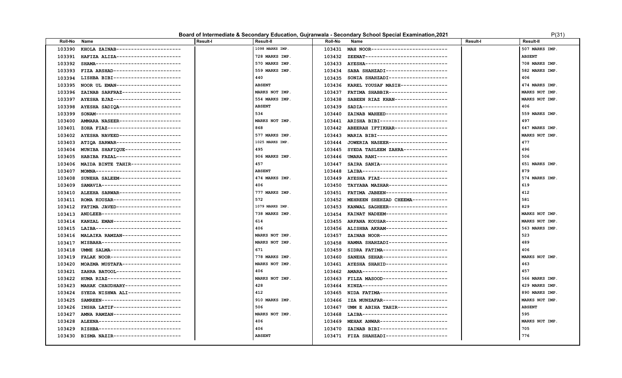### **Board of Intermediate & Secondary Education, Gujranwala - Secondary School Special Examination, 2021** P(31) P(31)

| <b>Roll-No</b> | Name                                | <b>Result-I</b> | Result-II       | <b>Roll-No</b> | Name                                      | <b>Result-I</b> | <b>Result-II</b> |
|----------------|-------------------------------------|-----------------|-----------------|----------------|-------------------------------------------|-----------------|------------------|
| 103390         | KHOLA ZAINAB----------------------  |                 | 1098 MARKS IMP. | 103431         | MAH NOOR--------------------------        |                 | 507 MARKS IMP.   |
| 103391         | HAFIZA ALIZA----------------------  |                 | 728 MARKS IMP.  | 103432         | ZEENAT----------------------------        |                 | <b>ABSENT</b>    |
| 103392         | SHAMA-----------------------------  |                 | 570 MARKS IMP.  | 103433         | AYESHA----------------------------        |                 | 708 MARKS IMP.   |
| 103393         | FIZA ARSHAD-----------------------  |                 | 559 MARKS IMP.  | 103434         | SABA SHAHZADI---------------------        |                 | 582 MARKS IMP.   |
| 103394         | LISHBA BIBI-----------------------  |                 | 440             | 103435         | SONIA SHAHZADI--------------------        |                 | 406              |
| 103395         | NOOR UL EMAN----------------------  |                 | <b>ABSENT</b>   | 103436         | KAREL YOUSAF MASIH----------------        |                 | 474 MARKS IMP.   |
| 103396         | ZAINAB SARFRAZ--------------------  |                 | MARKS NOT IMP.  | 103437         | FATIMA SHABBIR--------------------        |                 | MARKS NOT IMP.   |
| 103397         | AYESHA EJAZ-----------------------  |                 | 554 MARKS IMP.  | 103438         | SABEEN RIAZ KHAN------------------        |                 | MARKS NOT IMP.   |
| 103398         | AYESHA SADIQA---------------------  |                 | <b>ABSENT</b>   | 103439         | SADIA------------------------------       |                 | 406              |
| 103399         | SONAM-----------------------------  |                 | 534             | 103440         | ZAINAB WAHEED---------------------        |                 | 559 MARKS IMP.   |
| 103400         | AMMARA NASEER---------------------  |                 | MARKS NOT IMP.  | 103441         | ARISHA BIBI-----------------------        |                 | 497              |
| 103401         | ZOHA FIAZ-------------------------- |                 | 868             | 103442         | ABEERAH IFTIKHAR------------------        |                 | 647 MARKS IMP.   |
| 103402         | AYESHA NAVEED---------------------  |                 | 577 MARKS IMP.  | 103443         | MARIA BIBI------------------------        |                 | MARKS NOT IMP.   |
| 103403         | ATIOA SARWAR----------------------  |                 | 1025 MARKS IMP. | 103444         | JOWERIA NASEER--------------------        |                 | 477              |
| 103404         | MUNIBA SHAFIQUE-------------------  |                 | 495             | 103445         | SYEDA TASLEEM ZAHRA--------------         |                 | 496              |
| 103405         | HABIBA FAZAL----------------------  |                 | 906 MARKS IMP.  | 103446         | UMARA RANI-----------------------         |                 | 506              |
| 103406         | MAIDA BINTE TAHIR-----------------  |                 | 457             | 103447         | SAIRA SANIA-----------------------        |                 | 651 MARKS IMP.   |
| 103407         | MOMNA-----------------------------  |                 | <b>ABSENT</b>   | 103448         | LAIBA-----------------------------        |                 | 879              |
| 103408         | SUNEHA SALEEM---------------------  |                 | 474 MARKS IMP.  | 103449         | AYESHA FIAZ-----------------------        |                 | 574 MARKS IMP.   |
| 103409         | SAMAVIA---------------------------- |                 | 406             | 103450         | TAYYABA MAZHAR--------------------        |                 | 619              |
| 103410         | ALEEHA SARWAR---------------------  |                 | 777 MARKS IMP.  |                | 103451 FATIMA JABEEN--------------------- |                 | 412              |
| 103411         | ROMA KOUSAR-----------------------  |                 | 572             |                | 103452 MEHREEN SHEHZAD CHEEMA------------ |                 | 581              |
| 103412         | FATIMA JAVED---------------------   |                 | 1079 MARKS IMP. |                | 103453 KANWAL SAGHEER-------------------- |                 | 829              |
| 103413         | ANDLEEB---------------------------  |                 | 738 MARKS IMP.  | 103454         | KAINAT NADEEM---------------------        |                 | MARKS NOT IMP.   |
| 103414         | KANZAL EMAN----------------------   |                 | 614             |                | 103455 ARFANA KOUSAR--------------------  |                 | MARKS NOT IMP.   |
| 103415         | LAIBA-----------------------------  |                 | 406             | 103456         | ALISHBA AKRAM--------------------         |                 | 563 MARKS IMP.   |
| 103416         | MALAIKA RAMZAN--------------------  |                 | MARKS NOT IMP.  | 103457         | ZAINAB NOOR-----------------------        |                 | 523              |
| 103417         | MISBAHA---------------------------  |                 | MARKS NOT IMP.  | 103458         | HAMNA SHAHZADI--------------------        |                 | 489              |
| 103418         | UMME SALMA-----------------------   |                 | 671             | 103459         | SIDRA FATIMA----------------------        |                 | 406              |
| 103419         | FALAK NOOR------------------------  |                 | 778 MARKS IMP.  | 103460         | SANEHA SEHAR----------------------        |                 | MARKS NOT IMP.   |
| 103420         | MOAZMA MUSTAFA--------------------  |                 | MARKS NOT IMP.  | 103461         | AYESHA SHAHID--------------------         |                 | 463              |
| 103421         | ZAHRA BATOOL----------------------  |                 | 406             | 103462         | AMARA-----------------------------        |                 | 457              |
| 103422         | HUMA RIAZ-------------------------- |                 | MARKS NOT IMP.  | 103463         | FILZA MASOOD----------------------        |                 | 566 MARKS IMP.   |
| 103423         | MAHAK CHAUDHARY-------------------  |                 | 428             | 103464         | KINZA-----------------------------        |                 | 429 MARKS IMP.   |
| 103424         | SYEDA NISHWA ALI------------------  |                 | 412             | 103465         | NIDA FATIMA-----------------------        |                 | 890 MARKS IMP.   |
| 103425         | SAMREEN---------------------------  |                 | 910 MARKS IMP.  | 103466         | IZA MUNZAFAR----------------------        |                 | MARKS NOT IMP.   |
| 103426         | INSHA LATIF-----------------------  |                 | 506             | 103467         | UMM E ABIHA TAHIR----------------         |                 | <b>ABSENT</b>    |
| 103427         | AMNA RAMZAN-----------------------  |                 | MARKS NOT IMP.  | 103468         | LAIBA------------------------------       |                 | 595              |
| 103428         | ALEENA----------------------------  |                 | 406             | 103469         | MEHAK ANWAR-----------------------        |                 | MARKS NOT IMP.   |
| 103429         | RISHBA----------------------------- |                 | 406             | 103470         | ZAINAB BIBI-----------------------        |                 | 705              |
| 103430         | BISMA NAZIR-----------------------  |                 | <b>ABSENT</b>   |                | 103471 FIZA SHAHZADI--------------------- |                 | 776              |
|                |                                     |                 |                 |                |                                           |                 |                  |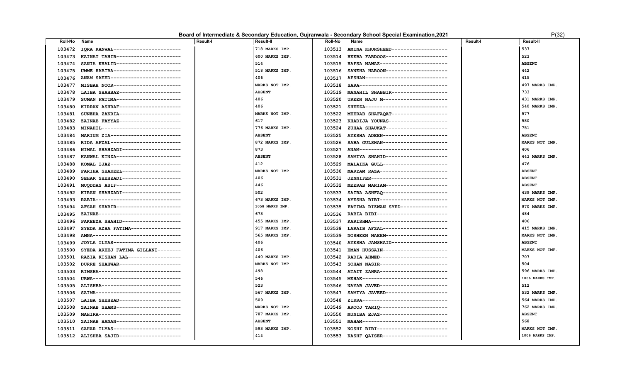#### **Board of Intermediate & Secondary Education, Gujranwala - Secondary School Special Examination, 2021** P(32)

| <b>Roll-No</b> | Name                                | <b>Result-I</b> | <b>Result-II</b> | <b>Roll-No</b> | Name                                      | <b>Result-I</b> | <b>Result-II</b>      |
|----------------|-------------------------------------|-----------------|------------------|----------------|-------------------------------------------|-----------------|-----------------------|
| 103472         | IQRA KANWAL----------------------   |                 | 718 MARKS IMP.   | 103513         | AMINA KHURSHEED-------------------        |                 | 537                   |
| 103473         | KAINAT TAHIR----------------------  |                 | 600 MARKS IMP.   | 103514         | HEEBA FARDOOS---------------------        |                 | 523                   |
| 103474         | SANIA KHALID---------------------   |                 | 514              | 103515         | HAFSA NAWAZ-----------------------        |                 | <b>ABSENT</b>         |
| 103475         | UMME HABIBA-----------------------  |                 | 518 MARKS IMP.   | 103516         | SANEHA HAROON--------------------         |                 | 442                   |
| 103476         | ANAM SAEED------------------------  |                 | 406              | 103517         | AFSHAN----------------------------        |                 | 415                   |
| 103477         | MISBAH NOOR-----------------------  |                 | MARKS NOT IMP.   | 103518         | SARA-------------------------------       |                 | 497 MARKS IMP.        |
| 103478         | LAIBA SHAHBAZ---------------------  |                 | <b>ABSENT</b>    | 103519         | MANAHIL SHABBIR------------------         |                 | 733                   |
| 103479         | SUMAN FATIMA----------------------  |                 | 406              | 103520         | UREEN NAJU M---------------------         |                 | 431 MARKS IMP.        |
| 103480         | KIRRAN ASHRAF---------------------  |                 | 406              | 103521         | SHEEZA----------------------------        |                 | 540 MARKS IMP.        |
| 103481         | SUNEHA ZAKRIA--------------------   |                 | MARKS NOT IMP.   | 103522         | MEERAB SHAFAQAT-------------------        |                 | 577                   |
| 103482         | ZAINAB FAYYAZ---------------------  |                 | 617              | 103523         | KHADIJA YOUNAS--------------------        |                 | 580                   |
| 103483         | MINAHIL--------------------------   |                 | 776 MARKS IMP.   | 103524         | ZUHAA SHAUKAT--------------------         |                 | 751                   |
| 103484         | MARIUM ZIA------------------------  |                 | <b>ABSENT</b>    | 103525         | AYESHA ADEEN----------------------        |                 | <b>ABSENT</b>         |
| 103485         | RIDA AFZAL------------------------  |                 | 872 MARKS IMP.   | 103526         | SABA GULSHAN----------------------        |                 | MARKS NOT IMP.        |
| 103486         | NIMAL SHAHZADI-------------------   |                 | 873              | 103527         | ANAM------------------------------        |                 | 406                   |
| 103487         | KANWAL KINZA----------------------  |                 | <b>ABSENT</b>    | 103528         | SAMIYA SHAHID---------------------        |                 | 443 MARKS IMP.        |
| 103488         | KOMAL IJAZ------------------------  |                 | 412              | 103529         | MALAIKA GULL----------------------        |                 | 476                   |
| 103489         | FARIHA SHAKEEL--------------------  |                 | MARKS NOT IMP.   | 103530         | MARYAM RAZA-----------------------        |                 | <b>ABSENT</b>         |
| 103490         | SEHAR SHEHZADI--------------------  |                 | 406              | 103531         | JENNIFER--------------------------        |                 | <b>ABSENT</b>         |
| 103491         | MUQDDAS ASIF----------------------  |                 | 446              |                | 103532 MEERAB MARIAM--------------------  |                 | <b>ABSENT</b>         |
| 103492         | KIRAN SHAHZADI--------------------  |                 | 502              | 103533         | SAIRA ASHFAQ----------------------        |                 | 439 MARKS IMP.        |
| 103493         | RABIA-----------------------------  |                 | 673 MARKS IMP.   | 103534         | AYESHA BIBI-----------------------        |                 | <b>MARKS NOT IMP.</b> |
| 103494         | AFSAH SHABIR---------------------   |                 | 1058 MARKS IMP.  |                | 103535 FATIMA RIZWAN SYED---------------- |                 | 970 MARKS IMP.        |
| 103495         | ZAINAB----------------------------  |                 | 673              |                | 103536 RABIA BIBI------------------------ |                 | 484                   |
| 103496         | PAKEEZA SHAHID-------------------   |                 | 455 MARKS IMP.   | 103537         | KARISHMA--------------------------        |                 | 406                   |
| 103497         | SYEDA AZHA FATIMA-----------------  |                 | 917 MARKS IMP.   | 103538         | LARAIB AFZAL----------------------        |                 | 415 MARKS IMP.        |
| 103498         | AMNA------------------------------  |                 | 565 MARKS IMP.   | 103539         | NOSHEEN NAEEM---------------------        |                 | MARKS NOT IMP.        |
| 103499         | JOYLA ILYAS-----------------------  |                 | 406              | 103540         | AYESHA JAMSHAID-------------------        |                 | <b>ABSENT</b>         |
| 103500         | SYEDA AREEJ FATIMA GILLANI--------  |                 | 406              | 103541         | EMAN HUSSAIN---------------------         |                 | MARKS NOT IMP.        |
| 103501         | RAZIA KISHAN LAL------------------  |                 | 440 MARKS IMP.   |                | 103542 RADIA AHMED----------------------- |                 | 707                   |
| 103502         | DURRE SHAHWAR---------------------  |                 | MARKS NOT IMP.   | 103543         | SOHAN NASIR-----------------------        |                 | 504                   |
| 103503         | RIMSHA----------------------------  |                 | 498              | 103544         | ATAIT ZAHRA-----------------------        |                 | 596 MARKS IMP.        |
| 103504         | URWA------------------------------- |                 | 546              | 103545         | <b>MEHAK-----------------------------</b> |                 | 1066 MARKS IMP.       |
| 103505         | ALISHBA---------------------------  |                 | 523              | 103546         | NAYAB JAVED-----------------------        |                 | 512                   |
| 103506         | SAIMA-----------------------------  |                 | 567 MARKS IMP.   | 103547         | SAMIYA JAVEED---------------------        |                 | 532 MARKS IMP.        |
| 103507         | LAIBA SHEHZAD---------------------  |                 | 509              | 103548         | ZIKRA------------------------------       |                 | 564 MARKS IMP.        |
| 103508         | ZAINAB SHAMS----------------------  |                 | MARKS NOT IMP.   | 103549         | AROOJ TARIQ -----------------------       |                 | 762 MARKS IMP.        |
| 103509         | MAHIRA----------------------------  |                 | 787 MARKS IMP.   | 103550         | MUNIBA EJAZ-----------------------        |                 | <b>ABSENT</b>         |
| 103510         | ZAINAB HANAN---------------------   |                 | <b>ABSENT</b>    | 103551         | MAHAM----------------------------         |                 | 568                   |
| 103511         | SAHAR ILYAS-----------------------  |                 | 593 MARKS IMP.   | 103552         | NOSHI BIBI------------------------        |                 | MARKS NOT IMP.        |
| 103512         | ALISHBA SAJID---------------------  |                 | 414              |                | 103553 KASHF QAISER---------------------- |                 | 1006 MARKS IMP.       |
|                |                                     |                 |                  |                |                                           |                 |                       |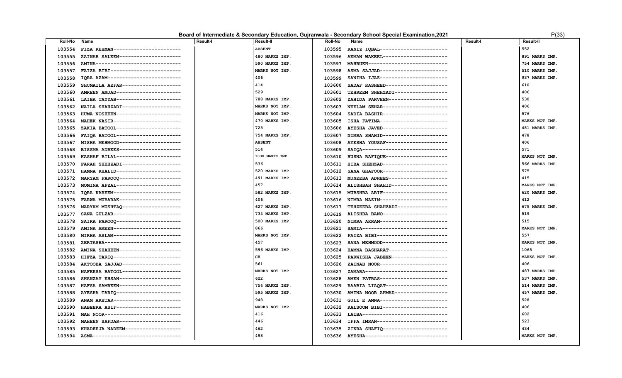### **Board of Intermediate & Secondary Education, Gujranwala - Secondary School Special Examination, 2021** P(33)

|   | P(33) |  |  |
|---|-------|--|--|
| г |       |  |  |

| Roll-No | Name                                | <b>Result-I</b> | Result-II       | Roll-No | Name                                      | Result-I | <b>Result-II</b> |
|---------|-------------------------------------|-----------------|-----------------|---------|-------------------------------------------|----------|------------------|
| 103554  | FIZA REHMAN----------------------   |                 | <b>ABSENT</b>   | 103595  | KANIZ IQBAL-----------------------        |          | 552              |
| 103555  | ZAINAB SALEEM---------------------  |                 | 480 MARKS IMP.  | 103596  | AEMAN WAKEEL---------------------         |          | 891 MARKS IMP.   |
| 103556  | AMINA-----------------------------  |                 | 590 MARKS IMP.  | 103597  | MAHRUKH--------------------------         |          | 754 MARKS IMP.   |
| 103557  | FAIZA BIBI------------------------  |                 | MARKS NOT IMP.  | 103598  | ASMA SAJJAD-----------------------        |          | 510 MARKS IMP.   |
| 103558  | IQRA AZAM-------------------------  |                 | 406             | 103599  | SANIHA IJAZ-----------------------        |          | 937 MARKS IMP.   |
| 103559  | SHUMAILA AZFAR--------------------  |                 | 414             | 103600  | SADAF RASHEED---------------------        |          | 610              |
| 103560  | AMREEN AMJAD---------------------   |                 | 529             | 103601  | TEHREEM SHEHZADI------------------        |          | 406              |
| 103561  | LAIBA TAYYAB----------------------  |                 | 788 MARKS IMP.  | 103602  | ZAHIDA PARVEEN--------------------        |          | 530              |
| 103562  | NAILA SHAHZADI--------------------  |                 | MARKS NOT IMP.  | 103603  | NEELAM SEHAR----------------------        |          | 406              |
| 103563  | HUMA NOSHEEN----------------------  |                 | MARKS NOT IMP.  | 103604  | SADIA BASHIR----------------------        |          | 576              |
| 103564  | MAHEK NASIR-----------------------  |                 | 470 MARKS IMP.  |         | 103605 ISHA FATIMA----------------------  |          | MARKS NOT IMP.   |
| 103565  | ZAKIA BATOOL----------------------  |                 | 725             |         | 103606 AYESHA JAVED---------------------  |          | 481 MARKS IMP.   |
| 103566  | FAIQA BATOOL----------------------  |                 | 754 MARKS IMP.  | 103607  | NIMRA SHAHID---------------------         |          | 478              |
| 103567  | MISHA MEHMOOD---------------------  |                 | <b>ABSENT</b>   | 103608  | AYESHA YOUSAF---------------------        |          | 406              |
| 103568  | BISSMA ADREES---------------------  |                 | 514             | 103609  | SAIQA-----------------------------        |          | 571              |
| 103569  | KASHAF BILAL----------------------  |                 | 1030 MARKS IMP. | 103610  | HUSNA RAFIQUE---------------------        |          | MARKS NOT IMP.   |
| 103570  | FARAH SHEHZADI-------------------   |                 | 536             | 103611  | HIBA SHEHZAD----------------------        |          | 566 MARKS IMP.   |
| 103571  | HAMNA KHALID----------------------  |                 | 520 MARKS IMP.  | 103612  | SANA GHAFOOR----------------------        |          | 575              |
| 103572  | MARYAM FAROOQ --------------------- |                 | 491 MARKS IMP.  | 103613  | MUNEEBA ADREES--------------------        |          | 415              |
| 103573  | MOMINA AFZAL----------------------  |                 | 457             |         | 103614 ALISHBAH SHAHID------------------- |          | MARKS NOT IMP.   |
| 103574  | IQRA KAREEM-----------------------  |                 | 582 MARKS IMP.  | 103615  | MUBSHRA ARIF---------------------         |          | 620 MARKS IMP.   |
| 103575  | FARWA MUBARAK---------------------  |                 | 406             |         | 103616 NIMRA NAZIM----------------------  |          | 412              |
| 103576  | MARYAM MUSHTAQ -------------------- |                 | 627 MARKS IMP.  | 103617  | TEHZEEBA SHAHZADI-----------------        |          | 675 MARKS IMP.   |
| 103577  | SANA GULZAR-----------------------  |                 | 734 MARKS IMP.  | 103619  | ALISHBA BANO----------------------        |          | 519              |
| 103578  | SAIRA FAROOQ----------------------  |                 | 500 MARKS IMP.  | 103620  | NIMRA AKRAM----------------------         |          | 515              |
| 103579  | AMINA AMEEN-----------------------  |                 | 866             | 103621  | SAMIA-----------------------------        |          | MARKS NOT IMP.   |
| 103580  | MIRHA ASLAM-----------------------  |                 | MARKS NOT IMP.  | 103622  | FAIZA BIBI------------------------        |          | 557              |
| 103581  | ZERTASHA--------------------------  |                 | 457             | 103623  | SANA MEHMOOD----------------------        |          | MARKS NOT IMP.   |
| 103582  | AMINA SHAHEEN---------------------  |                 | 596 MARKS IMP.  | 103624  | HAMNA BASHARAT--------------------        |          | 1065             |
| 103583  | HIFZA TARIQ ----------------------- |                 | $\mathtt{CH}$   | 103625  | PARWISHA JABEEN------------------         |          | MARKS NOT IMP.   |
| 103584  | AKTOOBA SAJJAD--------------------  |                 | 561             | 103626  | ZAINAB NOOR-----------------------        |          | 406              |
| 103585  | NAFEESA BATOOL--------------------  |                 | MARKS NOT IMP.  | 103627  | ZAMARA----------------------------        |          | 487 MARKS IMP.   |
| 103586  | SHANZAY EHSAN---------------------  |                 | 622             | 103628  | AMEN PATRAS-----------------------        |          | 537 MARKS IMP.   |
| 103587  | HAFSA SAMREEN---------------------  |                 | 754 MARKS IMP.  | 103629  | RAABIA LIAQAT---------------------        |          | 514 MARKS IMP.   |
| 103588  | AYESHA TARIQ ---------------------- |                 | 595 MARKS IMP.  | 103630  | AMINA NOOR AHMAD-----------------         |          | 457 MARKS IMP.   |
| 103589  | ANAM AKHTAR----------------------   |                 | 948             | 103631  | GULL E AMNA-----------------------        |          | 528              |
| 103590  | HABEERA ASIF----------------------  |                 | MARKS NOT IMP.  | 103632  | KALSOOM BIBI----------------------        |          | 406              |
| 103591  | MAH NOOR--------------------------  |                 | 416             |         | 103633 LAIBA----------------------------- |          | 602              |
| 103592  | MAHEEN SAFDAR---------------------  |                 | 446             | 103634  | IFFA IMRAN------------------------        |          | 523              |
| 103593  | KHADEEJA NADEEM-------------------  |                 | 462             | 103635  | ZIKRA SHAFIQ ---------------------        |          | 434              |
| 103594  | ASMA------------------------------- |                 | 493             |         | 103636 AYESHA---------------------------- |          | MARKS NOT IMP.   |
|         |                                     |                 |                 |         |                                           |          |                  |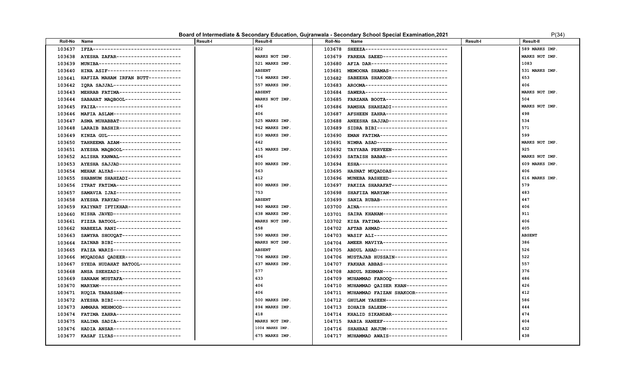#### **Board of Intermediate & Secondary Education, Gujranwala - Secondary School Special Examination, 2021** P(34)

| P(34 |  |
|------|--|

| <b>Roll-No</b> | Name                                 | <b>Result-I</b> | Result-II       | <b>Roll-No</b> | Name                                     | <b>Result-I</b> | <b>Result-II</b> |
|----------------|--------------------------------------|-----------------|-----------------|----------------|------------------------------------------|-----------------|------------------|
| 103637         | IFZA-------------------------------  |                 | 822             | 103678         | SHEEZA----------------------------       |                 | 589 MARKS IMP.   |
| 103638         | AYESHA ZAFAR----------------------   |                 | MARKS NOT IMP.  | 103679         | FAREHA SAEED----------------------       |                 | MARKS NOT IMP.   |
| 103639         | MUNIBA---------------------------    |                 | 521 MARKS IMP.  | 103680         | AFIA DAR--------------------------       |                 | 1083             |
| 103640         | HINA ASIF-------------------------   |                 | <b>ABSENT</b>   | 103681         | MEMOONA SHAMAS-------------------        |                 | 531 MARKS IMP.   |
| 103641         | HAFIZA MAHAM IRFAN BUTT-----------   |                 | 716 MARKS IMP.  | 103682         | SABEEHA SHAKOOR------------------        |                 | 653              |
| 103642         | IQRA SAJJAL-----------------------   |                 | 557 MARKS IMP.  | 103683         | AROOMA----------------------------       |                 | 406              |
| 103643         | MEHRAB FATIMA---------------------   |                 | <b>ABSENT</b>   | 103684         | SAWERA----------------------------       |                 | MARKS NOT IMP.   |
| 103644         | SABAHAT MAQBOOL -------------------  |                 | MARKS NOT IMP.  | 103685         | FARZANA BOOTA---------------------       |                 | 504              |
| 103645         | FAIZA------------------------------- |                 | 406             | 103686         | RAMSHA SHAHZADI-------------------       |                 | MARKS NOT IMP.   |
| 103646         | MAFIA ASLAM-----------------------   |                 | 406             | 103687         | AFSHEEN ZAHRA---------------------       |                 | 498              |
| 103647         | ASMA MUHABBAT---------------------   |                 | 525 MARKS IMP.  | 103688         | ANEESHA SAJJAD--------------------       |                 | 534              |
| 103648         | LARAIB BASHIR---------------------   |                 | 942 MARKS IMP.  | 103689         | SIDRA BIBI------------------------       |                 | 571              |
| 103649         | KINZA GUL--------------------------  |                 | 810 MARKS IMP.  | 103690         | EMAN FATIMA-----------------------       |                 | 599              |
| 103650         | TAHREEMA AZAM---------------------   |                 | 642             | 103691         | NIMRA ASAD------------------------       |                 | MARKS NOT IMP.   |
| 103651         | AYESHA MAQBOOL--------------------   |                 | 415 MARKS IMP.  | 103692         | TAYYABA PERVEEN-------------------       |                 | 925              |
| 103652         | ALISHA KANWAL---------------------   |                 | 406             | 103693         | SATAISH BABAR--------------------        |                 | MARKS NOT IMP.   |
| 103653         | AYESHA SAJJAD---------------------   |                 | 800 MARKS IMP.  | 103694         | ESHA-------------------------------      |                 | 609 MARKS IMP.   |
| 103654         | MEHAK ALYAS-----------------------   |                 | 563             | 103695         | HASNAT MUQADDAS-------------------       |                 | 406              |
| 103655         | SHABNUM SHAHZADI------------------   |                 | 412             | 103696         | MUNEBA RASHEED--------------------       |                 | 616 MARKS IMP.   |
| 103656         | ITRAT FATIMA----------------------   |                 | 800 MARKS IMP.  | 103697         | PAKIZA SHARAFAT------------------        |                 | 579              |
| 103657         | SAMAVIA IJAZ----------------------   |                 | 753             | 103698         | SHAFIZA MARYAM--------------------       |                 | 483              |
| 103658         | AYESHA FARYAD---------------------   |                 | <b>ABSENT</b>   | 103699         | SANIA RUBAB-----------------------       |                 | 447              |
| 103659         | KAIYNAT IFTIKHAR------------------   |                 | 940 MARKS IMP.  | 103700         | AINA------------------------------       |                 | 406              |
| 103660         | NISHA JAVED-----------------------   |                 | 638 MARKS IMP.  | 103701         | SAIRA KHANAM----------------------       |                 | 911              |
| 103661         | FIZZA BATOOL---------------------    |                 | MARKS NOT IMP.  |                | 103702 KISA FATIMA---------------------- |                 | 406              |
| 103662         | NABEELA RANI----------------------   |                 | 458             |                | 104702 AFTAB AHMAD---------------------- |                 | 405              |
| 103663         | SAWYRA SHOUQAT--------------------   |                 | 590 MARKS IMP.  | 104703         | WASIF ALI-------------------------       |                 | <b>ABSENT</b>    |
| 103664         | ZAINAB BIBI-----------------------   |                 | MARKS NOT IMP.  | 104704         | AMEER MAVIYA----------------------       |                 | 386              |
| 103665         | FAIZA WARIS-----------------------   |                 | <b>ABSENT</b>   | 104705         | ABDUL AHAD-----------------------        |                 | 526              |
| 103666         | MUQADDAS QADEER-------------------   |                 | 706 MARKS IMP.  | 104706         | MUSTAJAB HUSSAIN------------------       |                 | 522              |
| 103667         | SYEDA HUDAHAT BATOOL--------------   |                 | 637 MARKS IMP.  | 104707         | FAKHAR ABBAS----------------------       |                 | 557              |
| 103668         | ANSA SHEHZADI---------------------   |                 | 577             | 104708         | ABDUL REHMAN---------------------        |                 | 376              |
| 103669         | SANAAM MUSTAFA--------------------   |                 | 633             | 104709         | MUHAMMAD FAROOQ -------------------      |                 | 486              |
| 103670         | MARYAM---------------------------    |                 | 406             | 104710         | MUHAMMAD QAISER KHAN-------------        |                 | 426              |
| 103671         | RUQIA TABASSAM--------------------   |                 | 406             | 104711         | MUHAMMAD FAIZAN SHAKOOR-----------       |                 | 412              |
| 103672         | AYESHA BIBI-----------------------   |                 | 500 MARKS IMP.  | 104712         | GHULAM YASEEN---------------------       |                 | 586              |
| 103673         | AMMARA MEHMOOD--------------------   |                 | 894 MARKS IMP.  | 104713         | ZOHAIB SALEEM---------------------       |                 | 444              |
| 103674         | FATIMA ZAHRA----------------------   |                 | 418             | 104714         | KHALID SIKANDAR-------------------       |                 | 474              |
| 103675         | HALIMA SADIA----------------------   |                 | MARKS NOT IMP.  | 104715         | RABIA HANEEF---------------------        |                 | 404              |
| 103676         | HADIA ANSAR-----------------------   |                 | 1004 MARKS IMP. | 104716         | SHAHBAZ ANJUM---------------------       |                 | 432              |
| 103677         | KASAF ILYAS-----------------------   |                 | 675 MARKS IMP.  | 104717         | MUHAMMAD AWAIS--------------------       |                 | 438              |
|                |                                      |                 |                 |                |                                          |                 |                  |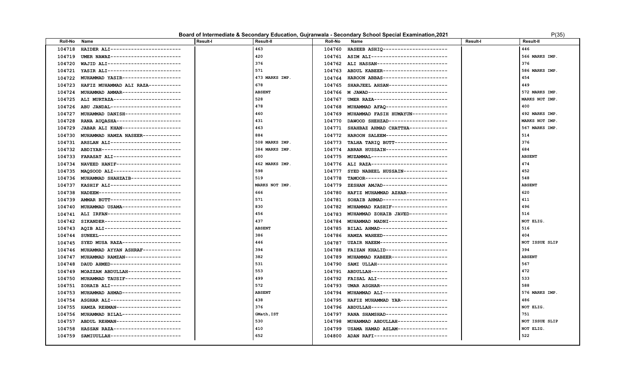### **Board of Intermediate & Secondary Education, Gujranwala - Secondary School Special Examination, 2021** P(35) P(35)

| 463<br>HAIDER ALI-----------------------<br>HASEEB ASHIQ----------------------<br>446<br>104718<br>104760<br>UMER NAWAZ------------------------<br>420<br>104761 ASIM ALI--------------------------<br>566 MARKS IMP.<br>104719<br>376<br>376<br>WAJID ALI-------------------------<br>ALI HASSAN------------------------<br>104720<br>104762<br>571<br>YASIR ALI-------------------------<br>ABDUL KABEER----------------------<br>586 MARKS IMP.<br>104721<br>104763<br>454<br>MUHAMMAD YASIR-------------------<br>473 MARKS IMP.<br>HAROON ABBAS----------------------<br>104722<br>104764<br>678<br>SHARJEEL AHSAN--------------------<br>449<br>HAFIZ MUHAMMAD ALI RAZA-----------<br>104723<br>104765<br>MUHAMMAD AMMAR--------------------<br><b>ABSENT</b><br>M JAWAD---------------------------<br>572 MARKS IMP.<br>104724<br>104766<br>528<br>ALI MURTAZA-----------------------<br>UMER RAZA-------------------------<br>MARKS NOT IMP.<br>104725<br>104767<br>478<br>400<br>ABU JANDAL------------------------<br>MUHAMMAD AFAQ ---------------------<br>104726<br>104768<br>460<br>MUHAMMAD DANISH------------------<br>MUHAMMAD FASIH HUMAYUN------------<br>492 MARKS IMP.<br>104727<br>104769<br>431<br>RANA AUQASHA----------------------<br>DAWOOD SHEHZAD--------------------<br>MARKS NOT IMP.<br>104770<br>104728<br>463<br>567 MARKS IMP.<br>JABAR ALI KHAN-------------------<br>SHAHBAZ AHMAD CHATTHA-------------<br>104729<br>104771<br>MUHAMMAD HAMZA NASEER-------------<br>884<br>HAROON SALEEM---------------------<br>514<br>104730<br>104772<br>ARSLAN ALI------------------------<br>TALHA TARIQ BUTT-----------------<br>376<br>508 MARKS IMP.<br>104731<br>104773<br>684<br>384 MARKS IMP.<br>ABDIYAH---------------------------<br>ABRAR HUSSAIN---------------------<br>104732<br>104774<br>600<br>FARASAT ALI-----------------------<br>MUZAMMAL-------------------------<br><b>ABSENT</b><br>104733<br>104775 | <b>Roll-No</b> | Name | <b>Result-I</b> | <b>Result-II</b> | <b>Roll-No</b> | Name | Result-I | <b>Result-II</b> |
|--------------------------------------------------------------------------------------------------------------------------------------------------------------------------------------------------------------------------------------------------------------------------------------------------------------------------------------------------------------------------------------------------------------------------------------------------------------------------------------------------------------------------------------------------------------------------------------------------------------------------------------------------------------------------------------------------------------------------------------------------------------------------------------------------------------------------------------------------------------------------------------------------------------------------------------------------------------------------------------------------------------------------------------------------------------------------------------------------------------------------------------------------------------------------------------------------------------------------------------------------------------------------------------------------------------------------------------------------------------------------------------------------------------------------------------------------------------------------------------------------------------------------------------------------------------------------------------------------------------------------------------------------------------------------------------------------------------------------------------------------------------------------------------------------------------------------------------------------------------------------------------------------------------------------------------------------------|----------------|------|-----------------|------------------|----------------|------|----------|------------------|
|                                                                                                                                                                                                                                                                                                                                                                                                                                                                                                                                                                                                                                                                                                                                                                                                                                                                                                                                                                                                                                                                                                                                                                                                                                                                                                                                                                                                                                                                                                                                                                                                                                                                                                                                                                                                                                                                                                                                                        |                |      |                 |                  |                |      |          |                  |
|                                                                                                                                                                                                                                                                                                                                                                                                                                                                                                                                                                                                                                                                                                                                                                                                                                                                                                                                                                                                                                                                                                                                                                                                                                                                                                                                                                                                                                                                                                                                                                                                                                                                                                                                                                                                                                                                                                                                                        |                |      |                 |                  |                |      |          |                  |
|                                                                                                                                                                                                                                                                                                                                                                                                                                                                                                                                                                                                                                                                                                                                                                                                                                                                                                                                                                                                                                                                                                                                                                                                                                                                                                                                                                                                                                                                                                                                                                                                                                                                                                                                                                                                                                                                                                                                                        |                |      |                 |                  |                |      |          |                  |
|                                                                                                                                                                                                                                                                                                                                                                                                                                                                                                                                                                                                                                                                                                                                                                                                                                                                                                                                                                                                                                                                                                                                                                                                                                                                                                                                                                                                                                                                                                                                                                                                                                                                                                                                                                                                                                                                                                                                                        |                |      |                 |                  |                |      |          |                  |
|                                                                                                                                                                                                                                                                                                                                                                                                                                                                                                                                                                                                                                                                                                                                                                                                                                                                                                                                                                                                                                                                                                                                                                                                                                                                                                                                                                                                                                                                                                                                                                                                                                                                                                                                                                                                                                                                                                                                                        |                |      |                 |                  |                |      |          |                  |
|                                                                                                                                                                                                                                                                                                                                                                                                                                                                                                                                                                                                                                                                                                                                                                                                                                                                                                                                                                                                                                                                                                                                                                                                                                                                                                                                                                                                                                                                                                                                                                                                                                                                                                                                                                                                                                                                                                                                                        |                |      |                 |                  |                |      |          |                  |
|                                                                                                                                                                                                                                                                                                                                                                                                                                                                                                                                                                                                                                                                                                                                                                                                                                                                                                                                                                                                                                                                                                                                                                                                                                                                                                                                                                                                                                                                                                                                                                                                                                                                                                                                                                                                                                                                                                                                                        |                |      |                 |                  |                |      |          |                  |
|                                                                                                                                                                                                                                                                                                                                                                                                                                                                                                                                                                                                                                                                                                                                                                                                                                                                                                                                                                                                                                                                                                                                                                                                                                                                                                                                                                                                                                                                                                                                                                                                                                                                                                                                                                                                                                                                                                                                                        |                |      |                 |                  |                |      |          |                  |
|                                                                                                                                                                                                                                                                                                                                                                                                                                                                                                                                                                                                                                                                                                                                                                                                                                                                                                                                                                                                                                                                                                                                                                                                                                                                                                                                                                                                                                                                                                                                                                                                                                                                                                                                                                                                                                                                                                                                                        |                |      |                 |                  |                |      |          |                  |
|                                                                                                                                                                                                                                                                                                                                                                                                                                                                                                                                                                                                                                                                                                                                                                                                                                                                                                                                                                                                                                                                                                                                                                                                                                                                                                                                                                                                                                                                                                                                                                                                                                                                                                                                                                                                                                                                                                                                                        |                |      |                 |                  |                |      |          |                  |
|                                                                                                                                                                                                                                                                                                                                                                                                                                                                                                                                                                                                                                                                                                                                                                                                                                                                                                                                                                                                                                                                                                                                                                                                                                                                                                                                                                                                                                                                                                                                                                                                                                                                                                                                                                                                                                                                                                                                                        |                |      |                 |                  |                |      |          |                  |
|                                                                                                                                                                                                                                                                                                                                                                                                                                                                                                                                                                                                                                                                                                                                                                                                                                                                                                                                                                                                                                                                                                                                                                                                                                                                                                                                                                                                                                                                                                                                                                                                                                                                                                                                                                                                                                                                                                                                                        |                |      |                 |                  |                |      |          |                  |
|                                                                                                                                                                                                                                                                                                                                                                                                                                                                                                                                                                                                                                                                                                                                                                                                                                                                                                                                                                                                                                                                                                                                                                                                                                                                                                                                                                                                                                                                                                                                                                                                                                                                                                                                                                                                                                                                                                                                                        |                |      |                 |                  |                |      |          |                  |
|                                                                                                                                                                                                                                                                                                                                                                                                                                                                                                                                                                                                                                                                                                                                                                                                                                                                                                                                                                                                                                                                                                                                                                                                                                                                                                                                                                                                                                                                                                                                                                                                                                                                                                                                                                                                                                                                                                                                                        |                |      |                 |                  |                |      |          |                  |
|                                                                                                                                                                                                                                                                                                                                                                                                                                                                                                                                                                                                                                                                                                                                                                                                                                                                                                                                                                                                                                                                                                                                                                                                                                                                                                                                                                                                                                                                                                                                                                                                                                                                                                                                                                                                                                                                                                                                                        |                |      |                 |                  |                |      |          |                  |
|                                                                                                                                                                                                                                                                                                                                                                                                                                                                                                                                                                                                                                                                                                                                                                                                                                                                                                                                                                                                                                                                                                                                                                                                                                                                                                                                                                                                                                                                                                                                                                                                                                                                                                                                                                                                                                                                                                                                                        |                |      |                 |                  |                |      |          |                  |
| 474<br>NAVEED HANIF---------------------<br>462 MARKS IMP.<br>104776 ALI RAZA---------------------------<br>104734                                                                                                                                                                                                                                                                                                                                                                                                                                                                                                                                                                                                                                                                                                                                                                                                                                                                                                                                                                                                                                                                                                                                                                                                                                                                                                                                                                                                                                                                                                                                                                                                                                                                                                                                                                                                                                     |                |      |                 |                  |                |      |          |                  |
| 598<br>452<br>MAQSOOD ALI-----------------------<br>SYED NABEEL HUSSAIN---------------<br>104735<br>104777                                                                                                                                                                                                                                                                                                                                                                                                                                                                                                                                                                                                                                                                                                                                                                                                                                                                                                                                                                                                                                                                                                                                                                                                                                                                                                                                                                                                                                                                                                                                                                                                                                                                                                                                                                                                                                             |                |      |                 |                  |                |      |          |                  |
| 519<br>548<br>MUHAMMAD SHAHZAIB----------------<br>TAMOOR----------------------------<br>104736<br>104778                                                                                                                                                                                                                                                                                                                                                                                                                                                                                                                                                                                                                                                                                                                                                                                                                                                                                                                                                                                                                                                                                                                                                                                                                                                                                                                                                                                                                                                                                                                                                                                                                                                                                                                                                                                                                                              |                |      |                 |                  |                |      |          |                  |
| KASHIF ALI-----------------------<br>MARKS NOT IMP.<br>ZESHAN AMJAD---------------------<br><b>ABSENT</b><br>104737<br>104779                                                                                                                                                                                                                                                                                                                                                                                                                                                                                                                                                                                                                                                                                                                                                                                                                                                                                                                                                                                                                                                                                                                                                                                                                                                                                                                                                                                                                                                                                                                                                                                                                                                                                                                                                                                                                          |                |      |                 |                  |                |      |          |                  |
| NADEEM----------------------------<br>666<br>HAFIZ MUHAMMAD AZHAR-------------<br>620<br>104738<br>104780                                                                                                                                                                                                                                                                                                                                                                                                                                                                                                                                                                                                                                                                                                                                                                                                                                                                                                                                                                                                                                                                                                                                                                                                                                                                                                                                                                                                                                                                                                                                                                                                                                                                                                                                                                                                                                              |                |      |                 |                  |                |      |          |                  |
| AMMAR BUTT-----------------------<br>571<br>SOHAIB AHMAD---------------------<br>411<br>104739<br>104781                                                                                                                                                                                                                                                                                                                                                                                                                                                                                                                                                                                                                                                                                                                                                                                                                                                                                                                                                                                                                                                                                                                                                                                                                                                                                                                                                                                                                                                                                                                                                                                                                                                                                                                                                                                                                                               |                |      |                 |                  |                |      |          |                  |
| 830<br>496<br>MUHAMMAD USAMA-------------------<br>MUHAMMAD KASHIF------------------<br>104740<br>104782                                                                                                                                                                                                                                                                                                                                                                                                                                                                                                                                                                                                                                                                                                                                                                                                                                                                                                                                                                                                                                                                                                                                                                                                                                                                                                                                                                                                                                                                                                                                                                                                                                                                                                                                                                                                                                               |                |      |                 |                  |                |      |          |                  |
| 516<br>ALI IRFAN-------------------------<br>456<br>104783<br>MUHAMMAD ZOHAIB JAVED-------------<br>104741                                                                                                                                                                                                                                                                                                                                                                                                                                                                                                                                                                                                                                                                                                                                                                                                                                                                                                                                                                                                                                                                                                                                                                                                                                                                                                                                                                                                                                                                                                                                                                                                                                                                                                                                                                                                                                             |                |      |                 |                  |                |      |          |                  |
| 437<br>SIKANDER-------------------------<br>MUHAMMAD MADNI--------------------<br>NOT ELIG.<br>104784<br>104742                                                                                                                                                                                                                                                                                                                                                                                                                                                                                                                                                                                                                                                                                                                                                                                                                                                                                                                                                                                                                                                                                                                                                                                                                                                                                                                                                                                                                                                                                                                                                                                                                                                                                                                                                                                                                                        |                |      |                 |                  |                |      |          |                  |
| <b>ABSENT</b><br>516<br>AQIB ALI--------------------------<br>BILAL AHMAD-----------------------<br>104743<br>104785                                                                                                                                                                                                                                                                                                                                                                                                                                                                                                                                                                                                                                                                                                                                                                                                                                                                                                                                                                                                                                                                                                                                                                                                                                                                                                                                                                                                                                                                                                                                                                                                                                                                                                                                                                                                                                   |                |      |                 |                  |                |      |          |                  |
| 386<br>404<br>SUNEEL----------------------------<br>HAMZA WAHEED----------------------<br>104744<br>104786                                                                                                                                                                                                                                                                                                                                                                                                                                                                                                                                                                                                                                                                                                                                                                                                                                                                                                                                                                                                                                                                                                                                                                                                                                                                                                                                                                                                                                                                                                                                                                                                                                                                                                                                                                                                                                             |                |      |                 |                  |                |      |          |                  |
| SYED MUSA RAZA--------------------<br>446<br>UZAIR NAEEM-----------------------<br>NOT ISSUE SLIP<br>104745<br>104787                                                                                                                                                                                                                                                                                                                                                                                                                                                                                                                                                                                                                                                                                                                                                                                                                                                                                                                                                                                                                                                                                                                                                                                                                                                                                                                                                                                                                                                                                                                                                                                                                                                                                                                                                                                                                                  |                |      |                 |                  |                |      |          |                  |
| 394<br>394<br>MUHAMMAD AYYAN ASHRAF------------<br>FAIZAN KHALID--------------------<br>104746<br>104788                                                                                                                                                                                                                                                                                                                                                                                                                                                                                                                                                                                                                                                                                                                                                                                                                                                                                                                                                                                                                                                                                                                                                                                                                                                                                                                                                                                                                                                                                                                                                                                                                                                                                                                                                                                                                                               |                |      |                 |                  |                |      |          |                  |
| 382<br><b>ABSENT</b><br>MUHAMMAD RAMZAN-------------------<br>MUHAMMAD KABEER-------------------<br>104747<br>104789                                                                                                                                                                                                                                                                                                                                                                                                                                                                                                                                                                                                                                                                                                                                                                                                                                                                                                                                                                                                                                                                                                                                                                                                                                                                                                                                                                                                                                                                                                                                                                                                                                                                                                                                                                                                                                   |                |      |                 |                  |                |      |          |                  |
| 531<br>567<br>DAUD AHMED------------------------<br>SAMI ULLAH------------------------<br>104748<br>104790                                                                                                                                                                                                                                                                                                                                                                                                                                                                                                                                                                                                                                                                                                                                                                                                                                                                                                                                                                                                                                                                                                                                                                                                                                                                                                                                                                                                                                                                                                                                                                                                                                                                                                                                                                                                                                             |                |      |                 |                  |                |      |          |                  |
| 472<br>553<br>MOAZZAM ABDULLAH-----------------<br>104791 ABDULLAH-------------------------<br>104749                                                                                                                                                                                                                                                                                                                                                                                                                                                                                                                                                                                                                                                                                                                                                                                                                                                                                                                                                                                                                                                                                                                                                                                                                                                                                                                                                                                                                                                                                                                                                                                                                                                                                                                                                                                                                                                  |                |      |                 |                  |                |      |          |                  |
| 533<br>499<br>104750<br>MUHAMMAD TAUSIF-------------------<br>104792 FAISAL ALI------------------------                                                                                                                                                                                                                                                                                                                                                                                                                                                                                                                                                                                                                                                                                                                                                                                                                                                                                                                                                                                                                                                                                                                                                                                                                                                                                                                                                                                                                                                                                                                                                                                                                                                                                                                                                                                                                                                |                |      |                 |                  |                |      |          |                  |
| 572<br>588<br>104751<br>ZOHAIB ALI------------------------<br>104793 UMAR ASGHAR-----------------------                                                                                                                                                                                                                                                                                                                                                                                                                                                                                                                                                                                                                                                                                                                                                                                                                                                                                                                                                                                                                                                                                                                                                                                                                                                                                                                                                                                                                                                                                                                                                                                                                                                                                                                                                                                                                                                |                |      |                 |                  |                |      |          |                  |
| 576 MARKS IMP.<br>MUHAMMAD AHMAD-------------------<br><b>ABSENT</b><br>MUHAMMAD ALI---------------------<br>104753<br>104794                                                                                                                                                                                                                                                                                                                                                                                                                                                                                                                                                                                                                                                                                                                                                                                                                                                                                                                                                                                                                                                                                                                                                                                                                                                                                                                                                                                                                                                                                                                                                                                                                                                                                                                                                                                                                          |                |      |                 |                  |                |      |          |                  |
| 438<br>ASGHAR ALI------------------------<br>104795 HAFIZ MUHAMMAD YAR---------------<br>486<br>104754                                                                                                                                                                                                                                                                                                                                                                                                                                                                                                                                                                                                                                                                                                                                                                                                                                                                                                                                                                                                                                                                                                                                                                                                                                                                                                                                                                                                                                                                                                                                                                                                                                                                                                                                                                                                                                                 |                |      |                 |                  |                |      |          |                  |
| HAMZA REHMAN---------------------<br>376<br>104796 ABDULLAH--------------------------<br>NOT ELIG.<br>104755                                                                                                                                                                                                                                                                                                                                                                                                                                                                                                                                                                                                                                                                                                                                                                                                                                                                                                                                                                                                                                                                                                                                                                                                                                                                                                                                                                                                                                                                                                                                                                                                                                                                                                                                                                                                                                           |                |      |                 |                  |                |      |          |                  |
| MUHAMMAD BILAL-------------------<br>GMath, IST<br>RANA SHAMSHAD---------------------<br>751<br>104756<br>104797                                                                                                                                                                                                                                                                                                                                                                                                                                                                                                                                                                                                                                                                                                                                                                                                                                                                                                                                                                                                                                                                                                                                                                                                                                                                                                                                                                                                                                                                                                                                                                                                                                                                                                                                                                                                                                       |                |      |                 |                  |                |      |          |                  |
| 530<br>NOT ISSUE SLIP<br>104757<br>ABDUL REHMAN---------------------<br>MUHAMMAD ABDULLAH----------------<br>104798                                                                                                                                                                                                                                                                                                                                                                                                                                                                                                                                                                                                                                                                                                                                                                                                                                                                                                                                                                                                                                                                                                                                                                                                                                                                                                                                                                                                                                                                                                                                                                                                                                                                                                                                                                                                                                    |                |      |                 |                  |                |      |          |                  |
| 410<br>NOT ELIG.<br>104758<br>HASSAN RAZA-----------------------<br>USAMA HAMAD ASLAM-----------------<br>104799                                                                                                                                                                                                                                                                                                                                                                                                                                                                                                                                                                                                                                                                                                                                                                                                                                                                                                                                                                                                                                                                                                                                                                                                                                                                                                                                                                                                                                                                                                                                                                                                                                                                                                                                                                                                                                       |                |      |                 |                  |                |      |          |                  |
| 652<br>522<br>104759<br>SAMIUULLAH-----------------------<br>104800 ADAN RAFI-------------------------                                                                                                                                                                                                                                                                                                                                                                                                                                                                                                                                                                                                                                                                                                                                                                                                                                                                                                                                                                                                                                                                                                                                                                                                                                                                                                                                                                                                                                                                                                                                                                                                                                                                                                                                                                                                                                                 |                |      |                 |                  |                |      |          |                  |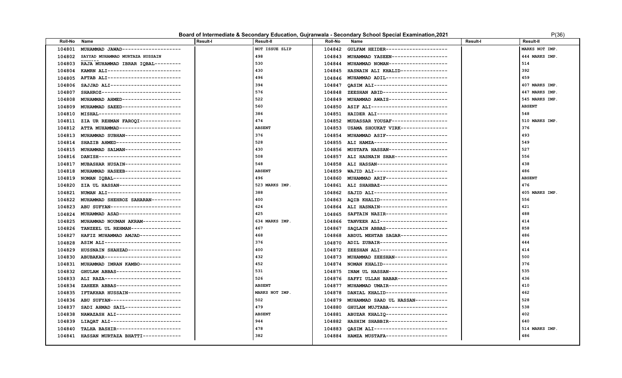| Board of Intermediate & Secondary Education, Gujranwala - Secondary School Special Examination, 2021 |
|------------------------------------------------------------------------------------------------------|
|------------------------------------------------------------------------------------------------------|

| (3) |  |
|-----|--|
|     |  |

| NOT ISSUE SLIP<br>MARKS NOT IMP.<br>104801<br>MUHAMMAD JAWAD-------------------<br>104842<br>GULFAM HEIDER---------------------<br>498<br>444 MARKS IMP.<br>SAYYAD MUHAMMAD MURTAZA HUSSAIN<br>104802<br>104843<br>MUHAMMAD YASEEN------------------<br>530<br>514<br>104803<br>RAJA MUHAMMAD IBRAR IQBAL---------<br>104844 MUHAMMAD NOMAN-------------------<br>430<br>392<br>104804<br>KAMRN ALI-------------------------<br>104845<br>HASNAIN ALI KHALID----------------<br>496<br>459<br>104805<br>AFTAB ALI-------------------------<br>104846 MUHAMMAD ADIL---------------------<br>394<br>407 MARKS IMP.<br>SAJJAD ALI------------------------<br>QASIM ALI-------------------------<br>104806<br>104847<br>576<br>447 MARKS IMP.<br>SHAHROZ---------------------------<br>ZEESHAN ABID----------------------<br>104807<br>104848<br>522<br>545 MARKS IMP.<br>MUHAMMAD AHMED-------------------<br>104849 MUHAMMAD AWAIS-------------------<br>104808<br>560<br>ASIF ALI--------------------------<br><b>ABSENT</b><br>104809<br>MUHAMMAD SAEED--------------------<br>104850<br>MISHAL---------------------------<br>386<br>HAIDER ALI------------------------<br>548<br>104810<br>104851<br>474<br>510 MARKS IMP.<br>ZIA UR REHMAN FAROQI--------------<br>MUDASSAR YOUSAF------------------<br>104811<br>104852<br><b>ABSENT</b><br>USAMA SHOUKAT VIRK---------------<br>376<br>104812 ATTA MUHAMMAD--------------------<br>104853<br>MUHAMMAD SUBHAN-------------------<br>376<br>MUHAMMAD ASIF---------------------<br>493<br>104813<br>104854<br>SHAZIB AHMED----------------------<br>528<br>104855 ALI HAMZA-------------------------<br>549<br>104814<br>430<br>MUSTAFA HASSAN--------------------<br>527<br>MUHAMMAD SALMAN------------------<br>104815<br>104856<br>508<br>556<br>DANISH----------------------------<br>ALI HASNAIN SHAH------------------<br>104816<br>104857<br>548<br>438<br>MUBASHAR HUSAIN------------------<br>ALI HASSAN------------------------<br>104817<br>104858<br>MUHAMMAD HASEEB-------------------<br><b>ABSENT</b><br>WAJID ALI-------------------------<br>486<br>104818<br>104859<br>NOMAN IQBAL-----------------------<br>496<br>MUHAMMAD ARIF---------------------<br><b>ABSENT</b><br>104819<br>104860<br>523 MARKS IMP.<br>ALI SHAHBAZ-----------------------<br>476<br>104820<br>ZIA UL HASSAN---------------------<br>104861<br>388<br>SAJID ALI-------------------------<br>405 MARKS IMP.<br>NUMAN ALI-------------------------<br>104821<br>104862<br>400<br>556<br>AQIB KHALID-----------------------<br>104822<br>MUHAMMAD SHEHROZ SAHARAN----------<br>104863<br>421<br>624<br>104864 ALI HASNAIN----------------------<br>ABU SUFYAN------------------------<br>104823<br>425<br>488<br>SAFTAIN NAZIR---------------------<br>104824<br>MUHAMMAD ASAD---------------------<br>104865<br>634 MARKS IMP.<br>414<br>TANVEER ALI-----------------------<br>104825<br>MUHAMMAD NOUMAN AKRAM-------------<br>104866<br>467<br>SAQLAIN ABBAS---------------------<br>858<br>104826<br>TANZEEL UL REHMAN-----------------<br>104867<br>468<br>104868 ABDUL MEHTAB SAGAR----------------<br>486<br>104827<br>HAFIZ MUHAMMAD AMJAD--------------<br>376<br>ADIL ZUBAIR-----------------------<br>444<br>104828<br>ASIM ALI--------------------------<br>104870<br>400<br>ZEESHAN ALI-----------------------<br>414<br>104829<br>HUSSNAIN SHAHZAD------------------<br>104872<br>432<br>500<br>ABUBAKAR--------------------------<br>MUHAMMAD ZEESHAN-----------------<br>104830<br>104873<br>452<br>376<br>NOMAN KHALID---------------------<br>MUHAMMAD IMRAN KAMBO--------------<br>104831<br>104874<br>531<br>535<br>GHULAM ABBAS----------------------<br>INAM UL HASSAN--------------------<br>104832<br>104875<br>526<br>436<br>ALI RAZA---------------------------<br>SAFFI ULLAH BABAR-----------------<br>104833<br>104876<br>410<br>ZAHEER ABBAS----------------------<br><b>ABSENT</b><br>MUHAMMAD UMAIR--------------------<br>104834<br>104877<br>IFTAKHAR HUSSAIN------------------<br>MARKS NOT IMP.<br>DANIAL KHALID---------------------<br>462<br>104835<br>104878<br>ABU SUFYAN------------------------<br>502<br>528<br>MUHAMMAD SAAD UL HASSAN-----------<br>104836<br>104879<br>479<br>538<br>GHULAM MUJTABA--------------------<br>104837<br>SADI AHMAD SAIL-------------------<br>104880<br>402<br>NAWAZASH ALI----------------------<br><b>ABSENT</b><br>ABUZAR KHALIQ ---------------------<br>104838<br>104881<br>HASHIM SHABBIR--------------------<br>640<br>LIAQAT ALI------------------------<br>944<br>104839<br>104882<br>478<br>QASIM ALI-------------------------<br>514 MARKS IMP.<br>TALHA BASHIR----------------------<br>104840<br>104883<br>382<br>486<br>HASSAN MURTAZA BHATTI-------------<br>HAMZA MUSTAFA---------------------<br>104841<br>104884 | Roll-No | Name | Result-I | Result-II | <b>Roll-No</b> | Name | Result-I | <b>Result-II</b> |
|--------------------------------------------------------------------------------------------------------------------------------------------------------------------------------------------------------------------------------------------------------------------------------------------------------------------------------------------------------------------------------------------------------------------------------------------------------------------------------------------------------------------------------------------------------------------------------------------------------------------------------------------------------------------------------------------------------------------------------------------------------------------------------------------------------------------------------------------------------------------------------------------------------------------------------------------------------------------------------------------------------------------------------------------------------------------------------------------------------------------------------------------------------------------------------------------------------------------------------------------------------------------------------------------------------------------------------------------------------------------------------------------------------------------------------------------------------------------------------------------------------------------------------------------------------------------------------------------------------------------------------------------------------------------------------------------------------------------------------------------------------------------------------------------------------------------------------------------------------------------------------------------------------------------------------------------------------------------------------------------------------------------------------------------------------------------------------------------------------------------------------------------------------------------------------------------------------------------------------------------------------------------------------------------------------------------------------------------------------------------------------------------------------------------------------------------------------------------------------------------------------------------------------------------------------------------------------------------------------------------------------------------------------------------------------------------------------------------------------------------------------------------------------------------------------------------------------------------------------------------------------------------------------------------------------------------------------------------------------------------------------------------------------------------------------------------------------------------------------------------------------------------------------------------------------------------------------------------------------------------------------------------------------------------------------------------------------------------------------------------------------------------------------------------------------------------------------------------------------------------------------------------------------------------------------------------------------------------------------------------------------------------------------------------------------------------------------------------------------------------------------------------------------------------------------------------------------------------------------------------------------------------------------------------------------------------------------------------------------------------------------------------------------------------------------------------------------------------------------------------------------------------------------------------------------------------------------------------------------------------------------------------------------------------------------------------------------------------------------------------------------------------------------------------------------------------------------------------------------------------------------------------------------------------------------------------------------------------------------------------------------------------------------------------------------------------------------------------------------------------------------------------------------------------------------------------------------------------------------|---------|------|----------|-----------|----------------|------|----------|------------------|
|                                                                                                                                                                                                                                                                                                                                                                                                                                                                                                                                                                                                                                                                                                                                                                                                                                                                                                                                                                                                                                                                                                                                                                                                                                                                                                                                                                                                                                                                                                                                                                                                                                                                                                                                                                                                                                                                                                                                                                                                                                                                                                                                                                                                                                                                                                                                                                                                                                                                                                                                                                                                                                                                                                                                                                                                                                                                                                                                                                                                                                                                                                                                                                                                                                                                                                                                                                                                                                                                                                                                                                                                                                                                                                                                                                                                                                                                                                                                                                                                                                                                                                                                                                                                                                                                                                                                                                                                                                                                                                                                                                                                                                                                                                                                                                                                                                                        |         |      |          |           |                |      |          |                  |
|                                                                                                                                                                                                                                                                                                                                                                                                                                                                                                                                                                                                                                                                                                                                                                                                                                                                                                                                                                                                                                                                                                                                                                                                                                                                                                                                                                                                                                                                                                                                                                                                                                                                                                                                                                                                                                                                                                                                                                                                                                                                                                                                                                                                                                                                                                                                                                                                                                                                                                                                                                                                                                                                                                                                                                                                                                                                                                                                                                                                                                                                                                                                                                                                                                                                                                                                                                                                                                                                                                                                                                                                                                                                                                                                                                                                                                                                                                                                                                                                                                                                                                                                                                                                                                                                                                                                                                                                                                                                                                                                                                                                                                                                                                                                                                                                                                                        |         |      |          |           |                |      |          |                  |
|                                                                                                                                                                                                                                                                                                                                                                                                                                                                                                                                                                                                                                                                                                                                                                                                                                                                                                                                                                                                                                                                                                                                                                                                                                                                                                                                                                                                                                                                                                                                                                                                                                                                                                                                                                                                                                                                                                                                                                                                                                                                                                                                                                                                                                                                                                                                                                                                                                                                                                                                                                                                                                                                                                                                                                                                                                                                                                                                                                                                                                                                                                                                                                                                                                                                                                                                                                                                                                                                                                                                                                                                                                                                                                                                                                                                                                                                                                                                                                                                                                                                                                                                                                                                                                                                                                                                                                                                                                                                                                                                                                                                                                                                                                                                                                                                                                                        |         |      |          |           |                |      |          |                  |
|                                                                                                                                                                                                                                                                                                                                                                                                                                                                                                                                                                                                                                                                                                                                                                                                                                                                                                                                                                                                                                                                                                                                                                                                                                                                                                                                                                                                                                                                                                                                                                                                                                                                                                                                                                                                                                                                                                                                                                                                                                                                                                                                                                                                                                                                                                                                                                                                                                                                                                                                                                                                                                                                                                                                                                                                                                                                                                                                                                                                                                                                                                                                                                                                                                                                                                                                                                                                                                                                                                                                                                                                                                                                                                                                                                                                                                                                                                                                                                                                                                                                                                                                                                                                                                                                                                                                                                                                                                                                                                                                                                                                                                                                                                                                                                                                                                                        |         |      |          |           |                |      |          |                  |
|                                                                                                                                                                                                                                                                                                                                                                                                                                                                                                                                                                                                                                                                                                                                                                                                                                                                                                                                                                                                                                                                                                                                                                                                                                                                                                                                                                                                                                                                                                                                                                                                                                                                                                                                                                                                                                                                                                                                                                                                                                                                                                                                                                                                                                                                                                                                                                                                                                                                                                                                                                                                                                                                                                                                                                                                                                                                                                                                                                                                                                                                                                                                                                                                                                                                                                                                                                                                                                                                                                                                                                                                                                                                                                                                                                                                                                                                                                                                                                                                                                                                                                                                                                                                                                                                                                                                                                                                                                                                                                                                                                                                                                                                                                                                                                                                                                                        |         |      |          |           |                |      |          |                  |
|                                                                                                                                                                                                                                                                                                                                                                                                                                                                                                                                                                                                                                                                                                                                                                                                                                                                                                                                                                                                                                                                                                                                                                                                                                                                                                                                                                                                                                                                                                                                                                                                                                                                                                                                                                                                                                                                                                                                                                                                                                                                                                                                                                                                                                                                                                                                                                                                                                                                                                                                                                                                                                                                                                                                                                                                                                                                                                                                                                                                                                                                                                                                                                                                                                                                                                                                                                                                                                                                                                                                                                                                                                                                                                                                                                                                                                                                                                                                                                                                                                                                                                                                                                                                                                                                                                                                                                                                                                                                                                                                                                                                                                                                                                                                                                                                                                                        |         |      |          |           |                |      |          |                  |
|                                                                                                                                                                                                                                                                                                                                                                                                                                                                                                                                                                                                                                                                                                                                                                                                                                                                                                                                                                                                                                                                                                                                                                                                                                                                                                                                                                                                                                                                                                                                                                                                                                                                                                                                                                                                                                                                                                                                                                                                                                                                                                                                                                                                                                                                                                                                                                                                                                                                                                                                                                                                                                                                                                                                                                                                                                                                                                                                                                                                                                                                                                                                                                                                                                                                                                                                                                                                                                                                                                                                                                                                                                                                                                                                                                                                                                                                                                                                                                                                                                                                                                                                                                                                                                                                                                                                                                                                                                                                                                                                                                                                                                                                                                                                                                                                                                                        |         |      |          |           |                |      |          |                  |
|                                                                                                                                                                                                                                                                                                                                                                                                                                                                                                                                                                                                                                                                                                                                                                                                                                                                                                                                                                                                                                                                                                                                                                                                                                                                                                                                                                                                                                                                                                                                                                                                                                                                                                                                                                                                                                                                                                                                                                                                                                                                                                                                                                                                                                                                                                                                                                                                                                                                                                                                                                                                                                                                                                                                                                                                                                                                                                                                                                                                                                                                                                                                                                                                                                                                                                                                                                                                                                                                                                                                                                                                                                                                                                                                                                                                                                                                                                                                                                                                                                                                                                                                                                                                                                                                                                                                                                                                                                                                                                                                                                                                                                                                                                                                                                                                                                                        |         |      |          |           |                |      |          |                  |
|                                                                                                                                                                                                                                                                                                                                                                                                                                                                                                                                                                                                                                                                                                                                                                                                                                                                                                                                                                                                                                                                                                                                                                                                                                                                                                                                                                                                                                                                                                                                                                                                                                                                                                                                                                                                                                                                                                                                                                                                                                                                                                                                                                                                                                                                                                                                                                                                                                                                                                                                                                                                                                                                                                                                                                                                                                                                                                                                                                                                                                                                                                                                                                                                                                                                                                                                                                                                                                                                                                                                                                                                                                                                                                                                                                                                                                                                                                                                                                                                                                                                                                                                                                                                                                                                                                                                                                                                                                                                                                                                                                                                                                                                                                                                                                                                                                                        |         |      |          |           |                |      |          |                  |
|                                                                                                                                                                                                                                                                                                                                                                                                                                                                                                                                                                                                                                                                                                                                                                                                                                                                                                                                                                                                                                                                                                                                                                                                                                                                                                                                                                                                                                                                                                                                                                                                                                                                                                                                                                                                                                                                                                                                                                                                                                                                                                                                                                                                                                                                                                                                                                                                                                                                                                                                                                                                                                                                                                                                                                                                                                                                                                                                                                                                                                                                                                                                                                                                                                                                                                                                                                                                                                                                                                                                                                                                                                                                                                                                                                                                                                                                                                                                                                                                                                                                                                                                                                                                                                                                                                                                                                                                                                                                                                                                                                                                                                                                                                                                                                                                                                                        |         |      |          |           |                |      |          |                  |
|                                                                                                                                                                                                                                                                                                                                                                                                                                                                                                                                                                                                                                                                                                                                                                                                                                                                                                                                                                                                                                                                                                                                                                                                                                                                                                                                                                                                                                                                                                                                                                                                                                                                                                                                                                                                                                                                                                                                                                                                                                                                                                                                                                                                                                                                                                                                                                                                                                                                                                                                                                                                                                                                                                                                                                                                                                                                                                                                                                                                                                                                                                                                                                                                                                                                                                                                                                                                                                                                                                                                                                                                                                                                                                                                                                                                                                                                                                                                                                                                                                                                                                                                                                                                                                                                                                                                                                                                                                                                                                                                                                                                                                                                                                                                                                                                                                                        |         |      |          |           |                |      |          |                  |
|                                                                                                                                                                                                                                                                                                                                                                                                                                                                                                                                                                                                                                                                                                                                                                                                                                                                                                                                                                                                                                                                                                                                                                                                                                                                                                                                                                                                                                                                                                                                                                                                                                                                                                                                                                                                                                                                                                                                                                                                                                                                                                                                                                                                                                                                                                                                                                                                                                                                                                                                                                                                                                                                                                                                                                                                                                                                                                                                                                                                                                                                                                                                                                                                                                                                                                                                                                                                                                                                                                                                                                                                                                                                                                                                                                                                                                                                                                                                                                                                                                                                                                                                                                                                                                                                                                                                                                                                                                                                                                                                                                                                                                                                                                                                                                                                                                                        |         |      |          |           |                |      |          |                  |
|                                                                                                                                                                                                                                                                                                                                                                                                                                                                                                                                                                                                                                                                                                                                                                                                                                                                                                                                                                                                                                                                                                                                                                                                                                                                                                                                                                                                                                                                                                                                                                                                                                                                                                                                                                                                                                                                                                                                                                                                                                                                                                                                                                                                                                                                                                                                                                                                                                                                                                                                                                                                                                                                                                                                                                                                                                                                                                                                                                                                                                                                                                                                                                                                                                                                                                                                                                                                                                                                                                                                                                                                                                                                                                                                                                                                                                                                                                                                                                                                                                                                                                                                                                                                                                                                                                                                                                                                                                                                                                                                                                                                                                                                                                                                                                                                                                                        |         |      |          |           |                |      |          |                  |
|                                                                                                                                                                                                                                                                                                                                                                                                                                                                                                                                                                                                                                                                                                                                                                                                                                                                                                                                                                                                                                                                                                                                                                                                                                                                                                                                                                                                                                                                                                                                                                                                                                                                                                                                                                                                                                                                                                                                                                                                                                                                                                                                                                                                                                                                                                                                                                                                                                                                                                                                                                                                                                                                                                                                                                                                                                                                                                                                                                                                                                                                                                                                                                                                                                                                                                                                                                                                                                                                                                                                                                                                                                                                                                                                                                                                                                                                                                                                                                                                                                                                                                                                                                                                                                                                                                                                                                                                                                                                                                                                                                                                                                                                                                                                                                                                                                                        |         |      |          |           |                |      |          |                  |
|                                                                                                                                                                                                                                                                                                                                                                                                                                                                                                                                                                                                                                                                                                                                                                                                                                                                                                                                                                                                                                                                                                                                                                                                                                                                                                                                                                                                                                                                                                                                                                                                                                                                                                                                                                                                                                                                                                                                                                                                                                                                                                                                                                                                                                                                                                                                                                                                                                                                                                                                                                                                                                                                                                                                                                                                                                                                                                                                                                                                                                                                                                                                                                                                                                                                                                                                                                                                                                                                                                                                                                                                                                                                                                                                                                                                                                                                                                                                                                                                                                                                                                                                                                                                                                                                                                                                                                                                                                                                                                                                                                                                                                                                                                                                                                                                                                                        |         |      |          |           |                |      |          |                  |
|                                                                                                                                                                                                                                                                                                                                                                                                                                                                                                                                                                                                                                                                                                                                                                                                                                                                                                                                                                                                                                                                                                                                                                                                                                                                                                                                                                                                                                                                                                                                                                                                                                                                                                                                                                                                                                                                                                                                                                                                                                                                                                                                                                                                                                                                                                                                                                                                                                                                                                                                                                                                                                                                                                                                                                                                                                                                                                                                                                                                                                                                                                                                                                                                                                                                                                                                                                                                                                                                                                                                                                                                                                                                                                                                                                                                                                                                                                                                                                                                                                                                                                                                                                                                                                                                                                                                                                                                                                                                                                                                                                                                                                                                                                                                                                                                                                                        |         |      |          |           |                |      |          |                  |
|                                                                                                                                                                                                                                                                                                                                                                                                                                                                                                                                                                                                                                                                                                                                                                                                                                                                                                                                                                                                                                                                                                                                                                                                                                                                                                                                                                                                                                                                                                                                                                                                                                                                                                                                                                                                                                                                                                                                                                                                                                                                                                                                                                                                                                                                                                                                                                                                                                                                                                                                                                                                                                                                                                                                                                                                                                                                                                                                                                                                                                                                                                                                                                                                                                                                                                                                                                                                                                                                                                                                                                                                                                                                                                                                                                                                                                                                                                                                                                                                                                                                                                                                                                                                                                                                                                                                                                                                                                                                                                                                                                                                                                                                                                                                                                                                                                                        |         |      |          |           |                |      |          |                  |
|                                                                                                                                                                                                                                                                                                                                                                                                                                                                                                                                                                                                                                                                                                                                                                                                                                                                                                                                                                                                                                                                                                                                                                                                                                                                                                                                                                                                                                                                                                                                                                                                                                                                                                                                                                                                                                                                                                                                                                                                                                                                                                                                                                                                                                                                                                                                                                                                                                                                                                                                                                                                                                                                                                                                                                                                                                                                                                                                                                                                                                                                                                                                                                                                                                                                                                                                                                                                                                                                                                                                                                                                                                                                                                                                                                                                                                                                                                                                                                                                                                                                                                                                                                                                                                                                                                                                                                                                                                                                                                                                                                                                                                                                                                                                                                                                                                                        |         |      |          |           |                |      |          |                  |
|                                                                                                                                                                                                                                                                                                                                                                                                                                                                                                                                                                                                                                                                                                                                                                                                                                                                                                                                                                                                                                                                                                                                                                                                                                                                                                                                                                                                                                                                                                                                                                                                                                                                                                                                                                                                                                                                                                                                                                                                                                                                                                                                                                                                                                                                                                                                                                                                                                                                                                                                                                                                                                                                                                                                                                                                                                                                                                                                                                                                                                                                                                                                                                                                                                                                                                                                                                                                                                                                                                                                                                                                                                                                                                                                                                                                                                                                                                                                                                                                                                                                                                                                                                                                                                                                                                                                                                                                                                                                                                                                                                                                                                                                                                                                                                                                                                                        |         |      |          |           |                |      |          |                  |
|                                                                                                                                                                                                                                                                                                                                                                                                                                                                                                                                                                                                                                                                                                                                                                                                                                                                                                                                                                                                                                                                                                                                                                                                                                                                                                                                                                                                                                                                                                                                                                                                                                                                                                                                                                                                                                                                                                                                                                                                                                                                                                                                                                                                                                                                                                                                                                                                                                                                                                                                                                                                                                                                                                                                                                                                                                                                                                                                                                                                                                                                                                                                                                                                                                                                                                                                                                                                                                                                                                                                                                                                                                                                                                                                                                                                                                                                                                                                                                                                                                                                                                                                                                                                                                                                                                                                                                                                                                                                                                                                                                                                                                                                                                                                                                                                                                                        |         |      |          |           |                |      |          |                  |
|                                                                                                                                                                                                                                                                                                                                                                                                                                                                                                                                                                                                                                                                                                                                                                                                                                                                                                                                                                                                                                                                                                                                                                                                                                                                                                                                                                                                                                                                                                                                                                                                                                                                                                                                                                                                                                                                                                                                                                                                                                                                                                                                                                                                                                                                                                                                                                                                                                                                                                                                                                                                                                                                                                                                                                                                                                                                                                                                                                                                                                                                                                                                                                                                                                                                                                                                                                                                                                                                                                                                                                                                                                                                                                                                                                                                                                                                                                                                                                                                                                                                                                                                                                                                                                                                                                                                                                                                                                                                                                                                                                                                                                                                                                                                                                                                                                                        |         |      |          |           |                |      |          |                  |
|                                                                                                                                                                                                                                                                                                                                                                                                                                                                                                                                                                                                                                                                                                                                                                                                                                                                                                                                                                                                                                                                                                                                                                                                                                                                                                                                                                                                                                                                                                                                                                                                                                                                                                                                                                                                                                                                                                                                                                                                                                                                                                                                                                                                                                                                                                                                                                                                                                                                                                                                                                                                                                                                                                                                                                                                                                                                                                                                                                                                                                                                                                                                                                                                                                                                                                                                                                                                                                                                                                                                                                                                                                                                                                                                                                                                                                                                                                                                                                                                                                                                                                                                                                                                                                                                                                                                                                                                                                                                                                                                                                                                                                                                                                                                                                                                                                                        |         |      |          |           |                |      |          |                  |
|                                                                                                                                                                                                                                                                                                                                                                                                                                                                                                                                                                                                                                                                                                                                                                                                                                                                                                                                                                                                                                                                                                                                                                                                                                                                                                                                                                                                                                                                                                                                                                                                                                                                                                                                                                                                                                                                                                                                                                                                                                                                                                                                                                                                                                                                                                                                                                                                                                                                                                                                                                                                                                                                                                                                                                                                                                                                                                                                                                                                                                                                                                                                                                                                                                                                                                                                                                                                                                                                                                                                                                                                                                                                                                                                                                                                                                                                                                                                                                                                                                                                                                                                                                                                                                                                                                                                                                                                                                                                                                                                                                                                                                                                                                                                                                                                                                                        |         |      |          |           |                |      |          |                  |
|                                                                                                                                                                                                                                                                                                                                                                                                                                                                                                                                                                                                                                                                                                                                                                                                                                                                                                                                                                                                                                                                                                                                                                                                                                                                                                                                                                                                                                                                                                                                                                                                                                                                                                                                                                                                                                                                                                                                                                                                                                                                                                                                                                                                                                                                                                                                                                                                                                                                                                                                                                                                                                                                                                                                                                                                                                                                                                                                                                                                                                                                                                                                                                                                                                                                                                                                                                                                                                                                                                                                                                                                                                                                                                                                                                                                                                                                                                                                                                                                                                                                                                                                                                                                                                                                                                                                                                                                                                                                                                                                                                                                                                                                                                                                                                                                                                                        |         |      |          |           |                |      |          |                  |
|                                                                                                                                                                                                                                                                                                                                                                                                                                                                                                                                                                                                                                                                                                                                                                                                                                                                                                                                                                                                                                                                                                                                                                                                                                                                                                                                                                                                                                                                                                                                                                                                                                                                                                                                                                                                                                                                                                                                                                                                                                                                                                                                                                                                                                                                                                                                                                                                                                                                                                                                                                                                                                                                                                                                                                                                                                                                                                                                                                                                                                                                                                                                                                                                                                                                                                                                                                                                                                                                                                                                                                                                                                                                                                                                                                                                                                                                                                                                                                                                                                                                                                                                                                                                                                                                                                                                                                                                                                                                                                                                                                                                                                                                                                                                                                                                                                                        |         |      |          |           |                |      |          |                  |
|                                                                                                                                                                                                                                                                                                                                                                                                                                                                                                                                                                                                                                                                                                                                                                                                                                                                                                                                                                                                                                                                                                                                                                                                                                                                                                                                                                                                                                                                                                                                                                                                                                                                                                                                                                                                                                                                                                                                                                                                                                                                                                                                                                                                                                                                                                                                                                                                                                                                                                                                                                                                                                                                                                                                                                                                                                                                                                                                                                                                                                                                                                                                                                                                                                                                                                                                                                                                                                                                                                                                                                                                                                                                                                                                                                                                                                                                                                                                                                                                                                                                                                                                                                                                                                                                                                                                                                                                                                                                                                                                                                                                                                                                                                                                                                                                                                                        |         |      |          |           |                |      |          |                  |
|                                                                                                                                                                                                                                                                                                                                                                                                                                                                                                                                                                                                                                                                                                                                                                                                                                                                                                                                                                                                                                                                                                                                                                                                                                                                                                                                                                                                                                                                                                                                                                                                                                                                                                                                                                                                                                                                                                                                                                                                                                                                                                                                                                                                                                                                                                                                                                                                                                                                                                                                                                                                                                                                                                                                                                                                                                                                                                                                                                                                                                                                                                                                                                                                                                                                                                                                                                                                                                                                                                                                                                                                                                                                                                                                                                                                                                                                                                                                                                                                                                                                                                                                                                                                                                                                                                                                                                                                                                                                                                                                                                                                                                                                                                                                                                                                                                                        |         |      |          |           |                |      |          |                  |
|                                                                                                                                                                                                                                                                                                                                                                                                                                                                                                                                                                                                                                                                                                                                                                                                                                                                                                                                                                                                                                                                                                                                                                                                                                                                                                                                                                                                                                                                                                                                                                                                                                                                                                                                                                                                                                                                                                                                                                                                                                                                                                                                                                                                                                                                                                                                                                                                                                                                                                                                                                                                                                                                                                                                                                                                                                                                                                                                                                                                                                                                                                                                                                                                                                                                                                                                                                                                                                                                                                                                                                                                                                                                                                                                                                                                                                                                                                                                                                                                                                                                                                                                                                                                                                                                                                                                                                                                                                                                                                                                                                                                                                                                                                                                                                                                                                                        |         |      |          |           |                |      |          |                  |
|                                                                                                                                                                                                                                                                                                                                                                                                                                                                                                                                                                                                                                                                                                                                                                                                                                                                                                                                                                                                                                                                                                                                                                                                                                                                                                                                                                                                                                                                                                                                                                                                                                                                                                                                                                                                                                                                                                                                                                                                                                                                                                                                                                                                                                                                                                                                                                                                                                                                                                                                                                                                                                                                                                                                                                                                                                                                                                                                                                                                                                                                                                                                                                                                                                                                                                                                                                                                                                                                                                                                                                                                                                                                                                                                                                                                                                                                                                                                                                                                                                                                                                                                                                                                                                                                                                                                                                                                                                                                                                                                                                                                                                                                                                                                                                                                                                                        |         |      |          |           |                |      |          |                  |
|                                                                                                                                                                                                                                                                                                                                                                                                                                                                                                                                                                                                                                                                                                                                                                                                                                                                                                                                                                                                                                                                                                                                                                                                                                                                                                                                                                                                                                                                                                                                                                                                                                                                                                                                                                                                                                                                                                                                                                                                                                                                                                                                                                                                                                                                                                                                                                                                                                                                                                                                                                                                                                                                                                                                                                                                                                                                                                                                                                                                                                                                                                                                                                                                                                                                                                                                                                                                                                                                                                                                                                                                                                                                                                                                                                                                                                                                                                                                                                                                                                                                                                                                                                                                                                                                                                                                                                                                                                                                                                                                                                                                                                                                                                                                                                                                                                                        |         |      |          |           |                |      |          |                  |
|                                                                                                                                                                                                                                                                                                                                                                                                                                                                                                                                                                                                                                                                                                                                                                                                                                                                                                                                                                                                                                                                                                                                                                                                                                                                                                                                                                                                                                                                                                                                                                                                                                                                                                                                                                                                                                                                                                                                                                                                                                                                                                                                                                                                                                                                                                                                                                                                                                                                                                                                                                                                                                                                                                                                                                                                                                                                                                                                                                                                                                                                                                                                                                                                                                                                                                                                                                                                                                                                                                                                                                                                                                                                                                                                                                                                                                                                                                                                                                                                                                                                                                                                                                                                                                                                                                                                                                                                                                                                                                                                                                                                                                                                                                                                                                                                                                                        |         |      |          |           |                |      |          |                  |
|                                                                                                                                                                                                                                                                                                                                                                                                                                                                                                                                                                                                                                                                                                                                                                                                                                                                                                                                                                                                                                                                                                                                                                                                                                                                                                                                                                                                                                                                                                                                                                                                                                                                                                                                                                                                                                                                                                                                                                                                                                                                                                                                                                                                                                                                                                                                                                                                                                                                                                                                                                                                                                                                                                                                                                                                                                                                                                                                                                                                                                                                                                                                                                                                                                                                                                                                                                                                                                                                                                                                                                                                                                                                                                                                                                                                                                                                                                                                                                                                                                                                                                                                                                                                                                                                                                                                                                                                                                                                                                                                                                                                                                                                                                                                                                                                                                                        |         |      |          |           |                |      |          |                  |
|                                                                                                                                                                                                                                                                                                                                                                                                                                                                                                                                                                                                                                                                                                                                                                                                                                                                                                                                                                                                                                                                                                                                                                                                                                                                                                                                                                                                                                                                                                                                                                                                                                                                                                                                                                                                                                                                                                                                                                                                                                                                                                                                                                                                                                                                                                                                                                                                                                                                                                                                                                                                                                                                                                                                                                                                                                                                                                                                                                                                                                                                                                                                                                                                                                                                                                                                                                                                                                                                                                                                                                                                                                                                                                                                                                                                                                                                                                                                                                                                                                                                                                                                                                                                                                                                                                                                                                                                                                                                                                                                                                                                                                                                                                                                                                                                                                                        |         |      |          |           |                |      |          |                  |
|                                                                                                                                                                                                                                                                                                                                                                                                                                                                                                                                                                                                                                                                                                                                                                                                                                                                                                                                                                                                                                                                                                                                                                                                                                                                                                                                                                                                                                                                                                                                                                                                                                                                                                                                                                                                                                                                                                                                                                                                                                                                                                                                                                                                                                                                                                                                                                                                                                                                                                                                                                                                                                                                                                                                                                                                                                                                                                                                                                                                                                                                                                                                                                                                                                                                                                                                                                                                                                                                                                                                                                                                                                                                                                                                                                                                                                                                                                                                                                                                                                                                                                                                                                                                                                                                                                                                                                                                                                                                                                                                                                                                                                                                                                                                                                                                                                                        |         |      |          |           |                |      |          |                  |
|                                                                                                                                                                                                                                                                                                                                                                                                                                                                                                                                                                                                                                                                                                                                                                                                                                                                                                                                                                                                                                                                                                                                                                                                                                                                                                                                                                                                                                                                                                                                                                                                                                                                                                                                                                                                                                                                                                                                                                                                                                                                                                                                                                                                                                                                                                                                                                                                                                                                                                                                                                                                                                                                                                                                                                                                                                                                                                                                                                                                                                                                                                                                                                                                                                                                                                                                                                                                                                                                                                                                                                                                                                                                                                                                                                                                                                                                                                                                                                                                                                                                                                                                                                                                                                                                                                                                                                                                                                                                                                                                                                                                                                                                                                                                                                                                                                                        |         |      |          |           |                |      |          |                  |
|                                                                                                                                                                                                                                                                                                                                                                                                                                                                                                                                                                                                                                                                                                                                                                                                                                                                                                                                                                                                                                                                                                                                                                                                                                                                                                                                                                                                                                                                                                                                                                                                                                                                                                                                                                                                                                                                                                                                                                                                                                                                                                                                                                                                                                                                                                                                                                                                                                                                                                                                                                                                                                                                                                                                                                                                                                                                                                                                                                                                                                                                                                                                                                                                                                                                                                                                                                                                                                                                                                                                                                                                                                                                                                                                                                                                                                                                                                                                                                                                                                                                                                                                                                                                                                                                                                                                                                                                                                                                                                                                                                                                                                                                                                                                                                                                                                                        |         |      |          |           |                |      |          |                  |
|                                                                                                                                                                                                                                                                                                                                                                                                                                                                                                                                                                                                                                                                                                                                                                                                                                                                                                                                                                                                                                                                                                                                                                                                                                                                                                                                                                                                                                                                                                                                                                                                                                                                                                                                                                                                                                                                                                                                                                                                                                                                                                                                                                                                                                                                                                                                                                                                                                                                                                                                                                                                                                                                                                                                                                                                                                                                                                                                                                                                                                                                                                                                                                                                                                                                                                                                                                                                                                                                                                                                                                                                                                                                                                                                                                                                                                                                                                                                                                                                                                                                                                                                                                                                                                                                                                                                                                                                                                                                                                                                                                                                                                                                                                                                                                                                                                                        |         |      |          |           |                |      |          |                  |
|                                                                                                                                                                                                                                                                                                                                                                                                                                                                                                                                                                                                                                                                                                                                                                                                                                                                                                                                                                                                                                                                                                                                                                                                                                                                                                                                                                                                                                                                                                                                                                                                                                                                                                                                                                                                                                                                                                                                                                                                                                                                                                                                                                                                                                                                                                                                                                                                                                                                                                                                                                                                                                                                                                                                                                                                                                                                                                                                                                                                                                                                                                                                                                                                                                                                                                                                                                                                                                                                                                                                                                                                                                                                                                                                                                                                                                                                                                                                                                                                                                                                                                                                                                                                                                                                                                                                                                                                                                                                                                                                                                                                                                                                                                                                                                                                                                                        |         |      |          |           |                |      |          |                  |
|                                                                                                                                                                                                                                                                                                                                                                                                                                                                                                                                                                                                                                                                                                                                                                                                                                                                                                                                                                                                                                                                                                                                                                                                                                                                                                                                                                                                                                                                                                                                                                                                                                                                                                                                                                                                                                                                                                                                                                                                                                                                                                                                                                                                                                                                                                                                                                                                                                                                                                                                                                                                                                                                                                                                                                                                                                                                                                                                                                                                                                                                                                                                                                                                                                                                                                                                                                                                                                                                                                                                                                                                                                                                                                                                                                                                                                                                                                                                                                                                                                                                                                                                                                                                                                                                                                                                                                                                                                                                                                                                                                                                                                                                                                                                                                                                                                                        |         |      |          |           |                |      |          |                  |
|                                                                                                                                                                                                                                                                                                                                                                                                                                                                                                                                                                                                                                                                                                                                                                                                                                                                                                                                                                                                                                                                                                                                                                                                                                                                                                                                                                                                                                                                                                                                                                                                                                                                                                                                                                                                                                                                                                                                                                                                                                                                                                                                                                                                                                                                                                                                                                                                                                                                                                                                                                                                                                                                                                                                                                                                                                                                                                                                                                                                                                                                                                                                                                                                                                                                                                                                                                                                                                                                                                                                                                                                                                                                                                                                                                                                                                                                                                                                                                                                                                                                                                                                                                                                                                                                                                                                                                                                                                                                                                                                                                                                                                                                                                                                                                                                                                                        |         |      |          |           |                |      |          |                  |
|                                                                                                                                                                                                                                                                                                                                                                                                                                                                                                                                                                                                                                                                                                                                                                                                                                                                                                                                                                                                                                                                                                                                                                                                                                                                                                                                                                                                                                                                                                                                                                                                                                                                                                                                                                                                                                                                                                                                                                                                                                                                                                                                                                                                                                                                                                                                                                                                                                                                                                                                                                                                                                                                                                                                                                                                                                                                                                                                                                                                                                                                                                                                                                                                                                                                                                                                                                                                                                                                                                                                                                                                                                                                                                                                                                                                                                                                                                                                                                                                                                                                                                                                                                                                                                                                                                                                                                                                                                                                                                                                                                                                                                                                                                                                                                                                                                                        |         |      |          |           |                |      |          |                  |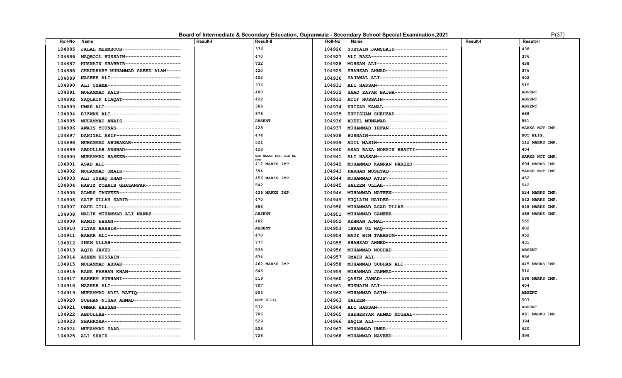#### **Board of Intermediate & Secondary Education, Gujranwala - Secondary School Special Examination, 2021** P(37) P(37)

| , |  |  |
|---|--|--|
|   |  |  |

| 376<br>438<br>JALAL MEHMBOOB--------------------<br>104926<br>SUBTAIN JAMSHAID-----------------<br>104885<br>376<br>470<br>MAQBOOL HUSSAIN-------------------<br>ALI RAZA---------------------------<br>104886<br>104927<br>732<br>438<br>MOHSAN ALI-----------------------<br>104887<br>HUSNAIN SHABBIR-------------------<br>104928<br>420<br>376<br>SHAHZAD AHMAD---------------------<br>104888<br>CHAUDHARY MUHAMMAD SAEED ALAM-----<br>104929<br>402<br>402<br>SAJAWAL ALI-----------------------<br>104889<br>NASEEB ALI------------------------<br>104930<br>376<br>515<br>ALI HASSAN------------------------<br>ALI USAMA--------------------------<br>104890<br>104931<br>480<br>SAAD ZAFAR BAJWA------------------<br><b>ABSENT</b><br>MUHAMMAD KAIS---------------------<br>104891<br>104932<br>422<br><b>ABSENT</b><br>SAQLAIN LIAQAT--------------------<br>ATIF HUSSAIN----------------------<br>104892<br>104933<br>386<br><b>ABSENT</b><br>UMAR ALI--------------------------<br>KHIZAR KAMAL----------------------<br>104893<br>104934<br>376<br>668<br>RIZWAN ALI-----------------------<br>EHTISHAM SHEHZAD------------------<br>104894<br>104935<br>581<br>MUHAMMAD AWAIS--------------------<br><b>ABSENT</b><br>ADEEL MUNAWAR---------------------<br>104895<br>104936<br>428<br>104896<br>AWAIS YOUNAS-----------------------<br>104937<br>MUHAMMAD IRFAN--------------------<br>MARKS NOT IMP.<br>474<br>DANIYAL ASIF----------------------<br>HUSNAIN---------------------------<br>104897<br>104938<br>NOT ELIG.<br>MUHAMMAD ABUBAKAR-----------------<br>521<br>ADIL MASIH------------------------<br>512 MARKS IMP.<br>104939<br>104898<br>428<br>404<br>ABDULLAH ARSHAD-------------------<br>104899<br>104940<br>ASAD RAZA MOHSIN BHATTI-----------<br>558 MARKS IMP. OLD RL<br>MUHAMMAD HASEEB-------------------<br>ALI HASSAN------------------------<br>MARKS NOT IMP.<br>104900<br>104941<br>412 MARKS IMP.<br>MUHAMMAD KAMRAN FAREED------------<br>694 MARKS IMP.<br>104901<br>ASAD ALI--------------------------<br>104942<br>394<br>MARKS NOT IMP.<br>MUHAMMAD UMAIR--------------------<br>FARHAN MUSHTAO--------------------<br>104902<br>104943<br>456 MARKS IMP.<br>MUHAMMAD ATIF--------------------<br>452<br>ALI ISHAQ KHAN--------------------<br>104903<br>104944<br>542<br>HAFIZ ZOHAIB GHAZANFAR------------<br>SALEEM ULLAH----------------------<br>542<br>104904<br>104945<br>MUHAMMAD MATEEN------------------<br>ALMAS TANVEER---------------------<br>426 MARKS IMP.<br>524 MARKS IMP.<br>104905<br>104946<br>470<br>SUQLAIN HAIDER--------------------<br>SAIF ULLAH SABIR------------------<br>542 MARKS IMP.<br>104906<br>104949<br>383<br>MUHAMMAD ASAD ULLAH--------------<br>DAUD GILL-------------------------<br>548 MARKS IMP.<br>104907<br>104950<br>MALIK MUHAMMAD ALI NAWAZ----------<br><b>ABSENT</b><br>MUHAMMAD SAMEER------------------<br>468 MARKS IMP.<br>104908<br>104951<br>482<br>555<br>HAMID EHSAN-----------------------<br>REHMAN AJMAL---------------------<br>104909<br>104952<br><b>ABSENT</b><br>402<br>104910<br>ILYAS BASHIR----------------------<br>104953<br>IBRAR UL HAQ----------------------<br>452<br>BABAR ALI-------------------------<br>470<br>MAUZ BIN TABBSUM------------------<br>104911<br>104954<br>INAM ULLAH------------------------<br>777<br>SHAHZAD AHMED---------------------<br>431<br>104912<br>104955<br>MUHAMMAD NOSHAD------------------<br>AQIB JAVED------------------------<br>538<br><b>ABSENT</b><br>104913<br>104956<br>UMAIR ALI-------------------------<br>AZEEM HUSSAIN---------------------<br>634<br>556<br>104914<br>104957<br>MUHAMMAD SUBHAN ALI--------------<br>MUHAMMAD ABRAR--------------------<br>462 MARKS IMP.<br>445 MARKS IMP.<br>104915<br>104958<br>RANA FARHAN KHAN------------------<br>646<br>MUHAMMAD JAWWAD------------------<br>510<br>104916<br>104959<br>519<br>RAHEEM SUBHANI-------------------<br>OASIM JAWAD-----------------------<br>598 MARKS IMP.<br>104917<br>104960<br>707<br>HUSNAIN ALI-----------------------<br>404<br>104918<br>MAZHAR ALI------------------------<br>104961<br>504<br>MUHAMMAD ASIM---------------------<br><b>ABSENT</b><br>104919<br>MUHAMMAD ADIL RAFIQ---------------<br>104962<br>SALEEM----------------------------<br>507<br>104920<br>SUBHAN NISAR AHMAD----------------<br>NOT ELIG.<br>104963<br>532<br>104921<br>UMMAR HASSAN---------------------<br>ALI HASSAN------------------------<br><b>ABSENT</b><br>104964<br>786<br>ABDULLAH-------------------------<br>SHEHERYAR AHMAD MUGHAL------------<br>491 MARKS IMP.<br>104922<br>104965<br>529<br>SAQIB ALI-------------------------<br>394<br>104923<br>SHAHRYAR--------------------------<br>104966<br>420<br>MUHAMMAD SAAD---------------------<br>523<br>MUHAMMAD UMER---------------------<br>104924<br>104967<br>728<br>399<br>104925 ALI SHAIR-------------------------<br>MUHAMMAD NAVEED-------------------<br>104968 | Roll-No | Name | <b>Result-I</b> | Result-II | Roll-No | Name | <b>Result-I</b> | <b>Result-II</b> |
|--------------------------------------------------------------------------------------------------------------------------------------------------------------------------------------------------------------------------------------------------------------------------------------------------------------------------------------------------------------------------------------------------------------------------------------------------------------------------------------------------------------------------------------------------------------------------------------------------------------------------------------------------------------------------------------------------------------------------------------------------------------------------------------------------------------------------------------------------------------------------------------------------------------------------------------------------------------------------------------------------------------------------------------------------------------------------------------------------------------------------------------------------------------------------------------------------------------------------------------------------------------------------------------------------------------------------------------------------------------------------------------------------------------------------------------------------------------------------------------------------------------------------------------------------------------------------------------------------------------------------------------------------------------------------------------------------------------------------------------------------------------------------------------------------------------------------------------------------------------------------------------------------------------------------------------------------------------------------------------------------------------------------------------------------------------------------------------------------------------------------------------------------------------------------------------------------------------------------------------------------------------------------------------------------------------------------------------------------------------------------------------------------------------------------------------------------------------------------------------------------------------------------------------------------------------------------------------------------------------------------------------------------------------------------------------------------------------------------------------------------------------------------------------------------------------------------------------------------------------------------------------------------------------------------------------------------------------------------------------------------------------------------------------------------------------------------------------------------------------------------------------------------------------------------------------------------------------------------------------------------------------------------------------------------------------------------------------------------------------------------------------------------------------------------------------------------------------------------------------------------------------------------------------------------------------------------------------------------------------------------------------------------------------------------------------------------------------------------------------------------------------------------------------------------------------------------------------------------------------------------------------------------------------------------------------------------------------------------------------------------------------------------------------------------------------------------------------------------------------------------------------------------------------------------------------------------------------------------------------------------------------------------------------------------------------------------------------------------------------------------------------------------------------------------------------------------------------------------------------------------------------------------------------------------------------------------------------------------------------------------------------------------------------------------------------------------------------------------------------------------------------------------------------------------------------------------------------------------------------------------------------------------------------------------------------------------------------------------------------|---------|------|-----------------|-----------|---------|------|-----------------|------------------|
|                                                                                                                                                                                                                                                                                                                                                                                                                                                                                                                                                                                                                                                                                                                                                                                                                                                                                                                                                                                                                                                                                                                                                                                                                                                                                                                                                                                                                                                                                                                                                                                                                                                                                                                                                                                                                                                                                                                                                                                                                                                                                                                                                                                                                                                                                                                                                                                                                                                                                                                                                                                                                                                                                                                                                                                                                                                                                                                                                                                                                                                                                                                                                                                                                                                                                                                                                                                                                                                                                                                                                                                                                                                                                                                                                                                                                                                                                                                                                                                                                                                                                                                                                                                                                                                                                                                                                                                                                                                                                                                                                                                                                                                                                                                                                                                                                                                                                                                                                                                      |         |      |                 |           |         |      |                 |                  |
|                                                                                                                                                                                                                                                                                                                                                                                                                                                                                                                                                                                                                                                                                                                                                                                                                                                                                                                                                                                                                                                                                                                                                                                                                                                                                                                                                                                                                                                                                                                                                                                                                                                                                                                                                                                                                                                                                                                                                                                                                                                                                                                                                                                                                                                                                                                                                                                                                                                                                                                                                                                                                                                                                                                                                                                                                                                                                                                                                                                                                                                                                                                                                                                                                                                                                                                                                                                                                                                                                                                                                                                                                                                                                                                                                                                                                                                                                                                                                                                                                                                                                                                                                                                                                                                                                                                                                                                                                                                                                                                                                                                                                                                                                                                                                                                                                                                                                                                                                                                      |         |      |                 |           |         |      |                 |                  |
|                                                                                                                                                                                                                                                                                                                                                                                                                                                                                                                                                                                                                                                                                                                                                                                                                                                                                                                                                                                                                                                                                                                                                                                                                                                                                                                                                                                                                                                                                                                                                                                                                                                                                                                                                                                                                                                                                                                                                                                                                                                                                                                                                                                                                                                                                                                                                                                                                                                                                                                                                                                                                                                                                                                                                                                                                                                                                                                                                                                                                                                                                                                                                                                                                                                                                                                                                                                                                                                                                                                                                                                                                                                                                                                                                                                                                                                                                                                                                                                                                                                                                                                                                                                                                                                                                                                                                                                                                                                                                                                                                                                                                                                                                                                                                                                                                                                                                                                                                                                      |         |      |                 |           |         |      |                 |                  |
|                                                                                                                                                                                                                                                                                                                                                                                                                                                                                                                                                                                                                                                                                                                                                                                                                                                                                                                                                                                                                                                                                                                                                                                                                                                                                                                                                                                                                                                                                                                                                                                                                                                                                                                                                                                                                                                                                                                                                                                                                                                                                                                                                                                                                                                                                                                                                                                                                                                                                                                                                                                                                                                                                                                                                                                                                                                                                                                                                                                                                                                                                                                                                                                                                                                                                                                                                                                                                                                                                                                                                                                                                                                                                                                                                                                                                                                                                                                                                                                                                                                                                                                                                                                                                                                                                                                                                                                                                                                                                                                                                                                                                                                                                                                                                                                                                                                                                                                                                                                      |         |      |                 |           |         |      |                 |                  |
|                                                                                                                                                                                                                                                                                                                                                                                                                                                                                                                                                                                                                                                                                                                                                                                                                                                                                                                                                                                                                                                                                                                                                                                                                                                                                                                                                                                                                                                                                                                                                                                                                                                                                                                                                                                                                                                                                                                                                                                                                                                                                                                                                                                                                                                                                                                                                                                                                                                                                                                                                                                                                                                                                                                                                                                                                                                                                                                                                                                                                                                                                                                                                                                                                                                                                                                                                                                                                                                                                                                                                                                                                                                                                                                                                                                                                                                                                                                                                                                                                                                                                                                                                                                                                                                                                                                                                                                                                                                                                                                                                                                                                                                                                                                                                                                                                                                                                                                                                                                      |         |      |                 |           |         |      |                 |                  |
|                                                                                                                                                                                                                                                                                                                                                                                                                                                                                                                                                                                                                                                                                                                                                                                                                                                                                                                                                                                                                                                                                                                                                                                                                                                                                                                                                                                                                                                                                                                                                                                                                                                                                                                                                                                                                                                                                                                                                                                                                                                                                                                                                                                                                                                                                                                                                                                                                                                                                                                                                                                                                                                                                                                                                                                                                                                                                                                                                                                                                                                                                                                                                                                                                                                                                                                                                                                                                                                                                                                                                                                                                                                                                                                                                                                                                                                                                                                                                                                                                                                                                                                                                                                                                                                                                                                                                                                                                                                                                                                                                                                                                                                                                                                                                                                                                                                                                                                                                                                      |         |      |                 |           |         |      |                 |                  |
|                                                                                                                                                                                                                                                                                                                                                                                                                                                                                                                                                                                                                                                                                                                                                                                                                                                                                                                                                                                                                                                                                                                                                                                                                                                                                                                                                                                                                                                                                                                                                                                                                                                                                                                                                                                                                                                                                                                                                                                                                                                                                                                                                                                                                                                                                                                                                                                                                                                                                                                                                                                                                                                                                                                                                                                                                                                                                                                                                                                                                                                                                                                                                                                                                                                                                                                                                                                                                                                                                                                                                                                                                                                                                                                                                                                                                                                                                                                                                                                                                                                                                                                                                                                                                                                                                                                                                                                                                                                                                                                                                                                                                                                                                                                                                                                                                                                                                                                                                                                      |         |      |                 |           |         |      |                 |                  |
|                                                                                                                                                                                                                                                                                                                                                                                                                                                                                                                                                                                                                                                                                                                                                                                                                                                                                                                                                                                                                                                                                                                                                                                                                                                                                                                                                                                                                                                                                                                                                                                                                                                                                                                                                                                                                                                                                                                                                                                                                                                                                                                                                                                                                                                                                                                                                                                                                                                                                                                                                                                                                                                                                                                                                                                                                                                                                                                                                                                                                                                                                                                                                                                                                                                                                                                                                                                                                                                                                                                                                                                                                                                                                                                                                                                                                                                                                                                                                                                                                                                                                                                                                                                                                                                                                                                                                                                                                                                                                                                                                                                                                                                                                                                                                                                                                                                                                                                                                                                      |         |      |                 |           |         |      |                 |                  |
|                                                                                                                                                                                                                                                                                                                                                                                                                                                                                                                                                                                                                                                                                                                                                                                                                                                                                                                                                                                                                                                                                                                                                                                                                                                                                                                                                                                                                                                                                                                                                                                                                                                                                                                                                                                                                                                                                                                                                                                                                                                                                                                                                                                                                                                                                                                                                                                                                                                                                                                                                                                                                                                                                                                                                                                                                                                                                                                                                                                                                                                                                                                                                                                                                                                                                                                                                                                                                                                                                                                                                                                                                                                                                                                                                                                                                                                                                                                                                                                                                                                                                                                                                                                                                                                                                                                                                                                                                                                                                                                                                                                                                                                                                                                                                                                                                                                                                                                                                                                      |         |      |                 |           |         |      |                 |                  |
|                                                                                                                                                                                                                                                                                                                                                                                                                                                                                                                                                                                                                                                                                                                                                                                                                                                                                                                                                                                                                                                                                                                                                                                                                                                                                                                                                                                                                                                                                                                                                                                                                                                                                                                                                                                                                                                                                                                                                                                                                                                                                                                                                                                                                                                                                                                                                                                                                                                                                                                                                                                                                                                                                                                                                                                                                                                                                                                                                                                                                                                                                                                                                                                                                                                                                                                                                                                                                                                                                                                                                                                                                                                                                                                                                                                                                                                                                                                                                                                                                                                                                                                                                                                                                                                                                                                                                                                                                                                                                                                                                                                                                                                                                                                                                                                                                                                                                                                                                                                      |         |      |                 |           |         |      |                 |                  |
|                                                                                                                                                                                                                                                                                                                                                                                                                                                                                                                                                                                                                                                                                                                                                                                                                                                                                                                                                                                                                                                                                                                                                                                                                                                                                                                                                                                                                                                                                                                                                                                                                                                                                                                                                                                                                                                                                                                                                                                                                                                                                                                                                                                                                                                                                                                                                                                                                                                                                                                                                                                                                                                                                                                                                                                                                                                                                                                                                                                                                                                                                                                                                                                                                                                                                                                                                                                                                                                                                                                                                                                                                                                                                                                                                                                                                                                                                                                                                                                                                                                                                                                                                                                                                                                                                                                                                                                                                                                                                                                                                                                                                                                                                                                                                                                                                                                                                                                                                                                      |         |      |                 |           |         |      |                 |                  |
|                                                                                                                                                                                                                                                                                                                                                                                                                                                                                                                                                                                                                                                                                                                                                                                                                                                                                                                                                                                                                                                                                                                                                                                                                                                                                                                                                                                                                                                                                                                                                                                                                                                                                                                                                                                                                                                                                                                                                                                                                                                                                                                                                                                                                                                                                                                                                                                                                                                                                                                                                                                                                                                                                                                                                                                                                                                                                                                                                                                                                                                                                                                                                                                                                                                                                                                                                                                                                                                                                                                                                                                                                                                                                                                                                                                                                                                                                                                                                                                                                                                                                                                                                                                                                                                                                                                                                                                                                                                                                                                                                                                                                                                                                                                                                                                                                                                                                                                                                                                      |         |      |                 |           |         |      |                 |                  |
|                                                                                                                                                                                                                                                                                                                                                                                                                                                                                                                                                                                                                                                                                                                                                                                                                                                                                                                                                                                                                                                                                                                                                                                                                                                                                                                                                                                                                                                                                                                                                                                                                                                                                                                                                                                                                                                                                                                                                                                                                                                                                                                                                                                                                                                                                                                                                                                                                                                                                                                                                                                                                                                                                                                                                                                                                                                                                                                                                                                                                                                                                                                                                                                                                                                                                                                                                                                                                                                                                                                                                                                                                                                                                                                                                                                                                                                                                                                                                                                                                                                                                                                                                                                                                                                                                                                                                                                                                                                                                                                                                                                                                                                                                                                                                                                                                                                                                                                                                                                      |         |      |                 |           |         |      |                 |                  |
|                                                                                                                                                                                                                                                                                                                                                                                                                                                                                                                                                                                                                                                                                                                                                                                                                                                                                                                                                                                                                                                                                                                                                                                                                                                                                                                                                                                                                                                                                                                                                                                                                                                                                                                                                                                                                                                                                                                                                                                                                                                                                                                                                                                                                                                                                                                                                                                                                                                                                                                                                                                                                                                                                                                                                                                                                                                                                                                                                                                                                                                                                                                                                                                                                                                                                                                                                                                                                                                                                                                                                                                                                                                                                                                                                                                                                                                                                                                                                                                                                                                                                                                                                                                                                                                                                                                                                                                                                                                                                                                                                                                                                                                                                                                                                                                                                                                                                                                                                                                      |         |      |                 |           |         |      |                 |                  |
|                                                                                                                                                                                                                                                                                                                                                                                                                                                                                                                                                                                                                                                                                                                                                                                                                                                                                                                                                                                                                                                                                                                                                                                                                                                                                                                                                                                                                                                                                                                                                                                                                                                                                                                                                                                                                                                                                                                                                                                                                                                                                                                                                                                                                                                                                                                                                                                                                                                                                                                                                                                                                                                                                                                                                                                                                                                                                                                                                                                                                                                                                                                                                                                                                                                                                                                                                                                                                                                                                                                                                                                                                                                                                                                                                                                                                                                                                                                                                                                                                                                                                                                                                                                                                                                                                                                                                                                                                                                                                                                                                                                                                                                                                                                                                                                                                                                                                                                                                                                      |         |      |                 |           |         |      |                 |                  |
|                                                                                                                                                                                                                                                                                                                                                                                                                                                                                                                                                                                                                                                                                                                                                                                                                                                                                                                                                                                                                                                                                                                                                                                                                                                                                                                                                                                                                                                                                                                                                                                                                                                                                                                                                                                                                                                                                                                                                                                                                                                                                                                                                                                                                                                                                                                                                                                                                                                                                                                                                                                                                                                                                                                                                                                                                                                                                                                                                                                                                                                                                                                                                                                                                                                                                                                                                                                                                                                                                                                                                                                                                                                                                                                                                                                                                                                                                                                                                                                                                                                                                                                                                                                                                                                                                                                                                                                                                                                                                                                                                                                                                                                                                                                                                                                                                                                                                                                                                                                      |         |      |                 |           |         |      |                 |                  |
|                                                                                                                                                                                                                                                                                                                                                                                                                                                                                                                                                                                                                                                                                                                                                                                                                                                                                                                                                                                                                                                                                                                                                                                                                                                                                                                                                                                                                                                                                                                                                                                                                                                                                                                                                                                                                                                                                                                                                                                                                                                                                                                                                                                                                                                                                                                                                                                                                                                                                                                                                                                                                                                                                                                                                                                                                                                                                                                                                                                                                                                                                                                                                                                                                                                                                                                                                                                                                                                                                                                                                                                                                                                                                                                                                                                                                                                                                                                                                                                                                                                                                                                                                                                                                                                                                                                                                                                                                                                                                                                                                                                                                                                                                                                                                                                                                                                                                                                                                                                      |         |      |                 |           |         |      |                 |                  |
|                                                                                                                                                                                                                                                                                                                                                                                                                                                                                                                                                                                                                                                                                                                                                                                                                                                                                                                                                                                                                                                                                                                                                                                                                                                                                                                                                                                                                                                                                                                                                                                                                                                                                                                                                                                                                                                                                                                                                                                                                                                                                                                                                                                                                                                                                                                                                                                                                                                                                                                                                                                                                                                                                                                                                                                                                                                                                                                                                                                                                                                                                                                                                                                                                                                                                                                                                                                                                                                                                                                                                                                                                                                                                                                                                                                                                                                                                                                                                                                                                                                                                                                                                                                                                                                                                                                                                                                                                                                                                                                                                                                                                                                                                                                                                                                                                                                                                                                                                                                      |         |      |                 |           |         |      |                 |                  |
|                                                                                                                                                                                                                                                                                                                                                                                                                                                                                                                                                                                                                                                                                                                                                                                                                                                                                                                                                                                                                                                                                                                                                                                                                                                                                                                                                                                                                                                                                                                                                                                                                                                                                                                                                                                                                                                                                                                                                                                                                                                                                                                                                                                                                                                                                                                                                                                                                                                                                                                                                                                                                                                                                                                                                                                                                                                                                                                                                                                                                                                                                                                                                                                                                                                                                                                                                                                                                                                                                                                                                                                                                                                                                                                                                                                                                                                                                                                                                                                                                                                                                                                                                                                                                                                                                                                                                                                                                                                                                                                                                                                                                                                                                                                                                                                                                                                                                                                                                                                      |         |      |                 |           |         |      |                 |                  |
|                                                                                                                                                                                                                                                                                                                                                                                                                                                                                                                                                                                                                                                                                                                                                                                                                                                                                                                                                                                                                                                                                                                                                                                                                                                                                                                                                                                                                                                                                                                                                                                                                                                                                                                                                                                                                                                                                                                                                                                                                                                                                                                                                                                                                                                                                                                                                                                                                                                                                                                                                                                                                                                                                                                                                                                                                                                                                                                                                                                                                                                                                                                                                                                                                                                                                                                                                                                                                                                                                                                                                                                                                                                                                                                                                                                                                                                                                                                                                                                                                                                                                                                                                                                                                                                                                                                                                                                                                                                                                                                                                                                                                                                                                                                                                                                                                                                                                                                                                                                      |         |      |                 |           |         |      |                 |                  |
|                                                                                                                                                                                                                                                                                                                                                                                                                                                                                                                                                                                                                                                                                                                                                                                                                                                                                                                                                                                                                                                                                                                                                                                                                                                                                                                                                                                                                                                                                                                                                                                                                                                                                                                                                                                                                                                                                                                                                                                                                                                                                                                                                                                                                                                                                                                                                                                                                                                                                                                                                                                                                                                                                                                                                                                                                                                                                                                                                                                                                                                                                                                                                                                                                                                                                                                                                                                                                                                                                                                                                                                                                                                                                                                                                                                                                                                                                                                                                                                                                                                                                                                                                                                                                                                                                                                                                                                                                                                                                                                                                                                                                                                                                                                                                                                                                                                                                                                                                                                      |         |      |                 |           |         |      |                 |                  |
|                                                                                                                                                                                                                                                                                                                                                                                                                                                                                                                                                                                                                                                                                                                                                                                                                                                                                                                                                                                                                                                                                                                                                                                                                                                                                                                                                                                                                                                                                                                                                                                                                                                                                                                                                                                                                                                                                                                                                                                                                                                                                                                                                                                                                                                                                                                                                                                                                                                                                                                                                                                                                                                                                                                                                                                                                                                                                                                                                                                                                                                                                                                                                                                                                                                                                                                                                                                                                                                                                                                                                                                                                                                                                                                                                                                                                                                                                                                                                                                                                                                                                                                                                                                                                                                                                                                                                                                                                                                                                                                                                                                                                                                                                                                                                                                                                                                                                                                                                                                      |         |      |                 |           |         |      |                 |                  |
|                                                                                                                                                                                                                                                                                                                                                                                                                                                                                                                                                                                                                                                                                                                                                                                                                                                                                                                                                                                                                                                                                                                                                                                                                                                                                                                                                                                                                                                                                                                                                                                                                                                                                                                                                                                                                                                                                                                                                                                                                                                                                                                                                                                                                                                                                                                                                                                                                                                                                                                                                                                                                                                                                                                                                                                                                                                                                                                                                                                                                                                                                                                                                                                                                                                                                                                                                                                                                                                                                                                                                                                                                                                                                                                                                                                                                                                                                                                                                                                                                                                                                                                                                                                                                                                                                                                                                                                                                                                                                                                                                                                                                                                                                                                                                                                                                                                                                                                                                                                      |         |      |                 |           |         |      |                 |                  |
|                                                                                                                                                                                                                                                                                                                                                                                                                                                                                                                                                                                                                                                                                                                                                                                                                                                                                                                                                                                                                                                                                                                                                                                                                                                                                                                                                                                                                                                                                                                                                                                                                                                                                                                                                                                                                                                                                                                                                                                                                                                                                                                                                                                                                                                                                                                                                                                                                                                                                                                                                                                                                                                                                                                                                                                                                                                                                                                                                                                                                                                                                                                                                                                                                                                                                                                                                                                                                                                                                                                                                                                                                                                                                                                                                                                                                                                                                                                                                                                                                                                                                                                                                                                                                                                                                                                                                                                                                                                                                                                                                                                                                                                                                                                                                                                                                                                                                                                                                                                      |         |      |                 |           |         |      |                 |                  |
|                                                                                                                                                                                                                                                                                                                                                                                                                                                                                                                                                                                                                                                                                                                                                                                                                                                                                                                                                                                                                                                                                                                                                                                                                                                                                                                                                                                                                                                                                                                                                                                                                                                                                                                                                                                                                                                                                                                                                                                                                                                                                                                                                                                                                                                                                                                                                                                                                                                                                                                                                                                                                                                                                                                                                                                                                                                                                                                                                                                                                                                                                                                                                                                                                                                                                                                                                                                                                                                                                                                                                                                                                                                                                                                                                                                                                                                                                                                                                                                                                                                                                                                                                                                                                                                                                                                                                                                                                                                                                                                                                                                                                                                                                                                                                                                                                                                                                                                                                                                      |         |      |                 |           |         |      |                 |                  |
|                                                                                                                                                                                                                                                                                                                                                                                                                                                                                                                                                                                                                                                                                                                                                                                                                                                                                                                                                                                                                                                                                                                                                                                                                                                                                                                                                                                                                                                                                                                                                                                                                                                                                                                                                                                                                                                                                                                                                                                                                                                                                                                                                                                                                                                                                                                                                                                                                                                                                                                                                                                                                                                                                                                                                                                                                                                                                                                                                                                                                                                                                                                                                                                                                                                                                                                                                                                                                                                                                                                                                                                                                                                                                                                                                                                                                                                                                                                                                                                                                                                                                                                                                                                                                                                                                                                                                                                                                                                                                                                                                                                                                                                                                                                                                                                                                                                                                                                                                                                      |         |      |                 |           |         |      |                 |                  |
|                                                                                                                                                                                                                                                                                                                                                                                                                                                                                                                                                                                                                                                                                                                                                                                                                                                                                                                                                                                                                                                                                                                                                                                                                                                                                                                                                                                                                                                                                                                                                                                                                                                                                                                                                                                                                                                                                                                                                                                                                                                                                                                                                                                                                                                                                                                                                                                                                                                                                                                                                                                                                                                                                                                                                                                                                                                                                                                                                                                                                                                                                                                                                                                                                                                                                                                                                                                                                                                                                                                                                                                                                                                                                                                                                                                                                                                                                                                                                                                                                                                                                                                                                                                                                                                                                                                                                                                                                                                                                                                                                                                                                                                                                                                                                                                                                                                                                                                                                                                      |         |      |                 |           |         |      |                 |                  |
|                                                                                                                                                                                                                                                                                                                                                                                                                                                                                                                                                                                                                                                                                                                                                                                                                                                                                                                                                                                                                                                                                                                                                                                                                                                                                                                                                                                                                                                                                                                                                                                                                                                                                                                                                                                                                                                                                                                                                                                                                                                                                                                                                                                                                                                                                                                                                                                                                                                                                                                                                                                                                                                                                                                                                                                                                                                                                                                                                                                                                                                                                                                                                                                                                                                                                                                                                                                                                                                                                                                                                                                                                                                                                                                                                                                                                                                                                                                                                                                                                                                                                                                                                                                                                                                                                                                                                                                                                                                                                                                                                                                                                                                                                                                                                                                                                                                                                                                                                                                      |         |      |                 |           |         |      |                 |                  |
|                                                                                                                                                                                                                                                                                                                                                                                                                                                                                                                                                                                                                                                                                                                                                                                                                                                                                                                                                                                                                                                                                                                                                                                                                                                                                                                                                                                                                                                                                                                                                                                                                                                                                                                                                                                                                                                                                                                                                                                                                                                                                                                                                                                                                                                                                                                                                                                                                                                                                                                                                                                                                                                                                                                                                                                                                                                                                                                                                                                                                                                                                                                                                                                                                                                                                                                                                                                                                                                                                                                                                                                                                                                                                                                                                                                                                                                                                                                                                                                                                                                                                                                                                                                                                                                                                                                                                                                                                                                                                                                                                                                                                                                                                                                                                                                                                                                                                                                                                                                      |         |      |                 |           |         |      |                 |                  |
|                                                                                                                                                                                                                                                                                                                                                                                                                                                                                                                                                                                                                                                                                                                                                                                                                                                                                                                                                                                                                                                                                                                                                                                                                                                                                                                                                                                                                                                                                                                                                                                                                                                                                                                                                                                                                                                                                                                                                                                                                                                                                                                                                                                                                                                                                                                                                                                                                                                                                                                                                                                                                                                                                                                                                                                                                                                                                                                                                                                                                                                                                                                                                                                                                                                                                                                                                                                                                                                                                                                                                                                                                                                                                                                                                                                                                                                                                                                                                                                                                                                                                                                                                                                                                                                                                                                                                                                                                                                                                                                                                                                                                                                                                                                                                                                                                                                                                                                                                                                      |         |      |                 |           |         |      |                 |                  |
|                                                                                                                                                                                                                                                                                                                                                                                                                                                                                                                                                                                                                                                                                                                                                                                                                                                                                                                                                                                                                                                                                                                                                                                                                                                                                                                                                                                                                                                                                                                                                                                                                                                                                                                                                                                                                                                                                                                                                                                                                                                                                                                                                                                                                                                                                                                                                                                                                                                                                                                                                                                                                                                                                                                                                                                                                                                                                                                                                                                                                                                                                                                                                                                                                                                                                                                                                                                                                                                                                                                                                                                                                                                                                                                                                                                                                                                                                                                                                                                                                                                                                                                                                                                                                                                                                                                                                                                                                                                                                                                                                                                                                                                                                                                                                                                                                                                                                                                                                                                      |         |      |                 |           |         |      |                 |                  |
|                                                                                                                                                                                                                                                                                                                                                                                                                                                                                                                                                                                                                                                                                                                                                                                                                                                                                                                                                                                                                                                                                                                                                                                                                                                                                                                                                                                                                                                                                                                                                                                                                                                                                                                                                                                                                                                                                                                                                                                                                                                                                                                                                                                                                                                                                                                                                                                                                                                                                                                                                                                                                                                                                                                                                                                                                                                                                                                                                                                                                                                                                                                                                                                                                                                                                                                                                                                                                                                                                                                                                                                                                                                                                                                                                                                                                                                                                                                                                                                                                                                                                                                                                                                                                                                                                                                                                                                                                                                                                                                                                                                                                                                                                                                                                                                                                                                                                                                                                                                      |         |      |                 |           |         |      |                 |                  |
|                                                                                                                                                                                                                                                                                                                                                                                                                                                                                                                                                                                                                                                                                                                                                                                                                                                                                                                                                                                                                                                                                                                                                                                                                                                                                                                                                                                                                                                                                                                                                                                                                                                                                                                                                                                                                                                                                                                                                                                                                                                                                                                                                                                                                                                                                                                                                                                                                                                                                                                                                                                                                                                                                                                                                                                                                                                                                                                                                                                                                                                                                                                                                                                                                                                                                                                                                                                                                                                                                                                                                                                                                                                                                                                                                                                                                                                                                                                                                                                                                                                                                                                                                                                                                                                                                                                                                                                                                                                                                                                                                                                                                                                                                                                                                                                                                                                                                                                                                                                      |         |      |                 |           |         |      |                 |                  |
|                                                                                                                                                                                                                                                                                                                                                                                                                                                                                                                                                                                                                                                                                                                                                                                                                                                                                                                                                                                                                                                                                                                                                                                                                                                                                                                                                                                                                                                                                                                                                                                                                                                                                                                                                                                                                                                                                                                                                                                                                                                                                                                                                                                                                                                                                                                                                                                                                                                                                                                                                                                                                                                                                                                                                                                                                                                                                                                                                                                                                                                                                                                                                                                                                                                                                                                                                                                                                                                                                                                                                                                                                                                                                                                                                                                                                                                                                                                                                                                                                                                                                                                                                                                                                                                                                                                                                                                                                                                                                                                                                                                                                                                                                                                                                                                                                                                                                                                                                                                      |         |      |                 |           |         |      |                 |                  |
|                                                                                                                                                                                                                                                                                                                                                                                                                                                                                                                                                                                                                                                                                                                                                                                                                                                                                                                                                                                                                                                                                                                                                                                                                                                                                                                                                                                                                                                                                                                                                                                                                                                                                                                                                                                                                                                                                                                                                                                                                                                                                                                                                                                                                                                                                                                                                                                                                                                                                                                                                                                                                                                                                                                                                                                                                                                                                                                                                                                                                                                                                                                                                                                                                                                                                                                                                                                                                                                                                                                                                                                                                                                                                                                                                                                                                                                                                                                                                                                                                                                                                                                                                                                                                                                                                                                                                                                                                                                                                                                                                                                                                                                                                                                                                                                                                                                                                                                                                                                      |         |      |                 |           |         |      |                 |                  |
|                                                                                                                                                                                                                                                                                                                                                                                                                                                                                                                                                                                                                                                                                                                                                                                                                                                                                                                                                                                                                                                                                                                                                                                                                                                                                                                                                                                                                                                                                                                                                                                                                                                                                                                                                                                                                                                                                                                                                                                                                                                                                                                                                                                                                                                                                                                                                                                                                                                                                                                                                                                                                                                                                                                                                                                                                                                                                                                                                                                                                                                                                                                                                                                                                                                                                                                                                                                                                                                                                                                                                                                                                                                                                                                                                                                                                                                                                                                                                                                                                                                                                                                                                                                                                                                                                                                                                                                                                                                                                                                                                                                                                                                                                                                                                                                                                                                                                                                                                                                      |         |      |                 |           |         |      |                 |                  |
|                                                                                                                                                                                                                                                                                                                                                                                                                                                                                                                                                                                                                                                                                                                                                                                                                                                                                                                                                                                                                                                                                                                                                                                                                                                                                                                                                                                                                                                                                                                                                                                                                                                                                                                                                                                                                                                                                                                                                                                                                                                                                                                                                                                                                                                                                                                                                                                                                                                                                                                                                                                                                                                                                                                                                                                                                                                                                                                                                                                                                                                                                                                                                                                                                                                                                                                                                                                                                                                                                                                                                                                                                                                                                                                                                                                                                                                                                                                                                                                                                                                                                                                                                                                                                                                                                                                                                                                                                                                                                                                                                                                                                                                                                                                                                                                                                                                                                                                                                                                      |         |      |                 |           |         |      |                 |                  |
|                                                                                                                                                                                                                                                                                                                                                                                                                                                                                                                                                                                                                                                                                                                                                                                                                                                                                                                                                                                                                                                                                                                                                                                                                                                                                                                                                                                                                                                                                                                                                                                                                                                                                                                                                                                                                                                                                                                                                                                                                                                                                                                                                                                                                                                                                                                                                                                                                                                                                                                                                                                                                                                                                                                                                                                                                                                                                                                                                                                                                                                                                                                                                                                                                                                                                                                                                                                                                                                                                                                                                                                                                                                                                                                                                                                                                                                                                                                                                                                                                                                                                                                                                                                                                                                                                                                                                                                                                                                                                                                                                                                                                                                                                                                                                                                                                                                                                                                                                                                      |         |      |                 |           |         |      |                 |                  |
|                                                                                                                                                                                                                                                                                                                                                                                                                                                                                                                                                                                                                                                                                                                                                                                                                                                                                                                                                                                                                                                                                                                                                                                                                                                                                                                                                                                                                                                                                                                                                                                                                                                                                                                                                                                                                                                                                                                                                                                                                                                                                                                                                                                                                                                                                                                                                                                                                                                                                                                                                                                                                                                                                                                                                                                                                                                                                                                                                                                                                                                                                                                                                                                                                                                                                                                                                                                                                                                                                                                                                                                                                                                                                                                                                                                                                                                                                                                                                                                                                                                                                                                                                                                                                                                                                                                                                                                                                                                                                                                                                                                                                                                                                                                                                                                                                                                                                                                                                                                      |         |      |                 |           |         |      |                 |                  |
|                                                                                                                                                                                                                                                                                                                                                                                                                                                                                                                                                                                                                                                                                                                                                                                                                                                                                                                                                                                                                                                                                                                                                                                                                                                                                                                                                                                                                                                                                                                                                                                                                                                                                                                                                                                                                                                                                                                                                                                                                                                                                                                                                                                                                                                                                                                                                                                                                                                                                                                                                                                                                                                                                                                                                                                                                                                                                                                                                                                                                                                                                                                                                                                                                                                                                                                                                                                                                                                                                                                                                                                                                                                                                                                                                                                                                                                                                                                                                                                                                                                                                                                                                                                                                                                                                                                                                                                                                                                                                                                                                                                                                                                                                                                                                                                                                                                                                                                                                                                      |         |      |                 |           |         |      |                 |                  |
|                                                                                                                                                                                                                                                                                                                                                                                                                                                                                                                                                                                                                                                                                                                                                                                                                                                                                                                                                                                                                                                                                                                                                                                                                                                                                                                                                                                                                                                                                                                                                                                                                                                                                                                                                                                                                                                                                                                                                                                                                                                                                                                                                                                                                                                                                                                                                                                                                                                                                                                                                                                                                                                                                                                                                                                                                                                                                                                                                                                                                                                                                                                                                                                                                                                                                                                                                                                                                                                                                                                                                                                                                                                                                                                                                                                                                                                                                                                                                                                                                                                                                                                                                                                                                                                                                                                                                                                                                                                                                                                                                                                                                                                                                                                                                                                                                                                                                                                                                                                      |         |      |                 |           |         |      |                 |                  |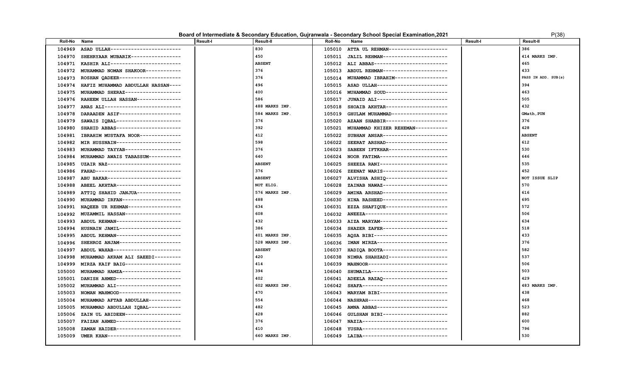#### **Board of Intermediate & Secondary Education, Gujranwala - Secondary School Special Examination, 2021** P(38)

| '(38. |  |
|-------|--|
|       |  |

| Roll-No | Name                                | <b>Result-I</b> | <b>Result-II</b> | Roll-No | Name                                      | Result-I | Result-II           |
|---------|-------------------------------------|-----------------|------------------|---------|-------------------------------------------|----------|---------------------|
| 104969  | ASAD ULLAH------------------------  |                 | 830              | 105010  | ATTA UL REHMAN-------------------         |          | 386                 |
| 104970  | SHEHRYAAR MUBARIK-----------------  |                 | 450              | 105011  | JALIL REHMAN----------------------        |          | 414 MARKS IMP.      |
| 104971  | KASHIR ALI------------------------  |                 | <b>ABSENT</b>    | 105012  | ALI ABBAS-------------------------        |          | 465                 |
| 104972  | MUHAMMAD NOMAN SHAKOOR------------  |                 | 376              | 105013  | ABDUL REHMAN----------------------        |          | 433                 |
| 104973  | ROSHAN QADEER---------------------  |                 | 376              | 105014  | MUHAMMAD IBRAHIM------------------        |          | PASS IN ADD. SUB(s) |
| 104974  | HAFIZ MUHAMMAD ABDULLAH HASSAN----  |                 | 496              | 105015  | ASAD ULLAH------------------------        |          | 394                 |
| 104975  | MUHAMMAD SHERAZ-------------------  |                 | 400              | 105016  | MUHAMMAD SOUD--------------------         |          | 463                 |
| 104976  | RAHEEM ULLAH HASSAN---------------  |                 | 586              | 105017  | JUNAID ALI------------------------        |          | 505                 |
| 104977  | ANAS ALI--------------------------- |                 | 488 MARKS IMP.   | 105018  | SHOAIB AKHTAR---------------------        |          | 432                 |
| 104978  | DARAADEN ASIF---------------------  |                 | 584 MARKS IMP.   | 105019  | GHULAM MUHAMMAD-------------------        |          | GMath, PUN          |
| 104979  | SAWAIS IOBAL----------------------  |                 | 376              | 105020  | AZAAN SHABBIR---------------------        |          | 376                 |
| 104980  | SHAHID ABBAS----------------------  |                 | 392              | 105021  | MUHAMMAD KHIZER REHEMAN-----------        |          | 428                 |
| 104981  | IBRAHIM MUSTAFA NOOR--------------  |                 | 412              | 105022  | SUBHAN ANSAR----------------------        |          | <b>ABSENT</b>       |
| 104982  | MIR HUSSNAIN----------------------  |                 | 598              | 106022  | SEERAT ARSHAD---------------------        |          | 612                 |
| 104983  | MUHAMMAD TAYYAB-------------------  |                 | 376              | 106023  | SABEEN IFTKHAR--------------------        |          | 530                 |
| 104984  | MUHAMMAD AWAIS TABASSUM-----------  |                 | 640              | 106024  | NOOR FATIMA-----------------------        |          | 646                 |
| 104985  | UZAIR NAZ-------------------------  |                 | <b>ABSENT</b>    | 106025  | SHEEZA RANI-----------------------        |          | 535                 |
| 104986  | FAHAD------------------------------ |                 | 376              | 106026  | ZEENAT WARIS----------------------        |          | 452                 |
| 104987  | ABU BAKAR-------------------------  |                 | <b>ABSENT</b>    | 106027  | ALVISHA ASHIQ----------------------       |          | NOT ISSUE SLIP      |
| 104988  | ABEEL AKHTAR----------------------  |                 | NOT ELIG.        | 106028  | ZAINAB NAWAZ----------------------        |          | 570                 |
| 104989  | ATTIQ SHAHID JANJUA---------------  |                 | 576 MARKS IMP.   | 106029  | AMINA ARSHAD----------------------        |          | 616                 |
| 104990  | MUHAMMAD IRFAN--------------------  |                 | 488              | 106030  | HINA RASHEED----------------------        |          | 695                 |
| 104991  | NAQEEB UR REHMAN------------------  |                 | 634              | 106031  | EZZA SHAFIQUE---------------------        |          | 572                 |
| 104992  | MUZAMMIL HASSAN-------------------  |                 | 608              | 106032  | ANEEZA----------------------------        |          | 506                 |
| 104993  | ABDUL REHMAN----------------------  |                 | 432              |         | 106033 AIZA MARYAM----------------------- |          | 634                 |
| 104994  | HUSNAIN JAMIL---------------------  |                 | 386              | 106034  | SHAZER ZAFER----------------------        |          | 518                 |
| 104995  | ABDUL REHMAN----------------------  |                 | 401 MARKS IMP.   | 106035  | AOSA BIBI-------------------------        |          | 433                 |
| 104996  | SHEHROZ ANJAM---------------------  |                 | 528 MARKS IMP.   | 106036  | IMAN MIRZA------------------------        |          | 376                 |
| 104997  | ABDUL WAHAB-----------------------  |                 | <b>ABSENT</b>    | 106037  | HADIQA BOOTA----------------------        |          | 582                 |
| 104998  | MUHAMMAD AKRAM ALI SAEEDI---------  |                 | 420              | 106038  | NIMRA SHAHZADI--------------------        |          | 537                 |
| 104999  | MIRZA KAIF BAIG-------------------  |                 | 414              | 106039  | MAHNOOR---------------------------        |          | 506                 |
| 105000  | MUHAMMAD HAMZA--------------------  |                 | 394              | 106040  | SHUMAILA--------------------------        |          | 503                 |
| 105001  | DANISH AHMED---------------------   |                 | 402              | 106041  | ADEELA RAZAQ ----------------------       |          | 429                 |
| 105002  | MUHAMMAD ALI----------------------  |                 | 602 MARKS IMP.   | 106042  | SHAFA-----------------------------        |          | 483 MARKS IMP.      |
| 105003  | NOMAN MAHMOOD---------------------  |                 | 470              | 106043  | MARYAM BIBI-----------------------        |          | 438                 |
| 105004  | MUHAMMAD AFTAB ABDULLAH-----------  |                 | 554              | 106044  | NASHRAH---------------------------        |          | 468                 |
| 105005  | MUHAMMAD ABDULLAH IQBAL-----------  |                 | 482              | 106045  | AMNA ABBAS------------------------        |          | 523                 |
| 105006  | ZAIN UL ABIDEEN-------------------  |                 | 428              | 106046  | GULSHAN BIBI---------------------         |          | 882                 |
| 105007  | FAIZAN AHMED----------------------  |                 | 376              | 106047  | NAZIA------------------------------       |          | 600                 |
| 105008  | ZAMAN HAIDER----------------------  |                 | 410              | 106048  | YUSRA-----------------------------        |          | 796                 |
| 105009  | UMER KHAN------------------------   |                 | 660 MARKS IMP.   |         | 106049 LAIBA----------------------------- |          | 530                 |
|         |                                     |                 |                  |         |                                           |          |                     |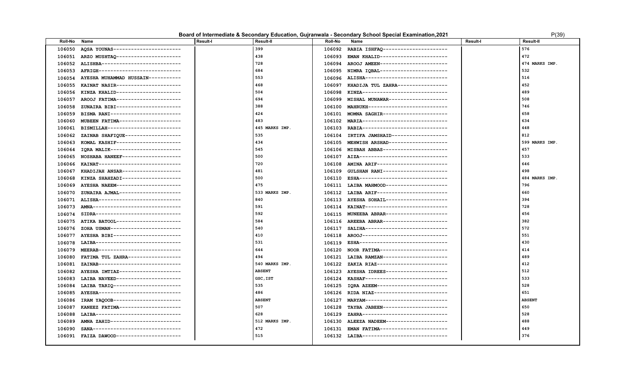|  |  | Board of Intermediate & Secondary Education, Gujranwala - Secondary School Special Examination, 2021 | P(39) |
|--|--|------------------------------------------------------------------------------------------------------|-------|
|--|--|------------------------------------------------------------------------------------------------------|-------|

| r | 20 | ١ |
|---|----|---|
|   |    |   |

| 399<br>AQSA YOUNAS-----------------------<br>RABIA ISHFAQ----------------------<br>576<br>106050<br>106092<br>106051 ARZO MUSHTAQ ---------------------<br>438<br>EMAN KHALID----------------------<br>472<br>106093<br>728<br>106094 AROOJ AMEEN-----------------------<br>474 MARKS IMP.<br>106052 ALISHBA---------------------------<br>684<br>532<br>106053<br>AFRIGH----------------------------<br>106095<br>NIMRA IQBAL-----------------------<br>553<br>106096 ALISHA----------------------------<br>516<br>106054<br>AYESHA MUHAMMAD HUSSAIN-----------<br>468<br>452<br>KAINAT NASIR----------------------<br>KHADIJA TUL ZAHRA-----------------<br>106055<br>106097<br>504<br>KINZA------------------------------<br>KINZA KHALID----------------------<br>489<br>106056<br>106098<br>694<br>AROOJ FATIMA----------------------<br>MISHAL MUNAWAR--------------------<br>508<br>106057<br>106099<br>388<br>ZUNAIRA BIBI----------------------<br>MAHRUKH--------------------------<br>746<br>106058<br>106100<br>424<br>658<br>106059<br>BISMA RANI------------------------<br>106101<br>MOMNA SAGHIR----------------------<br>483<br>634<br>106060<br>MUBEEN FATIMA---------------------<br>MARIA-----------------------------<br>106102<br>445 MARKS IMP.<br>448<br>BISMILLAH-------------------------<br>RABIA-----------------------------<br>106061<br>106103<br>ZAINAB SHAFIQUE-------------------<br>535<br>IRTIFA JAMSHAID-------------------<br>812<br>106062<br>106104<br>KOMAL KASHIF----------------------<br>434<br>MEHWISH ARSHAD--------------------<br>599 MARKS IMP.<br>106063<br>106105<br>IQRA MALIK------------------------<br>545<br>MISBAH ABBAS----------------------<br>457<br>106064<br>106106<br>500<br>AIZA-------------------------------<br>533<br>NOSHABA HANEEF--------------------<br>106065<br>106107<br>720<br>KAINAT---------------------------<br>AMINA ARIF-----------------------<br>646<br>106066<br>106108<br>481<br>498<br>106067<br>KHADIJAH ANSAR--------------------<br>106109<br>GULSHAN RANI----------------------<br>500<br>484 MARKS IMP.<br>KINZA SHAHZADI--------------------<br>ESHA------------------------------<br>106068<br>106110<br>475<br>796<br>AYESHA NAEEM----------------------<br>LAIBA MAHMOOD---------------------<br>106069<br>106111<br>533 MARKS IMP.<br>ZUNAIRA AJMAL---------------------<br>LAIBA ARIF------------------------<br>660<br>106070<br>106112<br>840<br>ALISHA----------------------------<br>106113 AYESHA SOHAIL---------------------<br>394<br>106071<br>591<br>AMNA------------------------------<br>KAINAT----------------------------<br>728<br>106073<br>106114<br>592<br>MUNEEBA ABRAR---------------------<br>456<br>106074<br>SIDRA------------------------------<br>106115<br>584<br>106075<br>ATIKA BATOOL----------------------<br>106116<br>AREEBA ABRAR----------------------<br>382<br>540<br>572<br>106076<br>ZOHA USMAN------------------------<br>SALIHA----------------------------<br>106117<br>410<br>AYESHA BIBI-----------------------<br>AR00J------------------------------<br>551<br>106077<br>106118<br>531<br>LAIBA------------------------------<br>ESHA-------------------------------<br>430<br>106078<br>106119<br>644<br>MEERAB----------------------------<br>NOOR FATIMA-----------------------<br>414<br>106079<br>106120<br>494<br>489<br>FATIMA TUL ZAHRA------------------<br>LAIBA RAMZAN----------------------<br>106080<br>106121<br>412<br>ZAINAB----------------------------<br>540 MARKS IMP.<br>ZAKIA RIAZ------------------------<br>106081<br>106122<br>AYESHA IDREES---------------------<br>512<br>AYESHA IMTIAZ---------------------<br><b>ABSENT</b><br>106082<br>106123<br>LAIBA NAVEED----------------------<br>GSC, IST<br>KASHAF----------------------------<br>533<br>106083<br>106124<br>535<br>LAIBA TARIQ -----------------------<br>IQRA AZEEM------------------------<br>528<br>106084<br>106125<br>AYESHA----------------------------<br>486<br>RIDA NIAZ-------------------------<br>651<br>106085<br>106126<br>IRAM YAQOOB-----------------------<br><b>ABSENT</b><br>MARYAM---------------------------<br><b>ABSENT</b><br>106086<br>106127<br>507<br>KANEEZ FATIMA---------------------<br>TAYBA JABEEN----------------------<br>650<br>106087<br>106128<br>LAIBA------------------------------<br>628<br>ZAHRA------------------------------<br>528<br>106088<br>106129<br>ALEEZA NADEEM---------------------<br>AMNA ZAHID------------------------<br>512 MARKS IMP.<br>488<br>106089<br>106130<br>472<br>SANA-------------------------------<br>EMAN FATIMA-----------------------<br>449<br>106090<br>106131 | Roll-No | Name                                      | <b>Result-I</b> | <b>Result-II</b> | Roll-No | Name                                       | <b>Result-I</b> | <b>Result-II</b> |
|------------------------------------------------------------------------------------------------------------------------------------------------------------------------------------------------------------------------------------------------------------------------------------------------------------------------------------------------------------------------------------------------------------------------------------------------------------------------------------------------------------------------------------------------------------------------------------------------------------------------------------------------------------------------------------------------------------------------------------------------------------------------------------------------------------------------------------------------------------------------------------------------------------------------------------------------------------------------------------------------------------------------------------------------------------------------------------------------------------------------------------------------------------------------------------------------------------------------------------------------------------------------------------------------------------------------------------------------------------------------------------------------------------------------------------------------------------------------------------------------------------------------------------------------------------------------------------------------------------------------------------------------------------------------------------------------------------------------------------------------------------------------------------------------------------------------------------------------------------------------------------------------------------------------------------------------------------------------------------------------------------------------------------------------------------------------------------------------------------------------------------------------------------------------------------------------------------------------------------------------------------------------------------------------------------------------------------------------------------------------------------------------------------------------------------------------------------------------------------------------------------------------------------------------------------------------------------------------------------------------------------------------------------------------------------------------------------------------------------------------------------------------------------------------------------------------------------------------------------------------------------------------------------------------------------------------------------------------------------------------------------------------------------------------------------------------------------------------------------------------------------------------------------------------------------------------------------------------------------------------------------------------------------------------------------------------------------------------------------------------------------------------------------------------------------------------------------------------------------------------------------------------------------------------------------------------------------------------------------------------------------------------------------------------------------------------------------------------------------------------------------------------------------------------------------------------------------------------------------------------------------------------------------------------------------------------------------------------------------------------------------------------------------------------------------------------------------------------------------------------------------------------------------------------------------------------------------------------------------------------------------------------------------------------------------------------------------------------------------------------------------------------------------------------------------------------------------------------------------------------------------------------------------------------------------------------------------------------------------------------------------------------------------------------------------|---------|-------------------------------------------|-----------------|------------------|---------|--------------------------------------------|-----------------|------------------|
|                                                                                                                                                                                                                                                                                                                                                                                                                                                                                                                                                                                                                                                                                                                                                                                                                                                                                                                                                                                                                                                                                                                                                                                                                                                                                                                                                                                                                                                                                                                                                                                                                                                                                                                                                                                                                                                                                                                                                                                                                                                                                                                                                                                                                                                                                                                                                                                                                                                                                                                                                                                                                                                                                                                                                                                                                                                                                                                                                                                                                                                                                                                                                                                                                                                                                                                                                                                                                                                                                                                                                                                                                                                                                                                                                                                                                                                                                                                                                                                                                                                                                                                                                                                                                                                                                                                                                                                                                                                                                                                                                                                                                                                                                    |         |                                           |                 |                  |         |                                            |                 |                  |
|                                                                                                                                                                                                                                                                                                                                                                                                                                                                                                                                                                                                                                                                                                                                                                                                                                                                                                                                                                                                                                                                                                                                                                                                                                                                                                                                                                                                                                                                                                                                                                                                                                                                                                                                                                                                                                                                                                                                                                                                                                                                                                                                                                                                                                                                                                                                                                                                                                                                                                                                                                                                                                                                                                                                                                                                                                                                                                                                                                                                                                                                                                                                                                                                                                                                                                                                                                                                                                                                                                                                                                                                                                                                                                                                                                                                                                                                                                                                                                                                                                                                                                                                                                                                                                                                                                                                                                                                                                                                                                                                                                                                                                                                                    |         |                                           |                 |                  |         |                                            |                 |                  |
|                                                                                                                                                                                                                                                                                                                                                                                                                                                                                                                                                                                                                                                                                                                                                                                                                                                                                                                                                                                                                                                                                                                                                                                                                                                                                                                                                                                                                                                                                                                                                                                                                                                                                                                                                                                                                                                                                                                                                                                                                                                                                                                                                                                                                                                                                                                                                                                                                                                                                                                                                                                                                                                                                                                                                                                                                                                                                                                                                                                                                                                                                                                                                                                                                                                                                                                                                                                                                                                                                                                                                                                                                                                                                                                                                                                                                                                                                                                                                                                                                                                                                                                                                                                                                                                                                                                                                                                                                                                                                                                                                                                                                                                                                    |         |                                           |                 |                  |         |                                            |                 |                  |
|                                                                                                                                                                                                                                                                                                                                                                                                                                                                                                                                                                                                                                                                                                                                                                                                                                                                                                                                                                                                                                                                                                                                                                                                                                                                                                                                                                                                                                                                                                                                                                                                                                                                                                                                                                                                                                                                                                                                                                                                                                                                                                                                                                                                                                                                                                                                                                                                                                                                                                                                                                                                                                                                                                                                                                                                                                                                                                                                                                                                                                                                                                                                                                                                                                                                                                                                                                                                                                                                                                                                                                                                                                                                                                                                                                                                                                                                                                                                                                                                                                                                                                                                                                                                                                                                                                                                                                                                                                                                                                                                                                                                                                                                                    |         |                                           |                 |                  |         |                                            |                 |                  |
|                                                                                                                                                                                                                                                                                                                                                                                                                                                                                                                                                                                                                                                                                                                                                                                                                                                                                                                                                                                                                                                                                                                                                                                                                                                                                                                                                                                                                                                                                                                                                                                                                                                                                                                                                                                                                                                                                                                                                                                                                                                                                                                                                                                                                                                                                                                                                                                                                                                                                                                                                                                                                                                                                                                                                                                                                                                                                                                                                                                                                                                                                                                                                                                                                                                                                                                                                                                                                                                                                                                                                                                                                                                                                                                                                                                                                                                                                                                                                                                                                                                                                                                                                                                                                                                                                                                                                                                                                                                                                                                                                                                                                                                                                    |         |                                           |                 |                  |         |                                            |                 |                  |
|                                                                                                                                                                                                                                                                                                                                                                                                                                                                                                                                                                                                                                                                                                                                                                                                                                                                                                                                                                                                                                                                                                                                                                                                                                                                                                                                                                                                                                                                                                                                                                                                                                                                                                                                                                                                                                                                                                                                                                                                                                                                                                                                                                                                                                                                                                                                                                                                                                                                                                                                                                                                                                                                                                                                                                                                                                                                                                                                                                                                                                                                                                                                                                                                                                                                                                                                                                                                                                                                                                                                                                                                                                                                                                                                                                                                                                                                                                                                                                                                                                                                                                                                                                                                                                                                                                                                                                                                                                                                                                                                                                                                                                                                                    |         |                                           |                 |                  |         |                                            |                 |                  |
|                                                                                                                                                                                                                                                                                                                                                                                                                                                                                                                                                                                                                                                                                                                                                                                                                                                                                                                                                                                                                                                                                                                                                                                                                                                                                                                                                                                                                                                                                                                                                                                                                                                                                                                                                                                                                                                                                                                                                                                                                                                                                                                                                                                                                                                                                                                                                                                                                                                                                                                                                                                                                                                                                                                                                                                                                                                                                                                                                                                                                                                                                                                                                                                                                                                                                                                                                                                                                                                                                                                                                                                                                                                                                                                                                                                                                                                                                                                                                                                                                                                                                                                                                                                                                                                                                                                                                                                                                                                                                                                                                                                                                                                                                    |         |                                           |                 |                  |         |                                            |                 |                  |
|                                                                                                                                                                                                                                                                                                                                                                                                                                                                                                                                                                                                                                                                                                                                                                                                                                                                                                                                                                                                                                                                                                                                                                                                                                                                                                                                                                                                                                                                                                                                                                                                                                                                                                                                                                                                                                                                                                                                                                                                                                                                                                                                                                                                                                                                                                                                                                                                                                                                                                                                                                                                                                                                                                                                                                                                                                                                                                                                                                                                                                                                                                                                                                                                                                                                                                                                                                                                                                                                                                                                                                                                                                                                                                                                                                                                                                                                                                                                                                                                                                                                                                                                                                                                                                                                                                                                                                                                                                                                                                                                                                                                                                                                                    |         |                                           |                 |                  |         |                                            |                 |                  |
|                                                                                                                                                                                                                                                                                                                                                                                                                                                                                                                                                                                                                                                                                                                                                                                                                                                                                                                                                                                                                                                                                                                                                                                                                                                                                                                                                                                                                                                                                                                                                                                                                                                                                                                                                                                                                                                                                                                                                                                                                                                                                                                                                                                                                                                                                                                                                                                                                                                                                                                                                                                                                                                                                                                                                                                                                                                                                                                                                                                                                                                                                                                                                                                                                                                                                                                                                                                                                                                                                                                                                                                                                                                                                                                                                                                                                                                                                                                                                                                                                                                                                                                                                                                                                                                                                                                                                                                                                                                                                                                                                                                                                                                                                    |         |                                           |                 |                  |         |                                            |                 |                  |
|                                                                                                                                                                                                                                                                                                                                                                                                                                                                                                                                                                                                                                                                                                                                                                                                                                                                                                                                                                                                                                                                                                                                                                                                                                                                                                                                                                                                                                                                                                                                                                                                                                                                                                                                                                                                                                                                                                                                                                                                                                                                                                                                                                                                                                                                                                                                                                                                                                                                                                                                                                                                                                                                                                                                                                                                                                                                                                                                                                                                                                                                                                                                                                                                                                                                                                                                                                                                                                                                                                                                                                                                                                                                                                                                                                                                                                                                                                                                                                                                                                                                                                                                                                                                                                                                                                                                                                                                                                                                                                                                                                                                                                                                                    |         |                                           |                 |                  |         |                                            |                 |                  |
|                                                                                                                                                                                                                                                                                                                                                                                                                                                                                                                                                                                                                                                                                                                                                                                                                                                                                                                                                                                                                                                                                                                                                                                                                                                                                                                                                                                                                                                                                                                                                                                                                                                                                                                                                                                                                                                                                                                                                                                                                                                                                                                                                                                                                                                                                                                                                                                                                                                                                                                                                                                                                                                                                                                                                                                                                                                                                                                                                                                                                                                                                                                                                                                                                                                                                                                                                                                                                                                                                                                                                                                                                                                                                                                                                                                                                                                                                                                                                                                                                                                                                                                                                                                                                                                                                                                                                                                                                                                                                                                                                                                                                                                                                    |         |                                           |                 |                  |         |                                            |                 |                  |
|                                                                                                                                                                                                                                                                                                                                                                                                                                                                                                                                                                                                                                                                                                                                                                                                                                                                                                                                                                                                                                                                                                                                                                                                                                                                                                                                                                                                                                                                                                                                                                                                                                                                                                                                                                                                                                                                                                                                                                                                                                                                                                                                                                                                                                                                                                                                                                                                                                                                                                                                                                                                                                                                                                                                                                                                                                                                                                                                                                                                                                                                                                                                                                                                                                                                                                                                                                                                                                                                                                                                                                                                                                                                                                                                                                                                                                                                                                                                                                                                                                                                                                                                                                                                                                                                                                                                                                                                                                                                                                                                                                                                                                                                                    |         |                                           |                 |                  |         |                                            |                 |                  |
|                                                                                                                                                                                                                                                                                                                                                                                                                                                                                                                                                                                                                                                                                                                                                                                                                                                                                                                                                                                                                                                                                                                                                                                                                                                                                                                                                                                                                                                                                                                                                                                                                                                                                                                                                                                                                                                                                                                                                                                                                                                                                                                                                                                                                                                                                                                                                                                                                                                                                                                                                                                                                                                                                                                                                                                                                                                                                                                                                                                                                                                                                                                                                                                                                                                                                                                                                                                                                                                                                                                                                                                                                                                                                                                                                                                                                                                                                                                                                                                                                                                                                                                                                                                                                                                                                                                                                                                                                                                                                                                                                                                                                                                                                    |         |                                           |                 |                  |         |                                            |                 |                  |
|                                                                                                                                                                                                                                                                                                                                                                                                                                                                                                                                                                                                                                                                                                                                                                                                                                                                                                                                                                                                                                                                                                                                                                                                                                                                                                                                                                                                                                                                                                                                                                                                                                                                                                                                                                                                                                                                                                                                                                                                                                                                                                                                                                                                                                                                                                                                                                                                                                                                                                                                                                                                                                                                                                                                                                                                                                                                                                                                                                                                                                                                                                                                                                                                                                                                                                                                                                                                                                                                                                                                                                                                                                                                                                                                                                                                                                                                                                                                                                                                                                                                                                                                                                                                                                                                                                                                                                                                                                                                                                                                                                                                                                                                                    |         |                                           |                 |                  |         |                                            |                 |                  |
|                                                                                                                                                                                                                                                                                                                                                                                                                                                                                                                                                                                                                                                                                                                                                                                                                                                                                                                                                                                                                                                                                                                                                                                                                                                                                                                                                                                                                                                                                                                                                                                                                                                                                                                                                                                                                                                                                                                                                                                                                                                                                                                                                                                                                                                                                                                                                                                                                                                                                                                                                                                                                                                                                                                                                                                                                                                                                                                                                                                                                                                                                                                                                                                                                                                                                                                                                                                                                                                                                                                                                                                                                                                                                                                                                                                                                                                                                                                                                                                                                                                                                                                                                                                                                                                                                                                                                                                                                                                                                                                                                                                                                                                                                    |         |                                           |                 |                  |         |                                            |                 |                  |
|                                                                                                                                                                                                                                                                                                                                                                                                                                                                                                                                                                                                                                                                                                                                                                                                                                                                                                                                                                                                                                                                                                                                                                                                                                                                                                                                                                                                                                                                                                                                                                                                                                                                                                                                                                                                                                                                                                                                                                                                                                                                                                                                                                                                                                                                                                                                                                                                                                                                                                                                                                                                                                                                                                                                                                                                                                                                                                                                                                                                                                                                                                                                                                                                                                                                                                                                                                                                                                                                                                                                                                                                                                                                                                                                                                                                                                                                                                                                                                                                                                                                                                                                                                                                                                                                                                                                                                                                                                                                                                                                                                                                                                                                                    |         |                                           |                 |                  |         |                                            |                 |                  |
|                                                                                                                                                                                                                                                                                                                                                                                                                                                                                                                                                                                                                                                                                                                                                                                                                                                                                                                                                                                                                                                                                                                                                                                                                                                                                                                                                                                                                                                                                                                                                                                                                                                                                                                                                                                                                                                                                                                                                                                                                                                                                                                                                                                                                                                                                                                                                                                                                                                                                                                                                                                                                                                                                                                                                                                                                                                                                                                                                                                                                                                                                                                                                                                                                                                                                                                                                                                                                                                                                                                                                                                                                                                                                                                                                                                                                                                                                                                                                                                                                                                                                                                                                                                                                                                                                                                                                                                                                                                                                                                                                                                                                                                                                    |         |                                           |                 |                  |         |                                            |                 |                  |
|                                                                                                                                                                                                                                                                                                                                                                                                                                                                                                                                                                                                                                                                                                                                                                                                                                                                                                                                                                                                                                                                                                                                                                                                                                                                                                                                                                                                                                                                                                                                                                                                                                                                                                                                                                                                                                                                                                                                                                                                                                                                                                                                                                                                                                                                                                                                                                                                                                                                                                                                                                                                                                                                                                                                                                                                                                                                                                                                                                                                                                                                                                                                                                                                                                                                                                                                                                                                                                                                                                                                                                                                                                                                                                                                                                                                                                                                                                                                                                                                                                                                                                                                                                                                                                                                                                                                                                                                                                                                                                                                                                                                                                                                                    |         |                                           |                 |                  |         |                                            |                 |                  |
|                                                                                                                                                                                                                                                                                                                                                                                                                                                                                                                                                                                                                                                                                                                                                                                                                                                                                                                                                                                                                                                                                                                                                                                                                                                                                                                                                                                                                                                                                                                                                                                                                                                                                                                                                                                                                                                                                                                                                                                                                                                                                                                                                                                                                                                                                                                                                                                                                                                                                                                                                                                                                                                                                                                                                                                                                                                                                                                                                                                                                                                                                                                                                                                                                                                                                                                                                                                                                                                                                                                                                                                                                                                                                                                                                                                                                                                                                                                                                                                                                                                                                                                                                                                                                                                                                                                                                                                                                                                                                                                                                                                                                                                                                    |         |                                           |                 |                  |         |                                            |                 |                  |
|                                                                                                                                                                                                                                                                                                                                                                                                                                                                                                                                                                                                                                                                                                                                                                                                                                                                                                                                                                                                                                                                                                                                                                                                                                                                                                                                                                                                                                                                                                                                                                                                                                                                                                                                                                                                                                                                                                                                                                                                                                                                                                                                                                                                                                                                                                                                                                                                                                                                                                                                                                                                                                                                                                                                                                                                                                                                                                                                                                                                                                                                                                                                                                                                                                                                                                                                                                                                                                                                                                                                                                                                                                                                                                                                                                                                                                                                                                                                                                                                                                                                                                                                                                                                                                                                                                                                                                                                                                                                                                                                                                                                                                                                                    |         |                                           |                 |                  |         |                                            |                 |                  |
|                                                                                                                                                                                                                                                                                                                                                                                                                                                                                                                                                                                                                                                                                                                                                                                                                                                                                                                                                                                                                                                                                                                                                                                                                                                                                                                                                                                                                                                                                                                                                                                                                                                                                                                                                                                                                                                                                                                                                                                                                                                                                                                                                                                                                                                                                                                                                                                                                                                                                                                                                                                                                                                                                                                                                                                                                                                                                                                                                                                                                                                                                                                                                                                                                                                                                                                                                                                                                                                                                                                                                                                                                                                                                                                                                                                                                                                                                                                                                                                                                                                                                                                                                                                                                                                                                                                                                                                                                                                                                                                                                                                                                                                                                    |         |                                           |                 |                  |         |                                            |                 |                  |
|                                                                                                                                                                                                                                                                                                                                                                                                                                                                                                                                                                                                                                                                                                                                                                                                                                                                                                                                                                                                                                                                                                                                                                                                                                                                                                                                                                                                                                                                                                                                                                                                                                                                                                                                                                                                                                                                                                                                                                                                                                                                                                                                                                                                                                                                                                                                                                                                                                                                                                                                                                                                                                                                                                                                                                                                                                                                                                                                                                                                                                                                                                                                                                                                                                                                                                                                                                                                                                                                                                                                                                                                                                                                                                                                                                                                                                                                                                                                                                                                                                                                                                                                                                                                                                                                                                                                                                                                                                                                                                                                                                                                                                                                                    |         |                                           |                 |                  |         |                                            |                 |                  |
|                                                                                                                                                                                                                                                                                                                                                                                                                                                                                                                                                                                                                                                                                                                                                                                                                                                                                                                                                                                                                                                                                                                                                                                                                                                                                                                                                                                                                                                                                                                                                                                                                                                                                                                                                                                                                                                                                                                                                                                                                                                                                                                                                                                                                                                                                                                                                                                                                                                                                                                                                                                                                                                                                                                                                                                                                                                                                                                                                                                                                                                                                                                                                                                                                                                                                                                                                                                                                                                                                                                                                                                                                                                                                                                                                                                                                                                                                                                                                                                                                                                                                                                                                                                                                                                                                                                                                                                                                                                                                                                                                                                                                                                                                    |         |                                           |                 |                  |         |                                            |                 |                  |
|                                                                                                                                                                                                                                                                                                                                                                                                                                                                                                                                                                                                                                                                                                                                                                                                                                                                                                                                                                                                                                                                                                                                                                                                                                                                                                                                                                                                                                                                                                                                                                                                                                                                                                                                                                                                                                                                                                                                                                                                                                                                                                                                                                                                                                                                                                                                                                                                                                                                                                                                                                                                                                                                                                                                                                                                                                                                                                                                                                                                                                                                                                                                                                                                                                                                                                                                                                                                                                                                                                                                                                                                                                                                                                                                                                                                                                                                                                                                                                                                                                                                                                                                                                                                                                                                                                                                                                                                                                                                                                                                                                                                                                                                                    |         |                                           |                 |                  |         |                                            |                 |                  |
|                                                                                                                                                                                                                                                                                                                                                                                                                                                                                                                                                                                                                                                                                                                                                                                                                                                                                                                                                                                                                                                                                                                                                                                                                                                                                                                                                                                                                                                                                                                                                                                                                                                                                                                                                                                                                                                                                                                                                                                                                                                                                                                                                                                                                                                                                                                                                                                                                                                                                                                                                                                                                                                                                                                                                                                                                                                                                                                                                                                                                                                                                                                                                                                                                                                                                                                                                                                                                                                                                                                                                                                                                                                                                                                                                                                                                                                                                                                                                                                                                                                                                                                                                                                                                                                                                                                                                                                                                                                                                                                                                                                                                                                                                    |         |                                           |                 |                  |         |                                            |                 |                  |
|                                                                                                                                                                                                                                                                                                                                                                                                                                                                                                                                                                                                                                                                                                                                                                                                                                                                                                                                                                                                                                                                                                                                                                                                                                                                                                                                                                                                                                                                                                                                                                                                                                                                                                                                                                                                                                                                                                                                                                                                                                                                                                                                                                                                                                                                                                                                                                                                                                                                                                                                                                                                                                                                                                                                                                                                                                                                                                                                                                                                                                                                                                                                                                                                                                                                                                                                                                                                                                                                                                                                                                                                                                                                                                                                                                                                                                                                                                                                                                                                                                                                                                                                                                                                                                                                                                                                                                                                                                                                                                                                                                                                                                                                                    |         |                                           |                 |                  |         |                                            |                 |                  |
|                                                                                                                                                                                                                                                                                                                                                                                                                                                                                                                                                                                                                                                                                                                                                                                                                                                                                                                                                                                                                                                                                                                                                                                                                                                                                                                                                                                                                                                                                                                                                                                                                                                                                                                                                                                                                                                                                                                                                                                                                                                                                                                                                                                                                                                                                                                                                                                                                                                                                                                                                                                                                                                                                                                                                                                                                                                                                                                                                                                                                                                                                                                                                                                                                                                                                                                                                                                                                                                                                                                                                                                                                                                                                                                                                                                                                                                                                                                                                                                                                                                                                                                                                                                                                                                                                                                                                                                                                                                                                                                                                                                                                                                                                    |         |                                           |                 |                  |         |                                            |                 |                  |
|                                                                                                                                                                                                                                                                                                                                                                                                                                                                                                                                                                                                                                                                                                                                                                                                                                                                                                                                                                                                                                                                                                                                                                                                                                                                                                                                                                                                                                                                                                                                                                                                                                                                                                                                                                                                                                                                                                                                                                                                                                                                                                                                                                                                                                                                                                                                                                                                                                                                                                                                                                                                                                                                                                                                                                                                                                                                                                                                                                                                                                                                                                                                                                                                                                                                                                                                                                                                                                                                                                                                                                                                                                                                                                                                                                                                                                                                                                                                                                                                                                                                                                                                                                                                                                                                                                                                                                                                                                                                                                                                                                                                                                                                                    |         |                                           |                 |                  |         |                                            |                 |                  |
|                                                                                                                                                                                                                                                                                                                                                                                                                                                                                                                                                                                                                                                                                                                                                                                                                                                                                                                                                                                                                                                                                                                                                                                                                                                                                                                                                                                                                                                                                                                                                                                                                                                                                                                                                                                                                                                                                                                                                                                                                                                                                                                                                                                                                                                                                                                                                                                                                                                                                                                                                                                                                                                                                                                                                                                                                                                                                                                                                                                                                                                                                                                                                                                                                                                                                                                                                                                                                                                                                                                                                                                                                                                                                                                                                                                                                                                                                                                                                                                                                                                                                                                                                                                                                                                                                                                                                                                                                                                                                                                                                                                                                                                                                    |         |                                           |                 |                  |         |                                            |                 |                  |
|                                                                                                                                                                                                                                                                                                                                                                                                                                                                                                                                                                                                                                                                                                                                                                                                                                                                                                                                                                                                                                                                                                                                                                                                                                                                                                                                                                                                                                                                                                                                                                                                                                                                                                                                                                                                                                                                                                                                                                                                                                                                                                                                                                                                                                                                                                                                                                                                                                                                                                                                                                                                                                                                                                                                                                                                                                                                                                                                                                                                                                                                                                                                                                                                                                                                                                                                                                                                                                                                                                                                                                                                                                                                                                                                                                                                                                                                                                                                                                                                                                                                                                                                                                                                                                                                                                                                                                                                                                                                                                                                                                                                                                                                                    |         |                                           |                 |                  |         |                                            |                 |                  |
|                                                                                                                                                                                                                                                                                                                                                                                                                                                                                                                                                                                                                                                                                                                                                                                                                                                                                                                                                                                                                                                                                                                                                                                                                                                                                                                                                                                                                                                                                                                                                                                                                                                                                                                                                                                                                                                                                                                                                                                                                                                                                                                                                                                                                                                                                                                                                                                                                                                                                                                                                                                                                                                                                                                                                                                                                                                                                                                                                                                                                                                                                                                                                                                                                                                                                                                                                                                                                                                                                                                                                                                                                                                                                                                                                                                                                                                                                                                                                                                                                                                                                                                                                                                                                                                                                                                                                                                                                                                                                                                                                                                                                                                                                    |         |                                           |                 |                  |         |                                            |                 |                  |
|                                                                                                                                                                                                                                                                                                                                                                                                                                                                                                                                                                                                                                                                                                                                                                                                                                                                                                                                                                                                                                                                                                                                                                                                                                                                                                                                                                                                                                                                                                                                                                                                                                                                                                                                                                                                                                                                                                                                                                                                                                                                                                                                                                                                                                                                                                                                                                                                                                                                                                                                                                                                                                                                                                                                                                                                                                                                                                                                                                                                                                                                                                                                                                                                                                                                                                                                                                                                                                                                                                                                                                                                                                                                                                                                                                                                                                                                                                                                                                                                                                                                                                                                                                                                                                                                                                                                                                                                                                                                                                                                                                                                                                                                                    |         |                                           |                 |                  |         |                                            |                 |                  |
|                                                                                                                                                                                                                                                                                                                                                                                                                                                                                                                                                                                                                                                                                                                                                                                                                                                                                                                                                                                                                                                                                                                                                                                                                                                                                                                                                                                                                                                                                                                                                                                                                                                                                                                                                                                                                                                                                                                                                                                                                                                                                                                                                                                                                                                                                                                                                                                                                                                                                                                                                                                                                                                                                                                                                                                                                                                                                                                                                                                                                                                                                                                                                                                                                                                                                                                                                                                                                                                                                                                                                                                                                                                                                                                                                                                                                                                                                                                                                                                                                                                                                                                                                                                                                                                                                                                                                                                                                                                                                                                                                                                                                                                                                    |         |                                           |                 |                  |         |                                            |                 |                  |
|                                                                                                                                                                                                                                                                                                                                                                                                                                                                                                                                                                                                                                                                                                                                                                                                                                                                                                                                                                                                                                                                                                                                                                                                                                                                                                                                                                                                                                                                                                                                                                                                                                                                                                                                                                                                                                                                                                                                                                                                                                                                                                                                                                                                                                                                                                                                                                                                                                                                                                                                                                                                                                                                                                                                                                                                                                                                                                                                                                                                                                                                                                                                                                                                                                                                                                                                                                                                                                                                                                                                                                                                                                                                                                                                                                                                                                                                                                                                                                                                                                                                                                                                                                                                                                                                                                                                                                                                                                                                                                                                                                                                                                                                                    |         |                                           |                 |                  |         |                                            |                 |                  |
|                                                                                                                                                                                                                                                                                                                                                                                                                                                                                                                                                                                                                                                                                                                                                                                                                                                                                                                                                                                                                                                                                                                                                                                                                                                                                                                                                                                                                                                                                                                                                                                                                                                                                                                                                                                                                                                                                                                                                                                                                                                                                                                                                                                                                                                                                                                                                                                                                                                                                                                                                                                                                                                                                                                                                                                                                                                                                                                                                                                                                                                                                                                                                                                                                                                                                                                                                                                                                                                                                                                                                                                                                                                                                                                                                                                                                                                                                                                                                                                                                                                                                                                                                                                                                                                                                                                                                                                                                                                                                                                                                                                                                                                                                    |         |                                           |                 |                  |         |                                            |                 |                  |
|                                                                                                                                                                                                                                                                                                                                                                                                                                                                                                                                                                                                                                                                                                                                                                                                                                                                                                                                                                                                                                                                                                                                                                                                                                                                                                                                                                                                                                                                                                                                                                                                                                                                                                                                                                                                                                                                                                                                                                                                                                                                                                                                                                                                                                                                                                                                                                                                                                                                                                                                                                                                                                                                                                                                                                                                                                                                                                                                                                                                                                                                                                                                                                                                                                                                                                                                                                                                                                                                                                                                                                                                                                                                                                                                                                                                                                                                                                                                                                                                                                                                                                                                                                                                                                                                                                                                                                                                                                                                                                                                                                                                                                                                                    |         |                                           |                 |                  |         |                                            |                 |                  |
|                                                                                                                                                                                                                                                                                                                                                                                                                                                                                                                                                                                                                                                                                                                                                                                                                                                                                                                                                                                                                                                                                                                                                                                                                                                                                                                                                                                                                                                                                                                                                                                                                                                                                                                                                                                                                                                                                                                                                                                                                                                                                                                                                                                                                                                                                                                                                                                                                                                                                                                                                                                                                                                                                                                                                                                                                                                                                                                                                                                                                                                                                                                                                                                                                                                                                                                                                                                                                                                                                                                                                                                                                                                                                                                                                                                                                                                                                                                                                                                                                                                                                                                                                                                                                                                                                                                                                                                                                                                                                                                                                                                                                                                                                    |         |                                           |                 |                  |         |                                            |                 |                  |
|                                                                                                                                                                                                                                                                                                                                                                                                                                                                                                                                                                                                                                                                                                                                                                                                                                                                                                                                                                                                                                                                                                                                                                                                                                                                                                                                                                                                                                                                                                                                                                                                                                                                                                                                                                                                                                                                                                                                                                                                                                                                                                                                                                                                                                                                                                                                                                                                                                                                                                                                                                                                                                                                                                                                                                                                                                                                                                                                                                                                                                                                                                                                                                                                                                                                                                                                                                                                                                                                                                                                                                                                                                                                                                                                                                                                                                                                                                                                                                                                                                                                                                                                                                                                                                                                                                                                                                                                                                                                                                                                                                                                                                                                                    |         |                                           |                 |                  |         |                                            |                 |                  |
|                                                                                                                                                                                                                                                                                                                                                                                                                                                                                                                                                                                                                                                                                                                                                                                                                                                                                                                                                                                                                                                                                                                                                                                                                                                                                                                                                                                                                                                                                                                                                                                                                                                                                                                                                                                                                                                                                                                                                                                                                                                                                                                                                                                                                                                                                                                                                                                                                                                                                                                                                                                                                                                                                                                                                                                                                                                                                                                                                                                                                                                                                                                                                                                                                                                                                                                                                                                                                                                                                                                                                                                                                                                                                                                                                                                                                                                                                                                                                                                                                                                                                                                                                                                                                                                                                                                                                                                                                                                                                                                                                                                                                                                                                    |         |                                           |                 |                  |         |                                            |                 |                  |
|                                                                                                                                                                                                                                                                                                                                                                                                                                                                                                                                                                                                                                                                                                                                                                                                                                                                                                                                                                                                                                                                                                                                                                                                                                                                                                                                                                                                                                                                                                                                                                                                                                                                                                                                                                                                                                                                                                                                                                                                                                                                                                                                                                                                                                                                                                                                                                                                                                                                                                                                                                                                                                                                                                                                                                                                                                                                                                                                                                                                                                                                                                                                                                                                                                                                                                                                                                                                                                                                                                                                                                                                                                                                                                                                                                                                                                                                                                                                                                                                                                                                                                                                                                                                                                                                                                                                                                                                                                                                                                                                                                                                                                                                                    |         |                                           |                 |                  |         |                                            |                 |                  |
|                                                                                                                                                                                                                                                                                                                                                                                                                                                                                                                                                                                                                                                                                                                                                                                                                                                                                                                                                                                                                                                                                                                                                                                                                                                                                                                                                                                                                                                                                                                                                                                                                                                                                                                                                                                                                                                                                                                                                                                                                                                                                                                                                                                                                                                                                                                                                                                                                                                                                                                                                                                                                                                                                                                                                                                                                                                                                                                                                                                                                                                                                                                                                                                                                                                                                                                                                                                                                                                                                                                                                                                                                                                                                                                                                                                                                                                                                                                                                                                                                                                                                                                                                                                                                                                                                                                                                                                                                                                                                                                                                                                                                                                                                    |         | 106091 FAIZA DAWOOD---------------------- |                 | 515              |         | 106132 LAIBA------------------------------ |                 | 376              |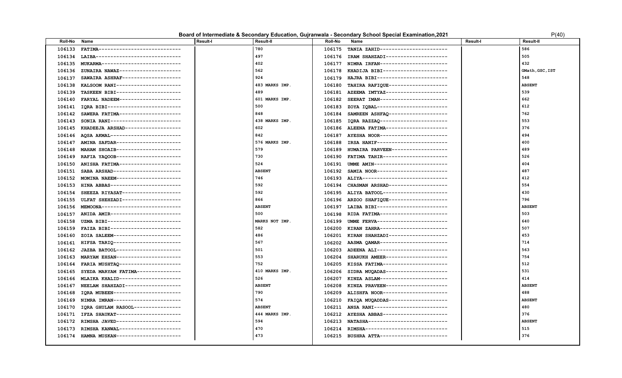### **Board of Intermediate & Secondary Education, Gujranwala - Secondary School Special Examination, 2021** P(40) P(40)

| FATIMA----------------------------<br>780<br>TANIA ZAHID-----------------------<br>586<br>106133<br>106175<br>LAIBA------------------------------<br>497<br>106176 IRAM SHAHZADI--------------------<br>505<br>106134<br>402<br>432<br>MUKARMA--------------------------<br>106177<br>NIMRA IRFAN-----------------------<br>106135<br>562<br>ZUNAIRA NAWAZ---------------------<br>106178 KHADIJA BIBI----------------------<br>GMath, GSC, IST<br>106136<br>SAWAIRA ASHRAF--------------------<br>924<br>HAJRA BIBI------------------------<br>548<br>106137<br>106179<br>KALSOOM RANI----------------------<br>483 MARKS IMP.<br>TAHIRA RAFIQUE--------------------<br><b>ABSENT</b><br>106138<br>106180<br>489<br>539<br>TASKEEN BIBI----------------------<br>AZEEMA IMTYAZ---------------------<br>106139<br>106181<br>601 MARKS IMP.<br>662<br>FARYAL NADEEM---------------------<br>106140<br>106182<br>SEERAT IMAN-----------------------<br>500<br>612<br>106141<br>IQRA BIBI-------------------------<br>106183<br>ZOYA IQBAL------------------------<br>848<br>762<br>SAWERA FATIMA---------------------<br>SAMREEN ASHFAQ--------------------<br>106142<br>106184<br>553<br>SONIA RANI------------------------<br>438 MARKS IMP.<br>106185 IQRA RAZZAQ-----------------------<br>106143<br>602<br>376<br>106145<br>KHADEEJA ARSHAD-------------------<br>106186 ALEENA FATIMA--------------------- |
|----------------------------------------------------------------------------------------------------------------------------------------------------------------------------------------------------------------------------------------------------------------------------------------------------------------------------------------------------------------------------------------------------------------------------------------------------------------------------------------------------------------------------------------------------------------------------------------------------------------------------------------------------------------------------------------------------------------------------------------------------------------------------------------------------------------------------------------------------------------------------------------------------------------------------------------------------------------------------------------------------------------------------------------------------------------------------------------------------------------------------------------------------------------------------------------------------------------------------------------------------------------------------------------------------------------------------------------------------------------------------------------------------------------|
|                                                                                                                                                                                                                                                                                                                                                                                                                                                                                                                                                                                                                                                                                                                                                                                                                                                                                                                                                                                                                                                                                                                                                                                                                                                                                                                                                                                                                |
|                                                                                                                                                                                                                                                                                                                                                                                                                                                                                                                                                                                                                                                                                                                                                                                                                                                                                                                                                                                                                                                                                                                                                                                                                                                                                                                                                                                                                |
|                                                                                                                                                                                                                                                                                                                                                                                                                                                                                                                                                                                                                                                                                                                                                                                                                                                                                                                                                                                                                                                                                                                                                                                                                                                                                                                                                                                                                |
|                                                                                                                                                                                                                                                                                                                                                                                                                                                                                                                                                                                                                                                                                                                                                                                                                                                                                                                                                                                                                                                                                                                                                                                                                                                                                                                                                                                                                |
|                                                                                                                                                                                                                                                                                                                                                                                                                                                                                                                                                                                                                                                                                                                                                                                                                                                                                                                                                                                                                                                                                                                                                                                                                                                                                                                                                                                                                |
|                                                                                                                                                                                                                                                                                                                                                                                                                                                                                                                                                                                                                                                                                                                                                                                                                                                                                                                                                                                                                                                                                                                                                                                                                                                                                                                                                                                                                |
|                                                                                                                                                                                                                                                                                                                                                                                                                                                                                                                                                                                                                                                                                                                                                                                                                                                                                                                                                                                                                                                                                                                                                                                                                                                                                                                                                                                                                |
|                                                                                                                                                                                                                                                                                                                                                                                                                                                                                                                                                                                                                                                                                                                                                                                                                                                                                                                                                                                                                                                                                                                                                                                                                                                                                                                                                                                                                |
|                                                                                                                                                                                                                                                                                                                                                                                                                                                                                                                                                                                                                                                                                                                                                                                                                                                                                                                                                                                                                                                                                                                                                                                                                                                                                                                                                                                                                |
|                                                                                                                                                                                                                                                                                                                                                                                                                                                                                                                                                                                                                                                                                                                                                                                                                                                                                                                                                                                                                                                                                                                                                                                                                                                                                                                                                                                                                |
|                                                                                                                                                                                                                                                                                                                                                                                                                                                                                                                                                                                                                                                                                                                                                                                                                                                                                                                                                                                                                                                                                                                                                                                                                                                                                                                                                                                                                |
|                                                                                                                                                                                                                                                                                                                                                                                                                                                                                                                                                                                                                                                                                                                                                                                                                                                                                                                                                                                                                                                                                                                                                                                                                                                                                                                                                                                                                |
| AQSA AKMAL------------------------<br>842<br>AYESHA NOOR----------------------<br>494<br>106146<br>106187                                                                                                                                                                                                                                                                                                                                                                                                                                                                                                                                                                                                                                                                                                                                                                                                                                                                                                                                                                                                                                                                                                                                                                                                                                                                                                      |
| AMINA SAFDAR----------------------<br>IRSA HANIF-----------------------<br>576 MARKS IMP.<br>400<br>106147<br>106188                                                                                                                                                                                                                                                                                                                                                                                                                                                                                                                                                                                                                                                                                                                                                                                                                                                                                                                                                                                                                                                                                                                                                                                                                                                                                           |
| 579<br>489<br>MAHAM SHOAIB---------------------<br>HUMAIRA PARVEEN-------------------<br>106148<br>106189                                                                                                                                                                                                                                                                                                                                                                                                                                                                                                                                                                                                                                                                                                                                                                                                                                                                                                                                                                                                                                                                                                                                                                                                                                                                                                      |
| 730<br>FATIMA TAHIR----------------------<br>526<br>RAFIA YAQOOB----------------------<br>106149<br>106190                                                                                                                                                                                                                                                                                                                                                                                                                                                                                                                                                                                                                                                                                                                                                                                                                                                                                                                                                                                                                                                                                                                                                                                                                                                                                                     |
| 524<br>404<br>ANISHA FATIMA---------------------<br>UMME AMIN------------------------<br>106150<br>106191                                                                                                                                                                                                                                                                                                                                                                                                                                                                                                                                                                                                                                                                                                                                                                                                                                                                                                                                                                                                                                                                                                                                                                                                                                                                                                      |
| SABA ARSHAD----------------------<br><b>ABSENT</b><br>SAMIA NOOR------------------------<br>487<br>106151<br>106192                                                                                                                                                                                                                                                                                                                                                                                                                                                                                                                                                                                                                                                                                                                                                                                                                                                                                                                                                                                                                                                                                                                                                                                                                                                                                            |
| MOMINA NAEEM----------------------<br>746<br>106193 ALIYA-----------------------------<br>412<br>106152                                                                                                                                                                                                                                                                                                                                                                                                                                                                                                                                                                                                                                                                                                                                                                                                                                                                                                                                                                                                                                                                                                                                                                                                                                                                                                        |
| 592<br>554<br>HINA ABBAS------------------------<br>CHASMAN ARSHAD--------------------<br>106153<br>106194                                                                                                                                                                                                                                                                                                                                                                                                                                                                                                                                                                                                                                                                                                                                                                                                                                                                                                                                                                                                                                                                                                                                                                                                                                                                                                     |
| 592<br>430<br>SHEEZA RIYASAT--------------------<br>106195 ALIYA BATOOL----------------------<br>106154                                                                                                                                                                                                                                                                                                                                                                                                                                                                                                                                                                                                                                                                                                                                                                                                                                                                                                                                                                                                                                                                                                                                                                                                                                                                                                        |
| 796<br>ULFAT SHEHZADI-------------------<br>866<br>ARZOO SHAFIQUE--------------------<br>106155<br>106196                                                                                                                                                                                                                                                                                                                                                                                                                                                                                                                                                                                                                                                                                                                                                                                                                                                                                                                                                                                                                                                                                                                                                                                                                                                                                                      |
| MEMOONA---------------------------<br><b>ABSENT</b><br>LAIBA BIBI------------------------<br><b>ABSENT</b><br>106156<br>106197                                                                                                                                                                                                                                                                                                                                                                                                                                                                                                                                                                                                                                                                                                                                                                                                                                                                                                                                                                                                                                                                                                                                                                                                                                                                                 |
| ANIDA AMIR------------------------<br>500<br>RIDA FATIMA-----------------------<br>503<br>106157<br>106198                                                                                                                                                                                                                                                                                                                                                                                                                                                                                                                                                                                                                                                                                                                                                                                                                                                                                                                                                                                                                                                                                                                                                                                                                                                                                                     |
| 640<br>UZMA BIBI-------------------------<br>MARKS NOT IMP.<br>UMME FERVA------------------------<br>106158<br>106199                                                                                                                                                                                                                                                                                                                                                                                                                                                                                                                                                                                                                                                                                                                                                                                                                                                                                                                                                                                                                                                                                                                                                                                                                                                                                          |
| 582<br>507<br>FAIZA BIBI------------------------<br>KIRAN ZAHRA-----------------------<br>106159<br>106200                                                                                                                                                                                                                                                                                                                                                                                                                                                                                                                                                                                                                                                                                                                                                                                                                                                                                                                                                                                                                                                                                                                                                                                                                                                                                                     |
| 486<br>453<br>ZOIA SALEEM-----------------------<br>KIRAN SHAHZADI-------------------<br>106160<br>106201                                                                                                                                                                                                                                                                                                                                                                                                                                                                                                                                                                                                                                                                                                                                                                                                                                                                                                                                                                                                                                                                                                                                                                                                                                                                                                      |
| 567<br>714<br>HIFSA TARIQ-----------------------<br>AASMA QAMAR -----------------------<br>106161<br>106202                                                                                                                                                                                                                                                                                                                                                                                                                                                                                                                                                                                                                                                                                                                                                                                                                                                                                                                                                                                                                                                                                                                                                                                                                                                                                                    |
| 563<br>JAZBA BATOOL----------------------<br>501<br>ADEENA ALI------------------------<br>106162<br>106203                                                                                                                                                                                                                                                                                                                                                                                                                                                                                                                                                                                                                                                                                                                                                                                                                                                                                                                                                                                                                                                                                                                                                                                                                                                                                                     |
| 553<br>754<br>MARYAM EHSAN----------------------<br>SHARUKH AMEER---------------------<br>106163<br>106204                                                                                                                                                                                                                                                                                                                                                                                                                                                                                                                                                                                                                                                                                                                                                                                                                                                                                                                                                                                                                                                                                                                                                                                                                                                                                                     |
| 512<br>FARIA MUSHTAQ---------------------<br>752<br>KISSA FATIMA---------------------<br>106164<br>106205                                                                                                                                                                                                                                                                                                                                                                                                                                                                                                                                                                                                                                                                                                                                                                                                                                                                                                                                                                                                                                                                                                                                                                                                                                                                                                      |
| 531<br>410 MARKS IMP.<br>SIDRA MUQADAS---------------------<br>106165<br>SYEDA MARYAM FATIMA--------------<br>106206                                                                                                                                                                                                                                                                                                                                                                                                                                                                                                                                                                                                                                                                                                                                                                                                                                                                                                                                                                                                                                                                                                                                                                                                                                                                                           |
| 526<br>414<br>MLAIKA KHALID---------------------<br>KINZA ASLAM-----------------------<br>106166<br>106207                                                                                                                                                                                                                                                                                                                                                                                                                                                                                                                                                                                                                                                                                                                                                                                                                                                                                                                                                                                                                                                                                                                                                                                                                                                                                                     |
| NEELAM SHAHZADI------------------<br><b>ABSENT</b><br>106208 KINZA PRAVEEN--------------------<br><b>ABSENT</b><br>106167                                                                                                                                                                                                                                                                                                                                                                                                                                                                                                                                                                                                                                                                                                                                                                                                                                                                                                                                                                                                                                                                                                                                                                                                                                                                                      |
| IQRA MUBEEN-----------------------<br>790<br>ALISHFA NOOR----------------------<br>488<br>106168<br>106209                                                                                                                                                                                                                                                                                                                                                                                                                                                                                                                                                                                                                                                                                                                                                                                                                                                                                                                                                                                                                                                                                                                                                                                                                                                                                                     |
| NIMRA IMRAN-----------------------<br>574<br>FAIQA MUQADDAS--------------------<br><b>ABSENT</b><br>106169<br>106210                                                                                                                                                                                                                                                                                                                                                                                                                                                                                                                                                                                                                                                                                                                                                                                                                                                                                                                                                                                                                                                                                                                                                                                                                                                                                           |
| <b>ABSENT</b><br>ANSA RANI-------------------------<br>480<br>IQRA GHULAM RASOOL----------------<br>106211<br>106170                                                                                                                                                                                                                                                                                                                                                                                                                                                                                                                                                                                                                                                                                                                                                                                                                                                                                                                                                                                                                                                                                                                                                                                                                                                                                           |
| 444 MARKS IMP.<br>376<br>IFZA SHAUKAT----------------------<br>106212 AYESHA ABBAS----------------------<br>106171                                                                                                                                                                                                                                                                                                                                                                                                                                                                                                                                                                                                                                                                                                                                                                                                                                                                                                                                                                                                                                                                                                                                                                                                                                                                                             |
| RIMSHA JAVED----------------------<br>594<br>NATASHA---------------------------<br><b>ABSENT</b><br>106172<br>106213                                                                                                                                                                                                                                                                                                                                                                                                                                                                                                                                                                                                                                                                                                                                                                                                                                                                                                                                                                                                                                                                                                                                                                                                                                                                                           |
| 515<br>470<br>106173<br>RIMSHA KANWAL---------------------<br>RIMSHA----------------------------<br>106214                                                                                                                                                                                                                                                                                                                                                                                                                                                                                                                                                                                                                                                                                                                                                                                                                                                                                                                                                                                                                                                                                                                                                                                                                                                                                                     |
| 376<br>473<br>106174<br>HAMNA MUSKAN----------------------<br>106215 BUSHRA ATTA-----------------------                                                                                                                                                                                                                                                                                                                                                                                                                                                                                                                                                                                                                                                                                                                                                                                                                                                                                                                                                                                                                                                                                                                                                                                                                                                                                                        |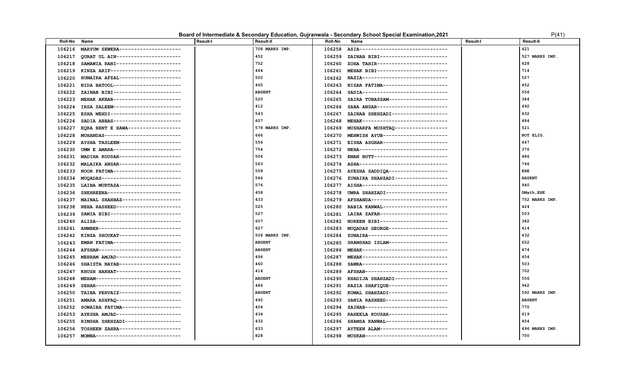| Board of Intermediate & Secondary Education, Gujranwala - Secondary School Special Examination,2021 |  |  |  | P(41) |  |
|-----------------------------------------------------------------------------------------------------|--|--|--|-------|--|
|-----------------------------------------------------------------------------------------------------|--|--|--|-------|--|

| ᠈(<br>r | 4 | 1 |  |
|---------|---|---|--|
|         |   |   |  |

| Roll-No | Name                                | <b>Result-I</b> | <b>Result-II</b> | Roll-No | Name                                      | <b>Result-I</b> | <b>Result-II</b> |
|---------|-------------------------------------|-----------------|------------------|---------|-------------------------------------------|-----------------|------------------|
| 106216  | MARYUM SEWERA---------------------  |                 | 708 MARKS IMP.   | 106258  | ASIA-------------------------------       |                 | 421              |
| 106217  | QURAT UL AIN----------------------  |                 | 452              | 106259  | ZAINAB BIBI-----------------------        |                 | 527 MARKS IMP.   |
| 106218  | SAMAWIA RANI----------------------  |                 | 752              | 106260  | ZOHA TAHIR------------------------        |                 | 628              |
| 106219  | KINZA ARIF------------------------  |                 | 464              | 106261  | MEHAK BIBI------------------------        |                 | 714              |
| 106220  | HUMAIRA AFZAL---------------------  |                 | 502              | 106262  | NAZIA-----------------------------        |                 | 527              |
| 106221  | NIDA BATOOL-----------------------  |                 | 465              | 106263  | NISAR FATIMA----------------------        |                 | 452              |
| 106222  | ZAINAB BIBI-----------------------  |                 | <b>ABSENT</b>    | 106264  | SADIA------------------------------       |                 | 556              |
| 106223  | MEHAK AKBAR----------------------   |                 | 520              | 106265  | SAIRA TUBASSAM--------------------        |                 | 384              |
| 106224  | IRSA SALEEM------------------------ |                 | 412              | 106266  | SABA ANSAR------------------------        |                 | 492              |
| 106225  | ESHA MEHDI------------------------  |                 | 543              | 106267  | ZAINAB SHEHZADI-------------------        |                 | 432              |
| 106226  | SADIA ABBAS-----------------------  |                 | 607              | 106268  | MEHAK----------------------------         |                 | 484              |
| 106227  | EQRA BENT E HAWA------------------  |                 | 578 MARKS IMP.   | 106269  | MUSHARFA MUSHTAQ -----------------        |                 | 521              |
| 106228  | MUHANDAS--------------------------  |                 | 666              | 106270  | MEHWISH AYUB----------------------        |                 | NOT ELIG.        |
| 106229  | AYSHA TASLEEM---------------------  |                 | 556              | 106271  | EISHA ASGHAR----------------------        |                 | 447              |
| 106230  | UMM E AMARA-----------------------  |                 | 754              | 106272  | NEHA------------------------------        |                 | 376              |
| 106231  | MADIHA KOUSAR---------------------  |                 | 506              | 106273  | EMAN BUTT------------------------         |                 | 486              |
| 106232  | MALAIKA ANSAR---------------------  |                 | 563              | 106274  | ASHA-------------------------------       |                 | 746              |
| 106233  | NOOR FATIMA-----------------------  |                 | 558              | 106275  | AYESHA SADDIQA--------------------        |                 | EHE              |
| 106234  | MUQADAS---------------------------  |                 | 566              | 106276  | ZUNAIRA SHAHZADI-----------------         |                 | <b>ABSENT</b>    |
| 106235  | LAIBA MURTAZA---------------------  |                 | 576              | 106277  | AISHA------------------------------       |                 | 940              |
| 106236  | SHEHREENA-------------------------  |                 | 458              | 106278  | UMRA SHAHZADI---------------------        |                 | GMath, EHE       |
| 106237  | MAINAL SHAHBAZ--------------------  |                 | 433              | 106279  | AFSHANDA--------------------------        |                 | 752 MARKS IMP.   |
| 106238  | NEHA RASHEED----------------------  |                 | 525              | 106280  | RABIA KANWAL---------------------         |                 | 424              |
| 106239  | SAMIA BIBI------------------------  |                 | 527              | 106281  | LAIBA ZAFAR-----------------------        |                 | 503              |
| 106240  | ALIZA------------------------------ |                 | 607              | 106282  | NOREEN BIBI-----------------------        |                 | 382              |
| 106241  | ANMBER---------------------------   |                 | 627              | 106283  | MUQADAS GEORGE--------------------        |                 | 414              |
| 106242  | KINZA SHOUKAT---------------------  |                 | 506 MARKS IMP.   | 106284  | ZUNAIRA---------------------------        |                 | 432              |
| 106243  | EMAN FATIMA----------------------   |                 | <b>ABSENT</b>    | 106285  | SHAMSHAD ISLAM-------------------         |                 | 652              |
| 106244  | AFSHAN----------------------------  |                 | <b>ABSENT</b>    | 106286  | MEHAK----------------------------         |                 | 474              |
| 106245  | MEHRAM AMJAD----------------------  |                 | 496              | 106287  | MEHAK-----------------------------        |                 | 454              |
| 106246  | SHAISTA NAYAB---------------------  |                 | 460              | 106288  | SAMRA-----------------------------        |                 | 503              |
| 106247  | KHUSH BAKHAT----------------------  |                 | 414              | 106289  | AFSHAN----------------------------        |                 | 702              |
| 106248  | MEHAM-----------------------------  |                 | <b>ABSENT</b>    | 106290  | KHADIJA SHAHZADI------------------        |                 | 556              |
| 106249  | SEHAR-----------------------------  |                 | 486              | 106291  | RAZIA SHAFIQUE--------------------        |                 | 962              |
| 106250  | TAIBA PERVAIZ---------------------  |                 | <b>ABSENT</b>    | 106292  | KOMAL SHAHZADI-------------------         |                 | 592 MARKS IMP.   |
| 106251  | AMARA ASHFAQ----------------------  |                 | 492              | 106293  | SANIA RASHEED---------------------        |                 | <b>ABSENT</b>    |
| 106252  | SOWAIBA FATIMA--------------------  |                 | 404              | 106294  | ZAINAB----------------------------        |                 | 770              |
| 106253  | AYESHA AMJAD----------------------  |                 | 434              | 106295  | RAHEELA KOUSAR--------------------        |                 | 619              |
| 106255  | RIMSHA SHEHZADI-------------------  |                 | 432              | 106296  | SHAMSA KANWAL---------------------        |                 | 454              |
| 106256  | TOSHEEN ZAHRA---------------------  |                 | 633              | 106297  | AYTEEN ALAM-----------------------        |                 | 496 MARKS IMP.   |
| 106257  | MOMNA----------------------------   |                 | 828              |         | 106298 MUSKAN---------------------------- |                 | 700              |
|         |                                     |                 |                  |         |                                           |                 |                  |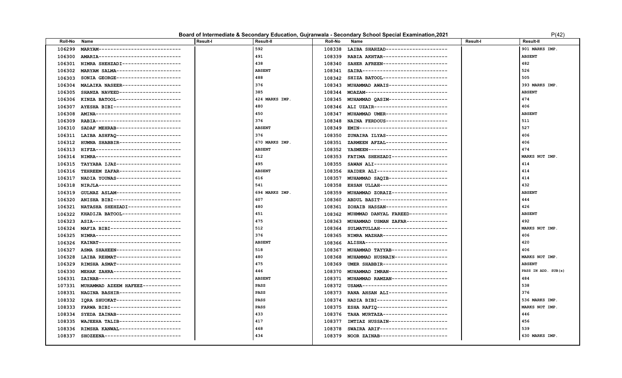| Board of Intermediate & Secondary Education, Gujranwala - Secondary School Special Examination,2021 |  | P(42) |
|-----------------------------------------------------------------------------------------------------|--|-------|
|-----------------------------------------------------------------------------------------------------|--|-------|

| Roll-No | Name                                | <b>Result-I</b> | Result-II      | Roll-No | Name                                      | Result-I | <b>Result-II</b>    |
|---------|-------------------------------------|-----------------|----------------|---------|-------------------------------------------|----------|---------------------|
| 106299  | MARYAM----------------------------  |                 | 592            | 108338  | LAIBA SHAHZAD---------------------        |          | 901 MARKS IMP       |
| 106300  | AMARIA----------------------------  |                 | 491            | 108339  | RABIA AKHTAR----------------------        |          | <b>ABSENT</b>       |
| 106301  | NIMRA SHEHZADI--------------------  |                 | 438            | 108340  | SAHER AFREEN---------------------         |          | 482                 |
| 106302  | MARYAM SALMA----------------------  |                 | <b>ABSENT</b>  | 108341  | SAIRA-----------------------------        |          | 526                 |
| 106303  | SONIA GEORGE----------------------  |                 | 488            | 108342  | SHIZA BATOOL----------------------        |          | 505                 |
| 106304  | MALAIKA NASEER--------------------  |                 | 376            | 108343  | MUHAMMAD AWAIS--------------------        |          | 393 MARKS IMP       |
| 106305  | SHANZA NAVEED---------------------  |                 | 385            | 108344  | MOAZAM---------------------------         |          | <b>ABSENT</b>       |
| 106306  | KINZA BATOOL----------------------  |                 | 424 MARKS IMP. |         | 108345 MUHAMMAD QASIM-------------------- |          | 474                 |
| 106307  | AYESHA BIBI-----------------------  |                 | 480            |         | 108346 ALI UZAIR------------------------- |          | 406                 |
| 106308  | AMINA-----------------------------  |                 | 450            | 108347  | MUHAMMAD UMER---------------------        |          | <b>ABSENT</b>       |
| 106309  | RABIA-----------------------------  |                 | 376            | 108348  | NAINA FERDOUS---------------------        |          | 511                 |
| 106310  | SADAF MEHRAB---------------------   |                 | <b>ABSENT</b>  | 108349  | EMIN------------------------------        |          | 527                 |
| 106311  | LAIBA ASHFAQ----------------------  |                 | 376            | 108350  | ZUNAIRA ILYAS---------------------        |          | 406                 |
| 106312  | HUMNA SHABBIR---------------------  |                 | 670 MARKS IMP. | 108351  | ZARMEEN AFZAL---------------------        |          | 406                 |
| 106313  | HIFZA------------------------------ |                 | <b>ABSENT</b>  | 108352  | YASMEEN--------------------------         |          | 474                 |
| 106314  | NIMRA-----------------------------  |                 | 412            | 108353  | FATIMA SHEHZADI------------------         |          | MARKS NOT IMP       |
| 106315  | TAYYABA IJAZ----------------------- |                 | 495            | 108355  | SAWAN ALI-------------------------        |          | 414                 |
| 106316  | TEHREEM ZAFAR---------------------  |                 | <b>ABSENT</b>  | 108356  | HAIDER ALI------------------------        |          | 414                 |
| 106317  | NADIA YOUNAS----------------------  |                 | 616            | 108357  | MUHAMMAD SAQIB-------------------         |          | 414                 |
| 106318  | NIRJLA---------------------------   |                 | 541            | 108358  | EHSAN ULLAH-----------------------        |          | 432                 |
| 106319  | GULNAZ ASLAM----------------------  |                 | 694 MARKS IMP. | 108359  | MUHAMMAD ZORAIZ-------------------        |          | <b>ABSENT</b>       |
| 106320  | ANISHA BIBI-----------------------  |                 | 607            | 108360  | ABDUL BASIT-----------------------        |          | 444                 |
| 106321  | NATASHA SHEHZADI-----------------   |                 | 480            | 108361  | ZOHAIB HASSAN--------------------         |          | 426                 |
| 106322  | KHADIJA BATOOL--------------------  |                 | 451            | 108362  | MUHMMAD DANYAL FAREED-------------        |          | <b>ABSENT</b>       |
| 106323  | ASIA------------------------------  |                 | 475            | 108363  | MUHAMMAD USMAN ZAFAR-------------         |          | 492                 |
| 106324  | MAFIA BIBI------------------------  |                 | 512            | 108364  | SULMATULLAH-----------------------        |          | MARKS NOT IMP.      |
| 106325  | NIMRA-----------------------------  |                 | 376            | 108365  | NIMRA MAZHAR----------------------        |          | 406                 |
| 106326  | KAINAT---------------------------   |                 | <b>ABSENT</b>  | 108366  | ALISHA-----------------------------       |          | 420                 |
| 106327  | ASMA SHAHEEN----------------------  |                 | 518            | 108367  | MUHAMMAD TAYYAB-------------------        |          | 406                 |
| 106328  | LAIBA REHMAT----------------------  |                 | 480            | 108368  | MUHAMMAD HUSNAIN------------------        |          | MARKS NOT IMP.      |
| 106329  | RIMSHA ASMAT---------------------   |                 | 475            | 108369  | UMER SHABBIR----------------------        |          | <b>ABSENT</b>       |
| 106330  | MEHAK ZAHRA-----------------------  |                 | 446            | 108370  | MUHAMMAD IMRAN--------------------        |          | PASS IN ADD. SUB(s) |
| 106331  | ZAINAB----------------------------  |                 | <b>ABSENT</b>  | 108371  | MUHAMMAD RAMZAN-------------------        |          | 484                 |
| 107331  | MUHAMMAD AZEEM HAFEEZ-------------  |                 | PASS           | 108372  | USAMA-----------------------------        |          | 538                 |
| 108331  | NAGINA BASHIR---------------------  |                 | <b>PASS</b>    | 108373  | RANA AHSAN ALI--------------------        |          | 376                 |
| 108332  | IQRA SHUOKAT----------------------  |                 | PASS           | 108374  | HADIA BIBI------------------------        |          | 536 MARKS IMP       |
| 108333  | FARWA BIBI-----------------------   |                 | PASS           | 108375  | ESHA RAFIQ------------------------        |          | MARKS NOT IMP       |
| 108334  | SYEDA ZAINAB----------------------  |                 | 433            | 108376  | TAHA MURTAZA----------------------        |          | 446                 |
| 108335  | WAJEEHA TALIB---------------------  |                 | 417            | 108377  | IMTIAZ HUSSAIN--------------------        |          | 456                 |
| 108336  | RIMSHA KANWAL---------------------  |                 | 468            | 108378  | SWAIRA ARIF-----------------------        |          | 539                 |
| 108337  | SHOZEENA--------------------------- |                 | 434            | 108379  | NOOR ZAINAB-----------------------        |          | 630 MARKS IMP.      |